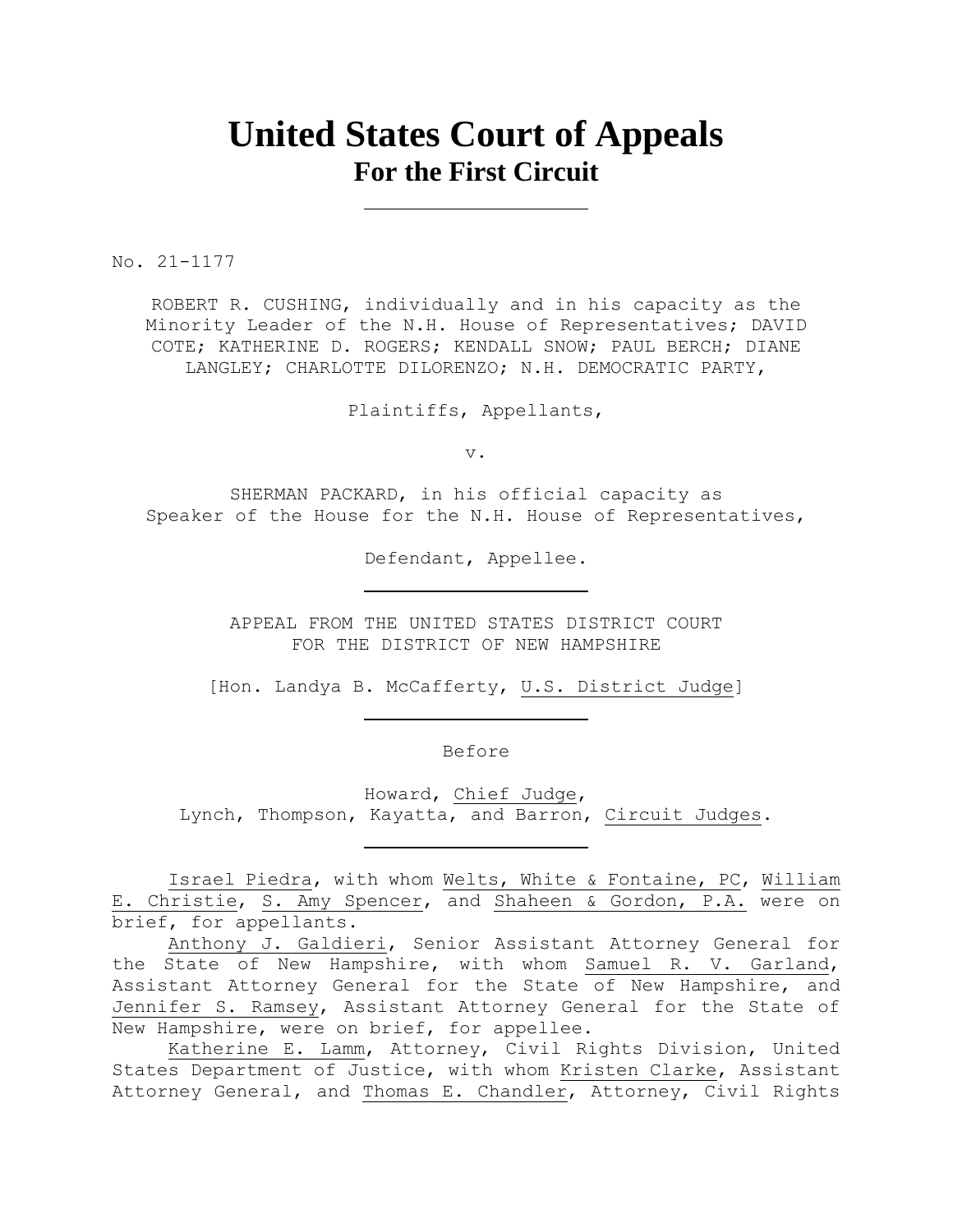# **United States Court of Appeals For the First Circuit**

No. 21-1177

ROBERT R. CUSHING, individually and in his capacity as the Minority Leader of the N.H. House of Representatives; DAVID COTE; KATHERINE D. ROGERS; KENDALL SNOW; PAUL BERCH; DIANE LANGLEY; CHARLOTTE DILORENZO; N.H. DEMOCRATIC PARTY,

Plaintiffs, Appellants,

v.

SHERMAN PACKARD, in his official capacity as Speaker of the House for the N.H. House of Representatives,

Defendant, Appellee.

APPEAL FROM THE UNITED STATES DISTRICT COURT FOR THE DISTRICT OF NEW HAMPSHIRE

[Hon. Landya B. McCafferty, U.S. District Judge]

Before

Howard, Chief Judge, Lynch, Thompson, Kayatta, and Barron, Circuit Judges.

Israel Piedra, with whom Welts, White & Fontaine, PC, William E. Christie, S. Amy Spencer, and Shaheen & Gordon, P.A. were on brief, for appellants.

Anthony J. Galdieri, Senior Assistant Attorney General for the State of New Hampshire, with whom Samuel R. V. Garland, Assistant Attorney General for the State of New Hampshire, and Jennifer S. Ramsey, Assistant Attorney General for the State of New Hampshire, were on brief, for appellee.

Katherine E. Lamm, Attorney, Civil Rights Division, United States Department of Justice, with whom Kristen Clarke, Assistant Attorney General, and Thomas E. Chandler, Attorney, Civil Rights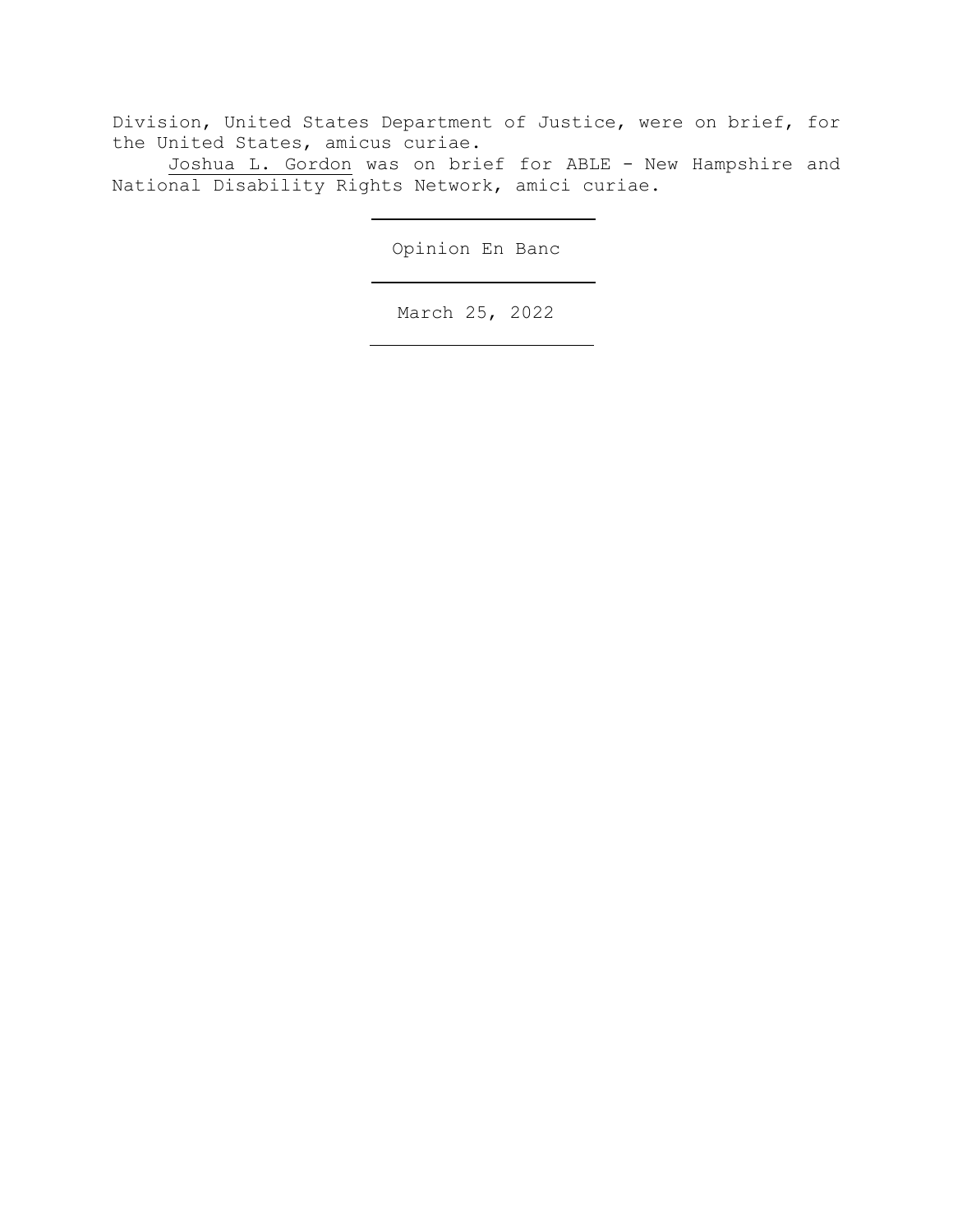Division, United States Department of Justice, were on brief, for the United States, amicus curiae.

Joshua L. Gordon was on brief for ABLE - New Hampshire and National Disability Rights Network, amici curiae.

Opinion En Banc

March 25, 2022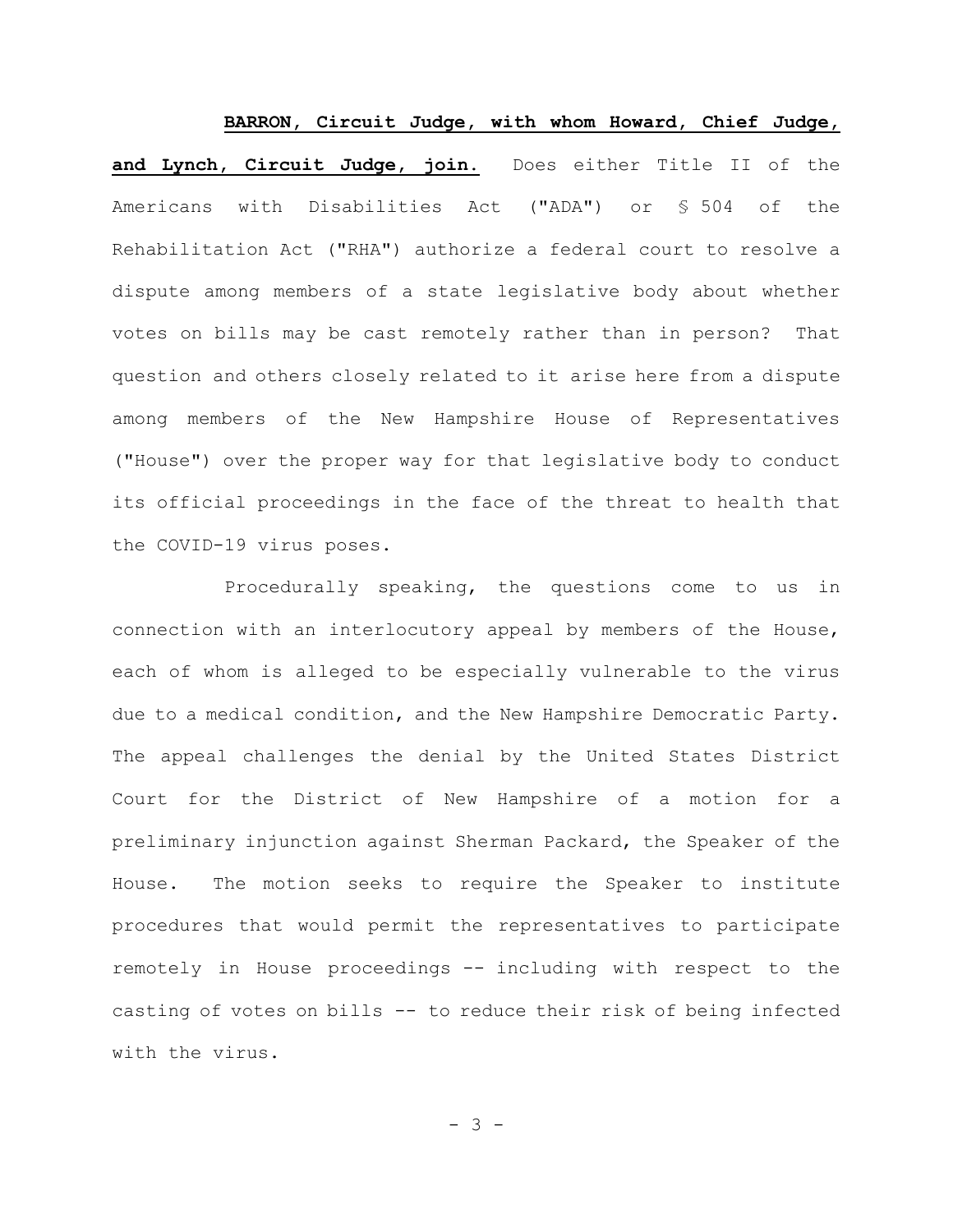**BARRON, Circuit Judge, with whom Howard, Chief Judge, and Lynch, Circuit Judge, join.** Does either Title II of the Americans with Disabilities Act ("ADA") or § 504 of the Rehabilitation Act ("RHA") authorize a federal court to resolve a dispute among members of a state legislative body about whether votes on bills may be cast remotely rather than in person? That question and others closely related to it arise here from a dispute among members of the New Hampshire House of Representatives ("House") over the proper way for that legislative body to conduct its official proceedings in the face of the threat to health that the COVID-19 virus poses.

Procedurally speaking, the questions come to us in connection with an interlocutory appeal by members of the House, each of whom is alleged to be especially vulnerable to the virus due to a medical condition, and the New Hampshire Democratic Party. The appeal challenges the denial by the United States District Court for the District of New Hampshire of a motion for a preliminary injunction against Sherman Packard, the Speaker of the House. The motion seeks to require the Speaker to institute procedures that would permit the representatives to participate remotely in House proceedings -- including with respect to the casting of votes on bills -- to reduce their risk of being infected with the virus.

- 3 -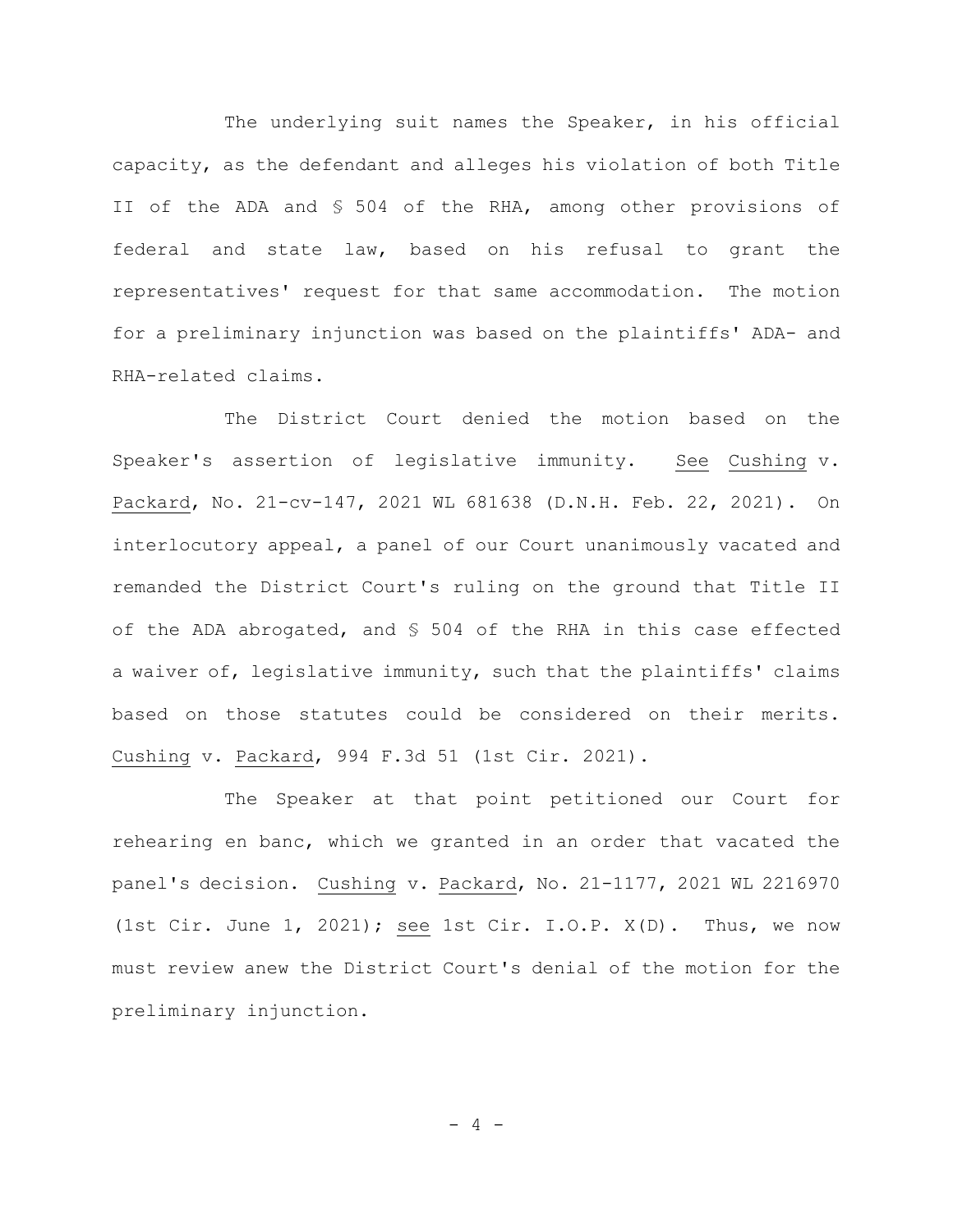The underlying suit names the Speaker, in his official capacity, as the defendant and alleges his violation of both Title II of the ADA and § 504 of the RHA, among other provisions of federal and state law, based on his refusal to grant the representatives' request for that same accommodation. The motion for a preliminary injunction was based on the plaintiffs' ADA- and RHA-related claims.

The District Court denied the motion based on the Speaker's assertion of legislative immunity. See Cushing v. Packard, No. 21-cv-147, 2021 WL 681638 (D.N.H. Feb. 22, 2021). On interlocutory appeal, a panel of our Court unanimously vacated and remanded the District Court's ruling on the ground that Title II of the ADA abrogated, and § 504 of the RHA in this case effected a waiver of, legislative immunity, such that the plaintiffs' claims based on those statutes could be considered on their merits. Cushing v. Packard, 994 F.3d 51 (1st Cir. 2021).

The Speaker at that point petitioned our Court for rehearing en banc, which we granted in an order that vacated the panel's decision. Cushing v. Packard, No. 21-1177, 2021 WL 2216970 (1st Cir. June 1, 2021); see 1st Cir. I.O.P. X(D). Thus, we now must review anew the District Court's denial of the motion for the preliminary injunction.

- 4 -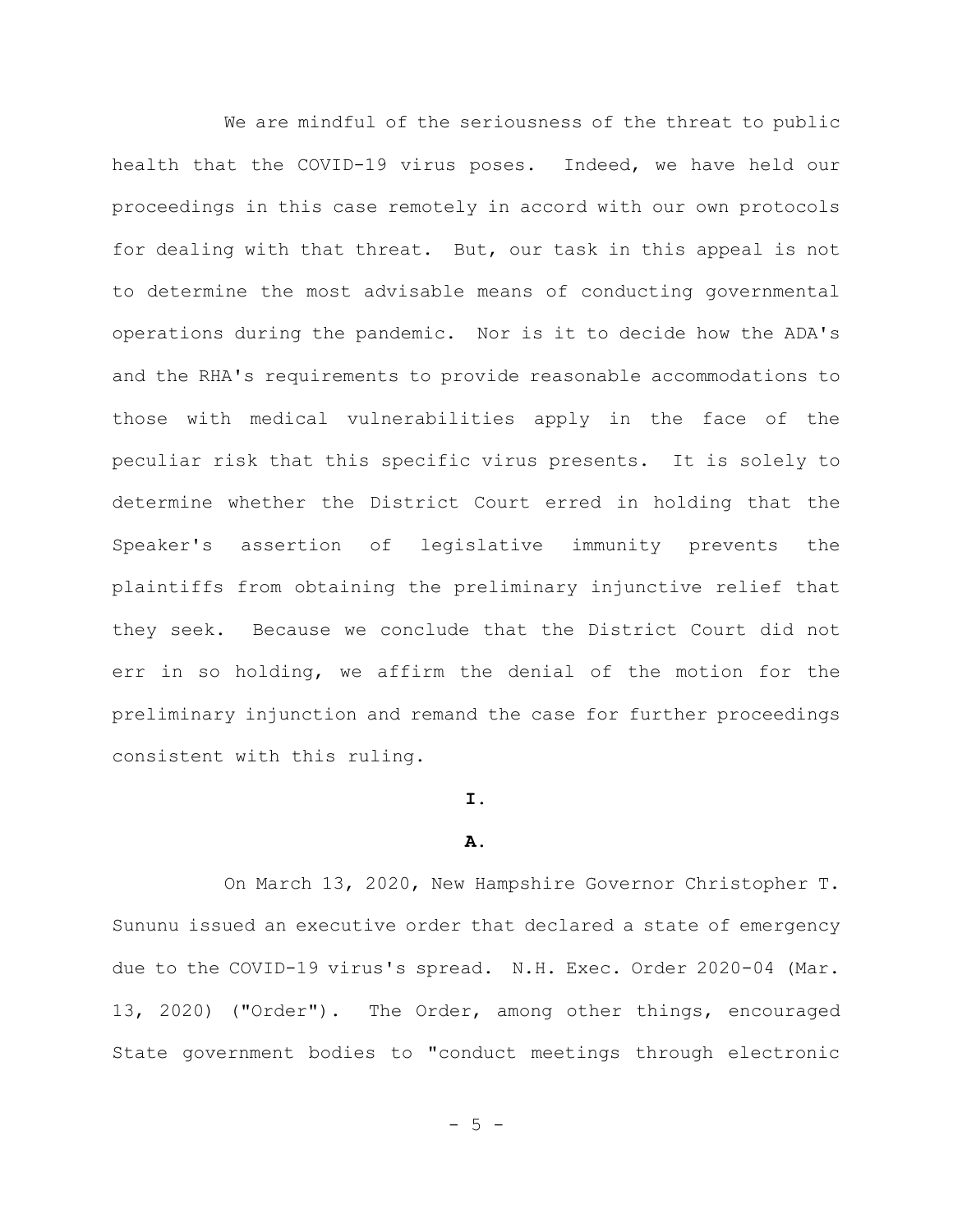We are mindful of the seriousness of the threat to public health that the COVID-19 virus poses. Indeed, we have held our proceedings in this case remotely in accord with our own protocols for dealing with that threat. But, our task in this appeal is not to determine the most advisable means of conducting governmental operations during the pandemic. Nor is it to decide how the ADA's and the RHA's requirements to provide reasonable accommodations to those with medical vulnerabilities apply in the face of the peculiar risk that this specific virus presents. It is solely to determine whether the District Court erred in holding that the Speaker's assertion of legislative immunity prevents the plaintiffs from obtaining the preliminary injunctive relief that they seek. Because we conclude that the District Court did not err in so holding, we affirm the denial of the motion for the preliminary injunction and remand the case for further proceedings consistent with this ruling.

# **I.**

#### **A.**

On March 13, 2020, New Hampshire Governor Christopher T. Sununu issued an executive order that declared a state of emergency due to the COVID-19 virus's spread. N.H. Exec. Order 2020-04 (Mar. 13, 2020) ("Order"). The Order, among other things, encouraged State government bodies to "conduct meetings through electronic

 $- 5 -$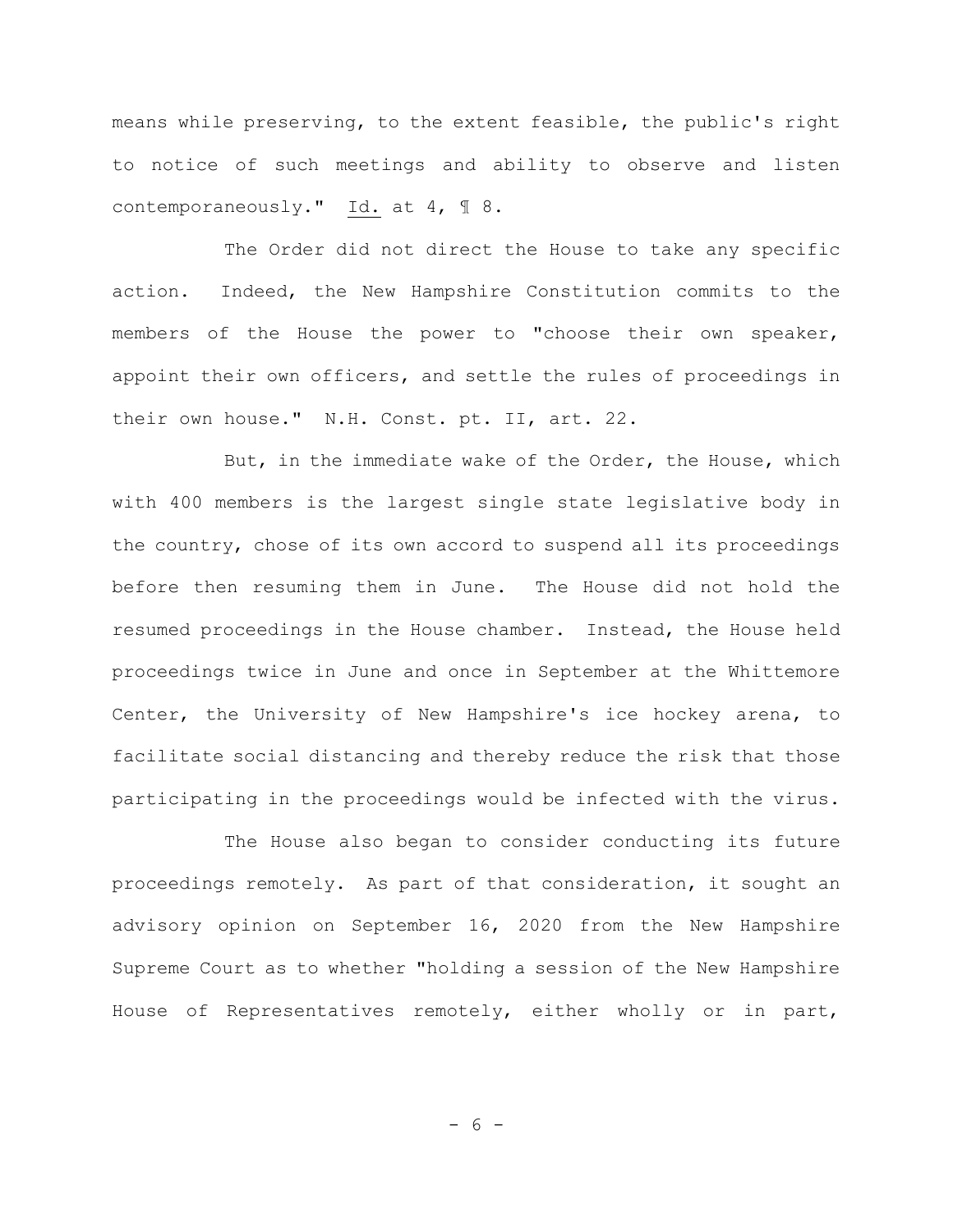means while preserving, to the extent feasible, the public's right to notice of such meetings and ability to observe and listen contemporaneously." Id. at 4, ¶ 8.

The Order did not direct the House to take any specific action. Indeed, the New Hampshire Constitution commits to the members of the House the power to "choose their own speaker, appoint their own officers, and settle the rules of proceedings in their own house." N.H. Const. pt. II, art. 22.

But, in the immediate wake of the Order, the House, which with 400 members is the largest single state legislative body in the country, chose of its own accord to suspend all its proceedings before then resuming them in June. The House did not hold the resumed proceedings in the House chamber. Instead, the House held proceedings twice in June and once in September at the Whittemore Center, the University of New Hampshire's ice hockey arena, to facilitate social distancing and thereby reduce the risk that those participating in the proceedings would be infected with the virus.

The House also began to consider conducting its future proceedings remotely. As part of that consideration, it sought an advisory opinion on September 16, 2020 from the New Hampshire Supreme Court as to whether "holding a session of the New Hampshire House of Representatives remotely, either wholly or in part,

- 6 -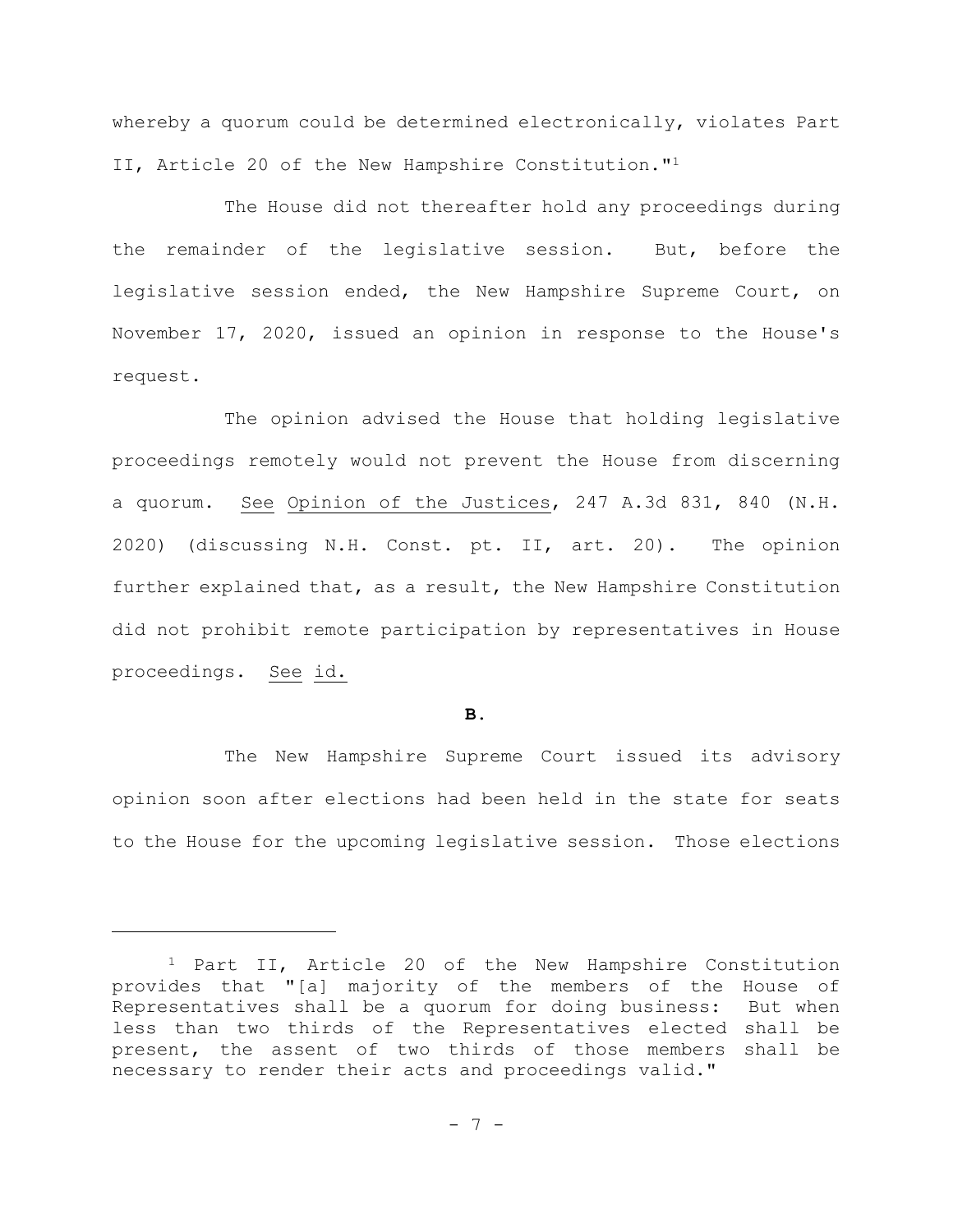whereby a quorum could be determined electronically, violates Part II, Article 20 of the New Hampshire Constitution."<sup>1</sup>

The House did not thereafter hold any proceedings during the remainder of the legislative session. But, before the legislative session ended, the New Hampshire Supreme Court, on November 17, 2020, issued an opinion in response to the House's request.

The opinion advised the House that holding legislative proceedings remotely would not prevent the House from discerning a quorum. See Opinion of the Justices, 247 A.3d 831, 840 (N.H. 2020) (discussing N.H. Const. pt. II, art. 20). The opinion further explained that, as a result, the New Hampshire Constitution did not prohibit remote participation by representatives in House proceedings. See id.

## **B.**

The New Hampshire Supreme Court issued its advisory opinion soon after elections had been held in the state for seats to the House for the upcoming legislative session. Those elections

<sup>1</sup> Part II, Article 20 of the New Hampshire Constitution provides that "[a] majority of the members of the House of Representatives shall be a quorum for doing business: But when less than two thirds of the Representatives elected shall be present, the assent of two thirds of those members shall be necessary to render their acts and proceedings valid."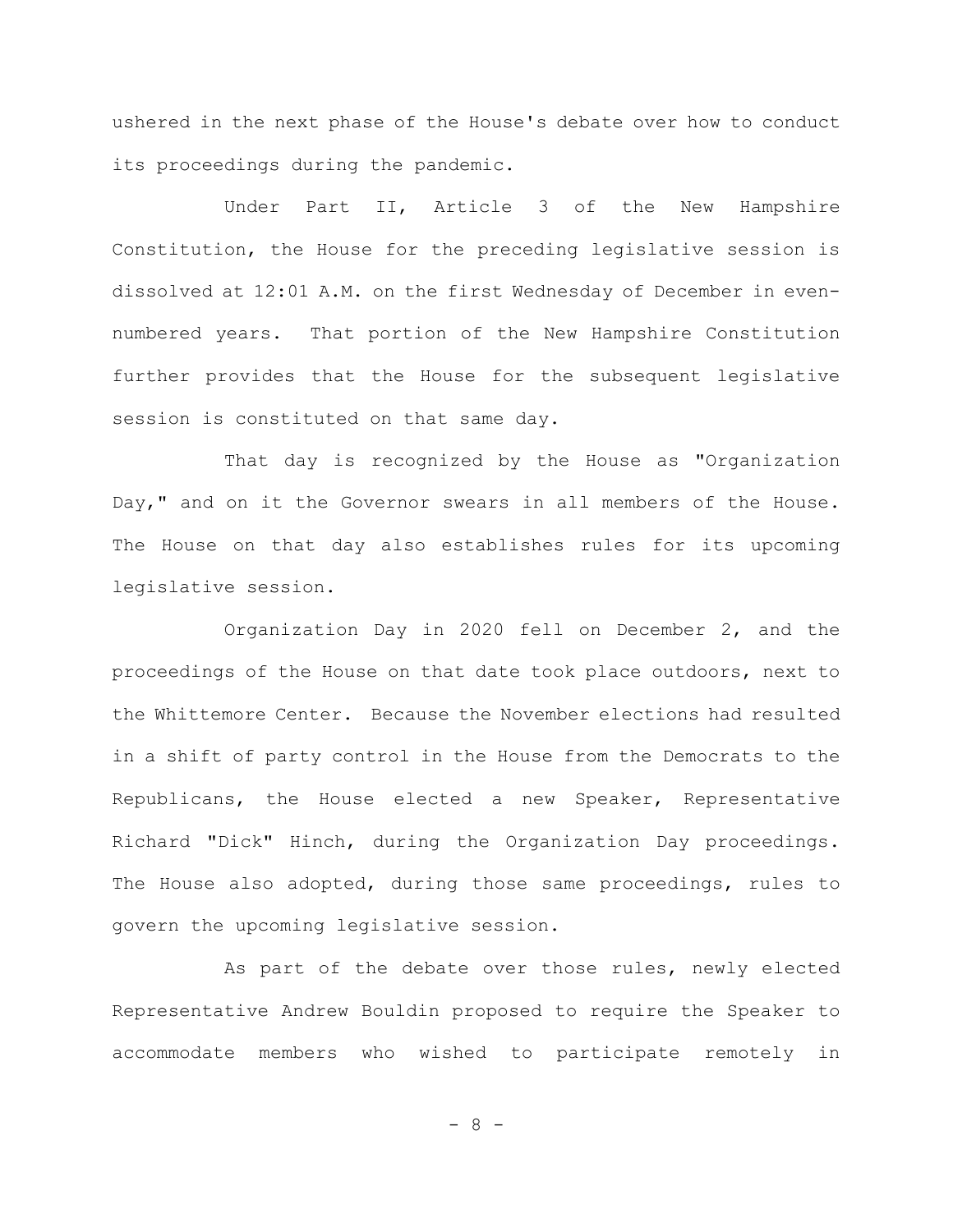ushered in the next phase of the House's debate over how to conduct its proceedings during the pandemic.

Under Part II, Article 3 of the New Hampshire Constitution, the House for the preceding legislative session is dissolved at 12:01 A.M. on the first Wednesday of December in evennumbered years. That portion of the New Hampshire Constitution further provides that the House for the subsequent legislative session is constituted on that same day.

That day is recognized by the House as "Organization Day," and on it the Governor swears in all members of the House. The House on that day also establishes rules for its upcoming legislative session.

Organization Day in 2020 fell on December 2, and the proceedings of the House on that date took place outdoors, next to the Whittemore Center. Because the November elections had resulted in a shift of party control in the House from the Democrats to the Republicans, the House elected a new Speaker, Representative Richard "Dick" Hinch, during the Organization Day proceedings. The House also adopted, during those same proceedings, rules to govern the upcoming legislative session.

As part of the debate over those rules, newly elected Representative Andrew Bouldin proposed to require the Speaker to accommodate members who wished to participate remotely in

- 8 -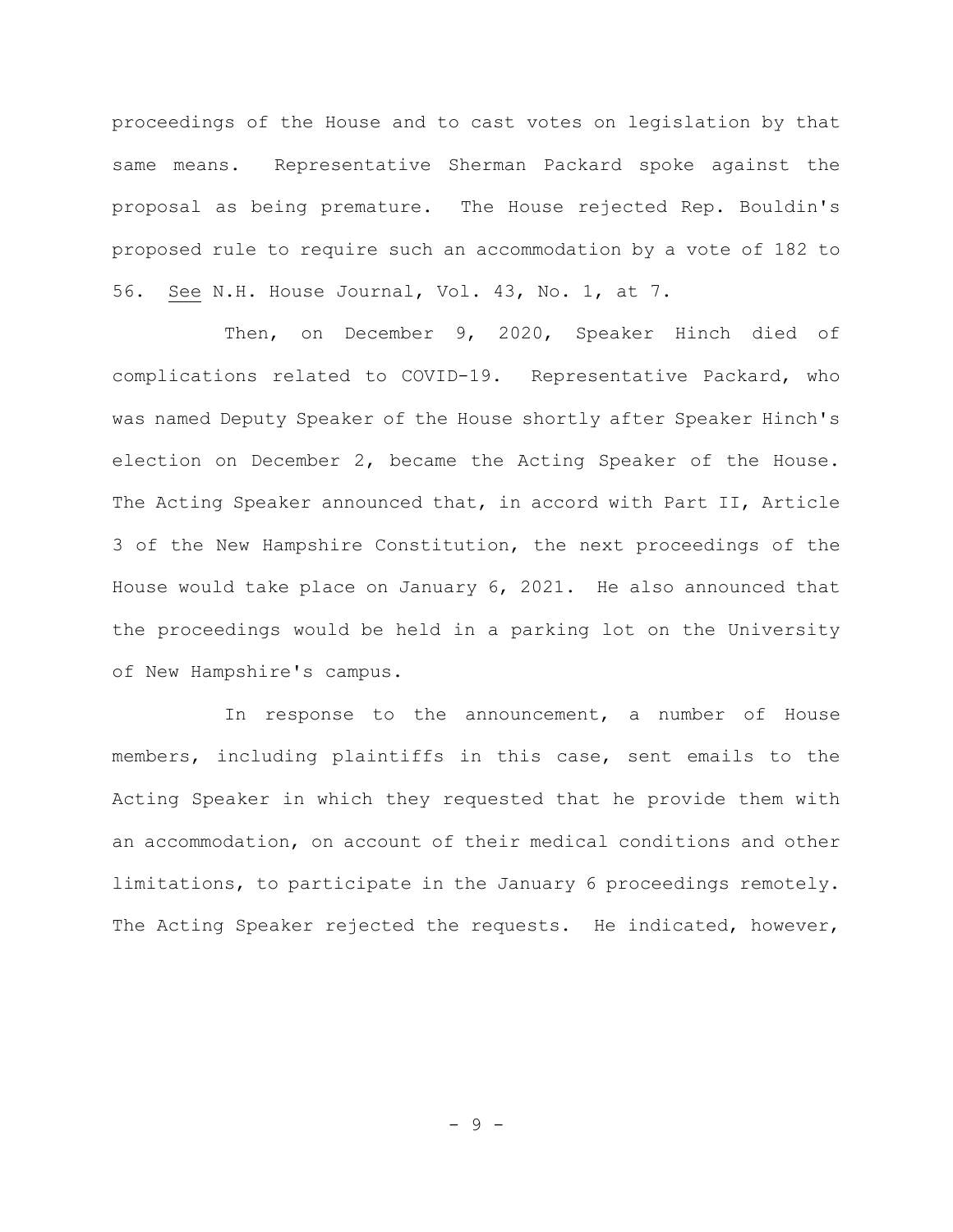proceedings of the House and to cast votes on legislation by that same means. Representative Sherman Packard spoke against the proposal as being premature. The House rejected Rep. Bouldin's proposed rule to require such an accommodation by a vote of 182 to 56. See N.H. House Journal, Vol. 43, No. 1, at 7.

Then, on December 9, 2020, Speaker Hinch died of complications related to COVID-19. Representative Packard, who was named Deputy Speaker of the House shortly after Speaker Hinch's election on December 2, became the Acting Speaker of the House. The Acting Speaker announced that, in accord with Part II, Article 3 of the New Hampshire Constitution, the next proceedings of the House would take place on January 6, 2021. He also announced that the proceedings would be held in a parking lot on the University of New Hampshire's campus.

In response to the announcement, a number of House members, including plaintiffs in this case, sent emails to the Acting Speaker in which they requested that he provide them with an accommodation, on account of their medical conditions and other limitations, to participate in the January 6 proceedings remotely. The Acting Speaker rejected the requests. He indicated, however,

- 9 -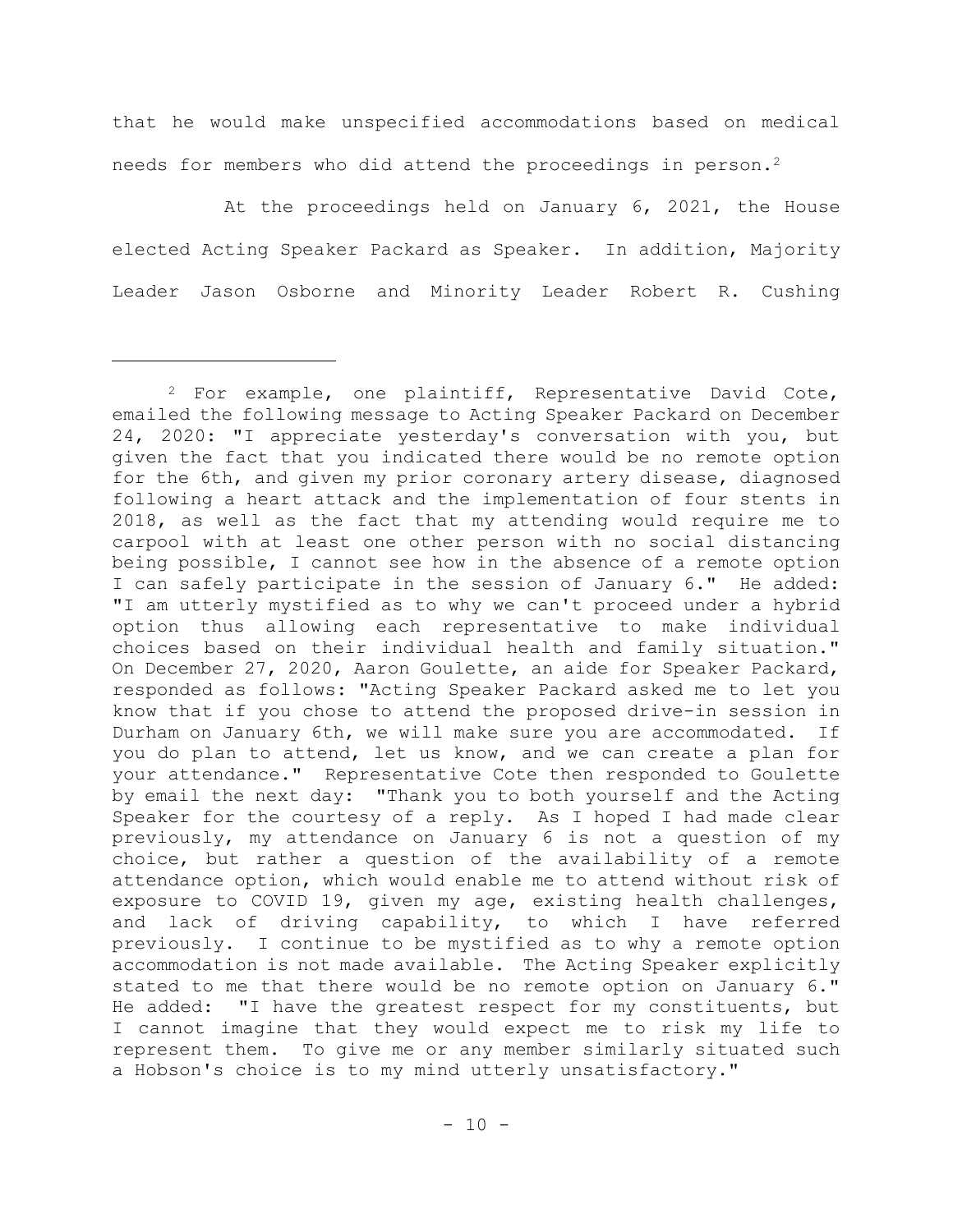that he would make unspecified accommodations based on medical needs for members who did attend the proceedings in person.<sup>2</sup>

At the proceedings held on January 6, 2021, the House elected Acting Speaker Packard as Speaker. In addition, Majority Leader Jason Osborne and Minority Leader Robert R. Cushing

<sup>2</sup> For example, one plaintiff, Representative David Cote, emailed the following message to Acting Speaker Packard on December 24, 2020: "I appreciate yesterday's conversation with you, but given the fact that you indicated there would be no remote option for the 6th, and given my prior coronary artery disease, diagnosed following a heart attack and the implementation of four stents in 2018, as well as the fact that my attending would require me to carpool with at least one other person with no social distancing being possible, I cannot see how in the absence of a remote option I can safely participate in the session of January 6." He added: "I am utterly mystified as to why we can't proceed under a hybrid option thus allowing each representative to make individual choices based on their individual health and family situation." On December 27, 2020, Aaron Goulette, an aide for Speaker Packard, responded as follows: "Acting Speaker Packard asked me to let you know that if you chose to attend the proposed drive-in session in Durham on January 6th, we will make sure you are accommodated. If you do plan to attend, let us know, and we can create a plan for your attendance." Representative Cote then responded to Goulette by email the next day: "Thank you to both yourself and the Acting Speaker for the courtesy of a reply. As I hoped I had made clear previously, my attendance on January 6 is not a question of my choice, but rather a question of the availability of a remote attendance option, which would enable me to attend without risk of exposure to COVID 19, given my age, existing health challenges, and lack of driving capability, to which I have referred previously. I continue to be mystified as to why a remote option accommodation is not made available. The Acting Speaker explicitly stated to me that there would be no remote option on January 6." He added: "I have the greatest respect for my constituents, but I cannot imagine that they would expect me to risk my life to represent them. To give me or any member similarly situated such a Hobson's choice is to my mind utterly unsatisfactory."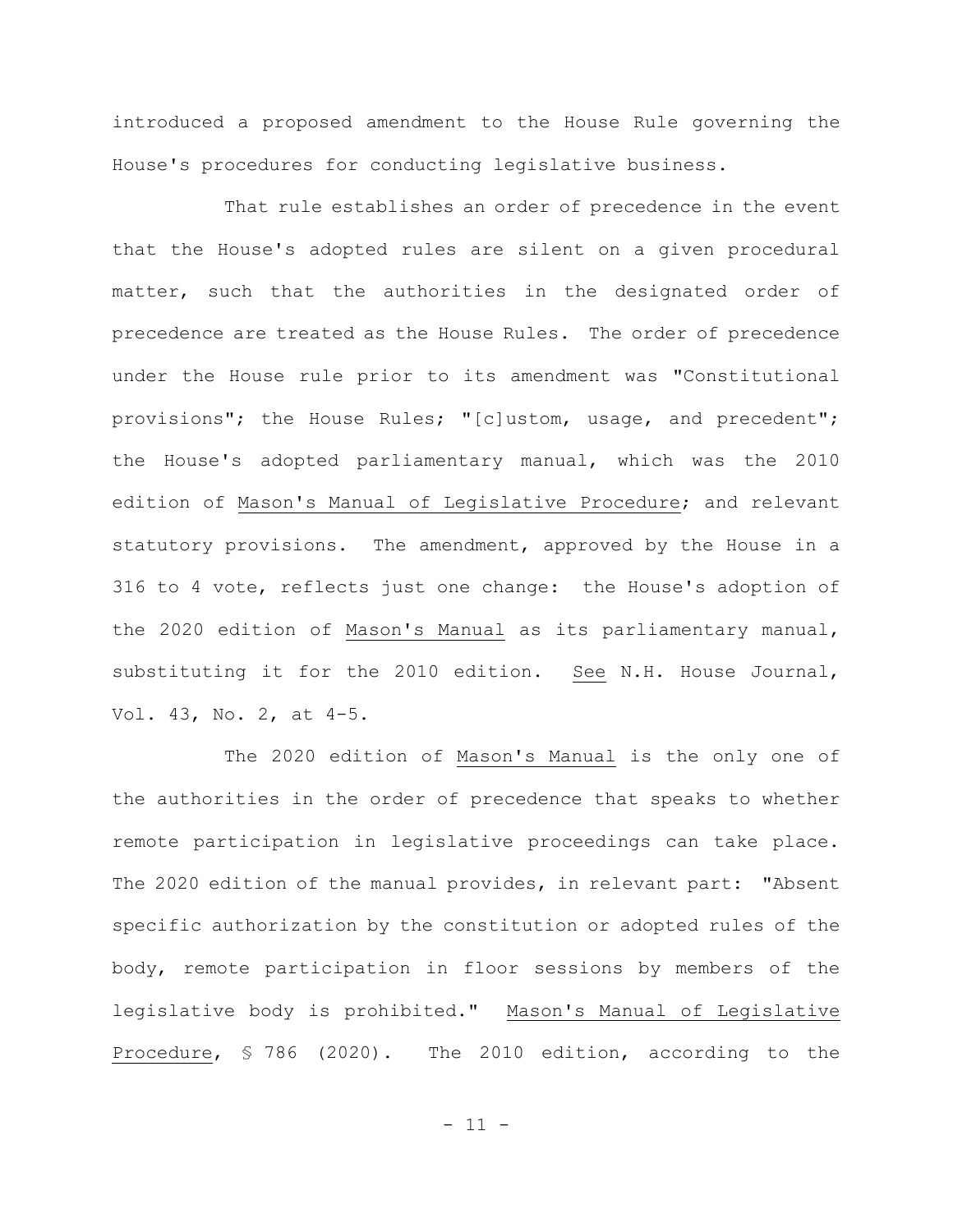introduced a proposed amendment to the House Rule governing the House's procedures for conducting legislative business.

That rule establishes an order of precedence in the event that the House's adopted rules are silent on a given procedural matter, such that the authorities in the designated order of precedence are treated as the House Rules. The order of precedence under the House rule prior to its amendment was "Constitutional provisions"; the House Rules; "[c]ustom, usage, and precedent"; the House's adopted parliamentary manual, which was the 2010 edition of Mason's Manual of Legislative Procedure; and relevant statutory provisions. The amendment, approved by the House in a 316 to 4 vote, reflects just one change: the House's adoption of the 2020 edition of Mason's Manual as its parliamentary manual, substituting it for the 2010 edition. See N.H. House Journal, Vol. 43, No. 2, at 4-5.

The 2020 edition of Mason's Manual is the only one of the authorities in the order of precedence that speaks to whether remote participation in legislative proceedings can take place. The 2020 edition of the manual provides, in relevant part: "Absent specific authorization by the constitution or adopted rules of the body, remote participation in floor sessions by members of the legislative body is prohibited." Mason's Manual of Legislative Procedure, § 786 (2020). The 2010 edition, according to the

 $-11 -$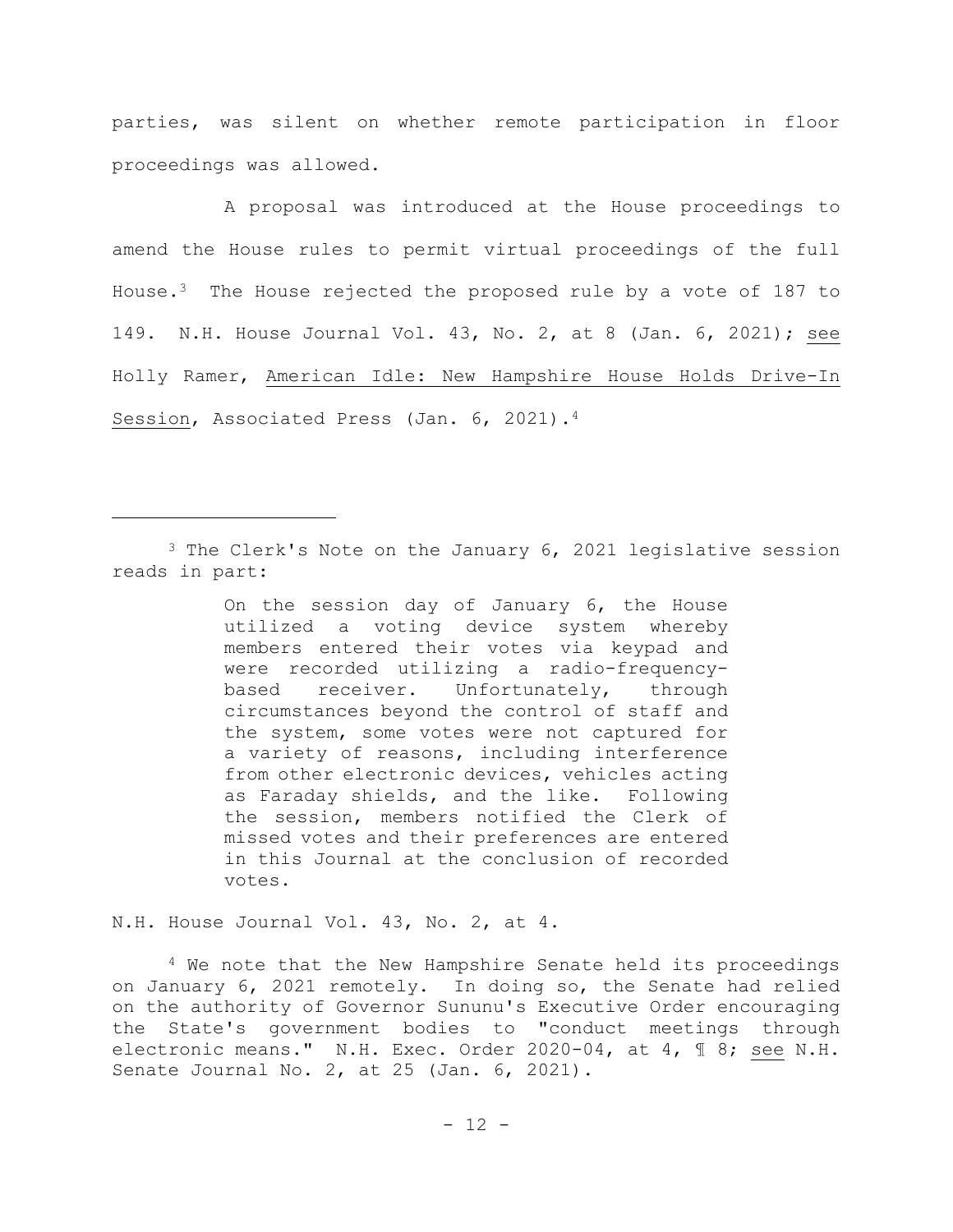parties, was silent on whether remote participation in floor proceedings was allowed.

A proposal was introduced at the House proceedings to amend the House rules to permit virtual proceedings of the full House.3 The House rejected the proposed rule by a vote of 187 to 149. N.H. House Journal Vol. 43, No. 2, at 8 (Jan. 6, 2021); see Holly Ramer, American Idle: New Hampshire House Holds Drive-In Session, Associated Press (Jan. 6, 2021).<sup>4</sup>

<sup>3</sup> The Clerk's Note on the January 6, 2021 legislative session reads in part:

> On the session day of January 6, the House utilized a voting device system whereby members entered their votes via keypad and were recorded utilizing a radio-frequencybased receiver. Unfortunately, through circumstances beyond the control of staff and the system, some votes were not captured for a variety of reasons, including interference from other electronic devices, vehicles acting as Faraday shields, and the like. Following the session, members notified the Clerk of missed votes and their preferences are entered in this Journal at the conclusion of recorded votes.

N.H. House Journal Vol. 43, No. 2, at 4.

<sup>4</sup> We note that the New Hampshire Senate held its proceedings on January 6, 2021 remotely. In doing so, the Senate had relied on the authority of Governor Sununu's Executive Order encouraging the State's government bodies to "conduct meetings through electronic means." N.H. Exec. Order 2020-04, at 4, ¶ 8; see N.H. Senate Journal No. 2, at 25 (Jan. 6, 2021).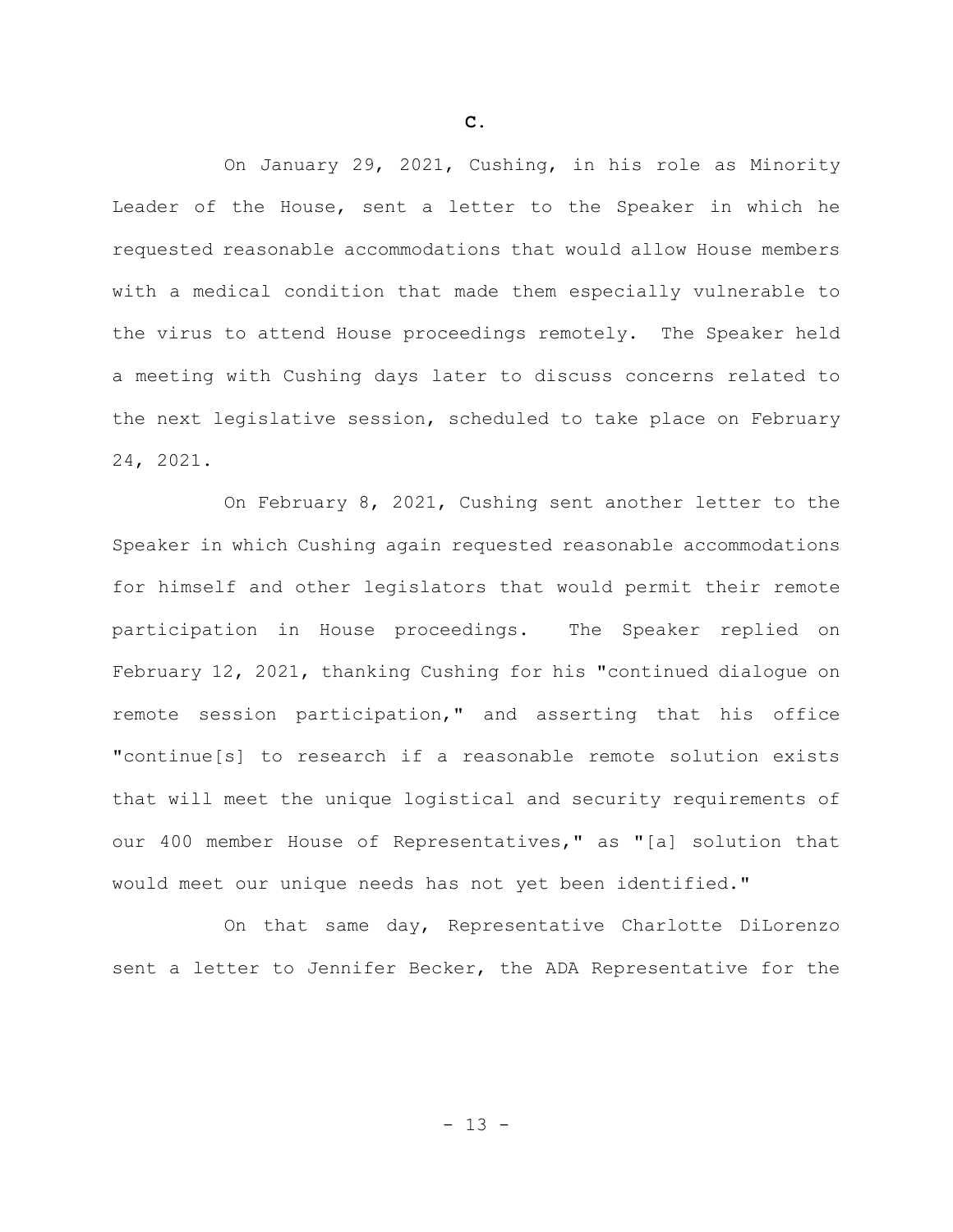On January 29, 2021, Cushing, in his role as Minority Leader of the House, sent a letter to the Speaker in which he requested reasonable accommodations that would allow House members with a medical condition that made them especially vulnerable to the virus to attend House proceedings remotely. The Speaker held a meeting with Cushing days later to discuss concerns related to the next legislative session, scheduled to take place on February 24, 2021.

On February 8, 2021, Cushing sent another letter to the Speaker in which Cushing again requested reasonable accommodations for himself and other legislators that would permit their remote participation in House proceedings. The Speaker replied on February 12, 2021, thanking Cushing for his "continued dialogue on remote session participation," and asserting that his office "continue[s] to research if a reasonable remote solution exists that will meet the unique logistical and security requirements of our 400 member House of Representatives," as "[a] solution that would meet our unique needs has not yet been identified."

On that same day, Representative Charlotte DiLorenzo sent a letter to Jennifer Becker, the ADA Representative for the

**C.**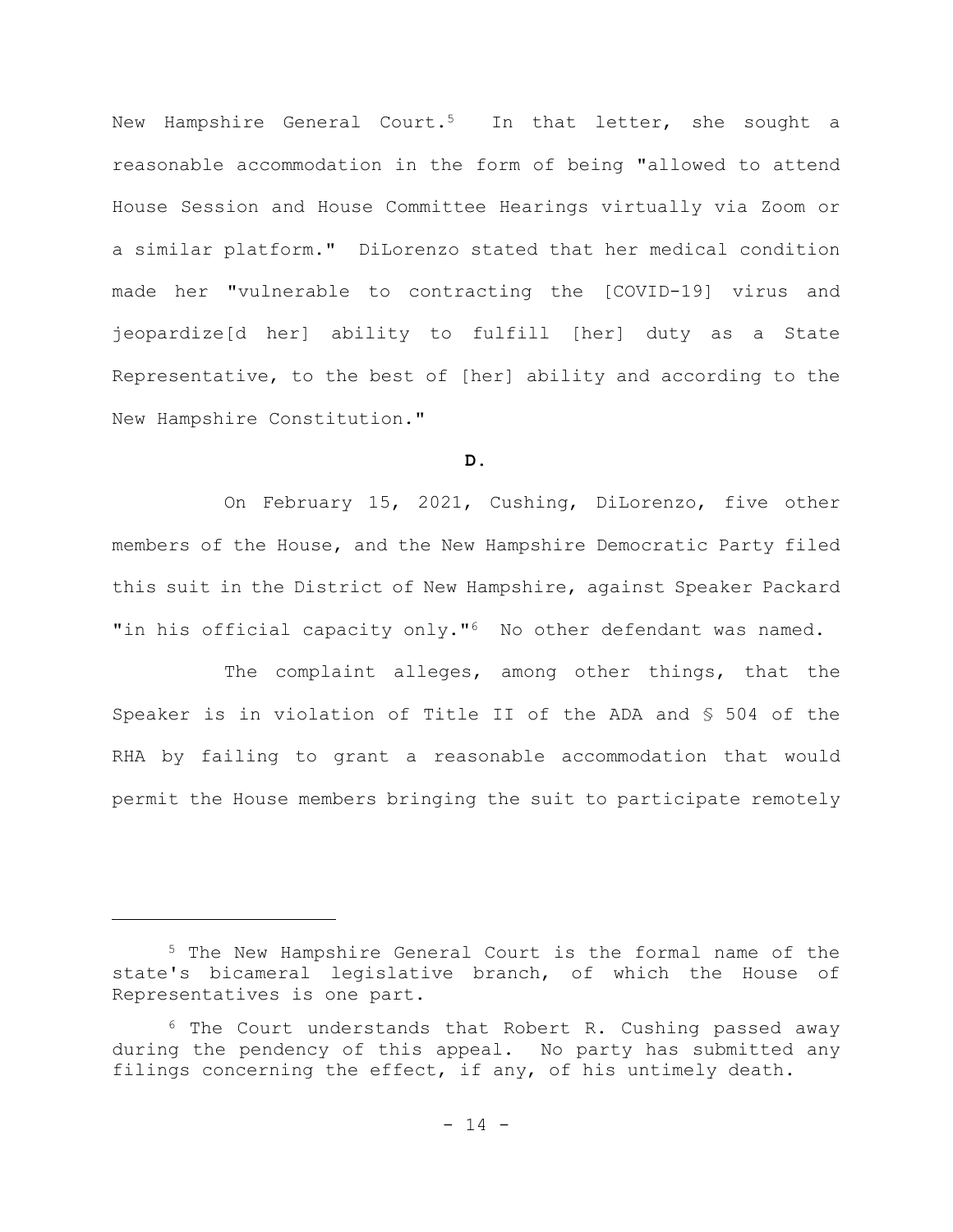New Hampshire General Court.<sup>5</sup> In that letter, she sought a reasonable accommodation in the form of being "allowed to attend House Session and House Committee Hearings virtually via Zoom or a similar platform." DiLorenzo stated that her medical condition made her "vulnerable to contracting the [COVID-19] virus and jeopardize[d her] ability to fulfill [her] duty as a State Representative, to the best of [her] ability and according to the New Hampshire Constitution."

## **D.**

On February 15, 2021, Cushing, DiLorenzo, five other members of the House, and the New Hampshire Democratic Party filed this suit in the District of New Hampshire, against Speaker Packard "in his official capacity only."<sup>6</sup> No other defendant was named.

The complaint alleges, among other things, that the Speaker is in violation of Title II of the ADA and § 504 of the RHA by failing to grant a reasonable accommodation that would permit the House members bringing the suit to participate remotely

<sup>5</sup> The New Hampshire General Court is the formal name of the state's bicameral legislative branch, of which the House of Representatives is one part.

<sup>6</sup> The Court understands that Robert R. Cushing passed away during the pendency of this appeal. No party has submitted any filings concerning the effect, if any, of his untimely death.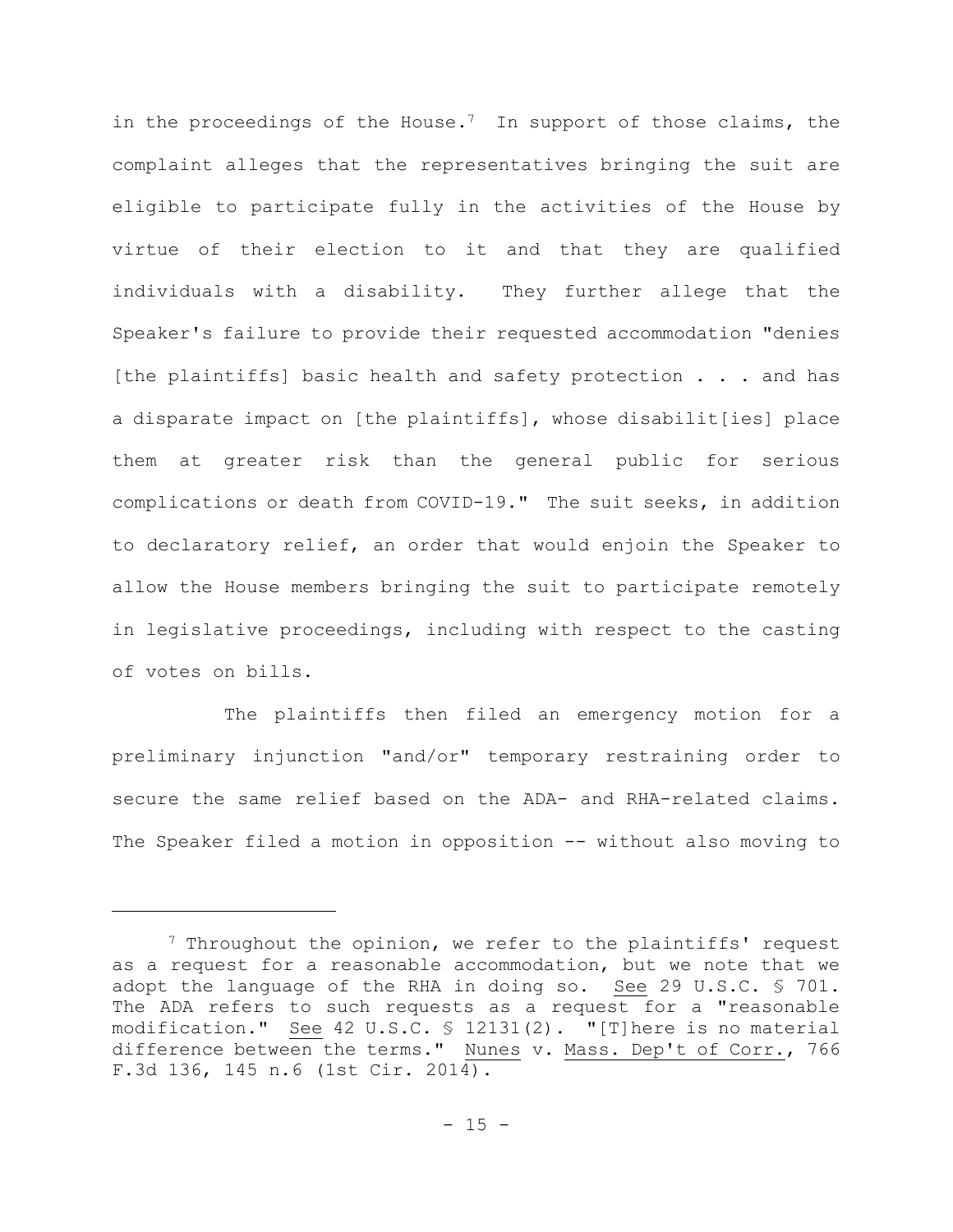in the proceedings of the House.<sup>7</sup> In support of those claims, the complaint alleges that the representatives bringing the suit are eligible to participate fully in the activities of the House by virtue of their election to it and that they are qualified individuals with a disability. They further allege that the Speaker's failure to provide their requested accommodation "denies [the plaintiffs] basic health and safety protection . . . and has a disparate impact on [the plaintiffs], whose disabilit[ies] place them at greater risk than the general public for serious complications or death from COVID-19." The suit seeks, in addition to declaratory relief, an order that would enjoin the Speaker to allow the House members bringing the suit to participate remotely in legislative proceedings, including with respect to the casting of votes on bills.

The plaintiffs then filed an emergency motion for a preliminary injunction "and/or" temporary restraining order to secure the same relief based on the ADA- and RHA-related claims. The Speaker filed a motion in opposition -- without also moving to

<sup>&</sup>lt;sup>7</sup> Throughout the opinion, we refer to the plaintiffs' request as a request for a reasonable accommodation, but we note that we adopt the language of the RHA in doing so. See 29 U.S.C. § 701. The ADA refers to such requests as a request for a "reasonable modification." See 42 U.S.C. § 12131(2). "[T]here is no material difference between the terms." Nunes v. Mass. Dep't of Corr., 766 F.3d 136, 145 n.6 (1st Cir. 2014).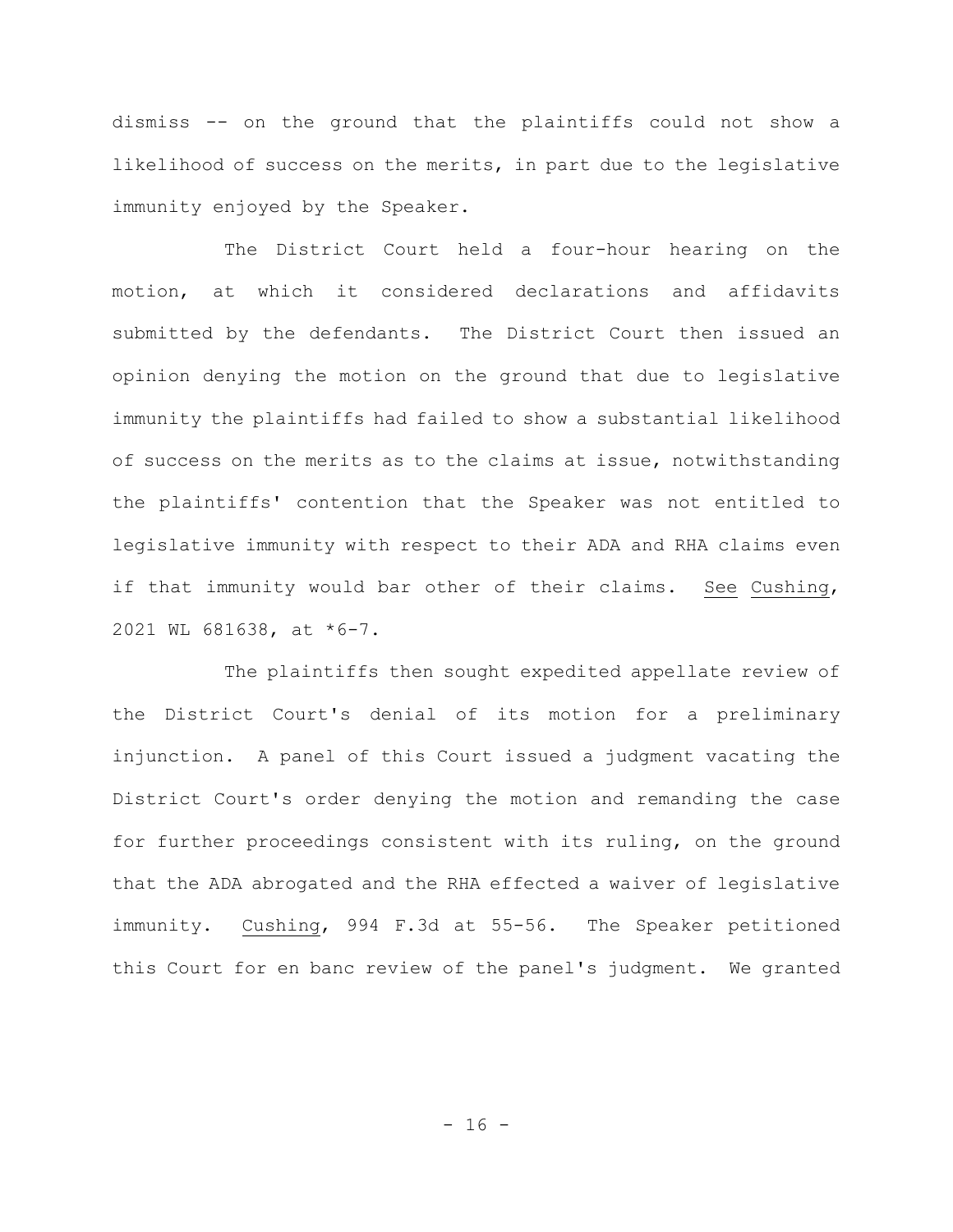dismiss -- on the ground that the plaintiffs could not show a likelihood of success on the merits, in part due to the legislative immunity enjoyed by the Speaker.

The District Court held a four-hour hearing on the motion, at which it considered declarations and affidavits submitted by the defendants. The District Court then issued an opinion denying the motion on the ground that due to legislative immunity the plaintiffs had failed to show a substantial likelihood of success on the merits as to the claims at issue, notwithstanding the plaintiffs' contention that the Speaker was not entitled to legislative immunity with respect to their ADA and RHA claims even if that immunity would bar other of their claims. See Cushing, 2021 WL 681638, at \*6-7.

The plaintiffs then sought expedited appellate review of the District Court's denial of its motion for a preliminary injunction. A panel of this Court issued a judgment vacating the District Court's order denying the motion and remanding the case for further proceedings consistent with its ruling, on the ground that the ADA abrogated and the RHA effected a waiver of legislative immunity. Cushing, 994 F.3d at 55-56. The Speaker petitioned this Court for en banc review of the panel's judgment. We granted

 $- 16 -$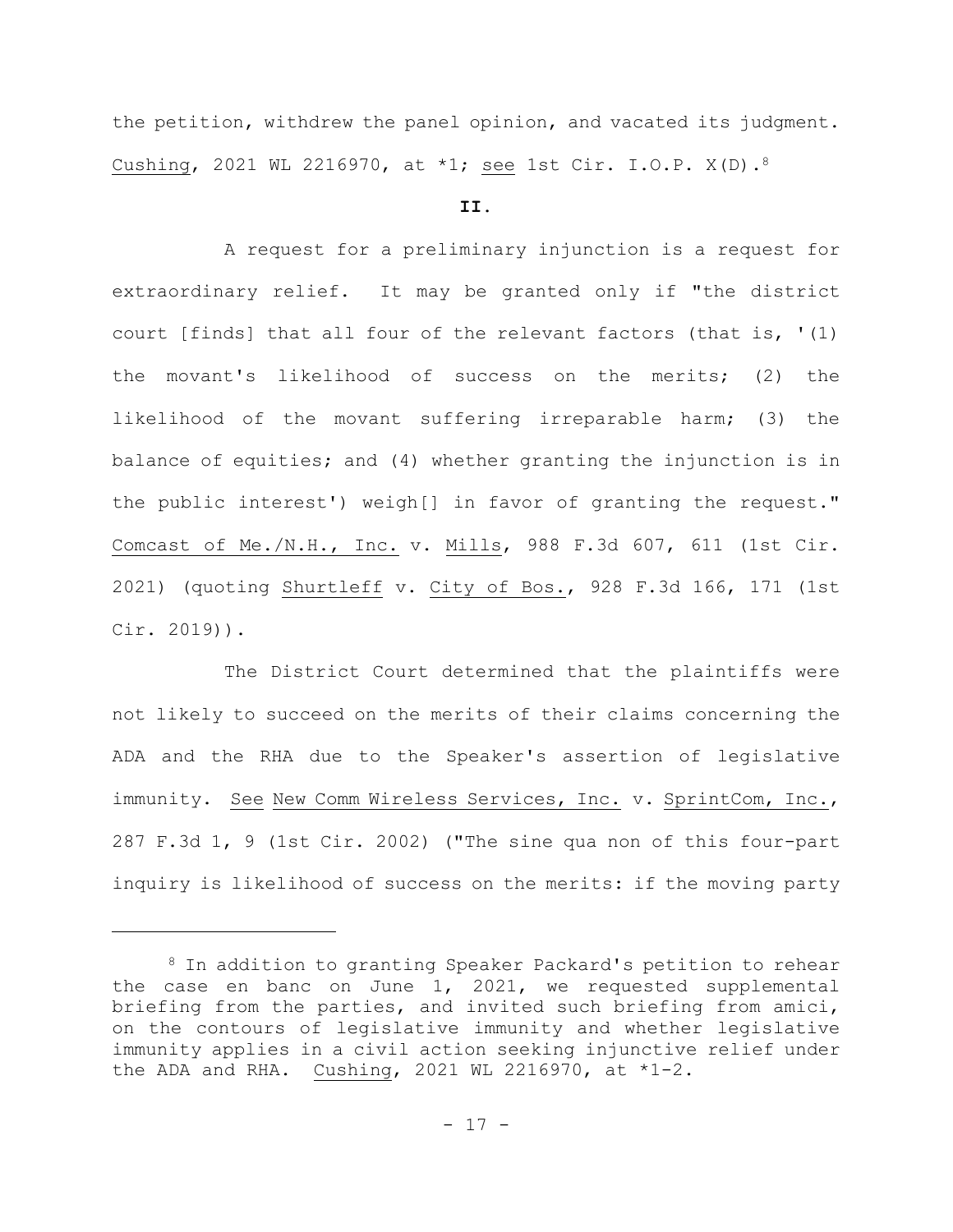the petition, withdrew the panel opinion, and vacated its judgment. Cushing, 2021 WL 2216970, at \*1; see 1st Cir. I.O.P. X(D).<sup>8</sup>

# **II.**

A request for a preliminary injunction is a request for extraordinary relief. It may be granted only if "the district court [finds] that all four of the relevant factors (that is, '(1) the movant's likelihood of success on the merits; (2) the likelihood of the movant suffering irreparable harm; (3) the balance of equities; and (4) whether granting the injunction is in the public interest') weigh[] in favor of granting the request." Comcast of Me./N.H., Inc. v. Mills, 988 F.3d 607, 611 (1st Cir. 2021) (quoting Shurtleff v. City of Bos., 928 F.3d 166, 171 (1st Cir. 2019)).

The District Court determined that the plaintiffs were not likely to succeed on the merits of their claims concerning the ADA and the RHA due to the Speaker's assertion of legislative immunity. See New Comm Wireless Services, Inc. v. SprintCom, Inc., 287 F.3d 1, 9 (1st Cir. 2002) ("The sine qua non of this four-part inquiry is likelihood of success on the merits: if the moving party

<sup>8</sup> In addition to granting Speaker Packard's petition to rehear the case en banc on June 1, 2021, we requested supplemental briefing from the parties, and invited such briefing from amici, on the contours of legislative immunity and whether legislative immunity applies in a civil action seeking injunctive relief under the ADA and RHA. Cushing, 2021 WL 2216970, at  $*1-2$ .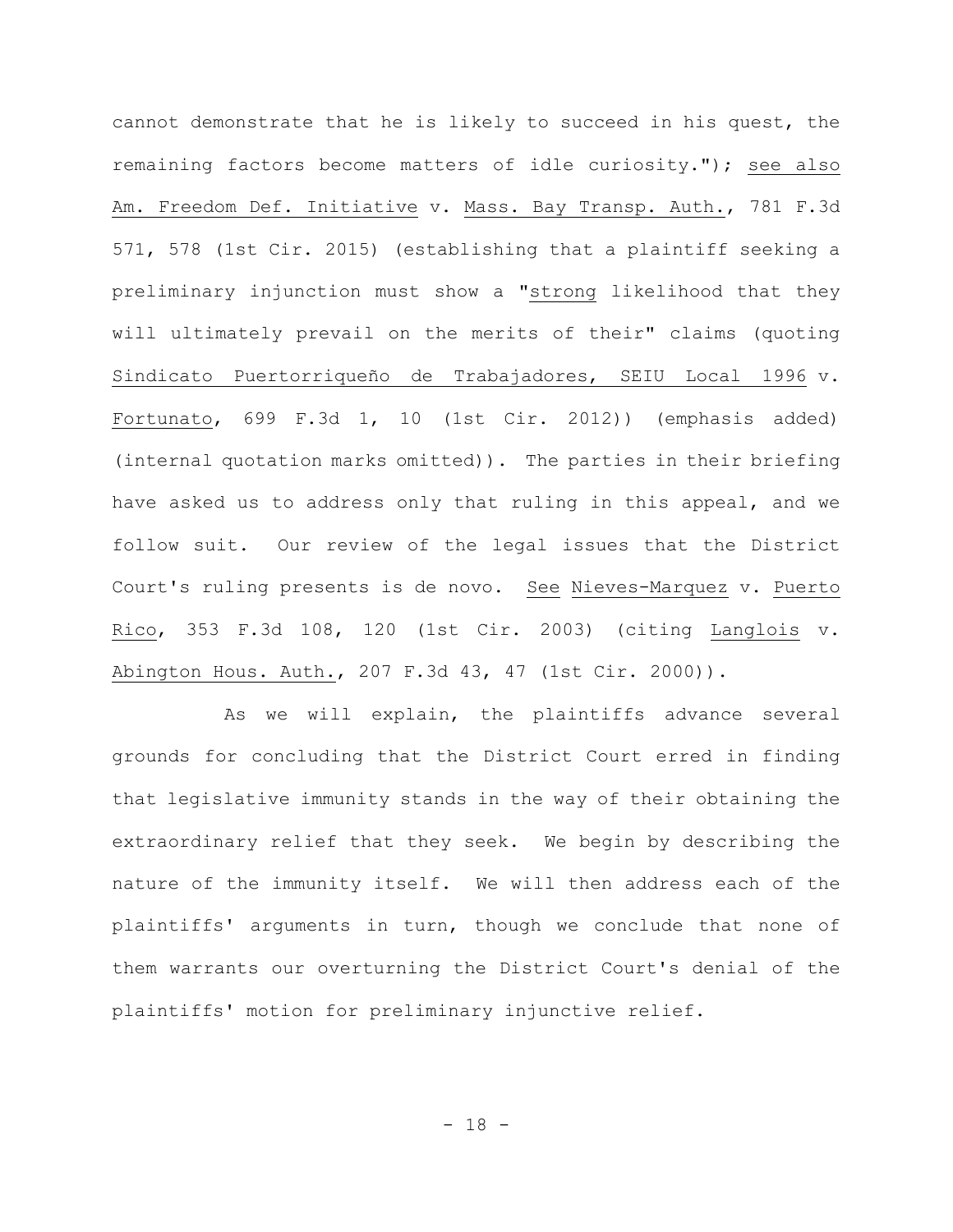cannot demonstrate that he is likely to succeed in his quest, the remaining factors become matters of idle curiosity."); see also Am. Freedom Def. Initiative v. Mass. Bay Transp. Auth., 781 F.3d 571, 578 (1st Cir. 2015) (establishing that a plaintiff seeking a preliminary injunction must show a "strong likelihood that they will ultimately prevail on the merits of their" claims (quoting Sindicato Puertorriqueño de Trabajadores, SEIU Local 1996 v. Fortunato, 699 F.3d 1, 10 (1st Cir. 2012)) (emphasis added) (internal quotation marks omitted)). The parties in their briefing have asked us to address only that ruling in this appeal, and we follow suit. Our review of the legal issues that the District Court's ruling presents is de novo. See Nieves-Marquez v. Puerto Rico, 353 F.3d 108, 120 (1st Cir. 2003) (citing Langlois v. Abington Hous. Auth., 207 F.3d 43, 47 (1st Cir. 2000)).

As we will explain, the plaintiffs advance several grounds for concluding that the District Court erred in finding that legislative immunity stands in the way of their obtaining the extraordinary relief that they seek. We begin by describing the nature of the immunity itself. We will then address each of the plaintiffs' arguments in turn, though we conclude that none of them warrants our overturning the District Court's denial of the plaintiffs' motion for preliminary injunctive relief.

 $- 18 -$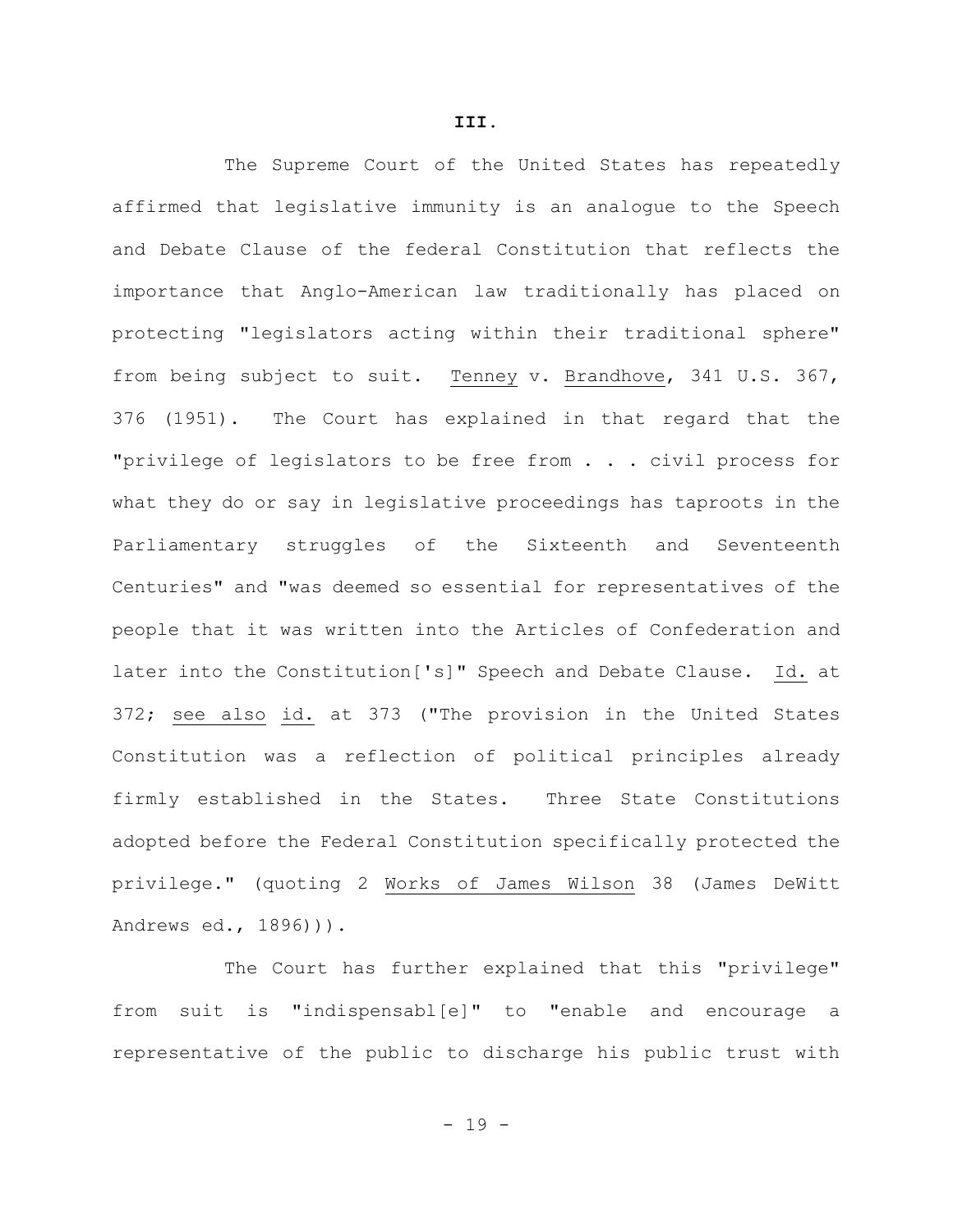The Supreme Court of the United States has repeatedly affirmed that legislative immunity is an analogue to the Speech and Debate Clause of the federal Constitution that reflects the importance that Anglo-American law traditionally has placed on protecting "legislators acting within their traditional sphere" from being subject to suit. Tenney v. Brandhove, 341 U.S. 367, 376 (1951). The Court has explained in that regard that the "privilege of legislators to be free from . . . civil process for what they do or say in legislative proceedings has taproots in the Parliamentary struggles of the Sixteenth and Seventeenth Centuries" and "was deemed so essential for representatives of the people that it was written into the Articles of Confederation and later into the Constitution['s]" Speech and Debate Clause. Id. at 372; see also id. at 373 ("The provision in the United States Constitution was a reflection of political principles already firmly established in the States. Three State Constitutions adopted before the Federal Constitution specifically protected the privilege." (quoting 2 Works of James Wilson 38 (James DeWitt Andrews ed., 1896))).

The Court has further explained that this "privilege" from suit is "indispensabl[e]" to "enable and encourage a representative of the public to discharge his public trust with

 $- 19 -$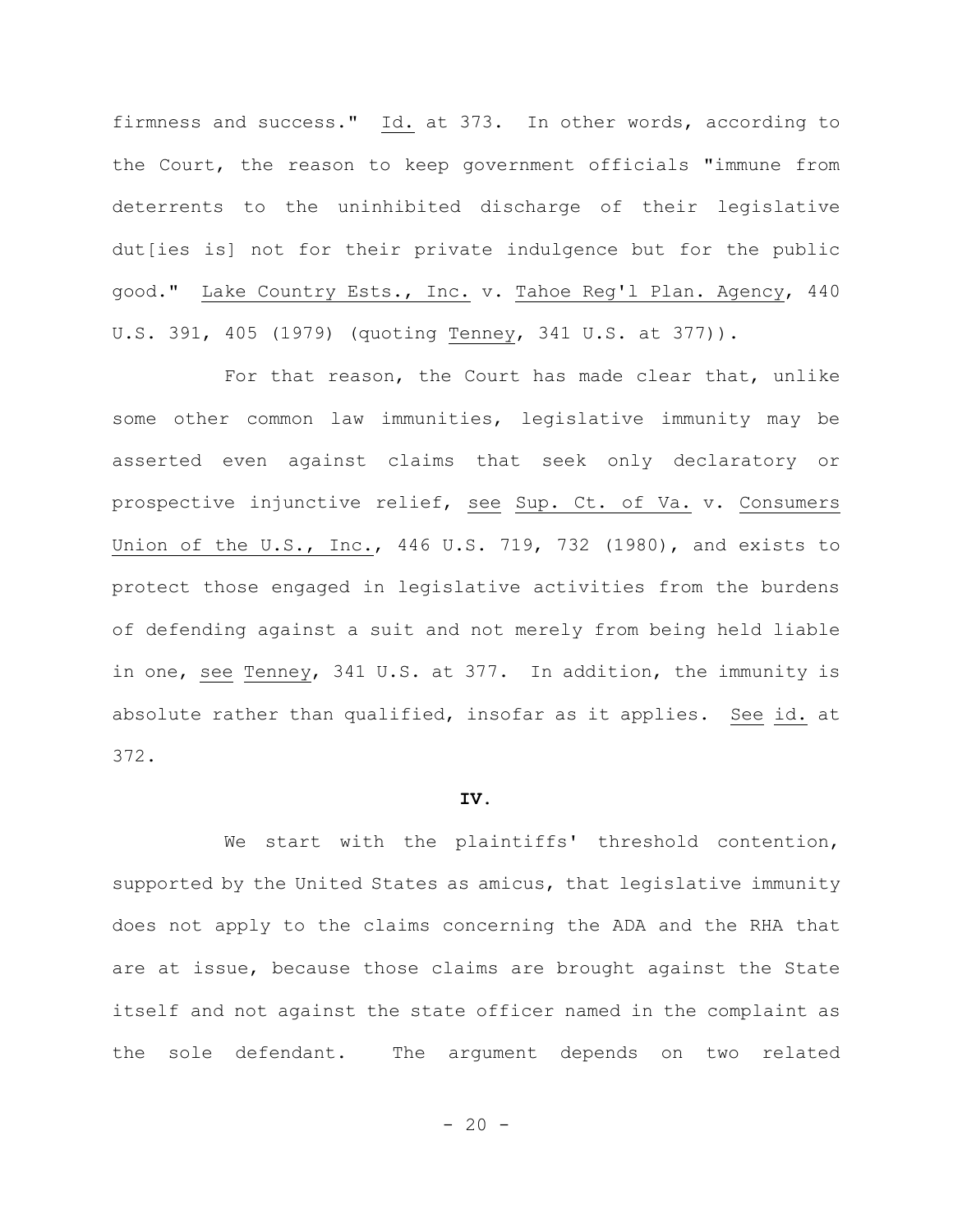firmness and success." Id. at 373. In other words, according to the Court, the reason to keep government officials "immune from deterrents to the uninhibited discharge of their legislative dut[ies is] not for their private indulgence but for the public good." Lake Country Ests., Inc. v. Tahoe Reg'l Plan. Agency, 440 U.S. 391, 405 (1979) (quoting Tenney, 341 U.S. at 377)).

For that reason, the Court has made clear that, unlike some other common law immunities, legislative immunity may be asserted even against claims that seek only declaratory or prospective injunctive relief, see Sup. Ct. of Va. v. Consumers Union of the U.S., Inc., 446 U.S. 719, 732 (1980), and exists to protect those engaged in legislative activities from the burdens of defending against a suit and not merely from being held liable in one, see Tenney, 341 U.S. at 377. In addition, the immunity is absolute rather than qualified, insofar as it applies. See id. at 372.

## **IV.**

We start with the plaintiffs' threshold contention, supported by the United States as amicus, that legislative immunity does not apply to the claims concerning the ADA and the RHA that are at issue, because those claims are brought against the State itself and not against the state officer named in the complaint as the sole defendant. The argument depends on two related

 $- 20 -$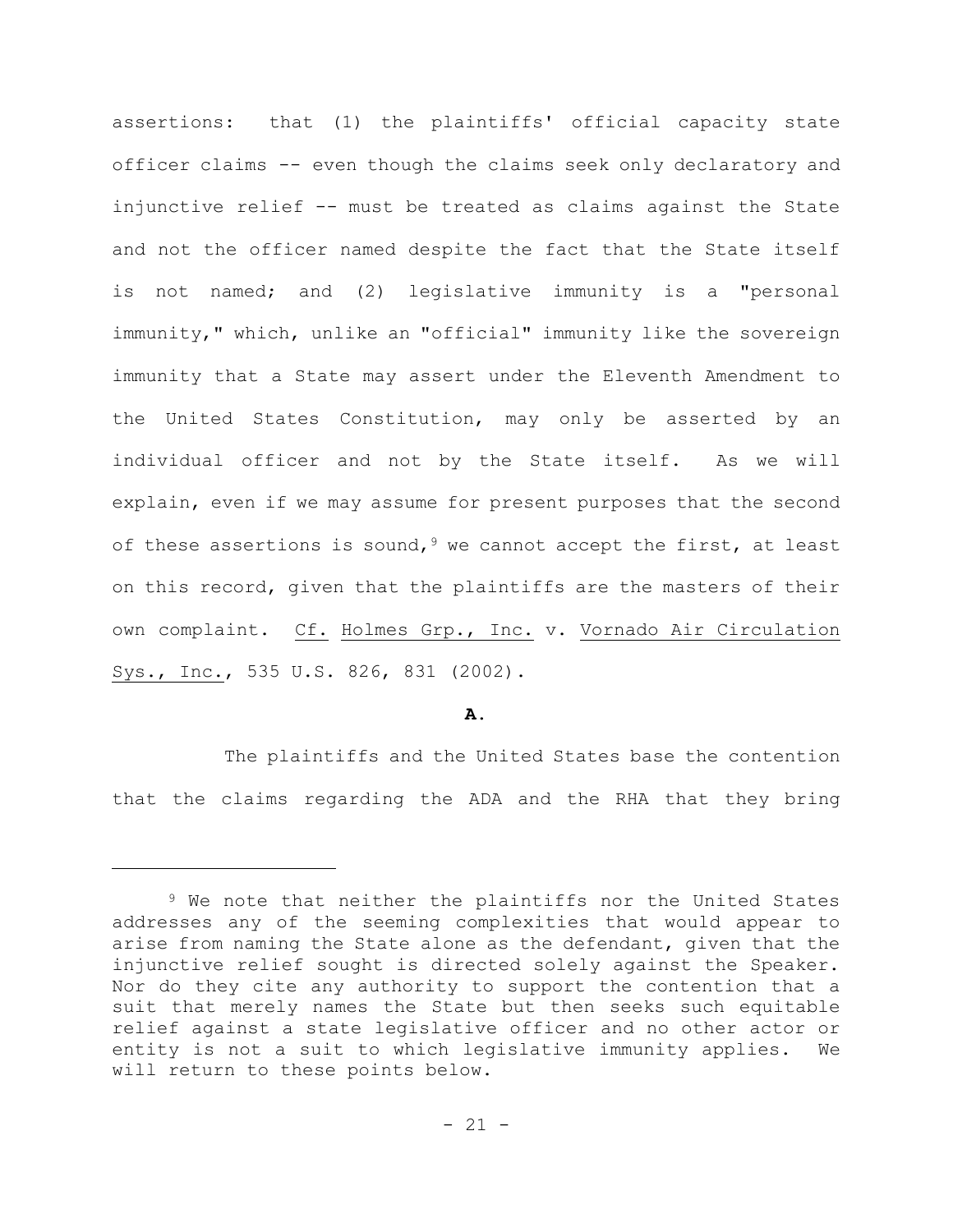assertions: that (1) the plaintiffs' official capacity state officer claims -- even though the claims seek only declaratory and injunctive relief -- must be treated as claims against the State and not the officer named despite the fact that the State itself is not named; and (2) legislative immunity is a "personal immunity," which, unlike an "official" immunity like the sovereign immunity that a State may assert under the Eleventh Amendment to the United States Constitution, may only be asserted by an individual officer and not by the State itself. As we will explain, even if we may assume for present purposes that the second of these assertions is sound,  $9$  we cannot accept the first, at least on this record, given that the plaintiffs are the masters of their own complaint. Cf. Holmes Grp., Inc. v. Vornado Air Circulation Sys., Inc., 535 U.S. 826, 831 (2002).

## **A.**

The plaintiffs and the United States base the contention that the claims regarding the ADA and the RHA that they bring

<sup>9</sup> We note that neither the plaintiffs nor the United States addresses any of the seeming complexities that would appear to arise from naming the State alone as the defendant, given that the injunctive relief sought is directed solely against the Speaker. Nor do they cite any authority to support the contention that a suit that merely names the State but then seeks such equitable relief against a state legislative officer and no other actor or entity is not a suit to which legislative immunity applies. We will return to these points below.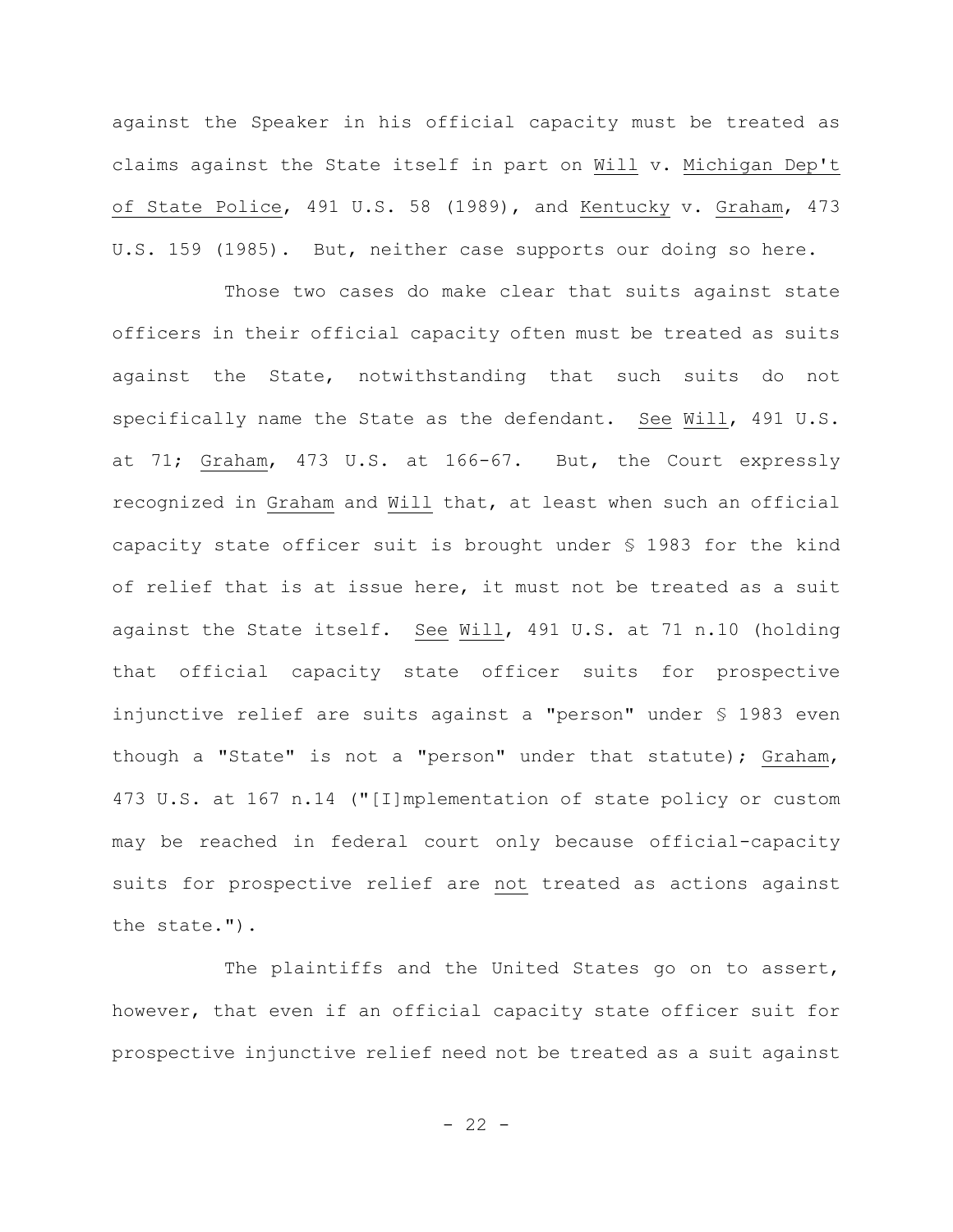against the Speaker in his official capacity must be treated as claims against the State itself in part on Will v. Michigan Dep't of State Police, 491 U.S. 58 (1989), and Kentucky v. Graham, 473 U.S. 159 (1985). But, neither case supports our doing so here.

Those two cases do make clear that suits against state officers in their official capacity often must be treated as suits against the State, notwithstanding that such suits do not specifically name the State as the defendant. See Will, 491 U.S. at 71; Graham, 473 U.S. at 166-67. But, the Court expressly recognized in Graham and Will that, at least when such an official capacity state officer suit is brought under § 1983 for the kind of relief that is at issue here, it must not be treated as a suit against the State itself. See Will, 491 U.S. at 71 n.10 (holding that official capacity state officer suits for prospective injunctive relief are suits against a "person" under § 1983 even though a "State" is not a "person" under that statute); Graham, 473 U.S. at 167 n.14 ("[I]mplementation of state policy or custom may be reached in federal court only because official-capacity suits for prospective relief are not treated as actions against the state.").

The plaintiffs and the United States go on to assert, however, that even if an official capacity state officer suit for prospective injunctive relief need not be treated as a suit against

 $- 22 -$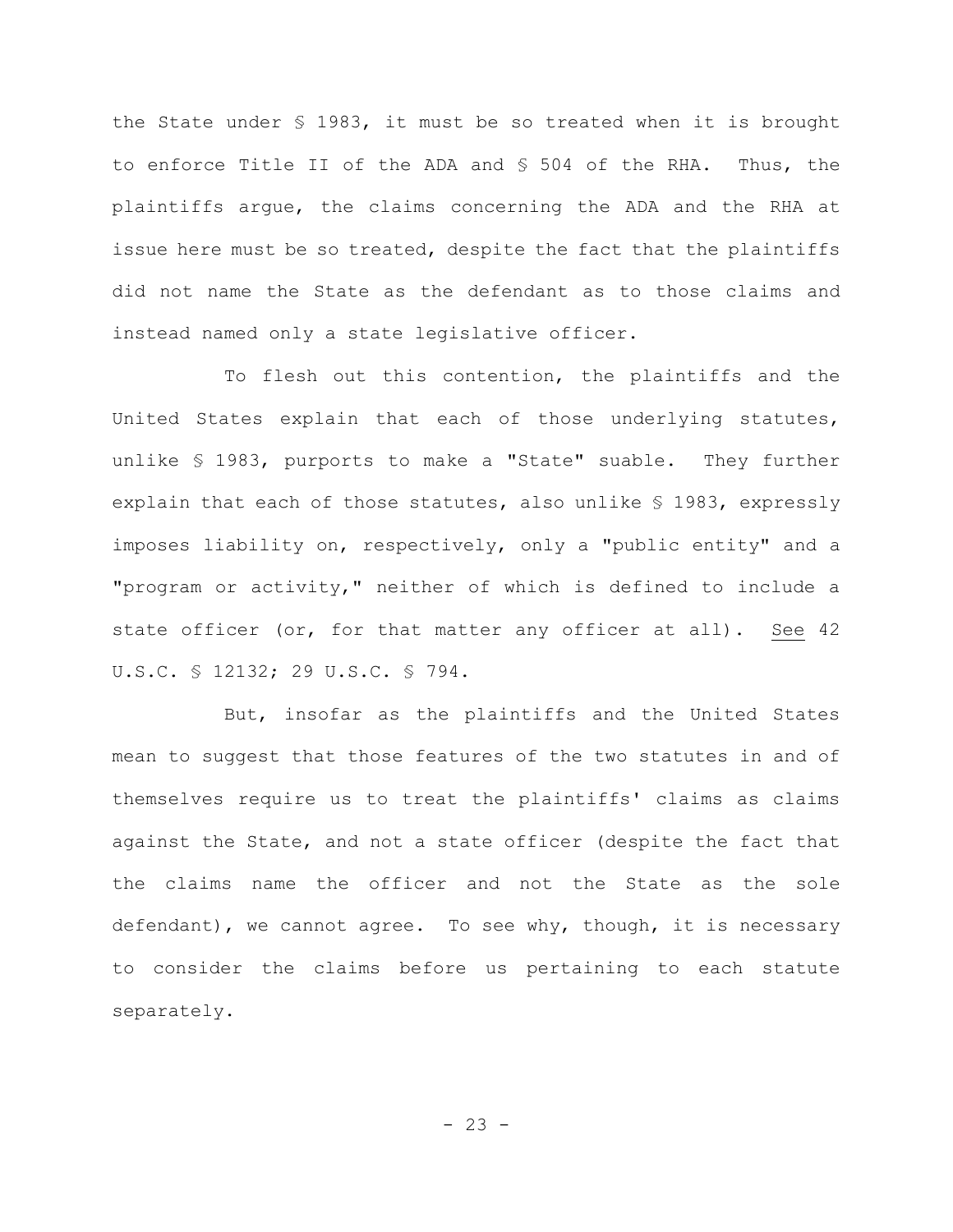the State under § 1983, it must be so treated when it is brought to enforce Title II of the ADA and § 504 of the RHA. Thus, the plaintiffs argue, the claims concerning the ADA and the RHA at issue here must be so treated, despite the fact that the plaintiffs did not name the State as the defendant as to those claims and instead named only a state legislative officer.

To flesh out this contention, the plaintiffs and the United States explain that each of those underlying statutes, unlike § 1983, purports to make a "State" suable. They further explain that each of those statutes, also unlike § 1983, expressly imposes liability on, respectively, only a "public entity" and a "program or activity," neither of which is defined to include a state officer (or, for that matter any officer at all). See 42 U.S.C. § 12132; 29 U.S.C. § 794.

But, insofar as the plaintiffs and the United States mean to suggest that those features of the two statutes in and of themselves require us to treat the plaintiffs' claims as claims against the State, and not a state officer (despite the fact that the claims name the officer and not the State as the sole defendant), we cannot agree. To see why, though, it is necessary to consider the claims before us pertaining to each statute separately.

 $- 23 -$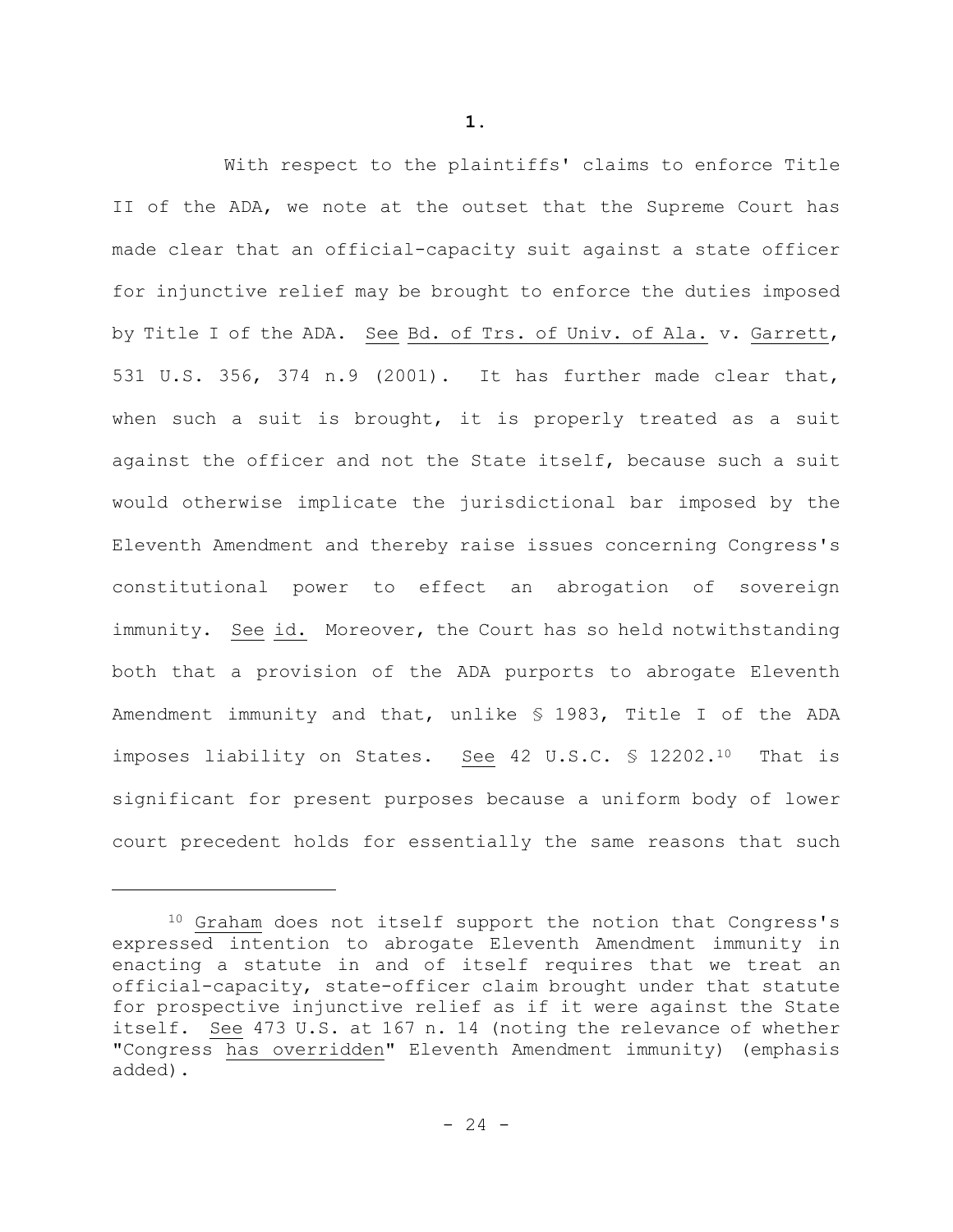With respect to the plaintiffs' claims to enforce Title II of the ADA, we note at the outset that the Supreme Court has made clear that an official-capacity suit against a state officer for injunctive relief may be brought to enforce the duties imposed by Title I of the ADA. See Bd. of Trs. of Univ. of Ala. v. Garrett, 531 U.S. 356, 374 n.9 (2001). It has further made clear that, when such a suit is brought, it is properly treated as a suit against the officer and not the State itself, because such a suit would otherwise implicate the jurisdictional bar imposed by the Eleventh Amendment and thereby raise issues concerning Congress's constitutional power to effect an abrogation of sovereign immunity. See id. Moreover, the Court has so held notwithstanding both that a provision of the ADA purports to abrogate Eleventh Amendment immunity and that, unlike § 1983, Title I of the ADA imposes liability on States. See 42 U.S.C. § 12202.<sup>10</sup> That is significant for present purposes because a uniform body of lower court precedent holds for essentially the same reasons that such

<sup>10</sup> Graham does not itself support the notion that Congress's expressed intention to abrogate Eleventh Amendment immunity in enacting a statute in and of itself requires that we treat an official-capacity, state-officer claim brought under that statute for prospective injunctive relief as if it were against the State itself. See 473 U.S. at 167 n. 14 (noting the relevance of whether "Congress has overridden" Eleventh Amendment immunity) (emphasis added).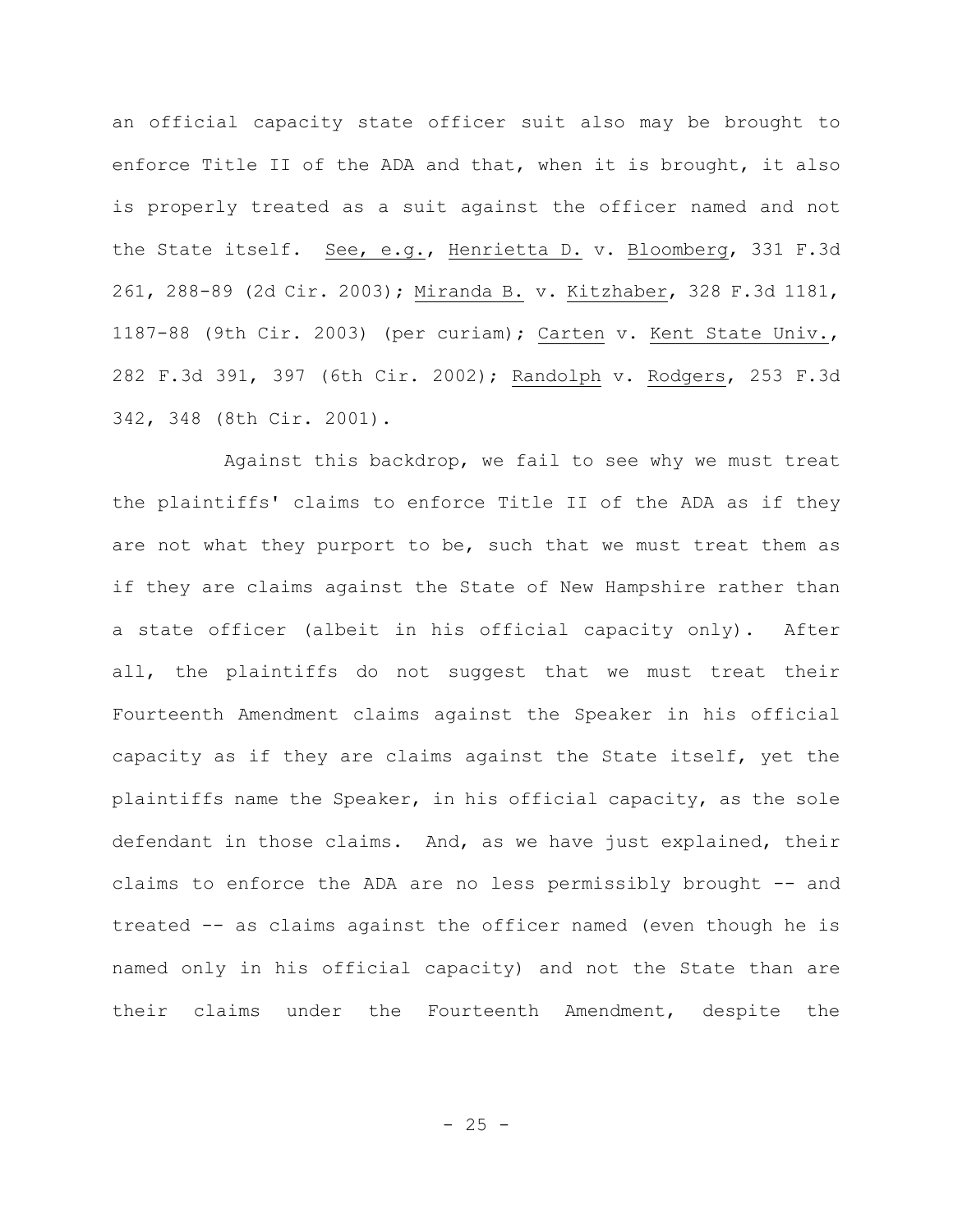an official capacity state officer suit also may be brought to enforce Title II of the ADA and that, when it is brought, it also is properly treated as a suit against the officer named and not the State itself. See, e.g., Henrietta D. v. Bloomberg, 331 F.3d 261, 288-89 (2d Cir. 2003); Miranda B. v. Kitzhaber, 328 F.3d 1181, 1187-88 (9th Cir. 2003) (per curiam); Carten v. Kent State Univ., 282 F.3d 391, 397 (6th Cir. 2002); Randolph v. Rodgers, 253 F.3d 342, 348 (8th Cir. 2001).

Against this backdrop, we fail to see why we must treat the plaintiffs' claims to enforce Title II of the ADA as if they are not what they purport to be, such that we must treat them as if they are claims against the State of New Hampshire rather than a state officer (albeit in his official capacity only). After all, the plaintiffs do not suggest that we must treat their Fourteenth Amendment claims against the Speaker in his official capacity as if they are claims against the State itself, yet the plaintiffs name the Speaker, in his official capacity, as the sole defendant in those claims. And, as we have just explained, their claims to enforce the ADA are no less permissibly brought -- and treated -- as claims against the officer named (even though he is named only in his official capacity) and not the State than are their claims under the Fourteenth Amendment, despite the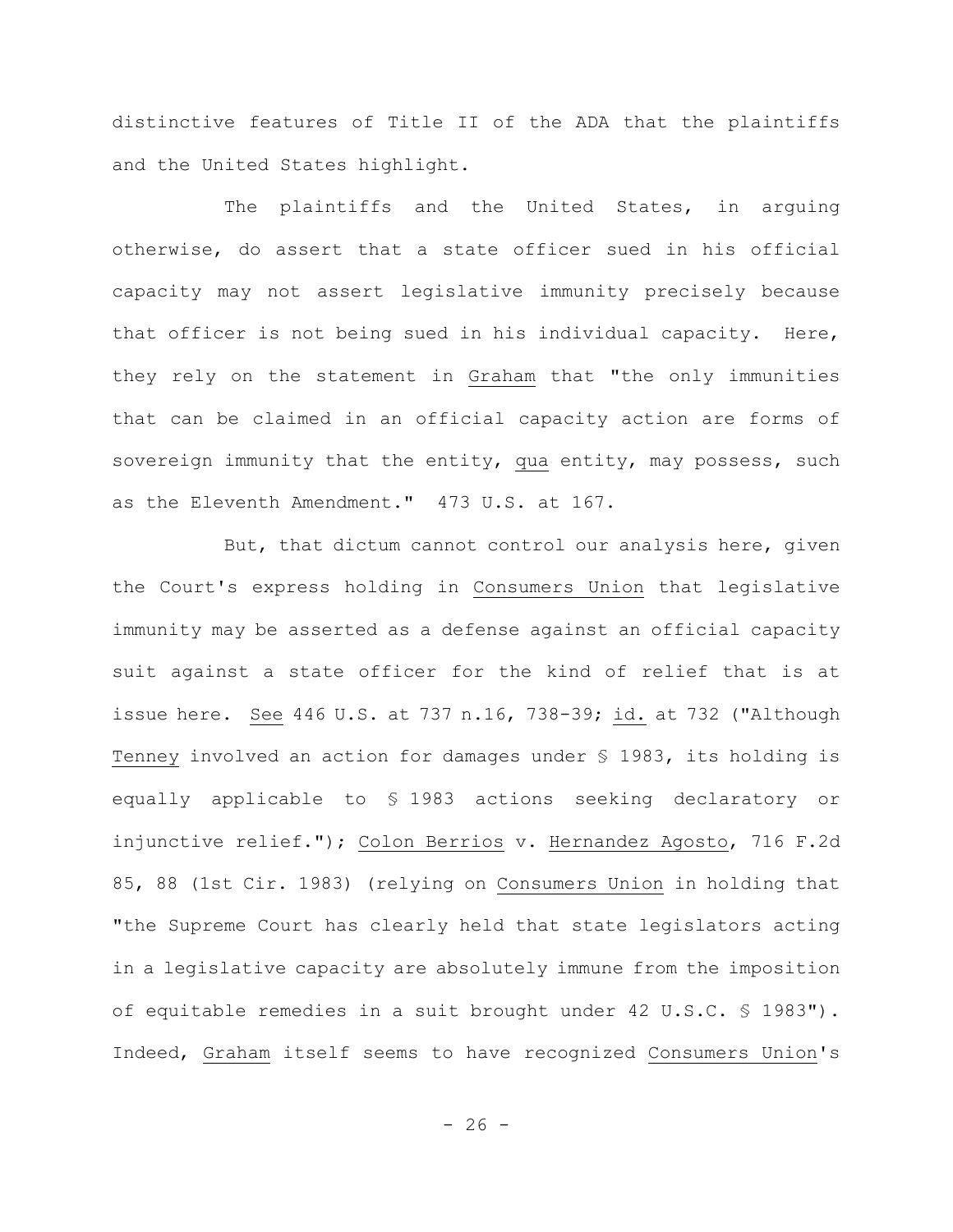distinctive features of Title II of the ADA that the plaintiffs and the United States highlight.

The plaintiffs and the United States, in arguing otherwise, do assert that a state officer sued in his official capacity may not assert legislative immunity precisely because that officer is not being sued in his individual capacity. Here, they rely on the statement in Graham that "the only immunities that can be claimed in an official capacity action are forms of sovereign immunity that the entity, qua entity, may possess, such as the Eleventh Amendment." 473 U.S. at 167.

But, that dictum cannot control our analysis here, given the Court's express holding in Consumers Union that legislative immunity may be asserted as a defense against an official capacity suit against a state officer for the kind of relief that is at issue here. See 446 U.S. at 737 n.16, 738-39; id. at 732 ("Although Tenney involved an action for damages under § 1983, its holding is equally applicable to § 1983 actions seeking declaratory or injunctive relief."); Colon Berrios v. Hernandez Agosto, 716 F.2d 85, 88 (1st Cir. 1983) (relying on Consumers Union in holding that "the Supreme Court has clearly held that state legislators acting in a legislative capacity are absolutely immune from the imposition of equitable remedies in a suit brought under 42 U.S.C. § 1983"). Indeed, Graham itself seems to have recognized Consumers Union's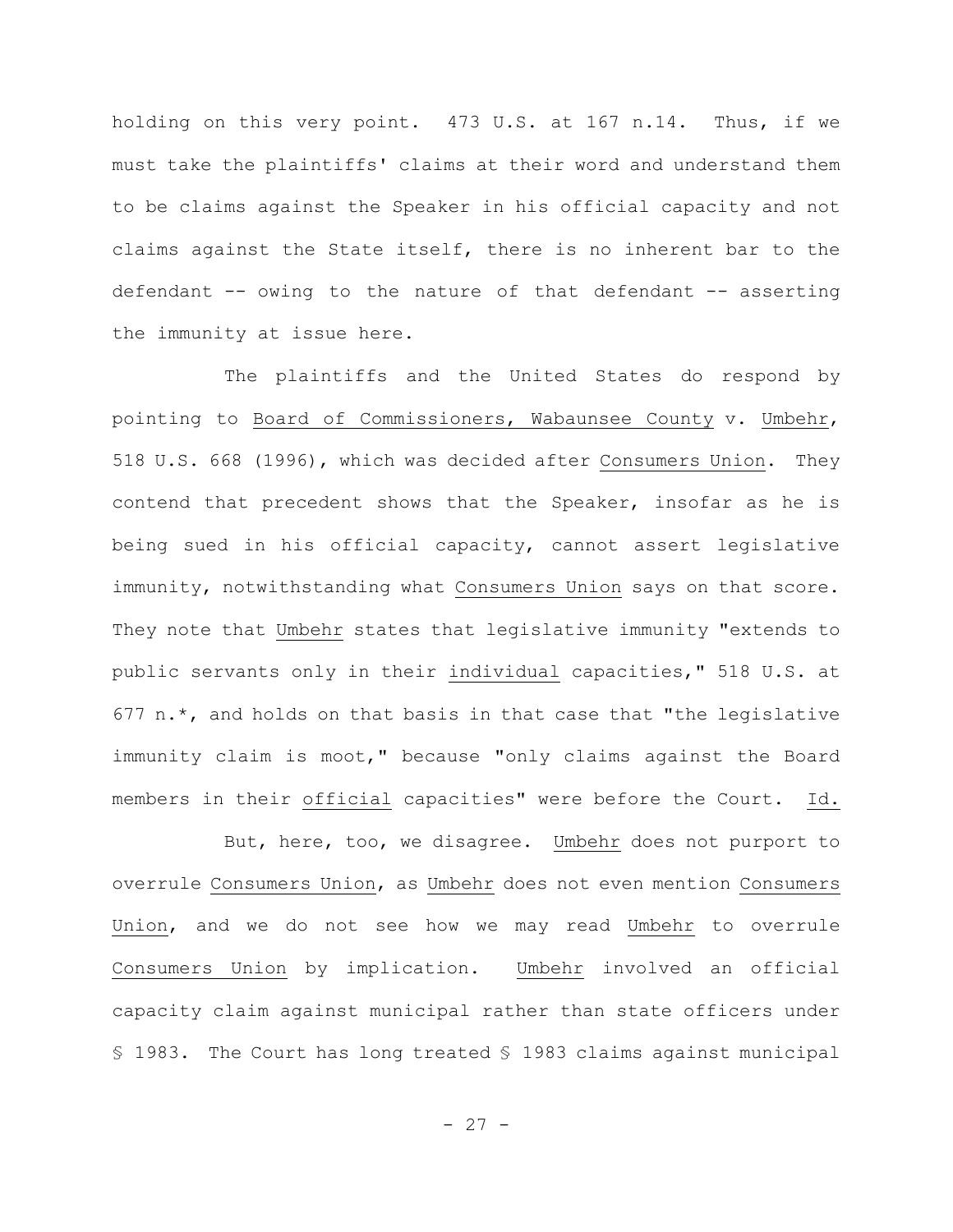holding on this very point. 473 U.S. at 167 n.14. Thus, if we must take the plaintiffs' claims at their word and understand them to be claims against the Speaker in his official capacity and not claims against the State itself, there is no inherent bar to the defendant -- owing to the nature of that defendant -- asserting the immunity at issue here.

The plaintiffs and the United States do respond by pointing to Board of Commissioners, Wabaunsee County v. Umbehr, 518 U.S. 668 (1996), which was decided after Consumers Union. They contend that precedent shows that the Speaker, insofar as he is being sued in his official capacity, cannot assert legislative immunity, notwithstanding what Consumers Union says on that score. They note that Umbehr states that legislative immunity "extends to public servants only in their individual capacities," 518 U.S. at 677  $n.*$ , and holds on that basis in that case that "the legislative immunity claim is moot," because "only claims against the Board members in their official capacities" were before the Court. Id.

But, here, too, we disagree. Umbehr does not purport to overrule Consumers Union, as Umbehr does not even mention Consumers Union, and we do not see how we may read Umbehr to overrule Consumers Union by implication. Umbehr involved an official capacity claim against municipal rather than state officers under § 1983. The Court has long treated § 1983 claims against municipal

 $- 27 -$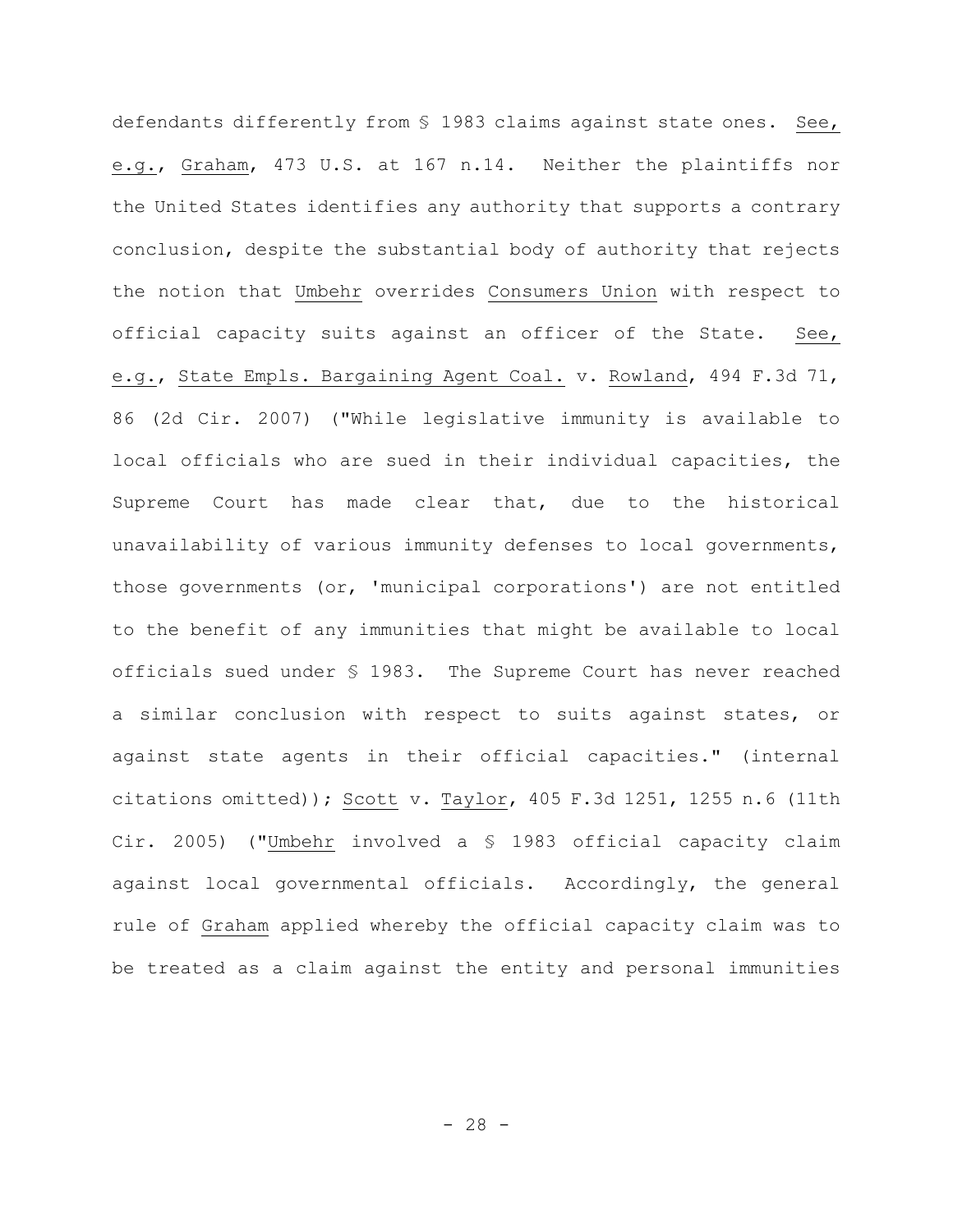defendants differently from § 1983 claims against state ones. See, e.g., Graham, 473 U.S. at 167 n.14. Neither the plaintiffs nor the United States identifies any authority that supports a contrary conclusion, despite the substantial body of authority that rejects the notion that Umbehr overrides Consumers Union with respect to official capacity suits against an officer of the State. See, e.g., State Empls. Bargaining Agent Coal. v. Rowland, 494 F.3d 71, 86 (2d Cir. 2007) ("While legislative immunity is available to local officials who are sued in their individual capacities, the Supreme Court has made clear that, due to the historical unavailability of various immunity defenses to local governments, those governments (or, 'municipal corporations') are not entitled to the benefit of any immunities that might be available to local officials sued under § 1983. The Supreme Court has never reached a similar conclusion with respect to suits against states, or against state agents in their official capacities." (internal citations omitted)); Scott v. Taylor, 405 F.3d 1251, 1255 n.6 (11th Cir. 2005) ("Umbehr involved a § 1983 official capacity claim against local governmental officials. Accordingly, the general rule of Graham applied whereby the official capacity claim was to be treated as a claim against the entity and personal immunities

 $- 28 -$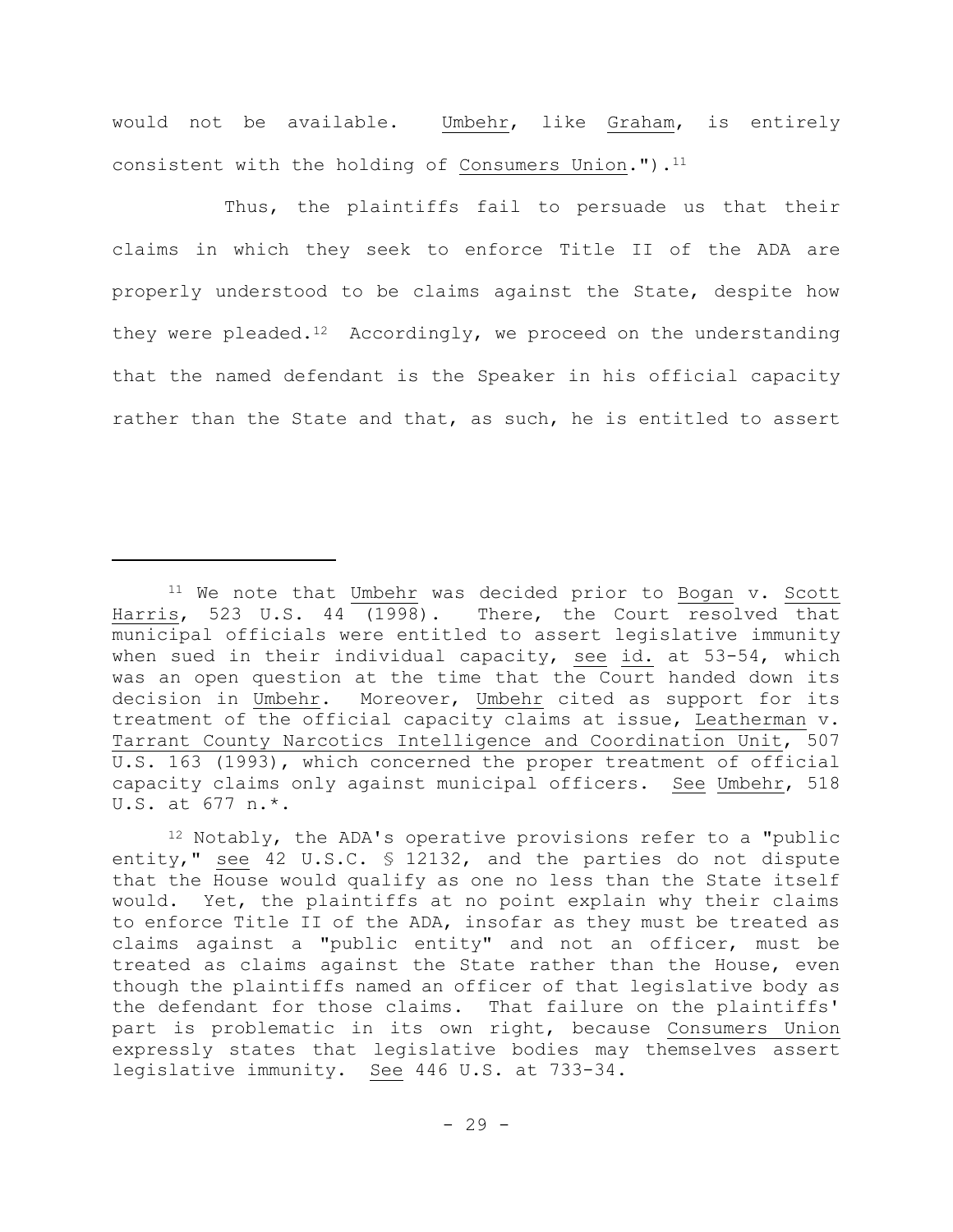would not be available. Umbehr, like Graham, is entirely consistent with the holding of Consumers Union."). $^{11}$ 

Thus, the plaintiffs fail to persuade us that their claims in which they seek to enforce Title II of the ADA are properly understood to be claims against the State, despite how they were pleaded.<sup>12</sup> Accordingly, we proceed on the understanding that the named defendant is the Speaker in his official capacity rather than the State and that, as such, he is entitled to assert

<sup>&</sup>lt;sup>11</sup> We note that Umbehr was decided prior to Bogan v. Scott Harris, 523 U.S. 44 (1998). There, the Court resolved that municipal officials were entitled to assert legislative immunity when sued in their individual capacity, see id. at 53-54, which was an open question at the time that the Court handed down its decision in Umbehr. Moreover, Umbehr cited as support for its treatment of the official capacity claims at issue, Leatherman v. Tarrant County Narcotics Intelligence and Coordination Unit, 507 U.S. 163 (1993), which concerned the proper treatment of official capacity claims only against municipal officers. See Umbehr, 518 U.S. at 677 n.\*.

<sup>12</sup> Notably, the ADA's operative provisions refer to a "public entity," see 42 U.S.C. § 12132, and the parties do not dispute that the House would qualify as one no less than the State itself would. Yet, the plaintiffs at no point explain why their claims to enforce Title II of the ADA, insofar as they must be treated as claims against a "public entity" and not an officer, must be treated as claims against the State rather than the House, even though the plaintiffs named an officer of that legislative body as the defendant for those claims. That failure on the plaintiffs' part is problematic in its own right, because Consumers Union expressly states that legislative bodies may themselves assert legislative immunity. See 446 U.S. at 733-34.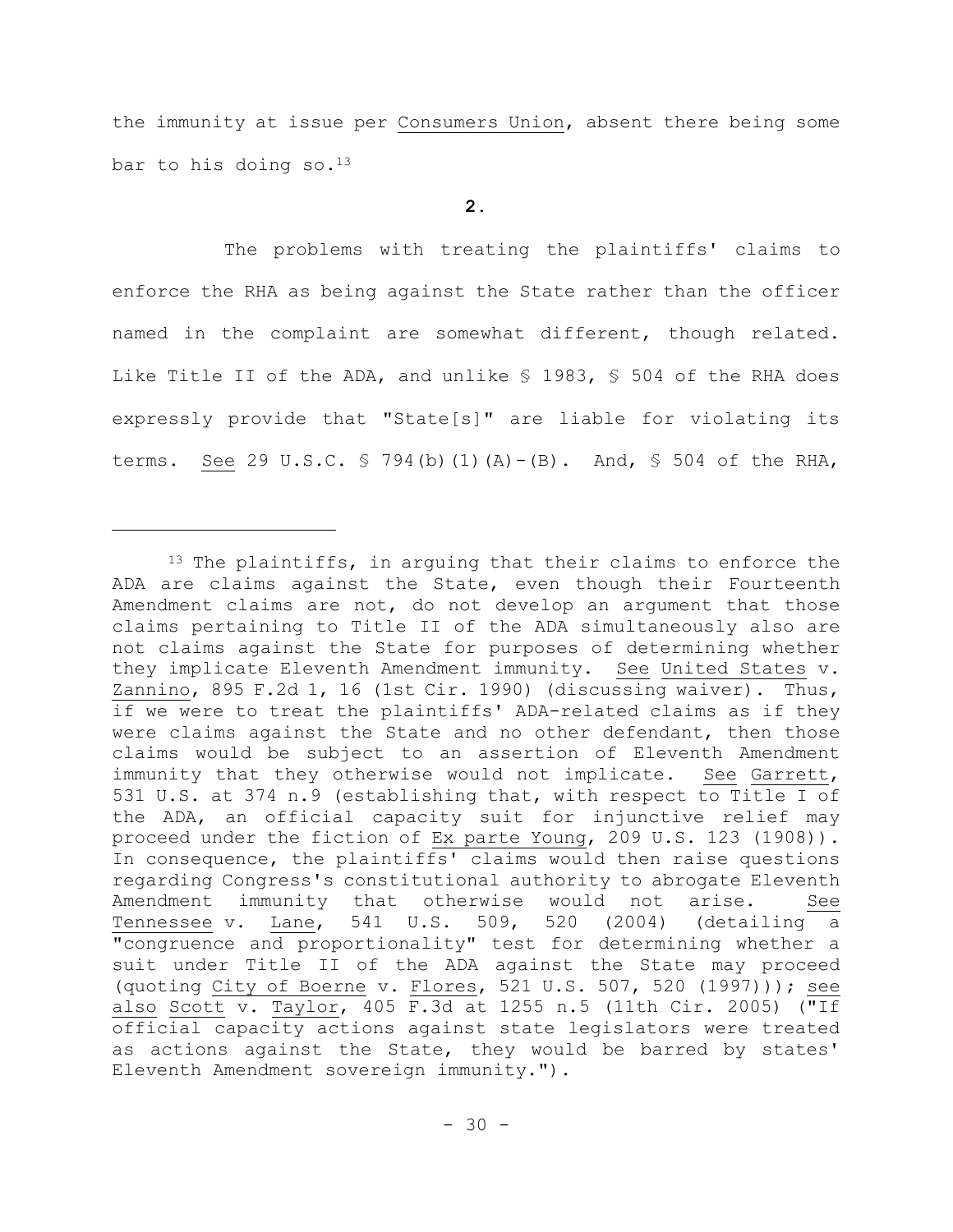the immunity at issue per Consumers Union, absent there being some bar to his doing so.  $13$ 

# **2.**

The problems with treating the plaintiffs' claims to enforce the RHA as being against the State rather than the officer named in the complaint are somewhat different, though related. Like Title II of the ADA, and unlike § 1983, § 504 of the RHA does expressly provide that "State[s]" are liable for violating its terms. See 29 U.S.C. § 794(b)(1)(A)-(B). And, § 504 of the RHA,

<sup>&</sup>lt;sup>13</sup> The plaintiffs, in arguing that their claims to enforce the ADA are claims against the State, even though their Fourteenth Amendment claims are not, do not develop an argument that those claims pertaining to Title II of the ADA simultaneously also are not claims against the State for purposes of determining whether they implicate Eleventh Amendment immunity. See United States v. Zannino, 895 F.2d 1, 16 (1st Cir. 1990) (discussing waiver). Thus, if we were to treat the plaintiffs' ADA-related claims as if they were claims against the State and no other defendant, then those claims would be subject to an assertion of Eleventh Amendment immunity that they otherwise would not implicate. See Garrett, 531 U.S. at 374 n.9 (establishing that, with respect to Title I of the ADA, an official capacity suit for injunctive relief may proceed under the fiction of Ex parte Young, 209 U.S. 123 (1908)). In consequence, the plaintiffs' claims would then raise questions regarding Congress's constitutional authority to abrogate Eleventh Amendment immunity that otherwise would not arise. See Tennessee v. Lane, 541 U.S. 509, 520 (2004) (detailing a "congruence and proportionality" test for determining whether a suit under Title II of the ADA against the State may proceed (quoting City of Boerne v. Flores, 521 U.S. 507, 520 (1997))); see also Scott v. Taylor, 405 F.3d at 1255 n.5 (11th Cir. 2005) ("If official capacity actions against state legislators were treated as actions against the State, they would be barred by states' Eleventh Amendment sovereign immunity.").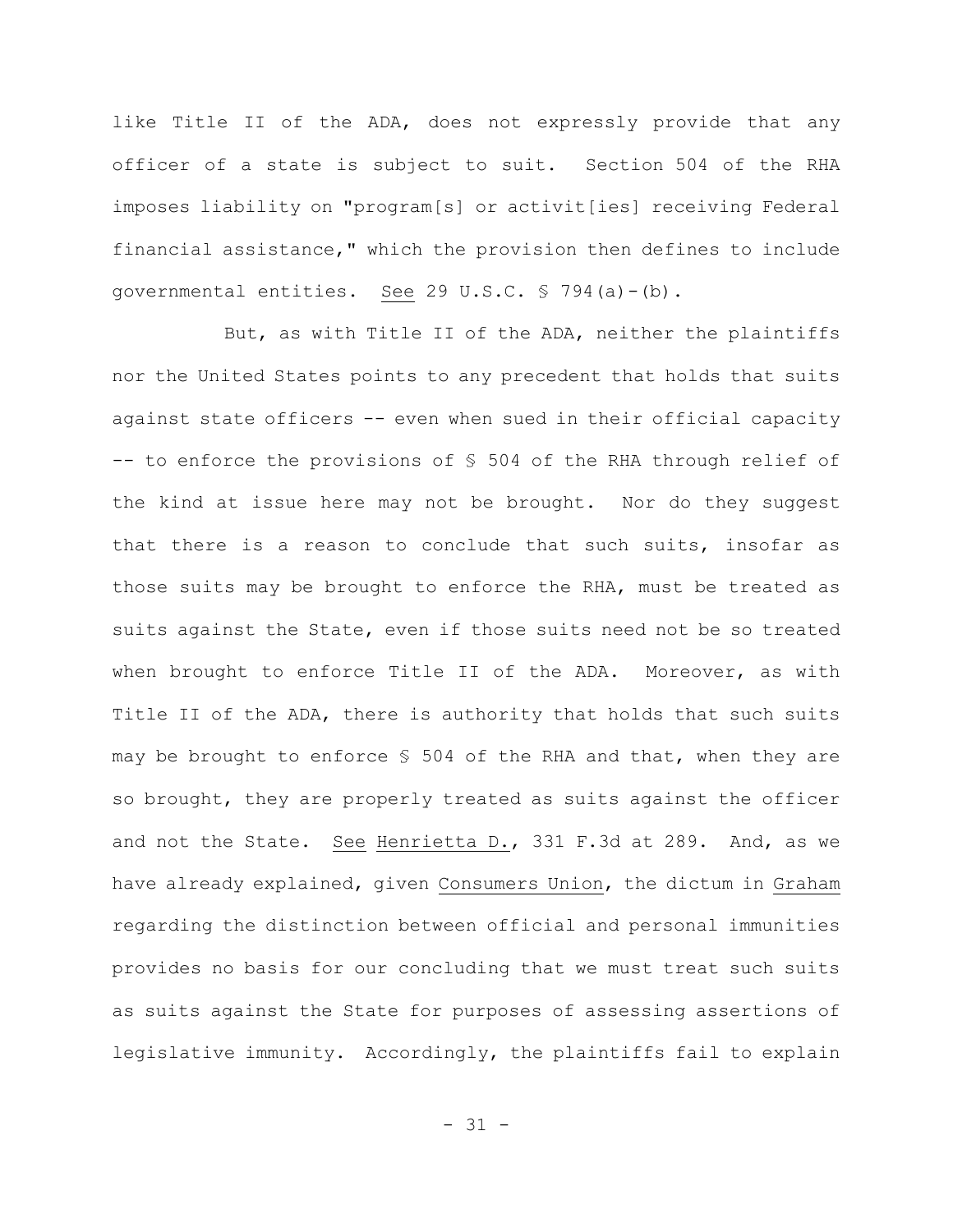like Title II of the ADA, does not expressly provide that any officer of a state is subject to suit. Section 504 of the RHA imposes liability on "program[s] or activit[ies] receiving Federal financial assistance," which the provision then defines to include governmental entities. See 29 U.S.C. § 794(a)-(b).

But, as with Title II of the ADA, neither the plaintiffs nor the United States points to any precedent that holds that suits against state officers -- even when sued in their official capacity -- to enforce the provisions of § 504 of the RHA through relief of the kind at issue here may not be brought. Nor do they suggest that there is a reason to conclude that such suits, insofar as those suits may be brought to enforce the RHA, must be treated as suits against the State, even if those suits need not be so treated when brought to enforce Title II of the ADA. Moreover, as with Title II of the ADA, there is authority that holds that such suits may be brought to enforce § 504 of the RHA and that, when they are so brought, they are properly treated as suits against the officer and not the State. See Henrietta D., 331 F.3d at 289. And, as we have already explained, given Consumers Union, the dictum in Graham regarding the distinction between official and personal immunities provides no basis for our concluding that we must treat such suits as suits against the State for purposes of assessing assertions of legislative immunity. Accordingly, the plaintiffs fail to explain

 $-31 -$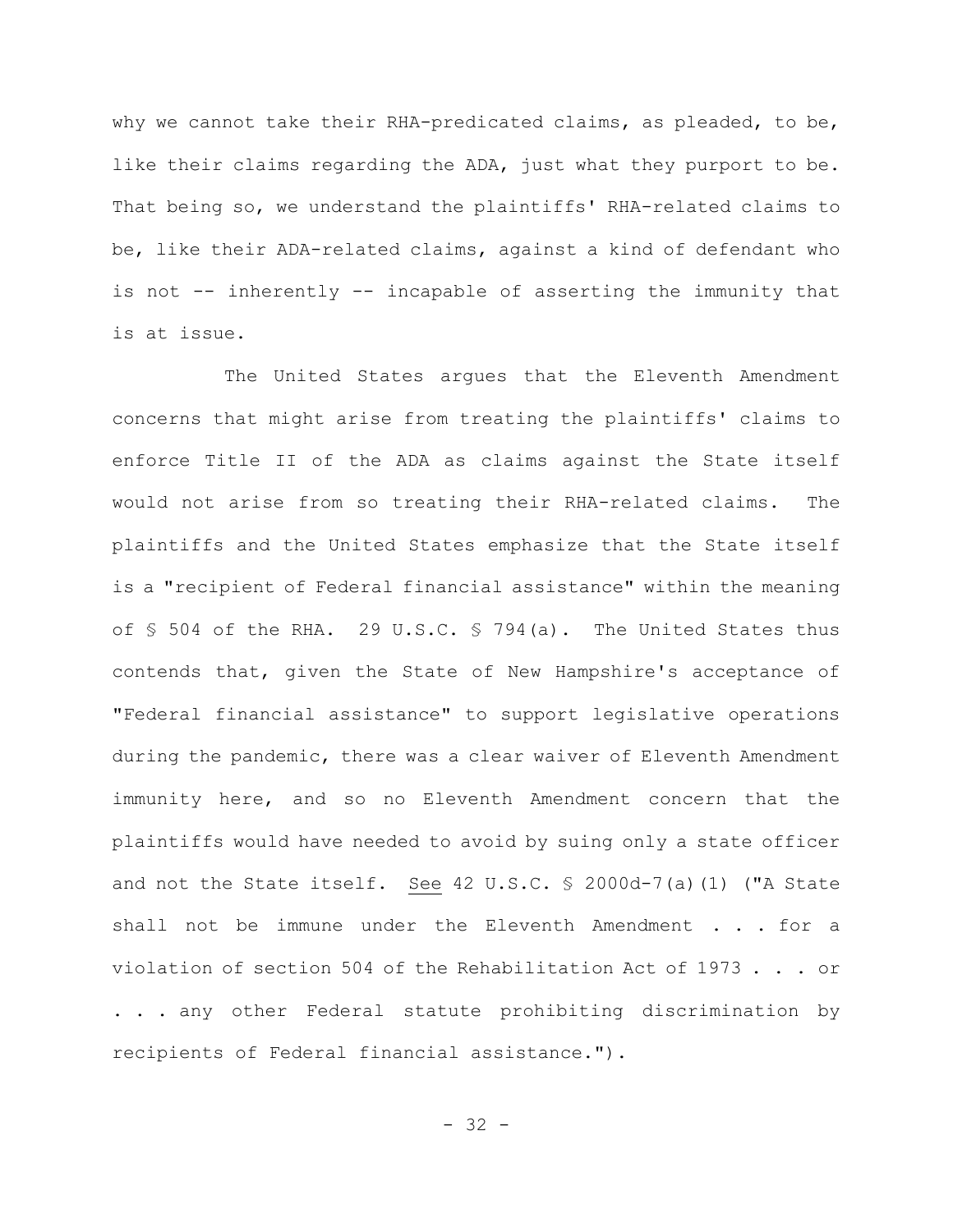why we cannot take their RHA-predicated claims, as pleaded, to be, like their claims regarding the ADA, just what they purport to be. That being so, we understand the plaintiffs' RHA-related claims to be, like their ADA-related claims, against a kind of defendant who is not -- inherently -- incapable of asserting the immunity that is at issue.

The United States argues that the Eleventh Amendment concerns that might arise from treating the plaintiffs' claims to enforce Title II of the ADA as claims against the State itself would not arise from so treating their RHA-related claims. The plaintiffs and the United States emphasize that the State itself is a "recipient of Federal financial assistance" within the meaning of § 504 of the RHA. 29 U.S.C. § 794(a). The United States thus contends that, given the State of New Hampshire's acceptance of "Federal financial assistance" to support legislative operations during the pandemic, there was a clear waiver of Eleventh Amendment immunity here, and so no Eleventh Amendment concern that the plaintiffs would have needed to avoid by suing only a state officer and not the State itself. See 42 U.S.C. § 2000d-7(a)(1) ("A State shall not be immune under the Eleventh Amendment . . . for a violation of section 504 of the Rehabilitation Act of 1973 . . . or . . . any other Federal statute prohibiting discrimination by recipients of Federal financial assistance.").

- 32 -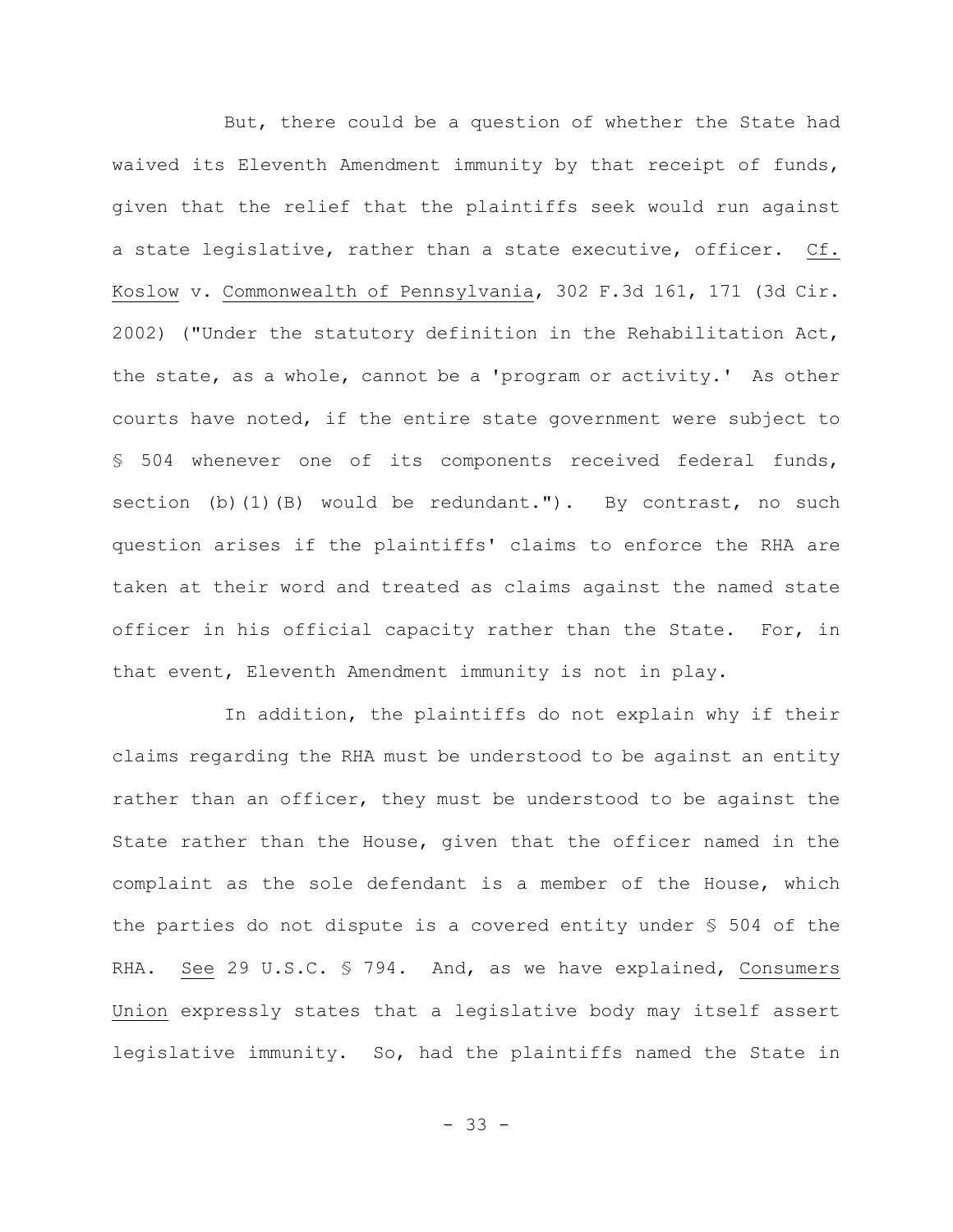But, there could be a question of whether the State had waived its Eleventh Amendment immunity by that receipt of funds, given that the relief that the plaintiffs seek would run against a state legislative, rather than a state executive, officer. Cf. Koslow v. Commonwealth of Pennsylvania, 302 F.3d 161, 171 (3d Cir. 2002) ("Under the statutory definition in the Rehabilitation Act, the state, as a whole, cannot be a 'program or activity.' As other courts have noted, if the entire state government were subject to § 504 whenever one of its components received federal funds, section (b)(1)(B) would be redundant."). By contrast, no such question arises if the plaintiffs' claims to enforce the RHA are taken at their word and treated as claims against the named state officer in his official capacity rather than the State. For, in that event, Eleventh Amendment immunity is not in play.

In addition, the plaintiffs do not explain why if their claims regarding the RHA must be understood to be against an entity rather than an officer, they must be understood to be against the State rather than the House, given that the officer named in the complaint as the sole defendant is a member of the House, which the parties do not dispute is a covered entity under § 504 of the RHA. See 29 U.S.C. § 794. And, as we have explained, Consumers Union expressly states that a legislative body may itself assert legislative immunity. So, had the plaintiffs named the State in

- 33 -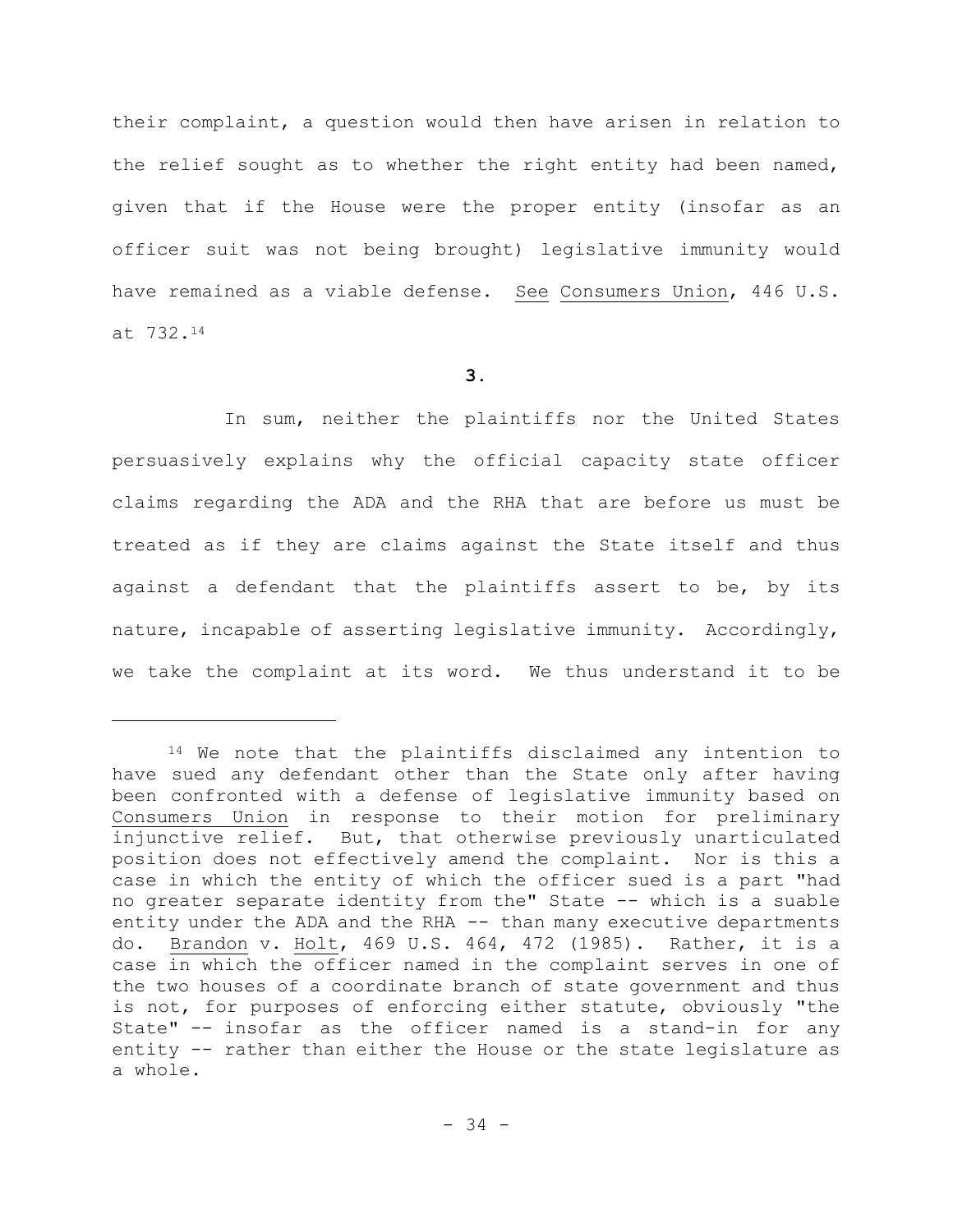their complaint, a question would then have arisen in relation to the relief sought as to whether the right entity had been named, given that if the House were the proper entity (insofar as an officer suit was not being brought) legislative immunity would have remained as a viable defense. See Consumers Union, 446 U.S. at 732.<sup>14</sup>

## **3.**

In sum, neither the plaintiffs nor the United States persuasively explains why the official capacity state officer claims regarding the ADA and the RHA that are before us must be treated as if they are claims against the State itself and thus against a defendant that the plaintiffs assert to be, by its nature, incapable of asserting legislative immunity. Accordingly, we take the complaint at its word. We thus understand it to be

<sup>14</sup> We note that the plaintiffs disclaimed any intention to have sued any defendant other than the State only after having been confronted with a defense of legislative immunity based on Consumers Union in response to their motion for preliminary injunctive relief. But, that otherwise previously unarticulated position does not effectively amend the complaint. Nor is this a case in which the entity of which the officer sued is a part "had no greater separate identity from the" State -- which is a suable entity under the ADA and the RHA -- than many executive departments do. Brandon v. Holt, 469 U.S. 464, 472 (1985). Rather, it is a case in which the officer named in the complaint serves in one of the two houses of a coordinate branch of state government and thus is not, for purposes of enforcing either statute, obviously "the State" -- insofar as the officer named is a stand-in for any entity -- rather than either the House or the state legislature as a whole.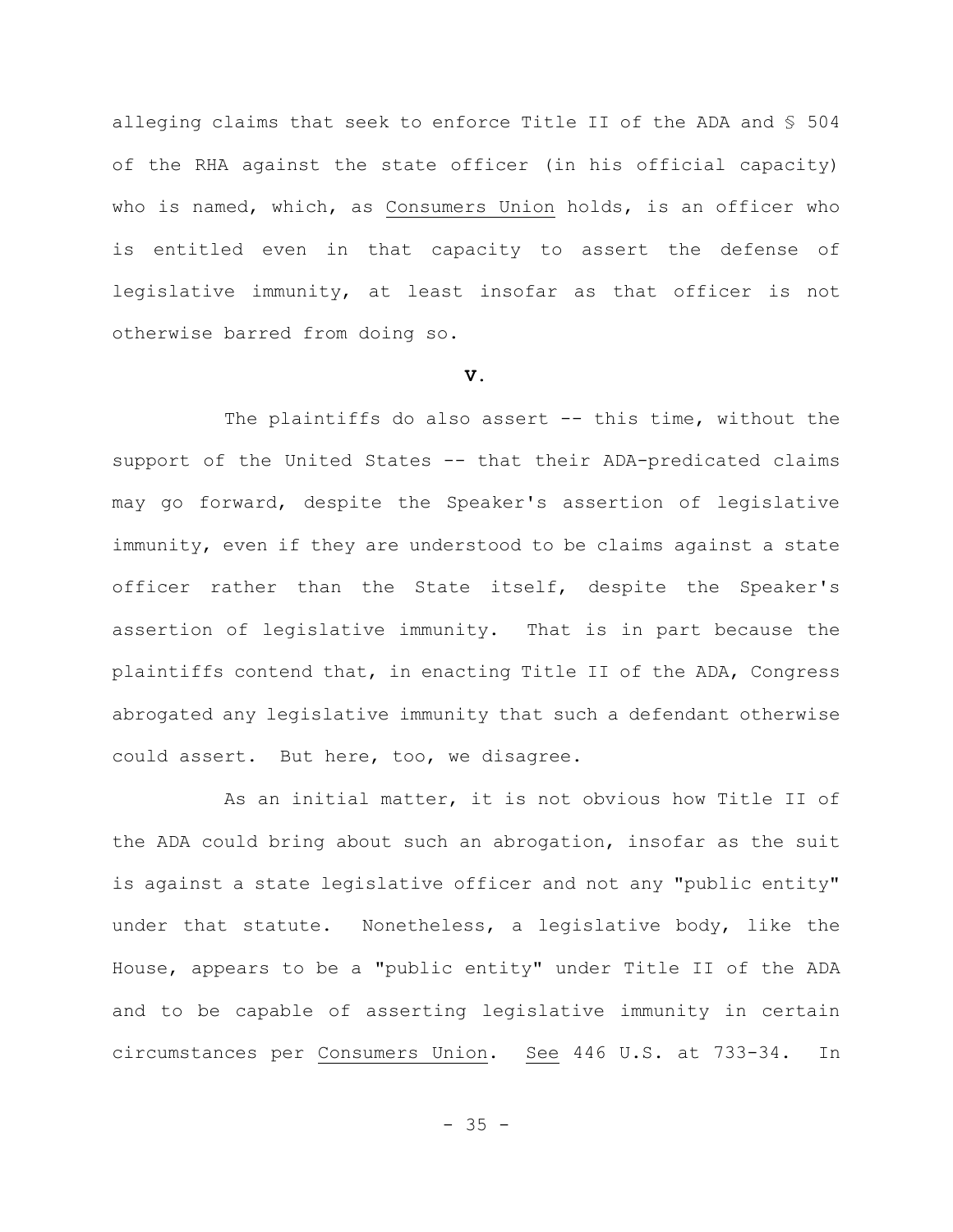alleging claims that seek to enforce Title II of the ADA and § 504 of the RHA against the state officer (in his official capacity) who is named, which, as Consumers Union holds, is an officer who is entitled even in that capacity to assert the defense of legislative immunity, at least insofar as that officer is not otherwise barred from doing so.

## **V.**

The plaintiffs do also assert -- this time, without the support of the United States -- that their ADA-predicated claims may go forward, despite the Speaker's assertion of legislative immunity, even if they are understood to be claims against a state officer rather than the State itself, despite the Speaker's assertion of legislative immunity. That is in part because the plaintiffs contend that, in enacting Title II of the ADA, Congress abrogated any legislative immunity that such a defendant otherwise could assert. But here, too, we disagree.

As an initial matter, it is not obvious how Title II of the ADA could bring about such an abrogation, insofar as the suit is against a state legislative officer and not any "public entity" under that statute. Nonetheless, a legislative body, like the House, appears to be a "public entity" under Title II of the ADA and to be capable of asserting legislative immunity in certain circumstances per Consumers Union. See 446 U.S. at 733-34. In

 $- 35 -$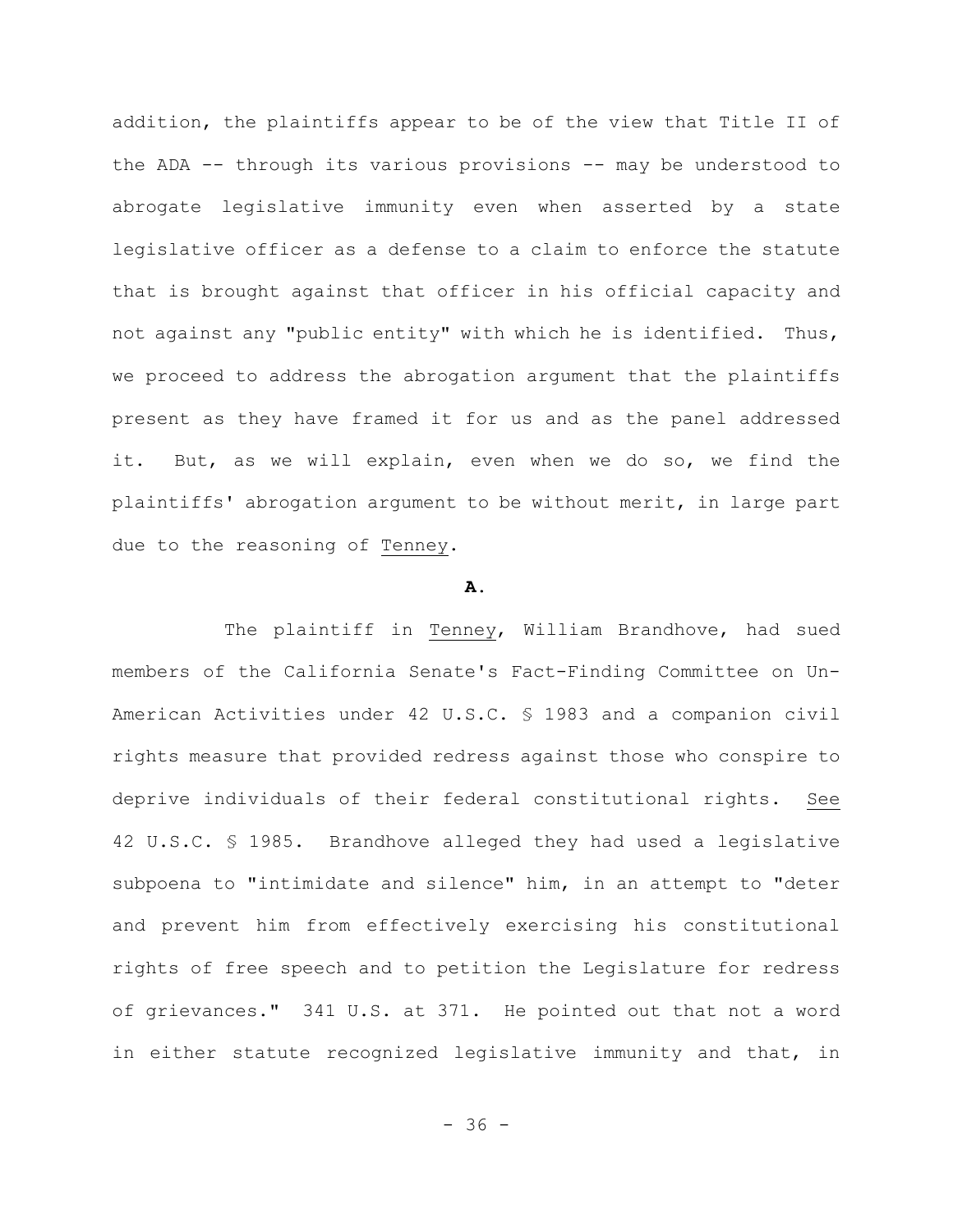addition, the plaintiffs appear to be of the view that Title II of the ADA -- through its various provisions -- may be understood to abrogate legislative immunity even when asserted by a state legislative officer as a defense to a claim to enforce the statute that is brought against that officer in his official capacity and not against any "public entity" with which he is identified. Thus, we proceed to address the abrogation argument that the plaintiffs present as they have framed it for us and as the panel addressed it. But, as we will explain, even when we do so, we find the plaintiffs' abrogation argument to be without merit, in large part due to the reasoning of Tenney.

#### **A.**

The plaintiff in Tenney, William Brandhove, had sued members of the California Senate's Fact-Finding Committee on Un-American Activities under 42 U.S.C. § 1983 and a companion civil rights measure that provided redress against those who conspire to deprive individuals of their federal constitutional rights. See 42 U.S.C. § 1985. Brandhove alleged they had used a legislative subpoena to "intimidate and silence" him, in an attempt to "deter and prevent him from effectively exercising his constitutional rights of free speech and to petition the Legislature for redress of grievances." 341 U.S. at 371. He pointed out that not a word in either statute recognized legislative immunity and that, in

 $- 36 -$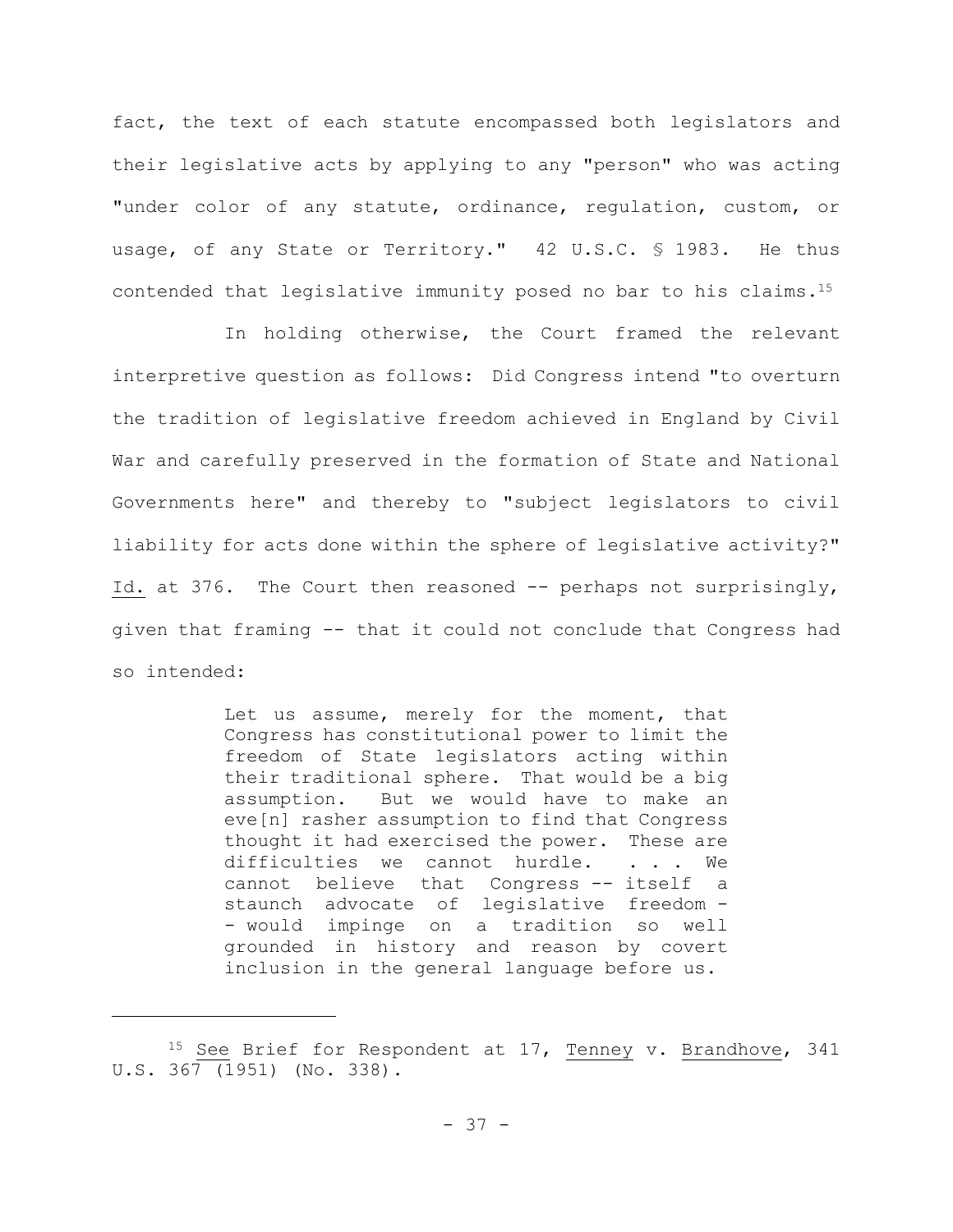fact, the text of each statute encompassed both legislators and their legislative acts by applying to any "person" who was acting "under color of any statute, ordinance, regulation, custom, or usage, of any State or Territory." 42 U.S.C. § 1983. He thus contended that legislative immunity posed no bar to his claims.<sup>15</sup>

In holding otherwise, the Court framed the relevant interpretive question as follows: Did Congress intend "to overturn the tradition of legislative freedom achieved in England by Civil War and carefully preserved in the formation of State and National Governments here" and thereby to "subject legislators to civil liability for acts done within the sphere of legislative activity?" Id. at 376. The Court then reasoned  $-$ - perhaps not surprisingly, given that framing -- that it could not conclude that Congress had so intended:

> Let us assume, merely for the moment, that Congress has constitutional power to limit the freedom of State legislators acting within their traditional sphere. That would be a big assumption. But we would have to make an eve[n] rasher assumption to find that Congress thought it had exercised the power. These are difficulties we cannot hurdle. . . . We cannot believe that Congress -- itself a staunch advocate of legislative freedom - - would impinge on a tradition so well grounded in history and reason by covert inclusion in the general language before us.

<sup>&</sup>lt;sup>15</sup> See Brief for Respondent at 17, Tenney v. Brandhove, 341 U.S. 367 (1951) (No. 338).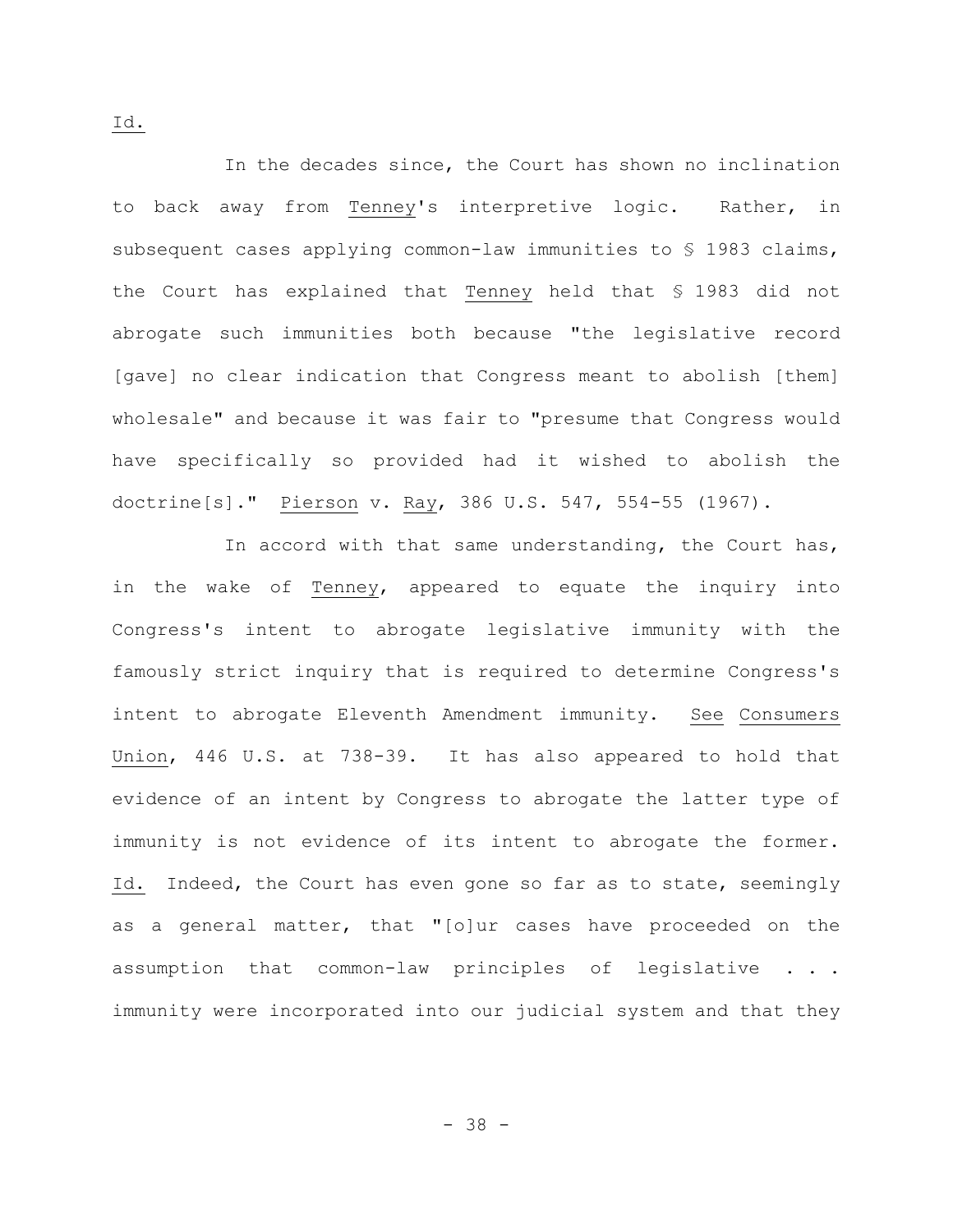In the decades since, the Court has shown no inclination to back away from Tenney's interpretive logic. Rather, in subsequent cases applying common-law immunities to § 1983 claims, the Court has explained that Tenney held that § 1983 did not abrogate such immunities both because "the legislative record [gave] no clear indication that Congress meant to abolish [them] wholesale" and because it was fair to "presume that Congress would have specifically so provided had it wished to abolish the doctrine[s]." Pierson v. Ray, 386 U.S. 547, 554-55 (1967).

In accord with that same understanding, the Court has, in the wake of Tenney, appeared to equate the inquiry into Congress's intent to abrogate legislative immunity with the famously strict inquiry that is required to determine Congress's intent to abrogate Eleventh Amendment immunity. See Consumers Union, 446 U.S. at 738-39. It has also appeared to hold that evidence of an intent by Congress to abrogate the latter type of immunity is not evidence of its intent to abrogate the former. Id. Indeed, the Court has even gone so far as to state, seemingly as a general matter, that "[o]ur cases have proceeded on the assumption that common-law principles of legislative . . . immunity were incorporated into our judicial system and that they

- 38 -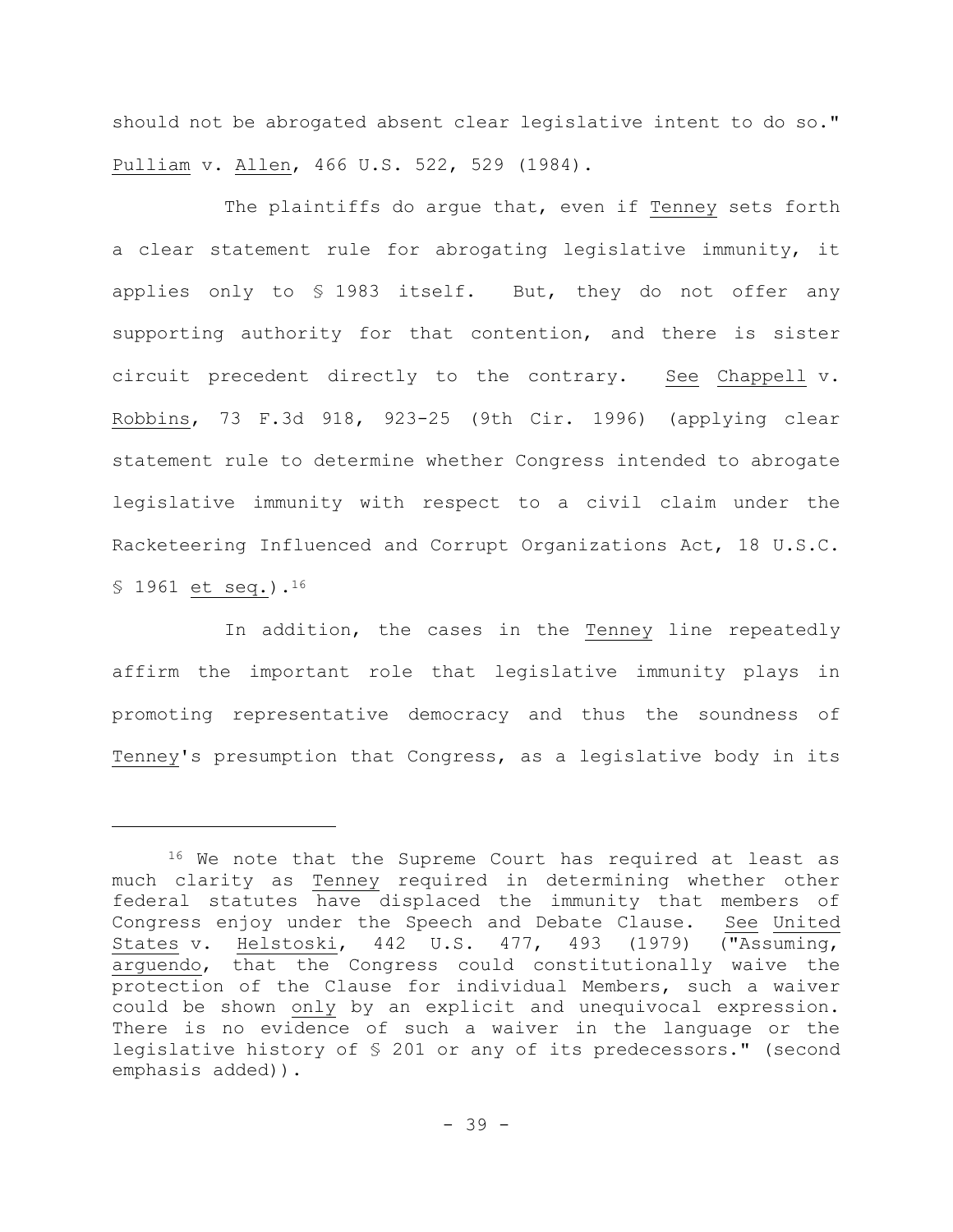should not be abrogated absent clear legislative intent to do so." Pulliam v. Allen, 466 U.S. 522, 529 (1984).

The plaintiffs do argue that, even if Tenney sets forth a clear statement rule for abrogating legislative immunity, it applies only to § 1983 itself. But, they do not offer any supporting authority for that contention, and there is sister circuit precedent directly to the contrary. See Chappell v. Robbins, 73 F.3d 918, 923-25 (9th Cir. 1996) (applying clear statement rule to determine whether Congress intended to abrogate legislative immunity with respect to a civil claim under the Racketeering Influenced and Corrupt Organizations Act, 18 U.S.C. § 1961 et seq.).<sup>16</sup>

In addition, the cases in the Tenney line repeatedly affirm the important role that legislative immunity plays in promoting representative democracy and thus the soundness of Tenney's presumption that Congress, as a legislative body in its

<sup>&</sup>lt;sup>16</sup> We note that the Supreme Court has required at least as much clarity as Tenney required in determining whether other federal statutes have displaced the immunity that members of Congress enjoy under the Speech and Debate Clause. See United States v. Helstoski, 442 U.S. 477, 493 (1979) ("Assuming, arguendo, that the Congress could constitutionally waive the protection of the Clause for individual Members, such a waiver could be shown only by an explicit and unequivocal expression. There is no evidence of such a waiver in the language or the legislative history of § 201 or any of its predecessors." (second emphasis added)).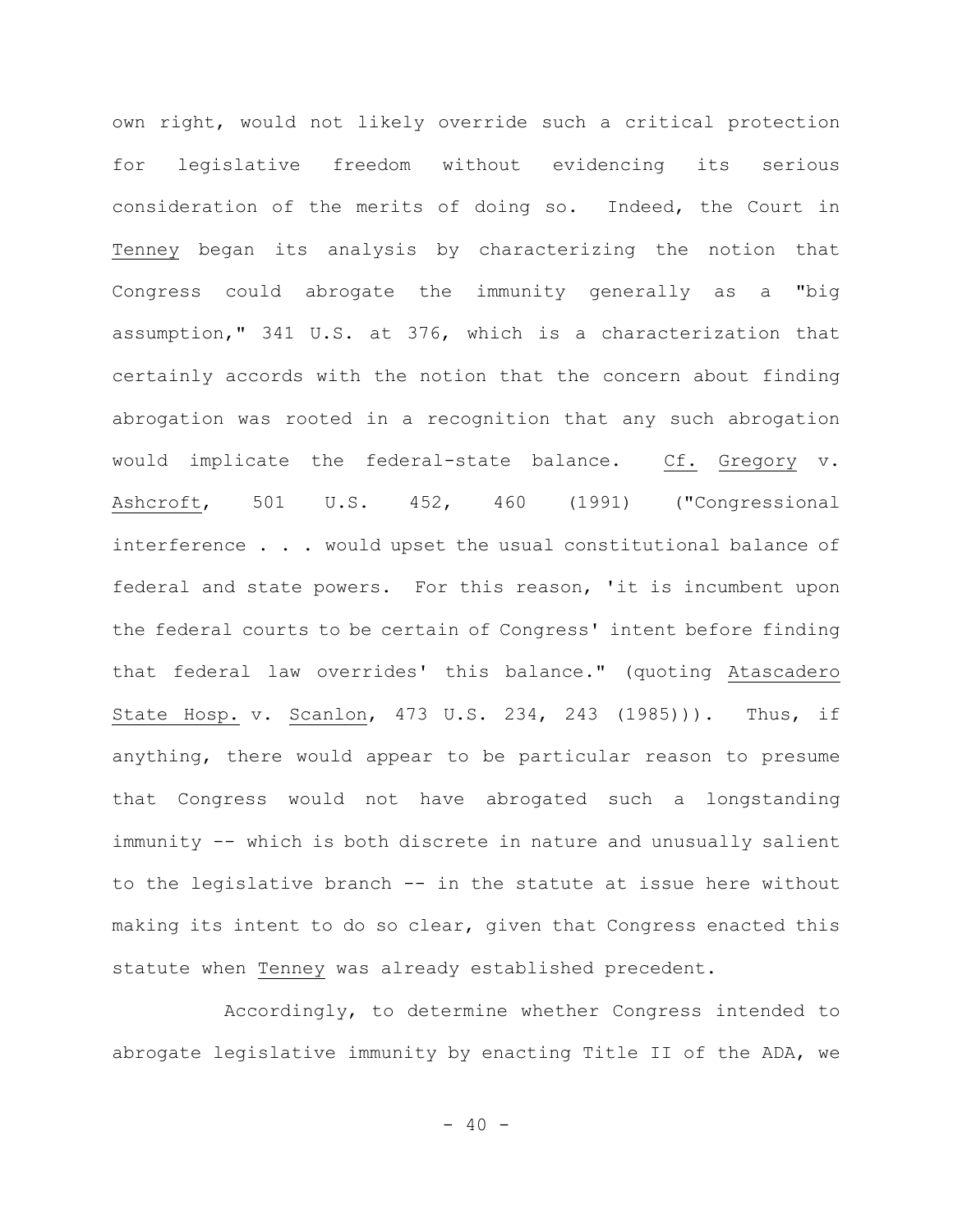own right, would not likely override such a critical protection for legislative freedom without evidencing its serious consideration of the merits of doing so. Indeed, the Court in Tenney began its analysis by characterizing the notion that Congress could abrogate the immunity generally as a "big assumption," 341 U.S. at 376, which is a characterization that certainly accords with the notion that the concern about finding abrogation was rooted in a recognition that any such abrogation would implicate the federal-state balance. Cf. Gregory v. Ashcroft, 501 U.S. 452, 460 (1991) ("Congressional interference . . . would upset the usual constitutional balance of federal and state powers. For this reason, 'it is incumbent upon the federal courts to be certain of Congress' intent before finding that federal law overrides' this balance." (quoting Atascadero State Hosp. v. Scanlon, 473 U.S. 234, 243 (1985))). Thus, if anything, there would appear to be particular reason to presume that Congress would not have abrogated such a longstanding immunity -- which is both discrete in nature and unusually salient to the legislative branch -- in the statute at issue here without making its intent to do so clear, given that Congress enacted this statute when Tenney was already established precedent.

Accordingly, to determine whether Congress intended to abrogate legislative immunity by enacting Title II of the ADA, we

 $- 40 -$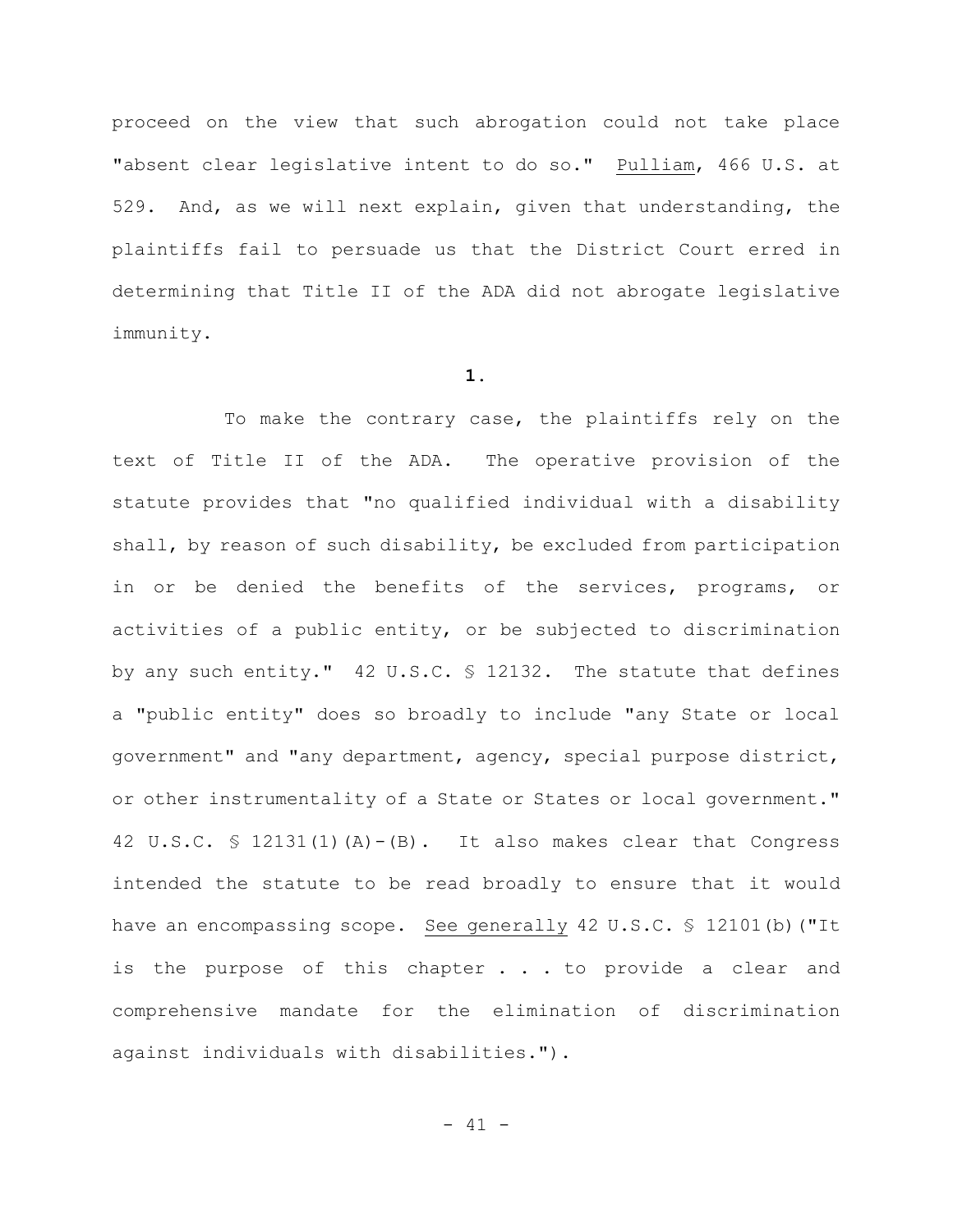proceed on the view that such abrogation could not take place "absent clear legislative intent to do so." Pulliam, 466 U.S. at 529. And, as we will next explain, given that understanding, the plaintiffs fail to persuade us that the District Court erred in determining that Title II of the ADA did not abrogate legislative immunity.

## **1.**

To make the contrary case, the plaintiffs rely on the text of Title II of the ADA. The operative provision of the statute provides that "no qualified individual with a disability shall, by reason of such disability, be excluded from participation in or be denied the benefits of the services, programs, or activities of a public entity, or be subjected to discrimination by any such entity." 42 U.S.C. § 12132. The statute that defines a "public entity" does so broadly to include "any State or local government" and "any department, agency, special purpose district, or other instrumentality of a State or States or local government." 42 U.S.C. § 12131(1)(A)-(B). It also makes clear that Congress intended the statute to be read broadly to ensure that it would have an encompassing scope. See generally 42 U.S.C. § 12101(b) ("It is the purpose of this chapter . . . to provide a clear and comprehensive mandate for the elimination of discrimination against individuals with disabilities.").

 $- 41 -$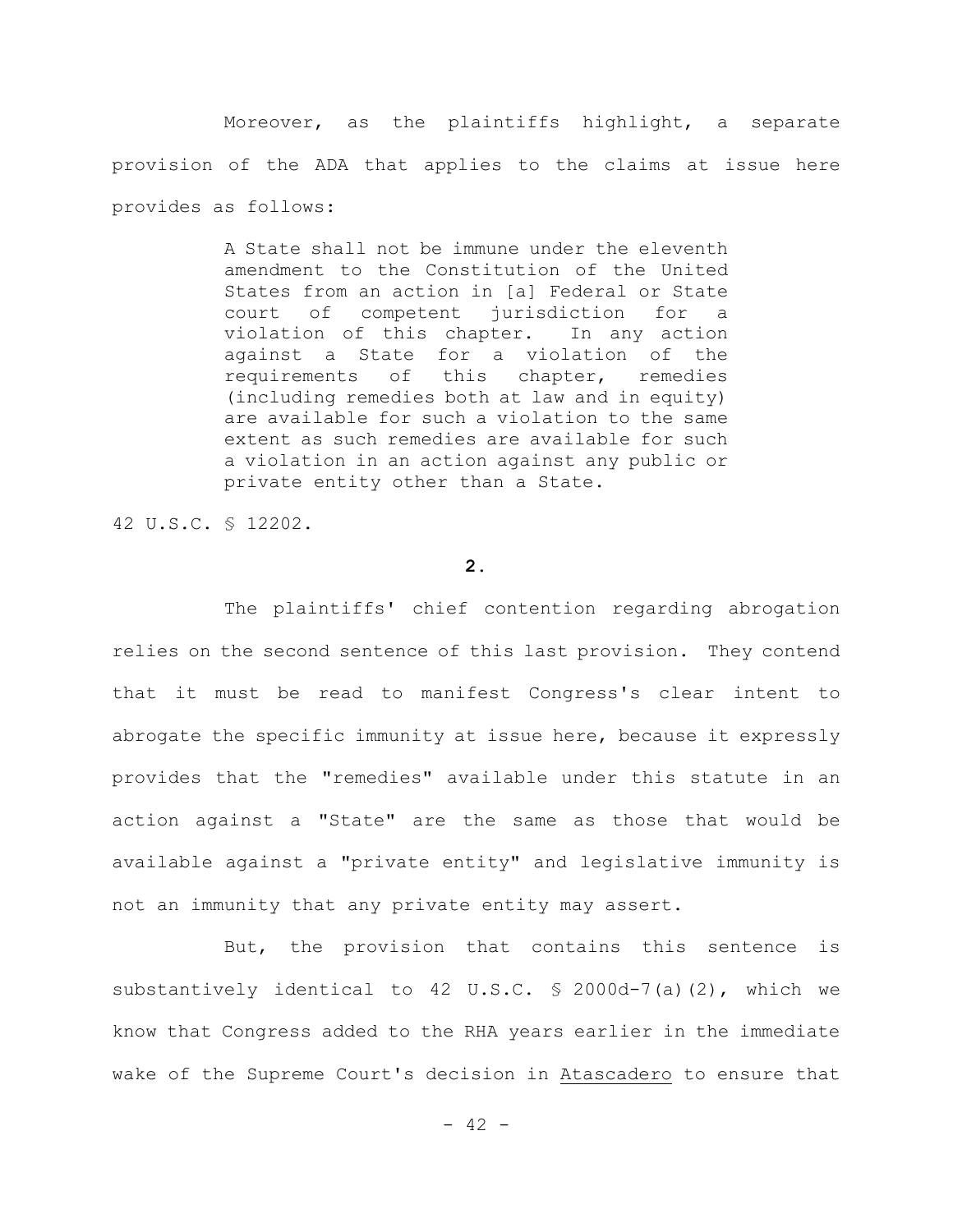Moreover, as the plaintiffs highlight, a separate provision of the ADA that applies to the claims at issue here provides as follows:

> A State shall not be immune under the eleventh amendment to the Constitution of the United States from an action in [a] Federal or State court of competent jurisdiction for a violation of this chapter. In any action against a State for a violation of the requirements of this chapter, remedies (including remedies both at law and in equity) are available for such a violation to the same extent as such remedies are available for such a violation in an action against any public or private entity other than a State.

42 U.S.C. § 12202.

# **2.**

The plaintiffs' chief contention regarding abrogation relies on the second sentence of this last provision. They contend that it must be read to manifest Congress's clear intent to abrogate the specific immunity at issue here, because it expressly provides that the "remedies" available under this statute in an action against a "State" are the same as those that would be available against a "private entity" and legislative immunity is not an immunity that any private entity may assert.

But, the provision that contains this sentence is substantively identical to 42 U.S.C. § 2000d-7(a)(2), which we know that Congress added to the RHA years earlier in the immediate wake of the Supreme Court's decision in Atascadero to ensure that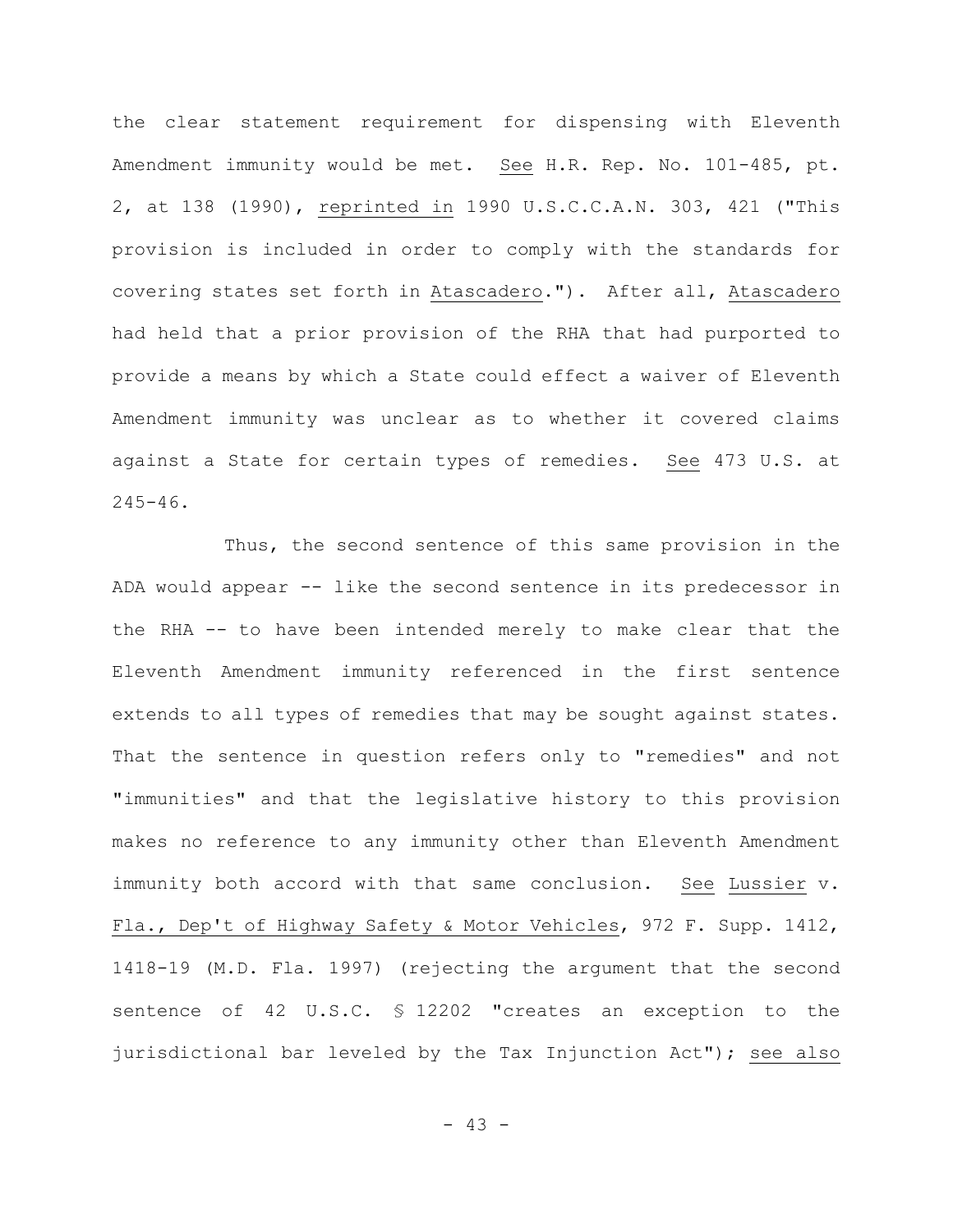the clear statement requirement for dispensing with Eleventh Amendment immunity would be met. See H.R. Rep. No. 101-485, pt. 2, at 138 (1990), reprinted in 1990 U.S.C.C.A.N. 303, 421 ("This provision is included in order to comply with the standards for covering states set forth in Atascadero."). After all, Atascadero had held that a prior provision of the RHA that had purported to provide a means by which a State could effect a waiver of Eleventh Amendment immunity was unclear as to whether it covered claims against a State for certain types of remedies. See 473 U.S. at  $245 - 46$ .

Thus, the second sentence of this same provision in the ADA would appear -- like the second sentence in its predecessor in the RHA -- to have been intended merely to make clear that the Eleventh Amendment immunity referenced in the first sentence extends to all types of remedies that may be sought against states. That the sentence in question refers only to "remedies" and not "immunities" and that the legislative history to this provision makes no reference to any immunity other than Eleventh Amendment immunity both accord with that same conclusion. See Lussier v. Fla., Dep't of Highway Safety & Motor Vehicles, 972 F. Supp. 1412, 1418-19 (M.D. Fla. 1997) (rejecting the argument that the second sentence of 42 U.S.C. § 12202 "creates an exception to the jurisdictional bar leveled by the Tax Injunction Act"); see also

- 43 -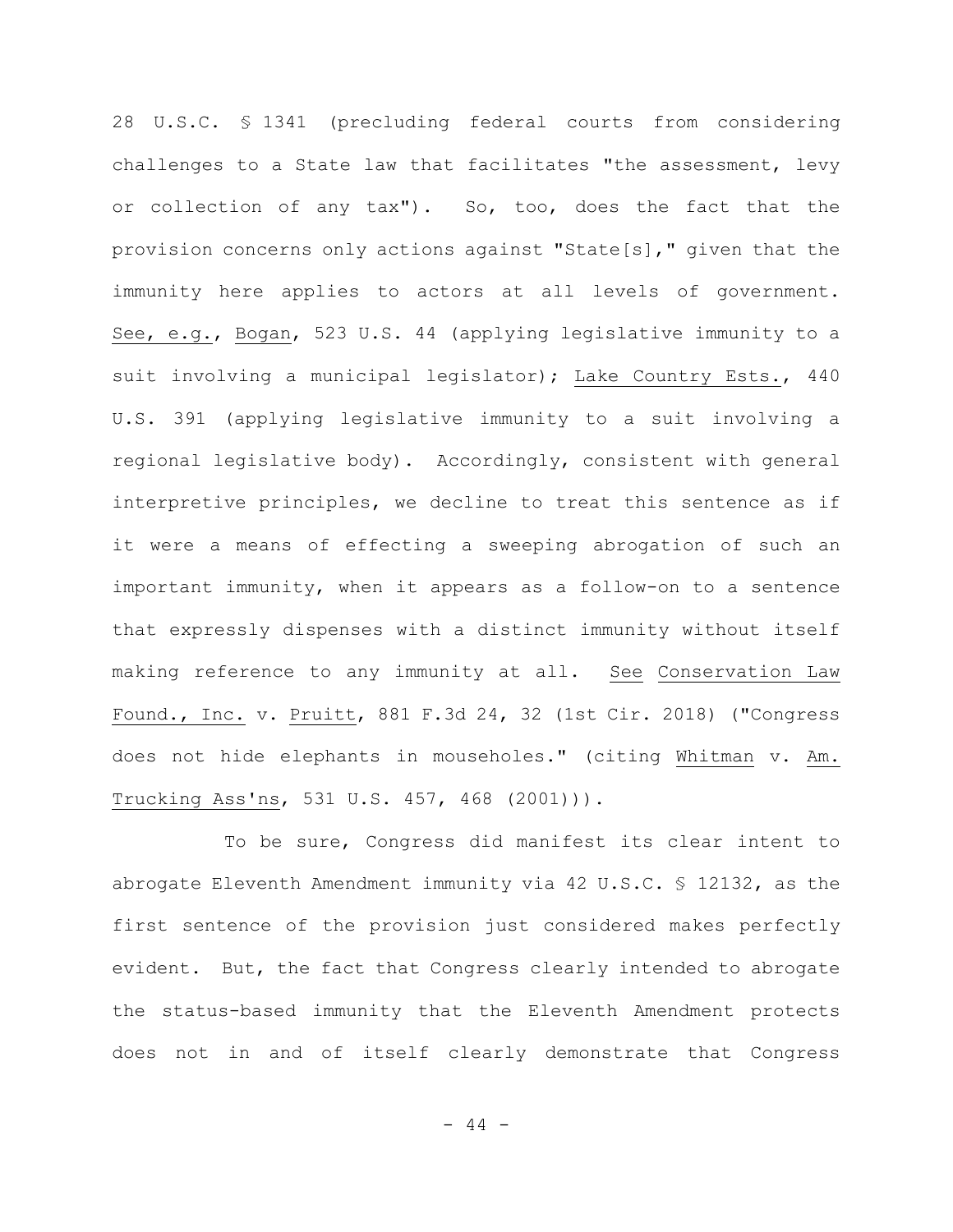28 U.S.C. § 1341 (precluding federal courts from considering challenges to a State law that facilitates "the assessment, levy or collection of any tax"). So, too, does the fact that the provision concerns only actions against "State[s]," given that the immunity here applies to actors at all levels of government. See, e.g., Bogan, 523 U.S. 44 (applying legislative immunity to a suit involving a municipal legislator); Lake Country Ests., 440 U.S. 391 (applying legislative immunity to a suit involving a regional legislative body). Accordingly, consistent with general interpretive principles, we decline to treat this sentence as if it were a means of effecting a sweeping abrogation of such an important immunity, when it appears as a follow-on to a sentence that expressly dispenses with a distinct immunity without itself making reference to any immunity at all. See Conservation Law Found., Inc. v. Pruitt, 881 F.3d 24, 32 (1st Cir. 2018) ("Congress does not hide elephants in mouseholes." (citing Whitman v. Am. Trucking Ass'ns, 531 U.S. 457, 468 (2001))).

To be sure, Congress did manifest its clear intent to abrogate Eleventh Amendment immunity via 42 U.S.C. § 12132, as the first sentence of the provision just considered makes perfectly evident. But, the fact that Congress clearly intended to abrogate the status-based immunity that the Eleventh Amendment protects does not in and of itself clearly demonstrate that Congress

 $- 44 -$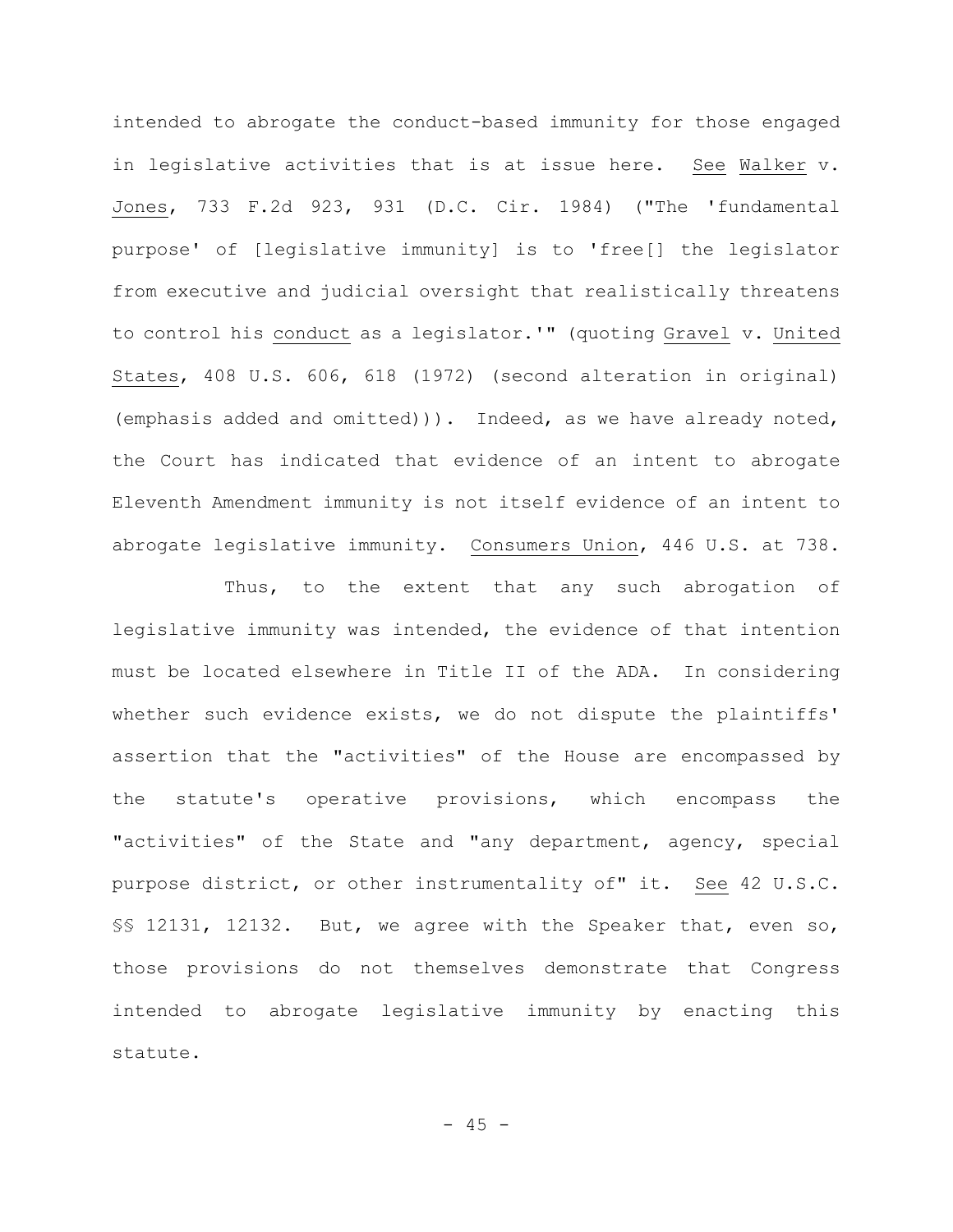intended to abrogate the conduct-based immunity for those engaged in legislative activities that is at issue here. See Walker v. Jones, 733 F.2d 923, 931 (D.C. Cir. 1984) ("The 'fundamental purpose' of [legislative immunity] is to 'free[] the legislator from executive and judicial oversight that realistically threatens to control his conduct as a legislator.'" (quoting Gravel v. United States, 408 U.S. 606, 618 (1972) (second alteration in original) (emphasis added and omitted))). Indeed, as we have already noted, the Court has indicated that evidence of an intent to abrogate Eleventh Amendment immunity is not itself evidence of an intent to abrogate legislative immunity. Consumers Union, 446 U.S. at 738.

Thus, to the extent that any such abrogation of legislative immunity was intended, the evidence of that intention must be located elsewhere in Title II of the ADA. In considering whether such evidence exists, we do not dispute the plaintiffs' assertion that the "activities" of the House are encompassed by the statute's operative provisions, which encompass the "activities" of the State and "any department, agency, special purpose district, or other instrumentality of" it. See 42 U.S.C. §§ 12131, 12132. But, we agree with the Speaker that, even so, those provisions do not themselves demonstrate that Congress intended to abrogate legislative immunity by enacting this statute.

 $- 45 -$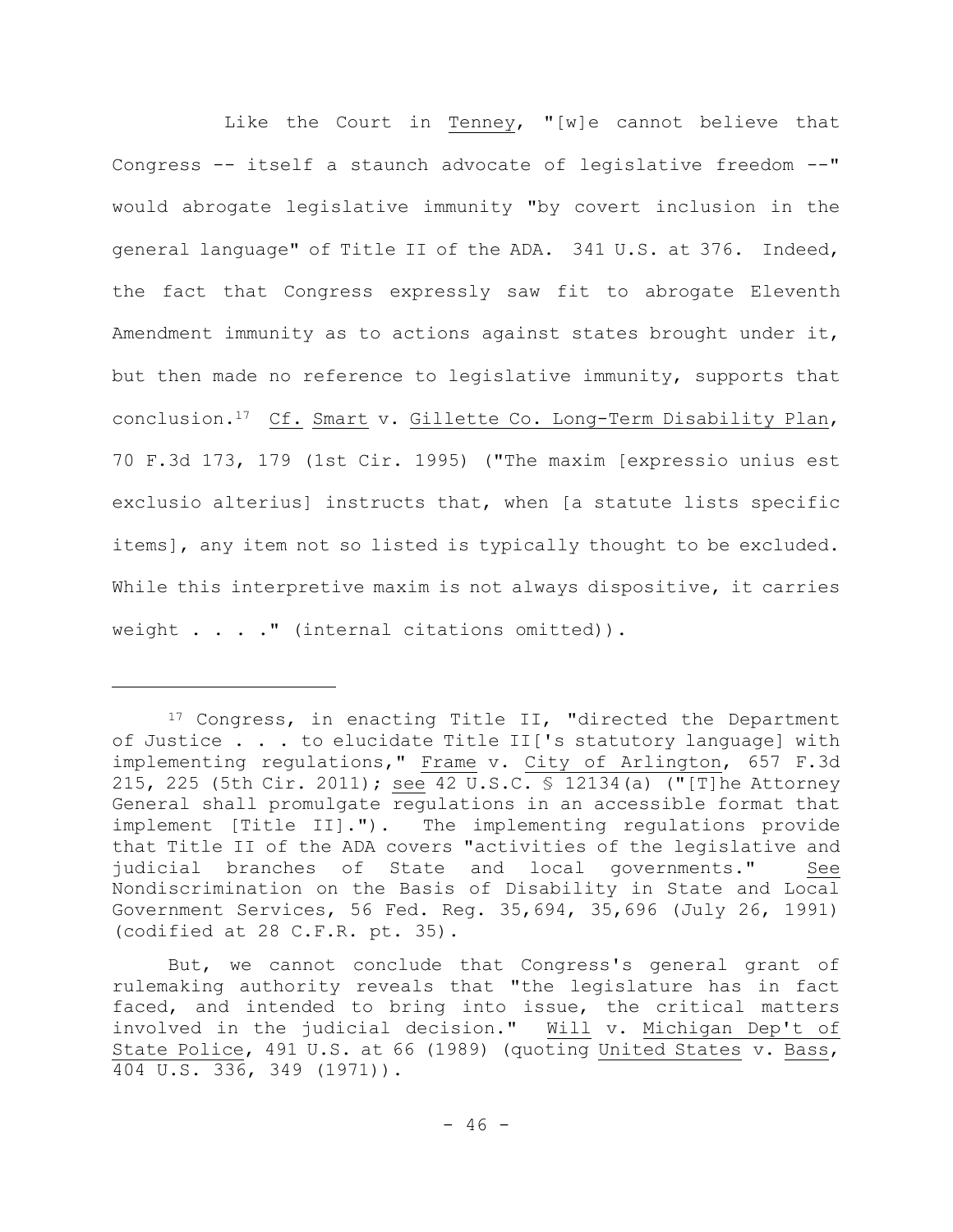Like the Court in Tenney, "[w]e cannot believe that Congress -- itself a staunch advocate of legislative freedom --" would abrogate legislative immunity "by covert inclusion in the general language" of Title II of the ADA. 341 U.S. at 376. Indeed, the fact that Congress expressly saw fit to abrogate Eleventh Amendment immunity as to actions against states brought under it, but then made no reference to legislative immunity, supports that conclusion.17 Cf. Smart v. Gillette Co. Long-Term Disability Plan, 70 F.3d 173, 179 (1st Cir. 1995) ("The maxim [expressio unius est exclusio alterius] instructs that, when [a statute lists specific items], any item not so listed is typically thought to be excluded. While this interpretive maxim is not always dispositive, it carries weight . . . . " (internal citations omitted)).

<sup>17</sup> Congress, in enacting Title II, "directed the Department of Justice . . . to elucidate Title II['s statutory language] with implementing regulations," Frame v. City of Arlington, 657 F.3d 215, 225 (5th Cir. 2011); see 42 U.S.C. § 12134(a) ("[T]he Attorney General shall promulgate regulations in an accessible format that implement [Title II]."). The implementing regulations provide that Title II of the ADA covers "activities of the legislative and judicial branches of State and local governments." See Nondiscrimination on the Basis of Disability in State and Local Government Services, 56 Fed. Reg. 35,694, 35,696 (July 26, 1991) (codified at 28 C.F.R. pt. 35).

But, we cannot conclude that Congress's general grant of rulemaking authority reveals that "the legislature has in fact faced, and intended to bring into issue, the critical matters involved in the judicial decision." Will v. Michigan Dep't of State Police, 491 U.S. at 66 (1989) (quoting United States v. Bass, 404 U.S. 336, 349 (1971)).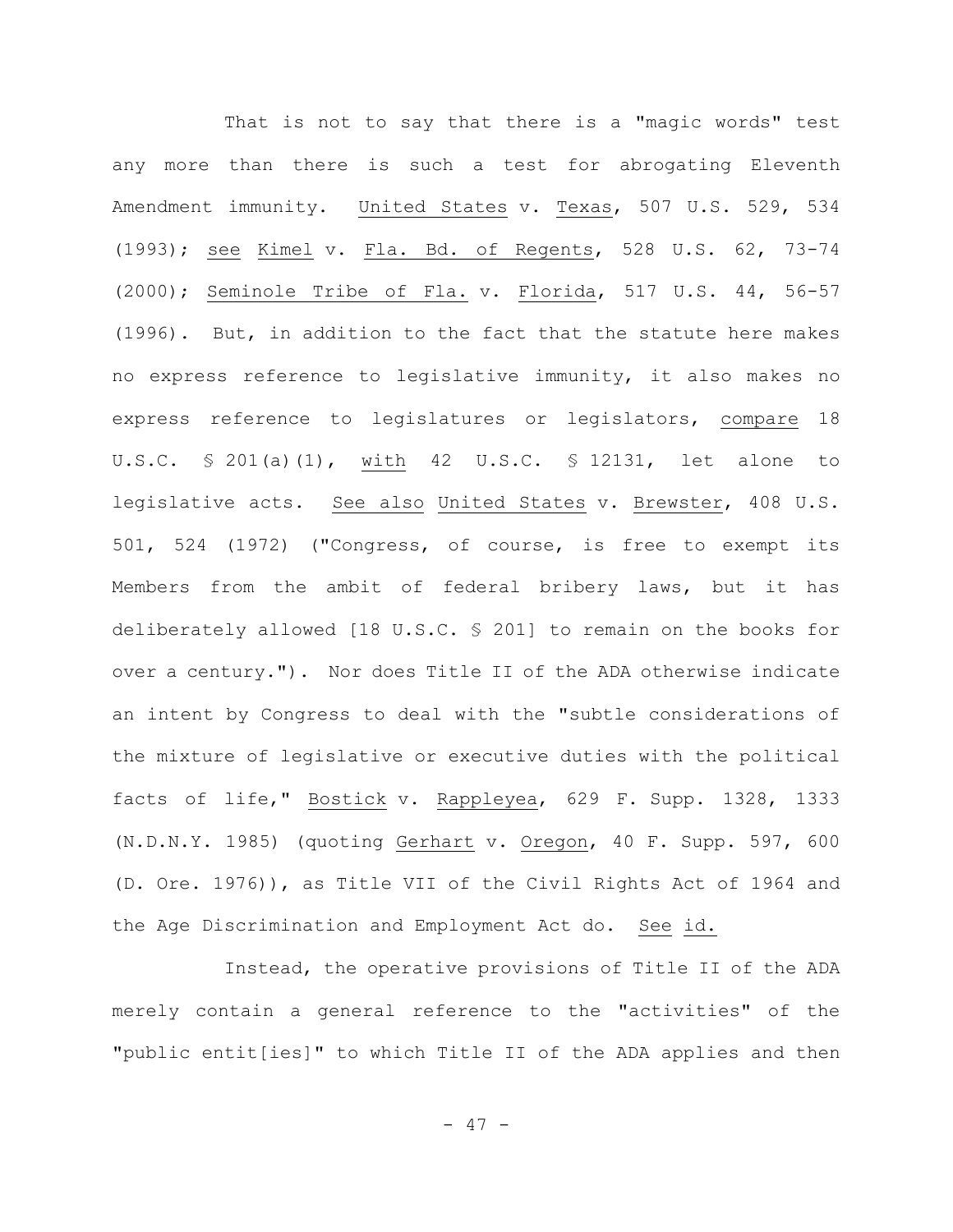That is not to say that there is a "magic words" test any more than there is such a test for abrogating Eleventh Amendment immunity. United States v. Texas, 507 U.S. 529, 534 (1993); see Kimel v. Fla. Bd. of Regents, 528 U.S. 62, 73-74 (2000); Seminole Tribe of Fla. v. Florida, 517 U.S. 44, 56-57 (1996). But, in addition to the fact that the statute here makes no express reference to legislative immunity, it also makes no express reference to legislatures or legislators, compare 18 U.S.C. § 201(a)(1), with 42 U.S.C. § 12131, let alone to legislative acts. See also United States v. Brewster, 408 U.S. 501, 524 (1972) ("Congress, of course, is free to exempt its Members from the ambit of federal bribery laws, but it has deliberately allowed [18 U.S.C. § 201] to remain on the books for over a century."). Nor does Title II of the ADA otherwise indicate an intent by Congress to deal with the "subtle considerations of the mixture of legislative or executive duties with the political facts of life," Bostick v. Rappleyea, 629 F. Supp. 1328, 1333 (N.D.N.Y. 1985) (quoting Gerhart v. Oregon, 40 F. Supp. 597, 600 (D. Ore. 1976)), as Title VII of the Civil Rights Act of 1964 and the Age Discrimination and Employment Act do. See id.

Instead, the operative provisions of Title II of the ADA merely contain a general reference to the "activities" of the "public entit[ies]" to which Title II of the ADA applies and then

- 47 -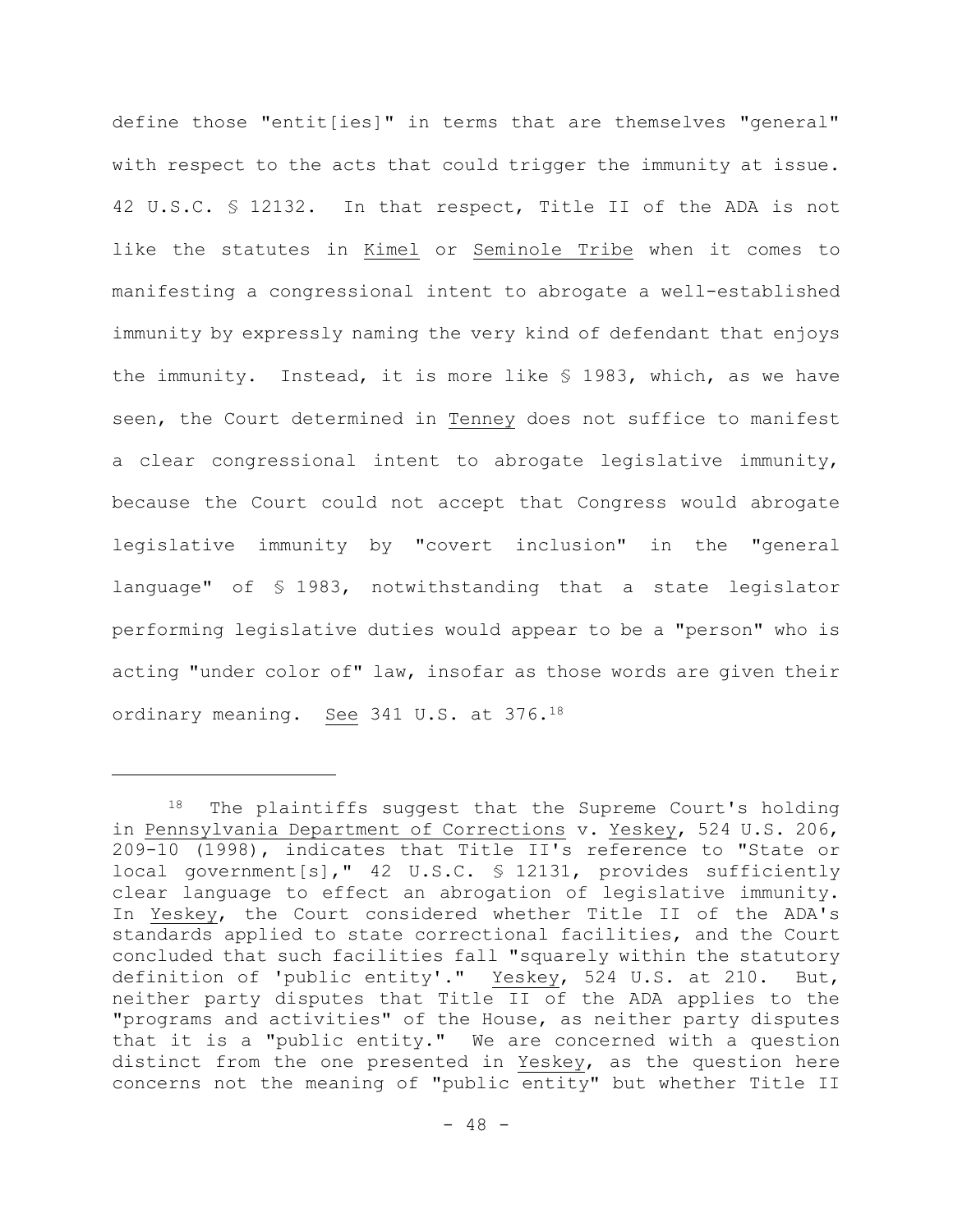define those "entit[ies]" in terms that are themselves "general" with respect to the acts that could trigger the immunity at issue. 42 U.S.C. § 12132. In that respect, Title II of the ADA is not like the statutes in Kimel or Seminole Tribe when it comes to manifesting a congressional intent to abrogate a well-established immunity by expressly naming the very kind of defendant that enjoys the immunity. Instead, it is more like § 1983, which, as we have seen, the Court determined in Tenney does not suffice to manifest a clear congressional intent to abrogate legislative immunity, because the Court could not accept that Congress would abrogate legislative immunity by "covert inclusion" in the "general language" of § 1983, notwithstanding that a state legislator performing legislative duties would appear to be a "person" who is acting "under color of" law, insofar as those words are given their ordinary meaning. See 341 U.S. at 376.<sup>18</sup>

The plaintiffs suggest that the Supreme Court's holding in Pennsylvania Department of Corrections v. Yeskey, 524 U.S. 206, 209-10 (1998), indicates that Title II's reference to "State or local government[s]," 42 U.S.C. § 12131, provides sufficiently clear language to effect an abrogation of legislative immunity. In Yeskey, the Court considered whether Title II of the ADA's standards applied to state correctional facilities, and the Court concluded that such facilities fall "squarely within the statutory definition of 'public entity'." Yeskey, 524 U.S. at 210. But, neither party disputes that Title II of the ADA applies to the "programs and activities" of the House, as neither party disputes that it is a "public entity." We are concerned with a question distinct from the one presented in Yeskey, as the question here concerns not the meaning of "public entity" but whether Title II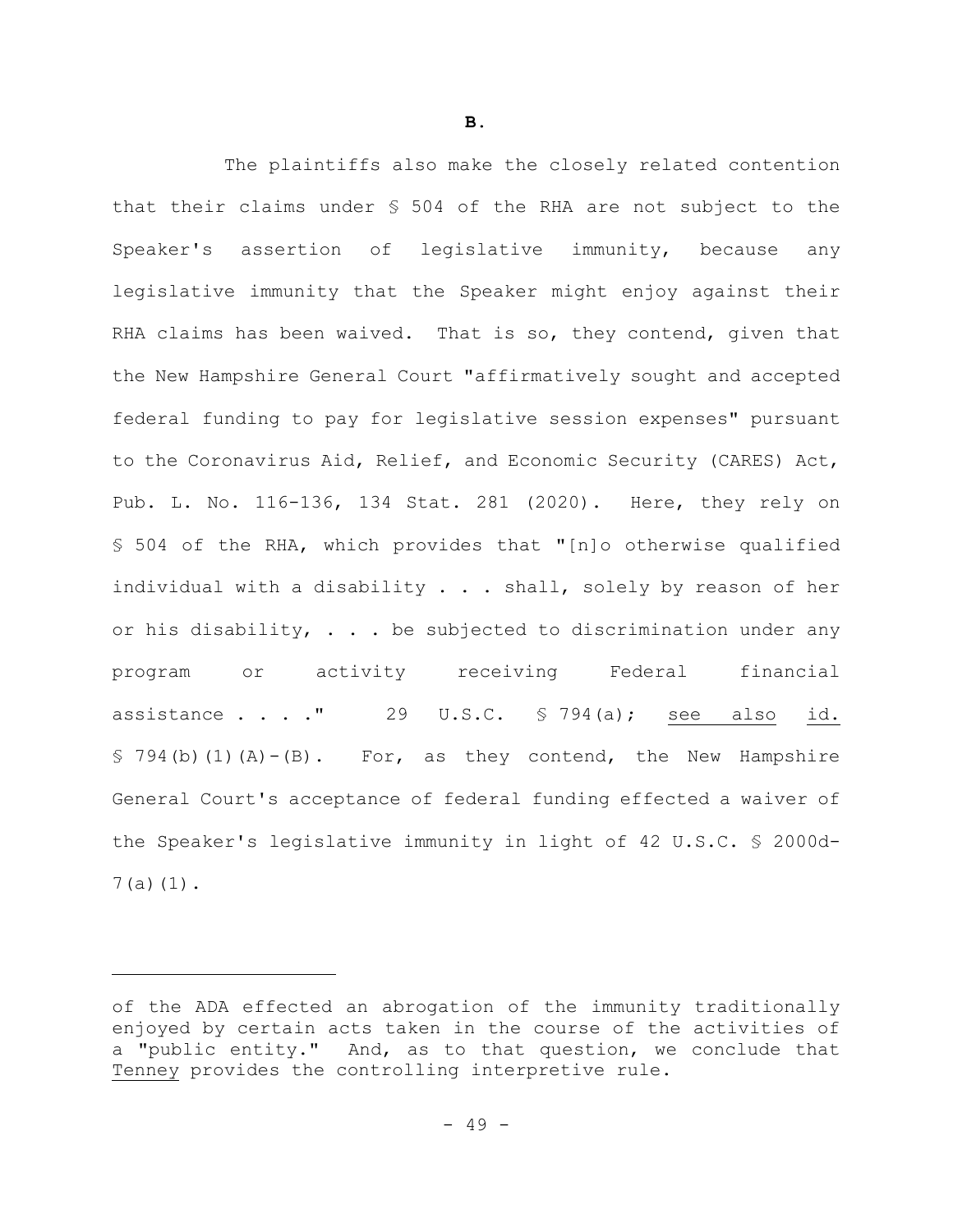The plaintiffs also make the closely related contention that their claims under § 504 of the RHA are not subject to the Speaker's assertion of legislative immunity, because any legislative immunity that the Speaker might enjoy against their RHA claims has been waived. That is so, they contend, given that the New Hampshire General Court "affirmatively sought and accepted federal funding to pay for legislative session expenses" pursuant to the Coronavirus Aid, Relief, and Economic Security (CARES) Act, Pub. L. No. 116-136, 134 Stat. 281 (2020). Here, they rely on § 504 of the RHA, which provides that "[n]o otherwise qualified individual with a disability . . . shall, solely by reason of her or his disability,  $\ldots$  be subjected to discrimination under any program or activity receiving Federal financial assistance  $\ldots$  ." 29 U.S.C. § 794(a); see also id.  $$ 794(b)(1)(A) - (B).$  For, as they contend, the New Hampshire General Court's acceptance of federal funding effected a waiver of the Speaker's legislative immunity in light of 42 U.S.C. § 2000d-7(a)(1).

of the ADA effected an abrogation of the immunity traditionally enjoyed by certain acts taken in the course of the activities of a "public entity." And, as to that question, we conclude that Tenney provides the controlling interpretive rule.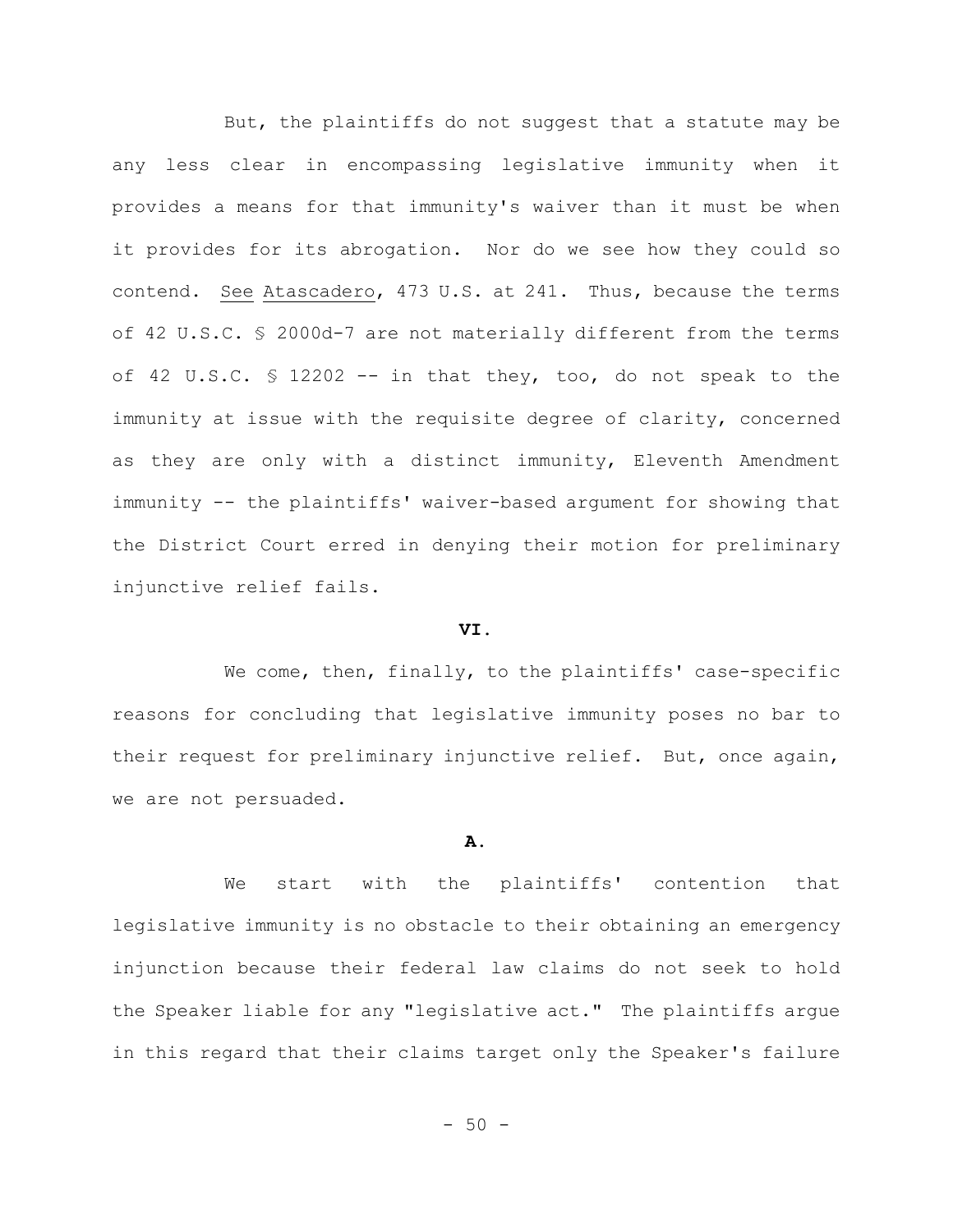But, the plaintiffs do not suggest that a statute may be any less clear in encompassing legislative immunity when it provides a means for that immunity's waiver than it must be when it provides for its abrogation. Nor do we see how they could so contend. See Atascadero, 473 U.S. at 241. Thus, because the terms of 42 U.S.C. § 2000d-7 are not materially different from the terms of 42 U.S.C. § 12202 -- in that they, too, do not speak to the immunity at issue with the requisite degree of clarity, concerned as they are only with a distinct immunity, Eleventh Amendment immunity -- the plaintiffs' waiver-based argument for showing that the District Court erred in denying their motion for preliminary injunctive relief fails.

#### **VI.**

We come, then, finally, to the plaintiffs' case-specific reasons for concluding that legislative immunity poses no bar to their request for preliminary injunctive relief. But, once again, we are not persuaded.

### **A.**

We start with the plaintiffs' contention that legislative immunity is no obstacle to their obtaining an emergency injunction because their federal law claims do not seek to hold the Speaker liable for any "legislative act." The plaintiffs argue in this regard that their claims target only the Speaker's failure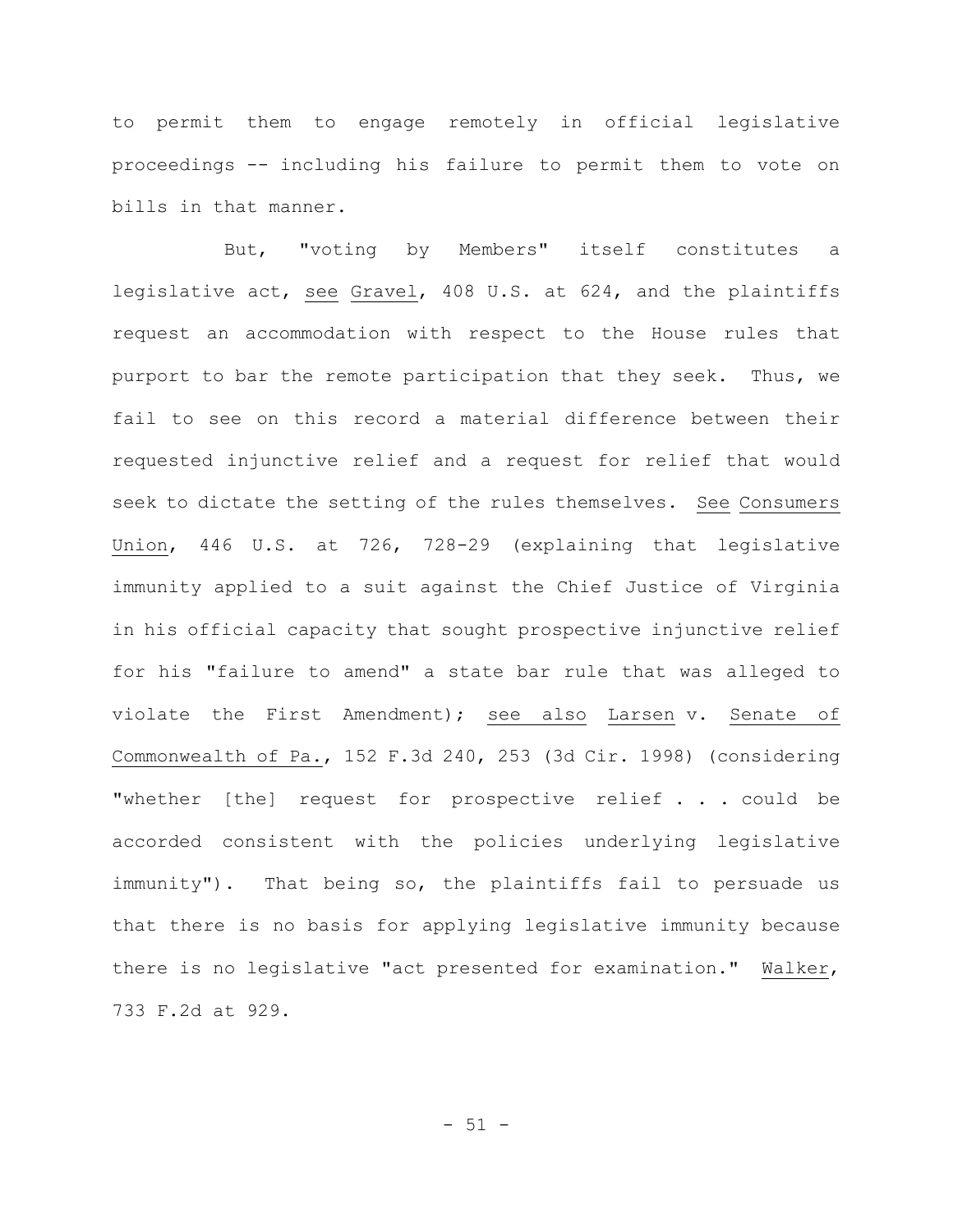to permit them to engage remotely in official legislative proceedings -- including his failure to permit them to vote on bills in that manner.

But, "voting by Members" itself constitutes a legislative act, see Gravel, 408 U.S. at 624, and the plaintiffs request an accommodation with respect to the House rules that purport to bar the remote participation that they seek. Thus, we fail to see on this record a material difference between their requested injunctive relief and a request for relief that would seek to dictate the setting of the rules themselves. See Consumers Union, 446 U.S. at 726, 728-29 (explaining that legislative immunity applied to a suit against the Chief Justice of Virginia in his official capacity that sought prospective injunctive relief for his "failure to amend" a state bar rule that was alleged to violate the First Amendment); see also Larsen v. Senate of Commonwealth of Pa., 152 F.3d 240, 253 (3d Cir. 1998) (considering "whether [the] request for prospective relief . . . could be accorded consistent with the policies underlying legislative immunity"). That being so, the plaintiffs fail to persuade us that there is no basis for applying legislative immunity because there is no legislative "act presented for examination." Walker, 733 F.2d at 929.

 $-51 -$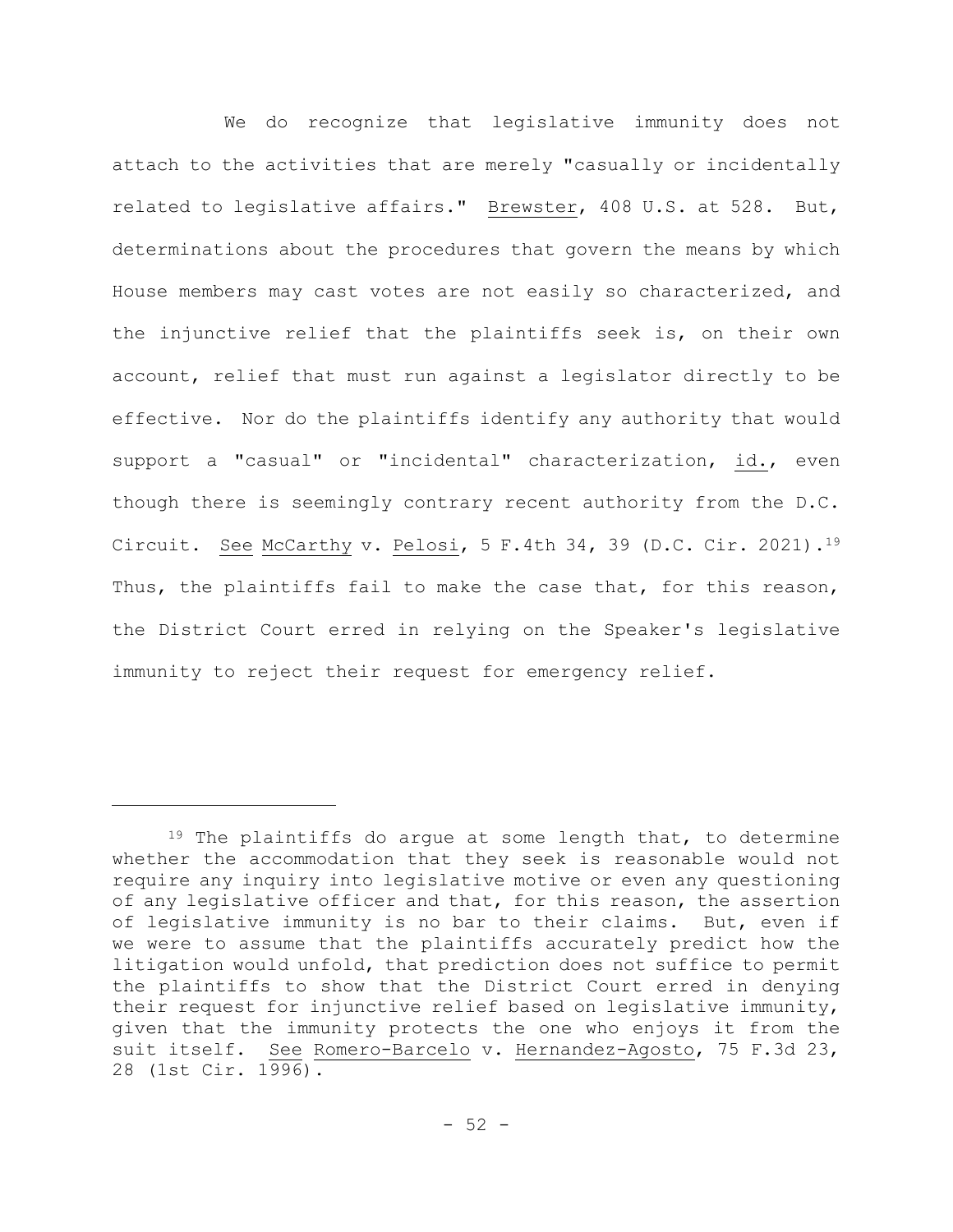We do recognize that legislative immunity does not attach to the activities that are merely "casually or incidentally related to legislative affairs." Brewster, 408 U.S. at 528. But, determinations about the procedures that govern the means by which House members may cast votes are not easily so characterized, and the injunctive relief that the plaintiffs seek is, on their own account, relief that must run against a legislator directly to be effective. Nor do the plaintiffs identify any authority that would support a "casual" or "incidental" characterization, id., even though there is seemingly contrary recent authority from the D.C. Circuit. See McCarthy v. Pelosi, 5 F.4th 34, 39 (D.C. Cir. 2021).<sup>19</sup> Thus, the plaintiffs fail to make the case that, for this reason, the District Court erred in relying on the Speaker's legislative immunity to reject their request for emergency relief.

<sup>&</sup>lt;sup>19</sup> The plaintiffs do argue at some length that, to determine whether the accommodation that they seek is reasonable would not require any inquiry into legislative motive or even any questioning of any legislative officer and that, for this reason, the assertion of legislative immunity is no bar to their claims. But, even if we were to assume that the plaintiffs accurately predict how the litigation would unfold, that prediction does not suffice to permit the plaintiffs to show that the District Court erred in denying their request for injunctive relief based on legislative immunity, given that the immunity protects the one who enjoys it from the suit itself. See Romero-Barcelo v. Hernandez-Agosto, 75 F.3d 23, 28 (1st Cir. 1996).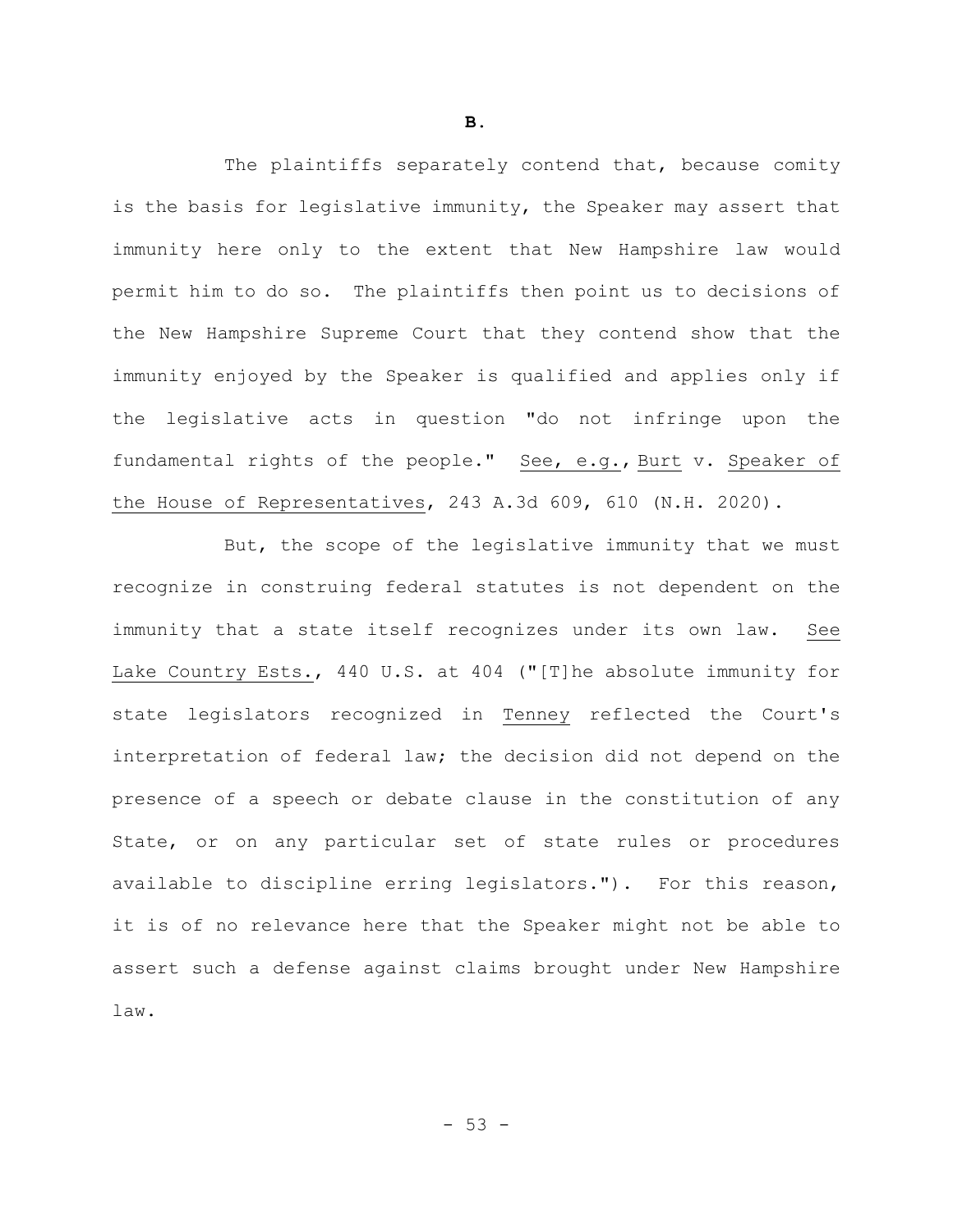The plaintiffs separately contend that, because comity is the basis for legislative immunity, the Speaker may assert that immunity here only to the extent that New Hampshire law would permit him to do so. The plaintiffs then point us to decisions of the New Hampshire Supreme Court that they contend show that the immunity enjoyed by the Speaker is qualified and applies only if the legislative acts in question "do not infringe upon the fundamental rights of the people." See, e.g., Burt v. Speaker of the House of Representatives, 243 A.3d 609, 610 (N.H. 2020).

But, the scope of the legislative immunity that we must recognize in construing federal statutes is not dependent on the immunity that a state itself recognizes under its own law. See Lake Country Ests., 440 U.S. at 404 ("[T]he absolute immunity for state legislators recognized in Tenney reflected the Court's interpretation of federal law; the decision did not depend on the presence of a speech or debate clause in the constitution of any State, or on any particular set of state rules or procedures available to discipline erring legislators."). For this reason, it is of no relevance here that the Speaker might not be able to assert such a defense against claims brought under New Hampshire law.

**B.**

 $-53 -$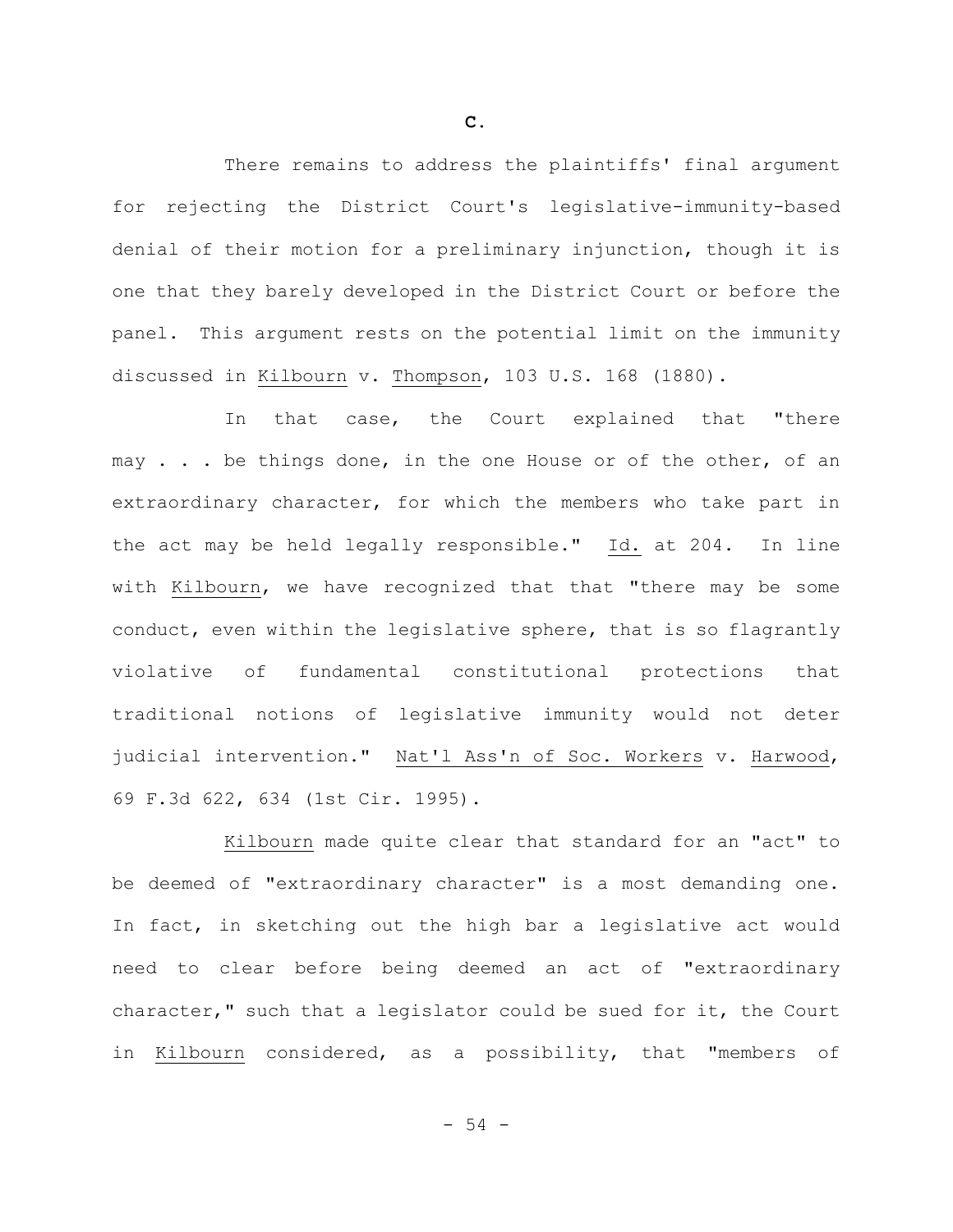There remains to address the plaintiffs' final argument for rejecting the District Court's legislative-immunity-based denial of their motion for a preliminary injunction, though it is one that they barely developed in the District Court or before the panel. This argument rests on the potential limit on the immunity discussed in Kilbourn v. Thompson, 103 U.S. 168 (1880).

In that case, the Court explained that "there may . . . be things done, in the one House or of the other, of an extraordinary character, for which the members who take part in the act may be held legally responsible." Id. at 204. In line with Kilbourn, we have recognized that that "there may be some conduct, even within the legislative sphere, that is so flagrantly violative of fundamental constitutional protections that traditional notions of legislative immunity would not deter judicial intervention." Nat'l Ass'n of Soc. Workers v. Harwood, 69 F.3d 622, 634 (1st Cir. 1995).

Kilbourn made quite clear that standard for an "act" to be deemed of "extraordinary character" is a most demanding one. In fact, in sketching out the high bar a legislative act would need to clear before being deemed an act of "extraordinary character," such that a legislator could be sued for it, the Court in Kilbourn considered, as a possibility, that "members of

**C.**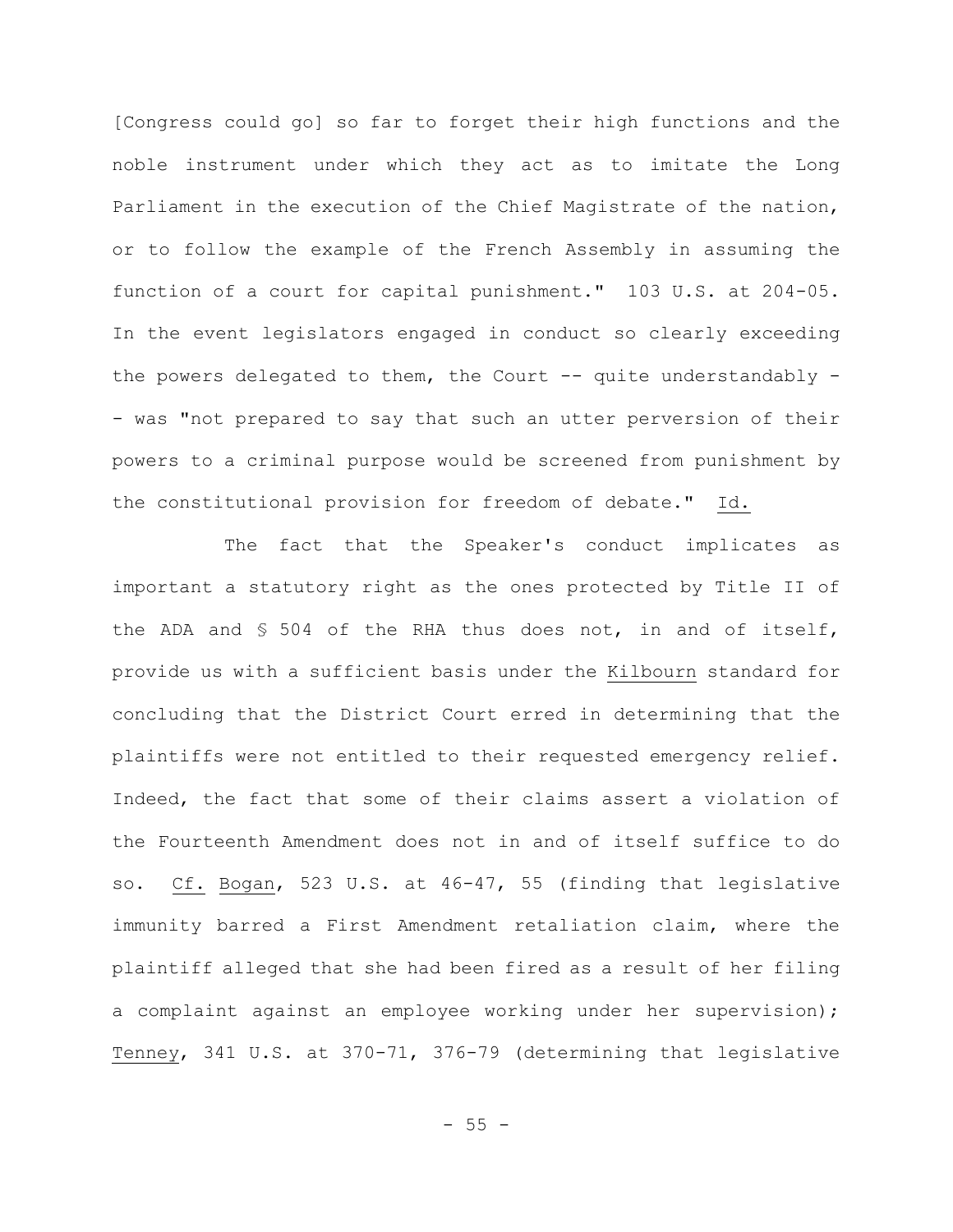[Congress could go] so far to forget their high functions and the noble instrument under which they act as to imitate the Long Parliament in the execution of the Chief Magistrate of the nation, or to follow the example of the French Assembly in assuming the function of a court for capital punishment." 103 U.S. at 204-05. In the event legislators engaged in conduct so clearly exceeding the powers delegated to them, the Court  $-$  quite understandably  $-$ - was "not prepared to say that such an utter perversion of their powers to a criminal purpose would be screened from punishment by the constitutional provision for freedom of debate." Id.

The fact that the Speaker's conduct implicates as important a statutory right as the ones protected by Title II of the ADA and § 504 of the RHA thus does not, in and of itself, provide us with a sufficient basis under the Kilbourn standard for concluding that the District Court erred in determining that the plaintiffs were not entitled to their requested emergency relief. Indeed, the fact that some of their claims assert a violation of the Fourteenth Amendment does not in and of itself suffice to do so. Cf. Bogan, 523 U.S. at 46-47, 55 (finding that legislative immunity barred a First Amendment retaliation claim, where the plaintiff alleged that she had been fired as a result of her filing a complaint against an employee working under her supervision); Tenney, 341 U.S. at 370-71, 376-79 (determining that legislative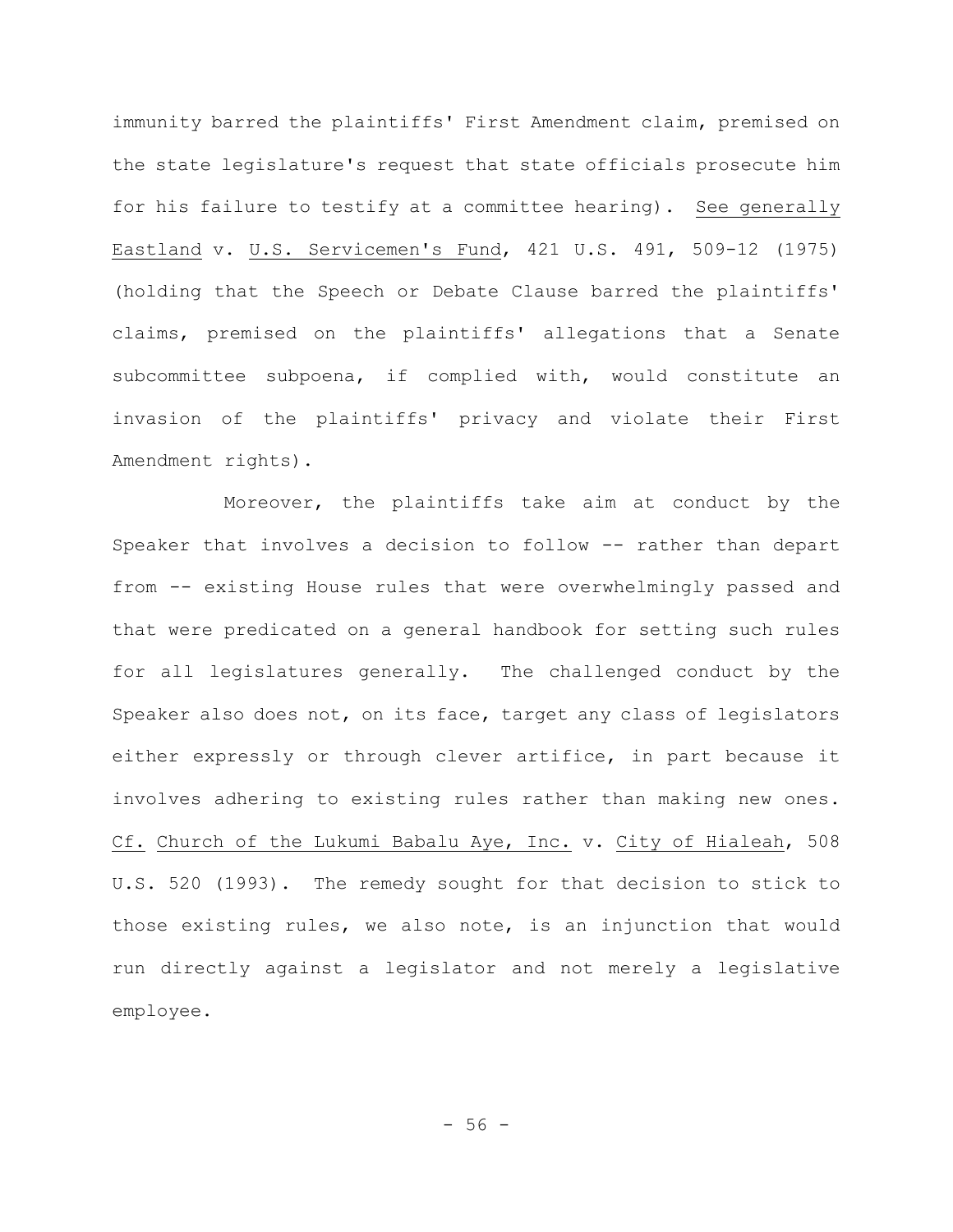immunity barred the plaintiffs' First Amendment claim, premised on the state legislature's request that state officials prosecute him for his failure to testify at a committee hearing). See generally Eastland v. U.S. Servicemen's Fund, 421 U.S. 491, 509-12 (1975) (holding that the Speech or Debate Clause barred the plaintiffs' claims, premised on the plaintiffs' allegations that a Senate subcommittee subpoena, if complied with, would constitute an invasion of the plaintiffs' privacy and violate their First Amendment rights).

Moreover, the plaintiffs take aim at conduct by the Speaker that involves a decision to follow -- rather than depart from -- existing House rules that were overwhelmingly passed and that were predicated on a general handbook for setting such rules for all legislatures generally. The challenged conduct by the Speaker also does not, on its face, target any class of legislators either expressly or through clever artifice, in part because it involves adhering to existing rules rather than making new ones. Cf. Church of the Lukumi Babalu Aye, Inc. v. City of Hialeah, 508 U.S. 520 (1993). The remedy sought for that decision to stick to those existing rules, we also note, is an injunction that would run directly against a legislator and not merely a legislative employee.

 $-56 -$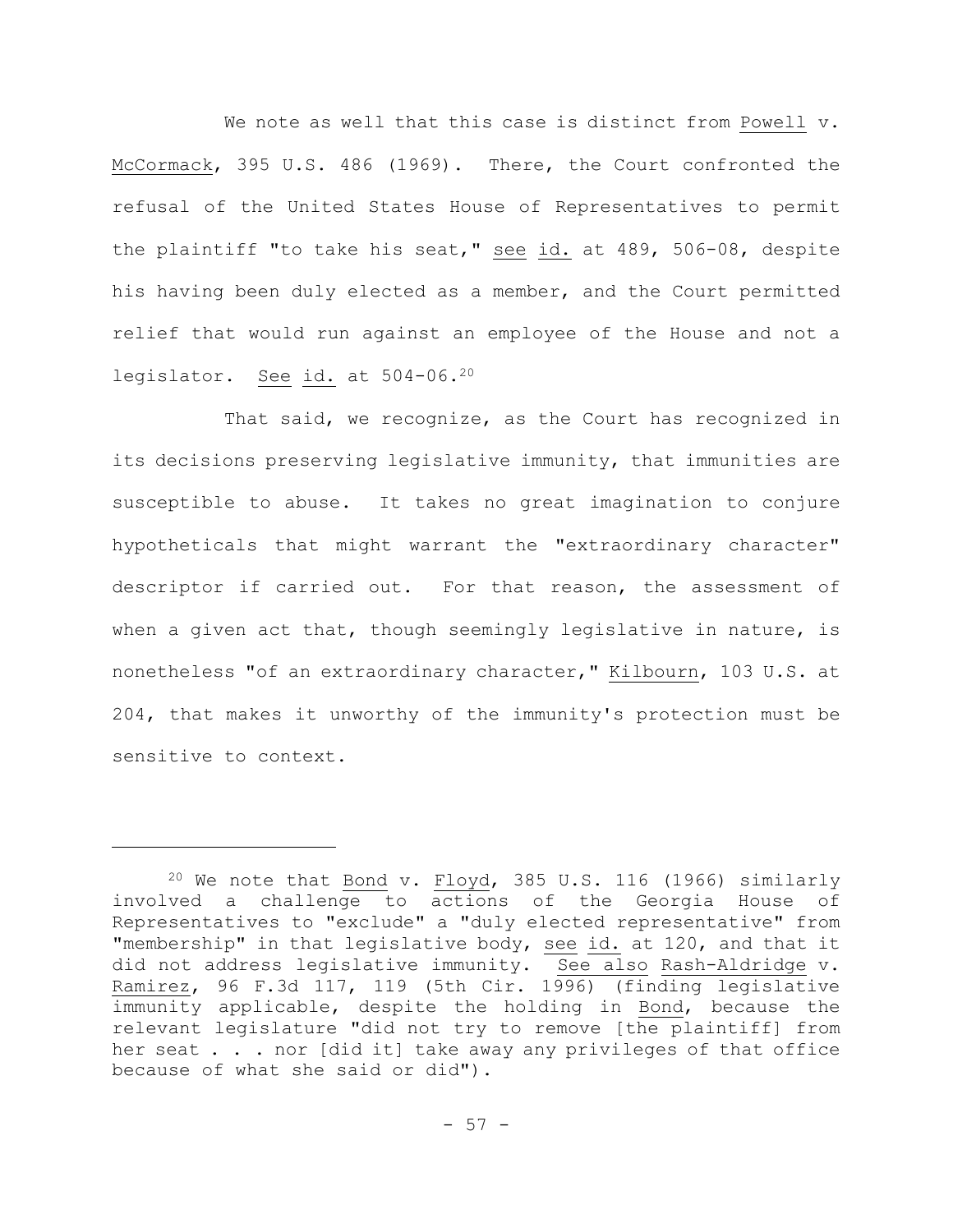We note as well that this case is distinct from Powell v. McCormack, 395 U.S. 486 (1969). There, the Court confronted the refusal of the United States House of Representatives to permit the plaintiff "to take his seat," see id. at 489, 506-08, despite his having been duly elected as a member, and the Court permitted relief that would run against an employee of the House and not a legislator. See id. at 504-06.<sup>20</sup>

That said, we recognize, as the Court has recognized in its decisions preserving legislative immunity, that immunities are susceptible to abuse. It takes no great imagination to conjure hypotheticals that might warrant the "extraordinary character" descriptor if carried out. For that reason, the assessment of when a given act that, though seemingly legislative in nature, is nonetheless "of an extraordinary character," Kilbourn, 103 U.S. at 204, that makes it unworthy of the immunity's protection must be sensitive to context.

 $20$  We note that Bond v. Floyd, 385 U.S. 116 (1966) similarly involved a challenge to actions of the Georgia House of Representatives to "exclude" a "duly elected representative" from "membership" in that legislative body, see id. at 120, and that it did not address legislative immunity. See also Rash-Aldridge v. Ramirez, 96 F.3d 117, 119 (5th Cir. 1996) (finding legislative immunity applicable, despite the holding in Bond, because the relevant legislature "did not try to remove [the plaintiff] from her seat . . . nor [did it] take away any privileges of that office because of what she said or did").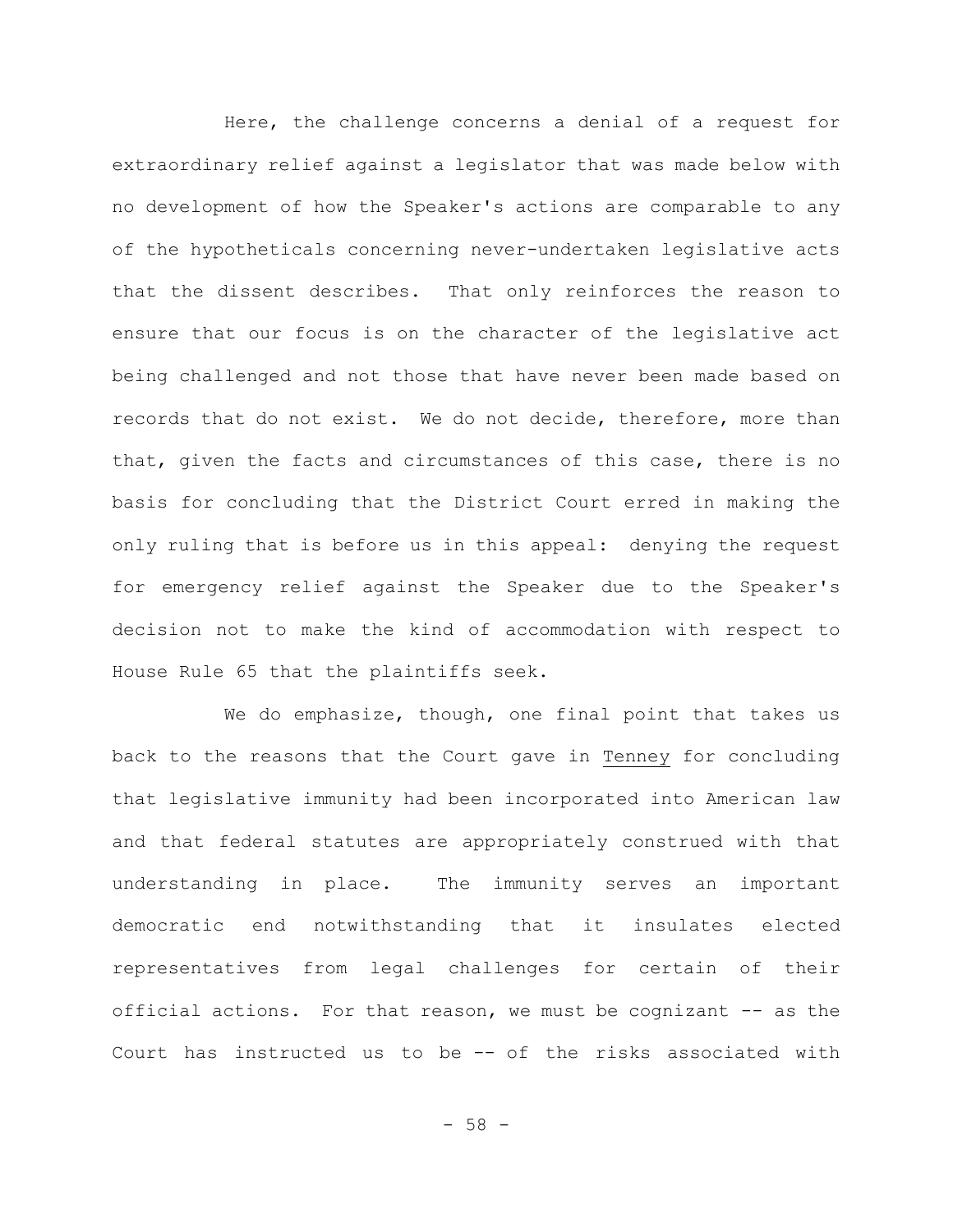Here, the challenge concerns a denial of a request for extraordinary relief against a legislator that was made below with no development of how the Speaker's actions are comparable to any of the hypotheticals concerning never-undertaken legislative acts that the dissent describes. That only reinforces the reason to ensure that our focus is on the character of the legislative act being challenged and not those that have never been made based on records that do not exist. We do not decide, therefore, more than that, given the facts and circumstances of this case, there is no basis for concluding that the District Court erred in making the only ruling that is before us in this appeal: denying the request for emergency relief against the Speaker due to the Speaker's decision not to make the kind of accommodation with respect to House Rule 65 that the plaintiffs seek.

We do emphasize, though, one final point that takes us back to the reasons that the Court gave in Tenney for concluding that legislative immunity had been incorporated into American law and that federal statutes are appropriately construed with that understanding in place. The immunity serves an important democratic end notwithstanding that it insulates elected representatives from legal challenges for certain of their official actions. For that reason, we must be cognizant -- as the Court has instructed us to be -- of the risks associated with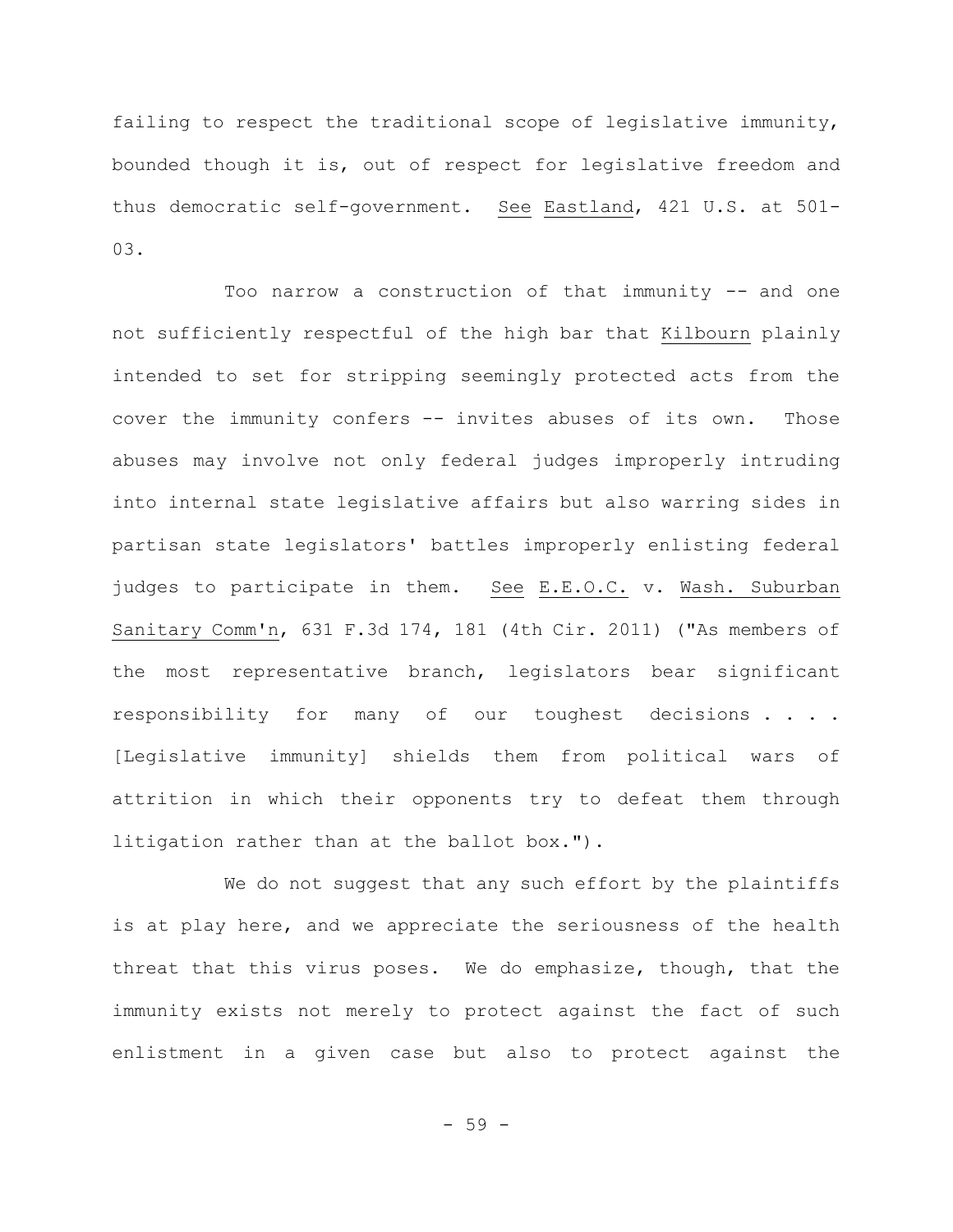failing to respect the traditional scope of legislative immunity, bounded though it is, out of respect for legislative freedom and thus democratic self-government. See Eastland, 421 U.S. at 501- 03.

Too narrow a construction of that immunity -- and one not sufficiently respectful of the high bar that Kilbourn plainly intended to set for stripping seemingly protected acts from the cover the immunity confers -- invites abuses of its own. Those abuses may involve not only federal judges improperly intruding into internal state legislative affairs but also warring sides in partisan state legislators' battles improperly enlisting federal judges to participate in them. See E.E.O.C. v. Wash. Suburban Sanitary Comm'n, 631 F.3d 174, 181 (4th Cir. 2011) ("As members of the most representative branch, legislators bear significant responsibility for many of our toughest decisions . . . . [Legislative immunity] shields them from political wars of attrition in which their opponents try to defeat them through litigation rather than at the ballot box.").

We do not suggest that any such effort by the plaintiffs is at play here, and we appreciate the seriousness of the health threat that this virus poses. We do emphasize, though, that the immunity exists not merely to protect against the fact of such enlistment in a given case but also to protect against the

- 59 -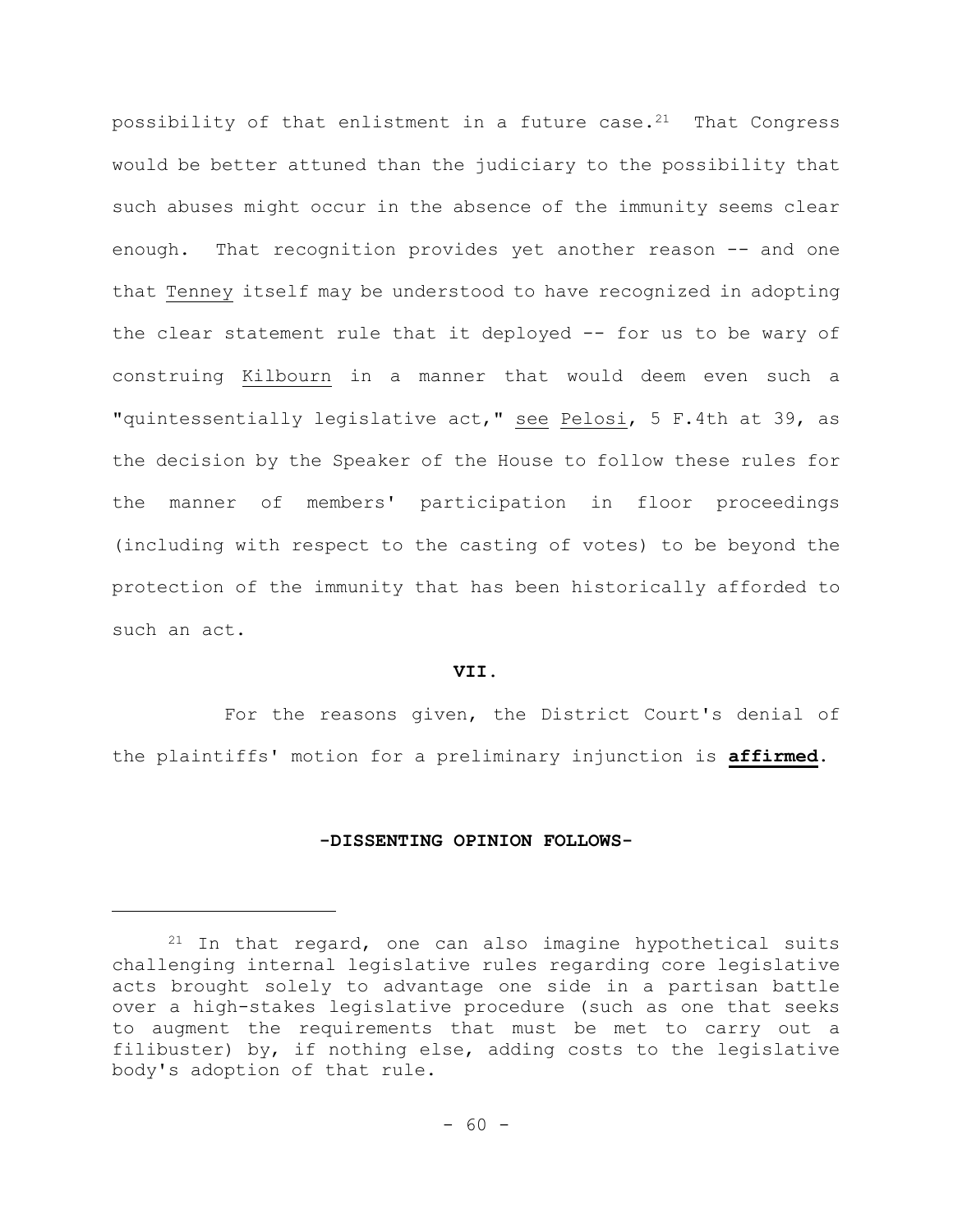possibility of that enlistment in a future case. $21$  That Congress would be better attuned than the judiciary to the possibility that such abuses might occur in the absence of the immunity seems clear enough. That recognition provides yet another reason -- and one that Tenney itself may be understood to have recognized in adopting the clear statement rule that it deployed -- for us to be wary of construing Kilbourn in a manner that would deem even such a "quintessentially legislative act," see Pelosi, 5 F.4th at 39, as the decision by the Speaker of the House to follow these rules for the manner of members' participation in floor proceedings (including with respect to the casting of votes) to be beyond the protection of the immunity that has been historically afforded to such an act.

### **VII.**

For the reasons given, the District Court's denial of the plaintiffs' motion for a preliminary injunction is **affirmed**.

#### **-DISSENTING OPINION FOLLOWS-**

<sup>21</sup> In that regard, one can also imagine hypothetical suits challenging internal legislative rules regarding core legislative acts brought solely to advantage one side in a partisan battle over a high-stakes legislative procedure (such as one that seeks to augment the requirements that must be met to carry out a filibuster) by, if nothing else, adding costs to the legislative body's adoption of that rule.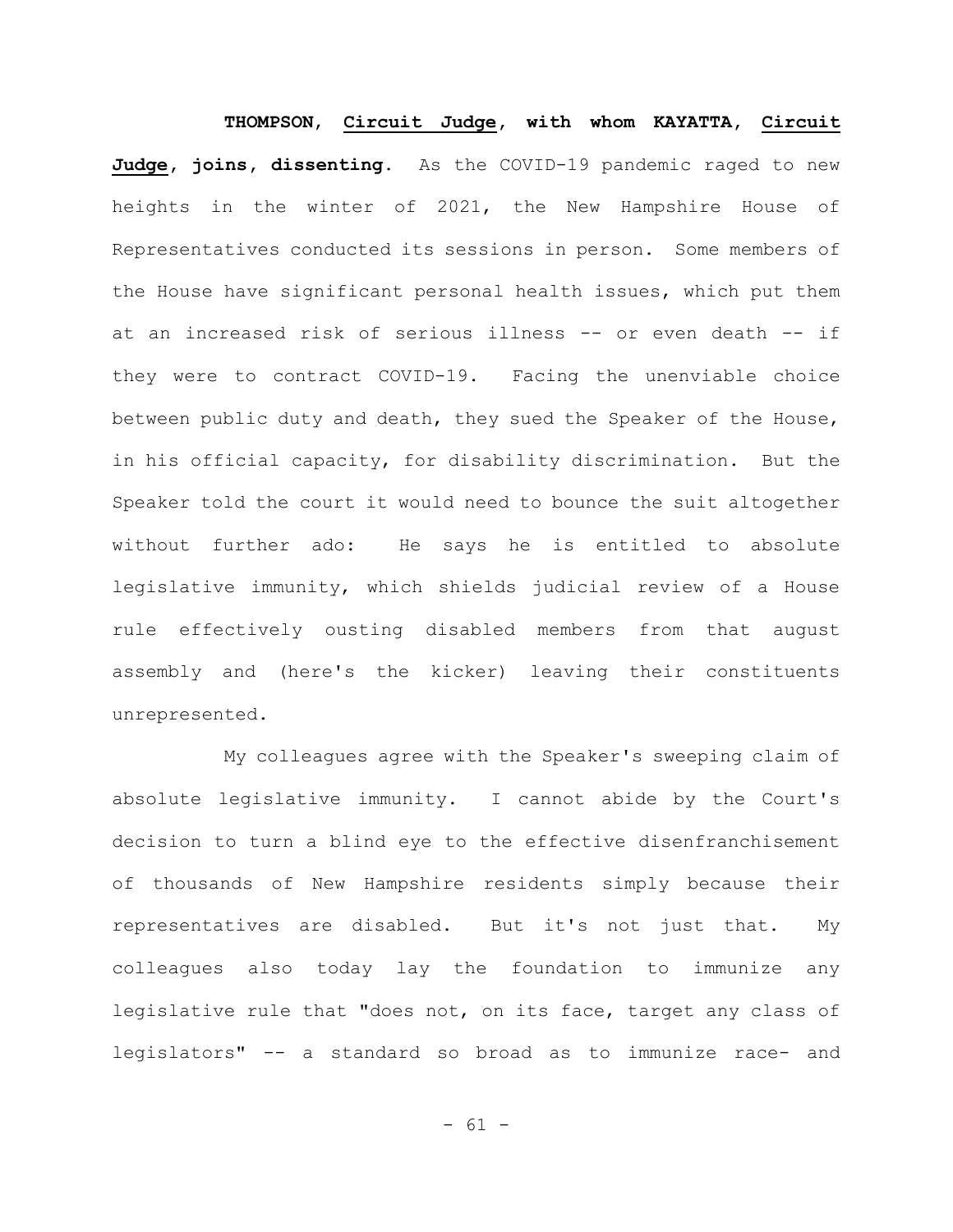**THOMPSON**, **Circuit Judge, with whom KAYATTA, Circuit Judge, joins, dissenting**. As the COVID-19 pandemic raged to new heights in the winter of 2021, the New Hampshire House of Representatives conducted its sessions in person. Some members of the House have significant personal health issues, which put them at an increased risk of serious illness -- or even death -- if they were to contract COVID-19. Facing the unenviable choice between public duty and death, they sued the Speaker of the House, in his official capacity, for disability discrimination. But the Speaker told the court it would need to bounce the suit altogether without further ado: He says he is entitled to absolute legislative immunity, which shields judicial review of a House rule effectively ousting disabled members from that august assembly and (here's the kicker) leaving their constituents unrepresented.

My colleagues agree with the Speaker's sweeping claim of absolute legislative immunity. I cannot abide by the Court's decision to turn a blind eye to the effective disenfranchisement of thousands of New Hampshire residents simply because their representatives are disabled. But it's not just that. My colleagues also today lay the foundation to immunize any legislative rule that "does not, on its face, target any class of legislators" -- a standard so broad as to immunize race- and

 $- 61 -$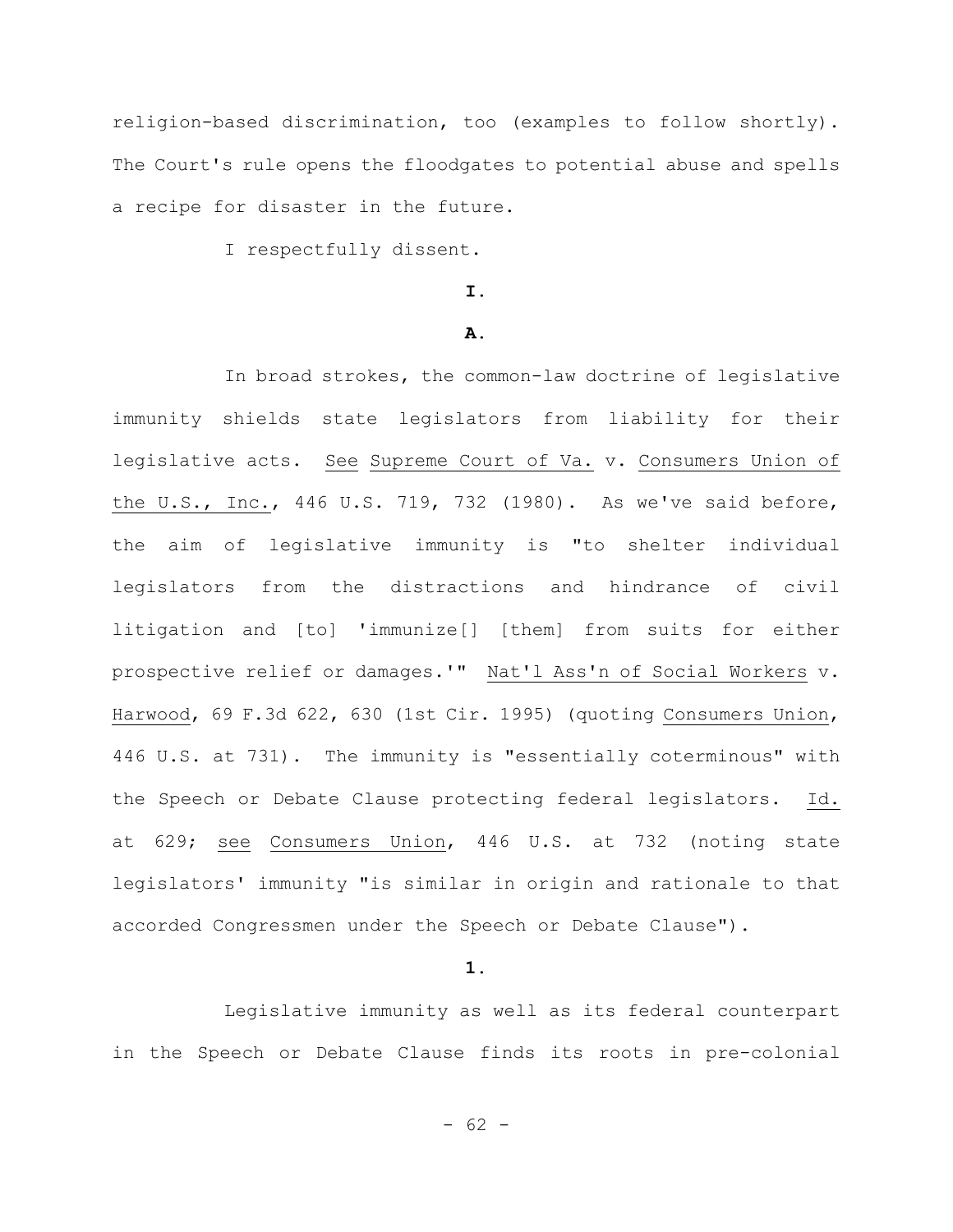religion-based discrimination, too (examples to follow shortly). The Court's rule opens the floodgates to potential abuse and spells a recipe for disaster in the future.

I respectfully dissent.

## **I.**

#### **A.**

In broad strokes, the common-law doctrine of legislative immunity shields state legislators from liability for their legislative acts. See Supreme Court of Va. v. Consumers Union of the U.S., Inc., 446 U.S. 719, 732 (1980). As we've said before, the aim of legislative immunity is "to shelter individual legislators from the distractions and hindrance of civil litigation and [to] 'immunize[] [them] from suits for either prospective relief or damages.'" Nat'l Ass'n of Social Workers v. Harwood, 69 F.3d 622, 630 (1st Cir. 1995) (quoting Consumers Union, 446 U.S. at 731). The immunity is "essentially coterminous" with the Speech or Debate Clause protecting federal legislators. Id. at 629; see Consumers Union, 446 U.S. at 732 (noting state legislators' immunity "is similar in origin and rationale to that accorded Congressmen under the Speech or Debate Clause").

**1.**

Legislative immunity as well as its federal counterpart in the Speech or Debate Clause finds its roots in pre-colonial

 $- 62 -$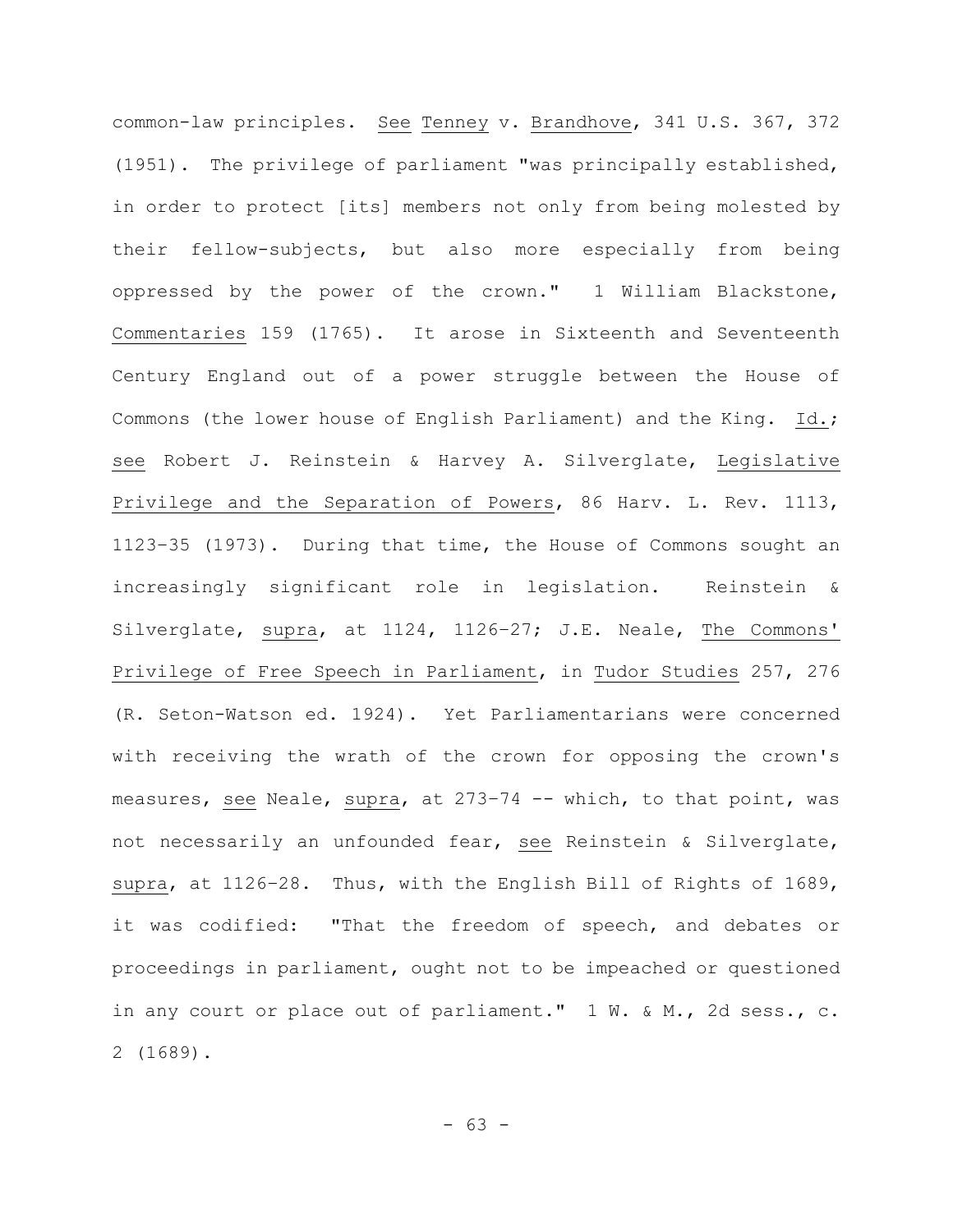common-law principles. See Tenney v. Brandhove, 341 U.S. 367, 372 (1951). The privilege of parliament "was principally established, in order to protect [its] members not only from being molested by their fellow-subjects, but also more especially from being oppressed by the power of the crown." 1 William Blackstone, Commentaries 159 (1765). It arose in Sixteenth and Seventeenth Century England out of a power struggle between the House of Commons (the lower house of English Parliament) and the King. Id.; see Robert J. Reinstein & Harvey A. Silverglate, Legislative Privilege and the Separation of Powers, 86 Harv. L. Rev. 1113, 1123–35 (1973). During that time, the House of Commons sought an increasingly significant role in legislation. Reinstein & Silverglate, supra, at 1124, 1126–27; J.E. Neale, The Commons' Privilege of Free Speech in Parliament, in Tudor Studies 257, 276 (R. Seton-Watson ed. 1924). Yet Parliamentarians were concerned with receiving the wrath of the crown for opposing the crown's measures, see Neale, supra, at 273–74 -- which, to that point, was not necessarily an unfounded fear, see Reinstein & Silverglate, supra, at 1126–28. Thus, with the English Bill of Rights of 1689, it was codified: "That the freedom of speech, and debates or proceedings in parliament, ought not to be impeached or questioned in any court or place out of parliament."  $1 \text{ W. } \text{W. } \text{A}$  M., 2d sess., c. 2 (1689).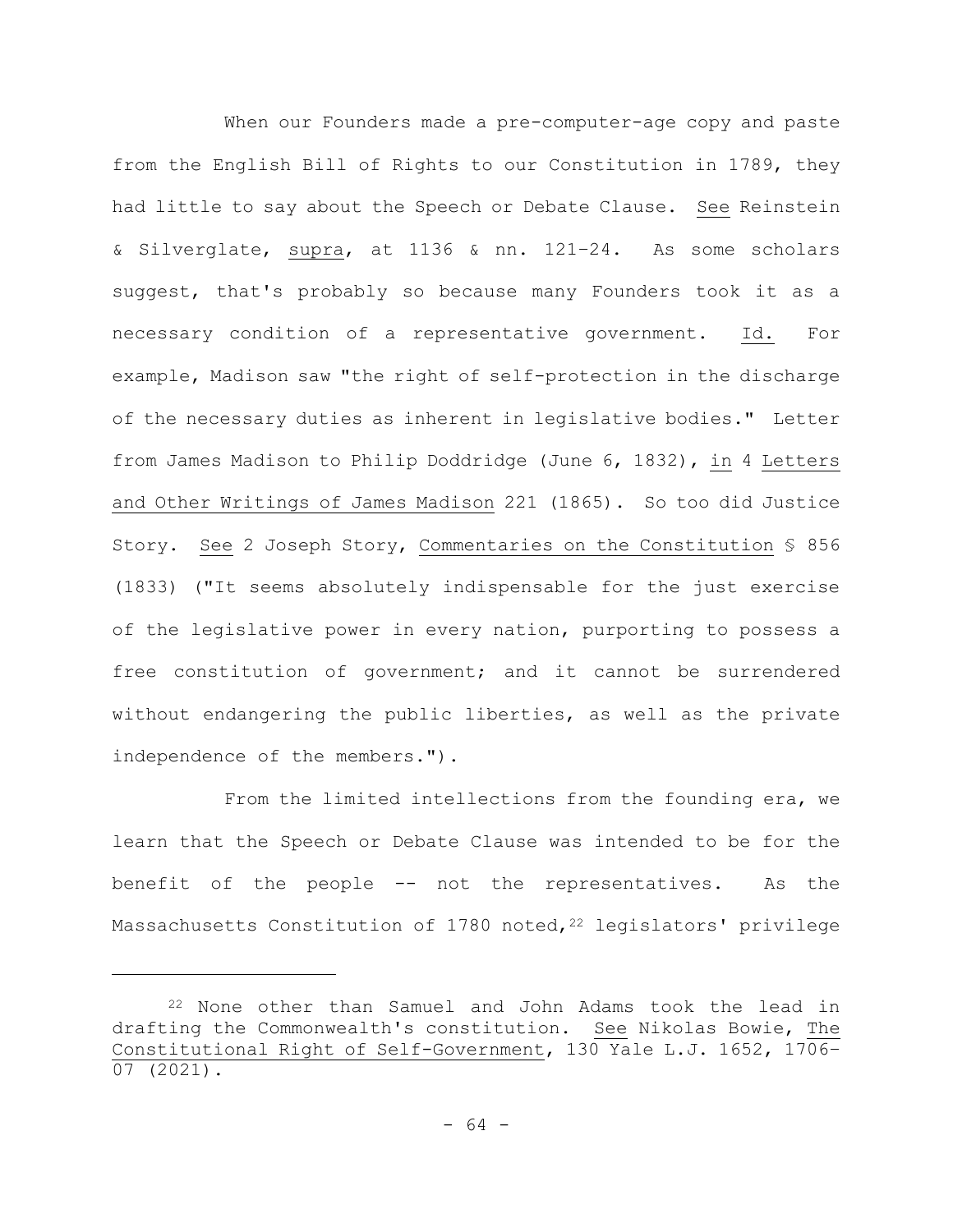When our Founders made a pre-computer-age copy and paste from the English Bill of Rights to our Constitution in 1789, they had little to say about the Speech or Debate Clause. See Reinstein & Silverglate, supra, at 1136 & nn. 121–24. As some scholars suggest, that's probably so because many Founders took it as a necessary condition of a representative government. Id. For example, Madison saw "the right of self-protection in the discharge of the necessary duties as inherent in legislative bodies." Letter from James Madison to Philip Doddridge (June 6, 1832), in 4 Letters and Other Writings of James Madison 221 (1865). So too did Justice Story. See 2 Joseph Story, Commentaries on the Constitution § 856 (1833) ("It seems absolutely indispensable for the just exercise of the legislative power in every nation, purporting to possess a free constitution of government; and it cannot be surrendered without endangering the public liberties, as well as the private independence of the members.").

From the limited intellections from the founding era, we learn that the Speech or Debate Clause was intended to be for the benefit of the people -- not the representatives. As the Massachusetts Constitution of 1780 noted, <sup>22</sup> legislators' privilege

<sup>22</sup> None other than Samuel and John Adams took the lead in drafting the Commonwealth's constitution. See Nikolas Bowie, The Constitutional Right of Self-Government, 130 Yale L.J. 1652, 1706– 07 (2021).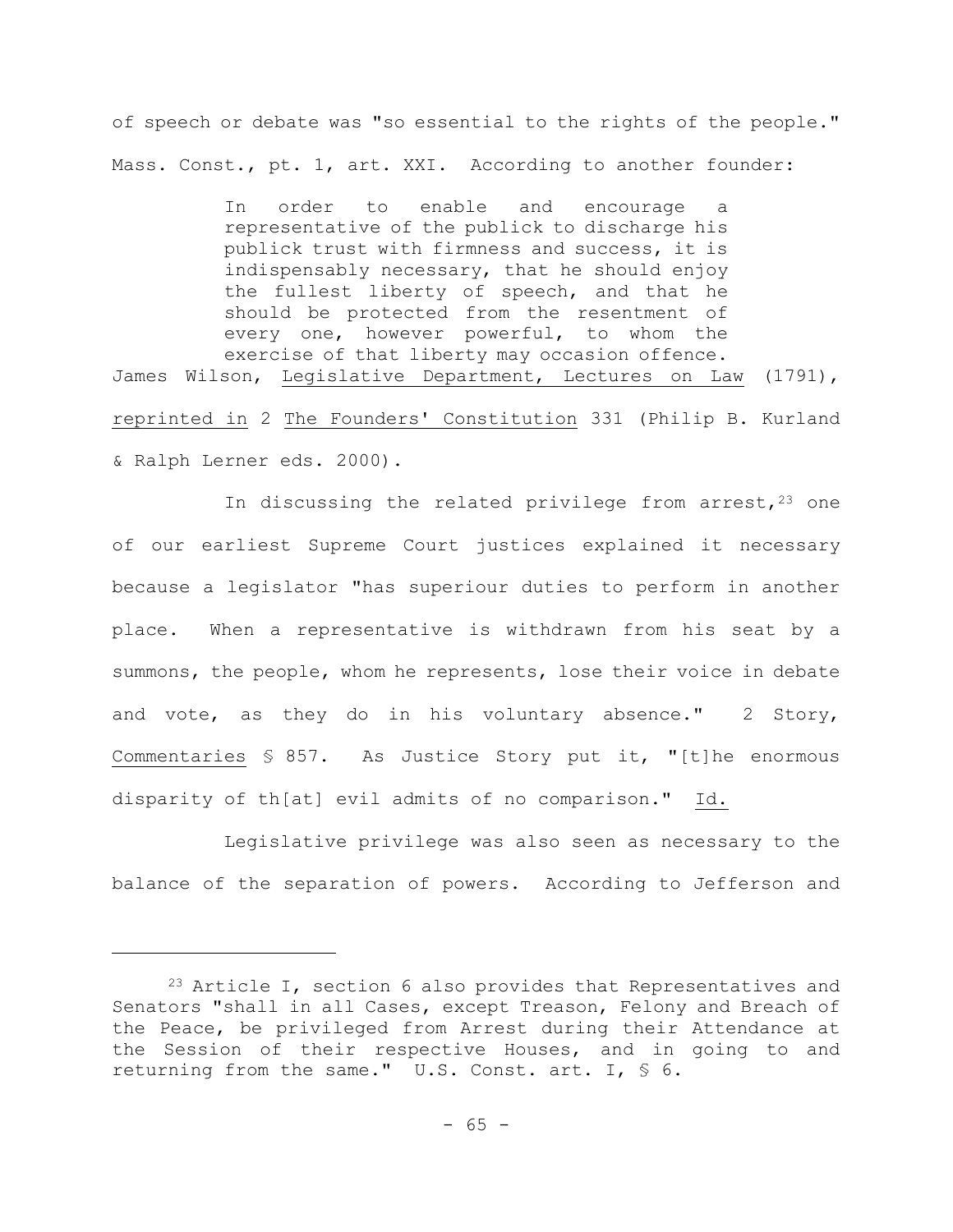of speech or debate was "so essential to the rights of the people." Mass. Const., pt. 1, art. XXI. According to another founder:

In order to enable and encourage a representative of the publick to discharge his publick trust with firmness and success, it is indispensably necessary, that he should enjoy the fullest liberty of speech, and that he should be protected from the resentment of every one, however powerful, to whom the exercise of that liberty may occasion offence. James Wilson, Legislative Department, Lectures on Law (1791), reprinted in 2 The Founders' Constitution 331 (Philip B. Kurland & Ralph Lerner eds. 2000).

In discussing the related privilege from arrest,  $23$  one of our earliest Supreme Court justices explained it necessary because a legislator "has superiour duties to perform in another place. When a representative is withdrawn from his seat by a summons, the people, whom he represents, lose their voice in debate and vote, as they do in his voluntary absence." 2 Story, Commentaries § 857. As Justice Story put it, "[t]he enormous disparity of th[at] evil admits of no comparison." Id.

Legislative privilege was also seen as necessary to the balance of the separation of powers. According to Jefferson and

<sup>&</sup>lt;sup>23</sup> Article I, section 6 also provides that Representatives and Senators "shall in all Cases, except Treason, Felony and Breach of the Peace, be privileged from Arrest during their Attendance at the Session of their respective Houses, and in going to and returning from the same." U.S. Const. art. I, § 6.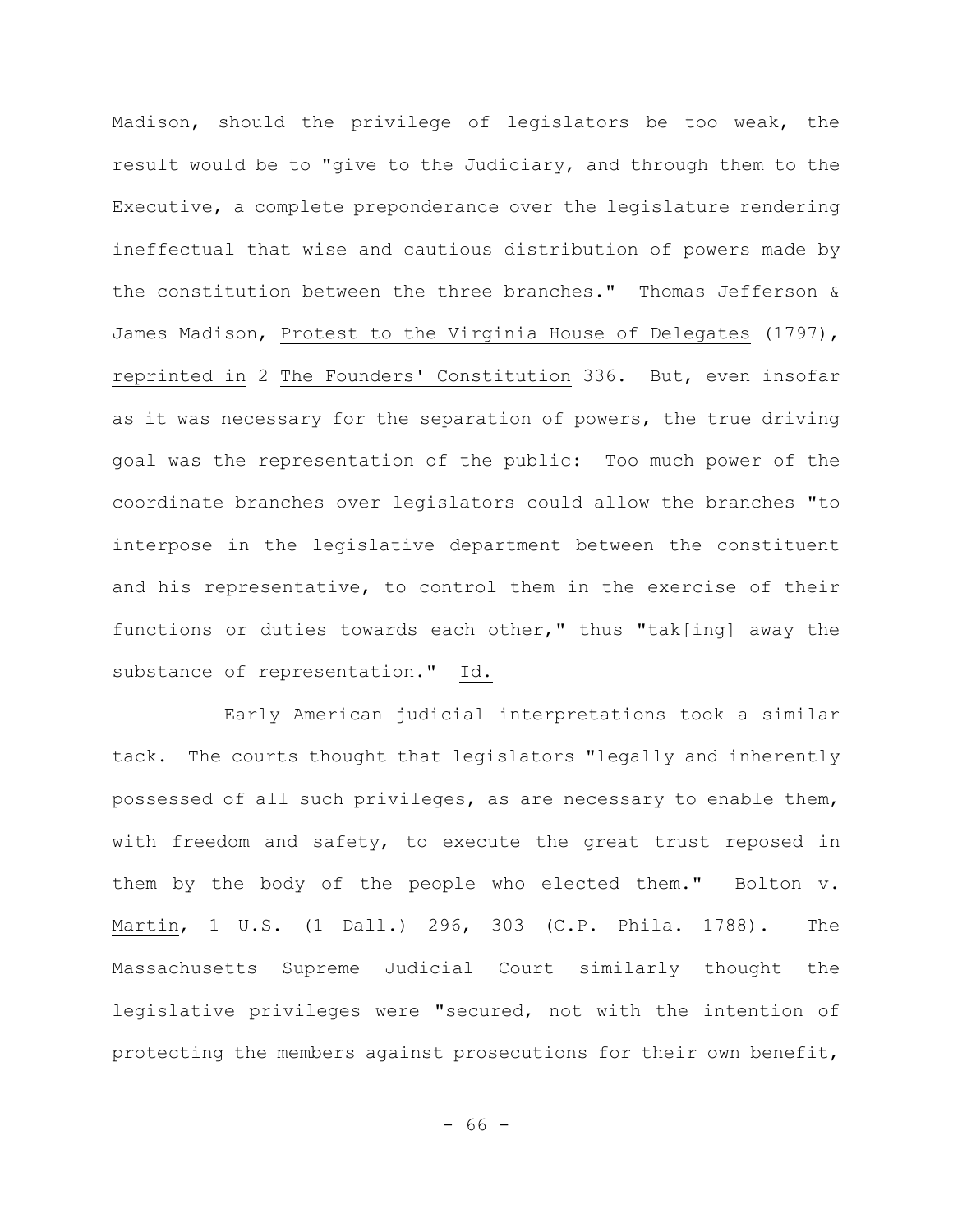Madison, should the privilege of legislators be too weak, the result would be to "give to the Judiciary, and through them to the Executive, a complete preponderance over the legislature rendering ineffectual that wise and cautious distribution of powers made by the constitution between the three branches." Thomas Jefferson & James Madison, Protest to the Virginia House of Delegates (1797), reprinted in 2 The Founders' Constitution 336. But, even insofar as it was necessary for the separation of powers, the true driving goal was the representation of the public: Too much power of the coordinate branches over legislators could allow the branches "to interpose in the legislative department between the constituent and his representative, to control them in the exercise of their functions or duties towards each other," thus "tak[ing] away the substance of representation." Id.

Early American judicial interpretations took a similar tack. The courts thought that legislators "legally and inherently possessed of all such privileges, as are necessary to enable them, with freedom and safety, to execute the great trust reposed in them by the body of the people who elected them." Bolton v. Martin, 1 U.S. (1 Dall.) 296, 303 (C.P. Phila. 1788). The Massachusetts Supreme Judicial Court similarly thought the legislative privileges were "secured, not with the intention of protecting the members against prosecutions for their own benefit,

- 66 -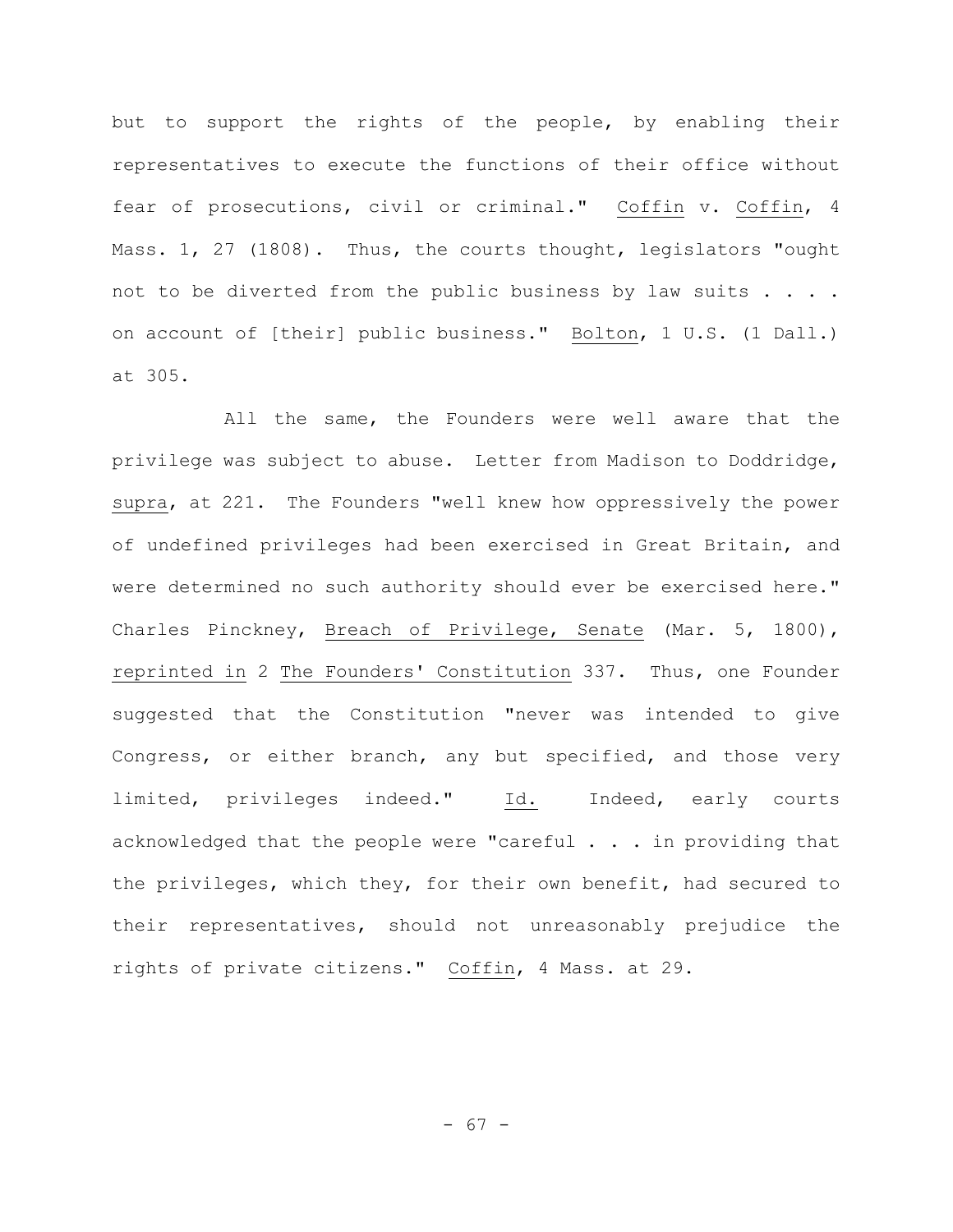but to support the rights of the people, by enabling their representatives to execute the functions of their office without fear of prosecutions, civil or criminal." Coffin v. Coffin, 4 Mass. 1, 27 (1808). Thus, the courts thought, legislators "ought not to be diverted from the public business by law suits . . . . on account of [their] public business." Bolton, 1 U.S. (1 Dall.) at 305.

All the same, the Founders were well aware that the privilege was subject to abuse. Letter from Madison to Doddridge, supra, at 221. The Founders "well knew how oppressively the power of undefined privileges had been exercised in Great Britain, and were determined no such authority should ever be exercised here." Charles Pinckney, Breach of Privilege, Senate (Mar. 5, 1800), reprinted in 2 The Founders' Constitution 337. Thus, one Founder suggested that the Constitution "never was intended to give Congress, or either branch, any but specified, and those very limited, privileges indeed." Id. Indeed, early courts acknowledged that the people were "careful . . . in providing that the privileges, which they, for their own benefit, had secured to their representatives, should not unreasonably prejudice the rights of private citizens." Coffin, 4 Mass. at 29.

- 67 -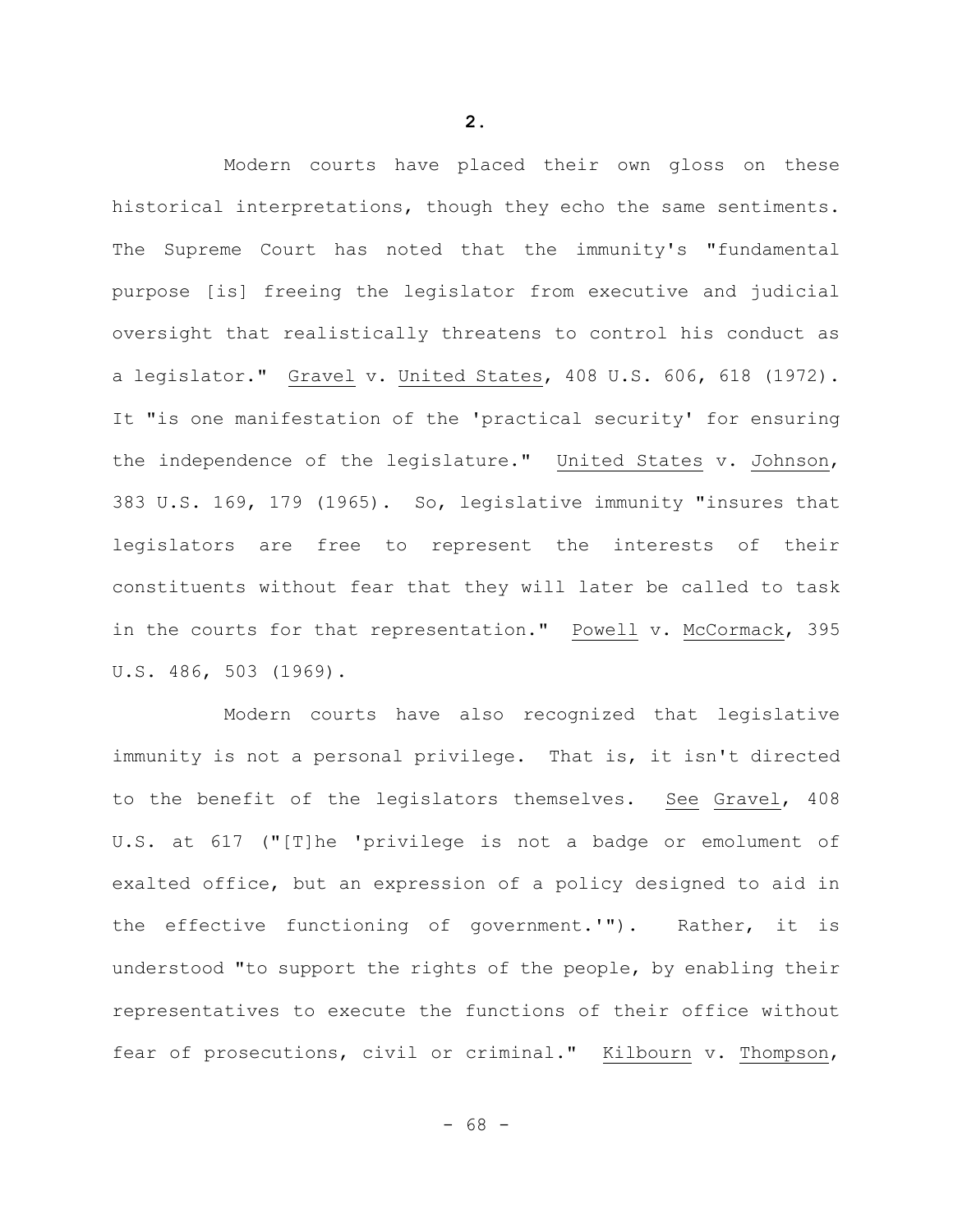Modern courts have placed their own gloss on these historical interpretations, though they echo the same sentiments. The Supreme Court has noted that the immunity's "fundamental purpose [is] freeing the legislator from executive and judicial oversight that realistically threatens to control his conduct as a legislator." Gravel v. United States, 408 U.S. 606, 618 (1972). It "is one manifestation of the 'practical security' for ensuring the independence of the legislature." United States v. Johnson, 383 U.S. 169, 179 (1965). So, legislative immunity "insures that legislators are free to represent the interests of their constituents without fear that they will later be called to task in the courts for that representation." Powell v. McCormack, 395 U.S. 486, 503 (1969).

Modern courts have also recognized that legislative immunity is not a personal privilege. That is, it isn't directed to the benefit of the legislators themselves. See Gravel, 408 U.S. at 617 ("[T]he 'privilege is not a badge or emolument of exalted office, but an expression of a policy designed to aid in the effective functioning of government.'"). Rather, it is understood "to support the rights of the people, by enabling their representatives to execute the functions of their office without fear of prosecutions, civil or criminal." Kilbourn v. Thompson,

**2.**

- 68 -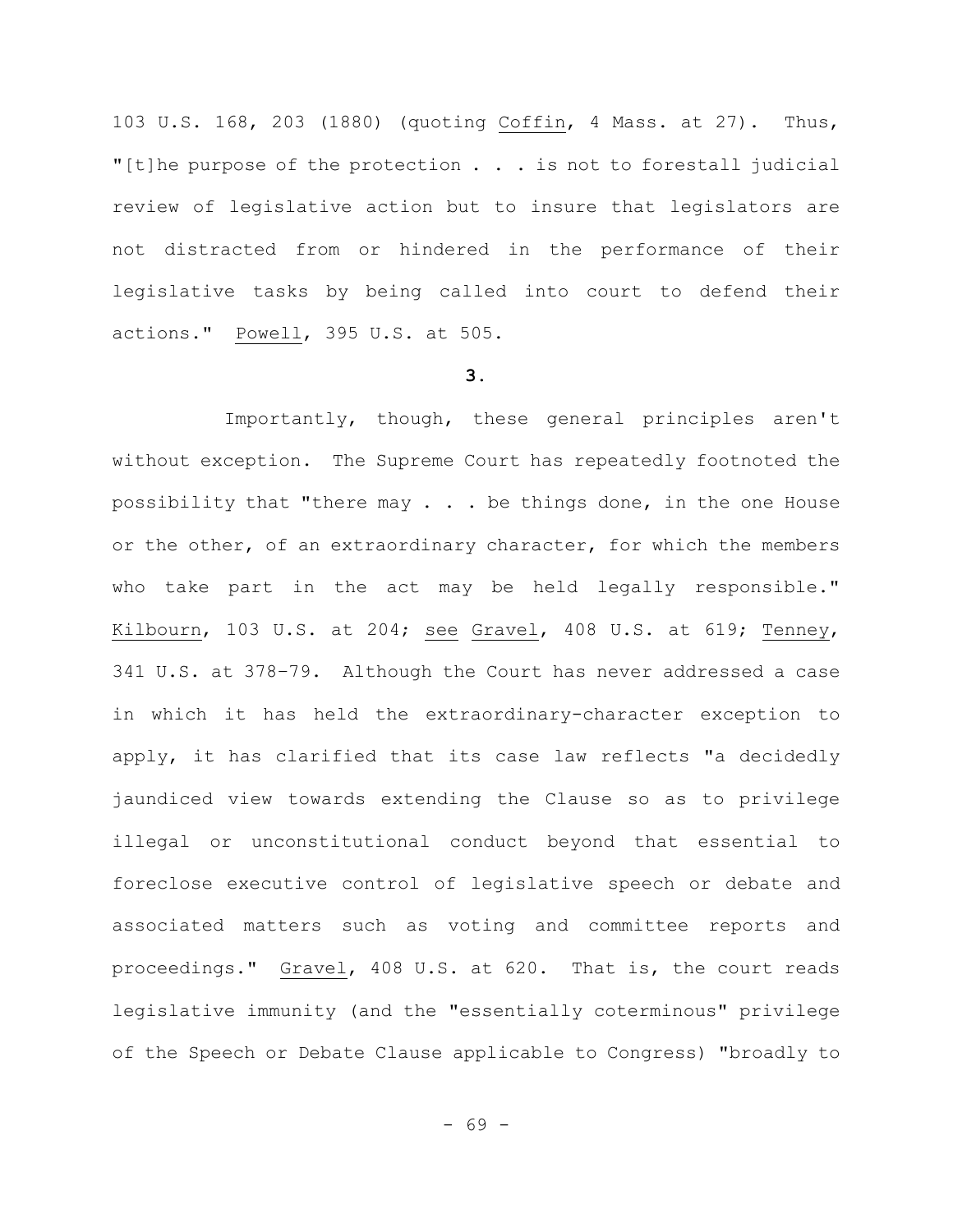103 U.S. 168, 203 (1880) (quoting Coffin, 4 Mass. at 27). Thus, "[t]he purpose of the protection . . . is not to forestall judicial review of legislative action but to insure that legislators are not distracted from or hindered in the performance of their legislative tasks by being called into court to defend their actions." Powell, 395 U.S. at 505.

## **3.**

Importantly, though, these general principles aren't without exception. The Supreme Court has repeatedly footnoted the possibility that "there may . . . be things done, in the one House or the other, of an extraordinary character, for which the members who take part in the act may be held legally responsible." Kilbourn, 103 U.S. at 204; see Gravel, 408 U.S. at 619; Tenney, 341 U.S. at 378–79. Although the Court has never addressed a case in which it has held the extraordinary-character exception to apply, it has clarified that its case law reflects "a decidedly jaundiced view towards extending the Clause so as to privilege illegal or unconstitutional conduct beyond that essential to foreclose executive control of legislative speech or debate and associated matters such as voting and committee reports and proceedings." Gravel, 408 U.S. at 620. That is, the court reads legislative immunity (and the "essentially coterminous" privilege of the Speech or Debate Clause applicable to Congress) "broadly to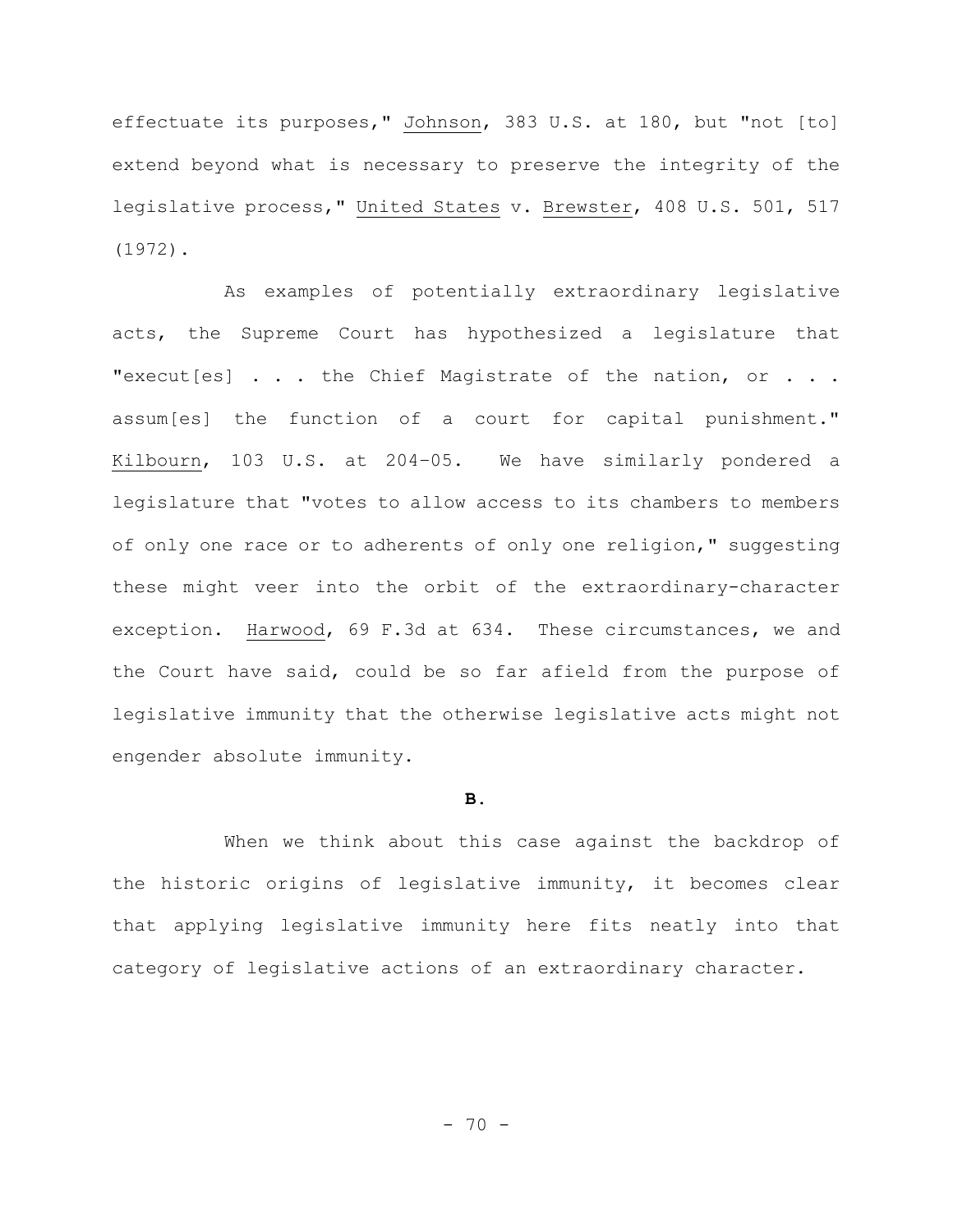effectuate its purposes," Johnson, 383 U.S. at 180, but "not [to] extend beyond what is necessary to preserve the integrity of the legislative process," United States v. Brewster, 408 U.S. 501, 517 (1972).

As examples of potentially extraordinary legislative acts, the Supreme Court has hypothesized a legislature that "execut[es] . . . the Chief Magistrate of the nation, or . . . assum[es] the function of a court for capital punishment." Kilbourn, 103 U.S. at 204–05. We have similarly pondered a legislature that "votes to allow access to its chambers to members of only one race or to adherents of only one religion," suggesting these might veer into the orbit of the extraordinary-character exception. Harwood, 69 F.3d at 634. These circumstances, we and the Court have said, could be so far afield from the purpose of legislative immunity that the otherwise legislative acts might not engender absolute immunity.

## **B.**

When we think about this case against the backdrop of the historic origins of legislative immunity, it becomes clear that applying legislative immunity here fits neatly into that category of legislative actions of an extraordinary character.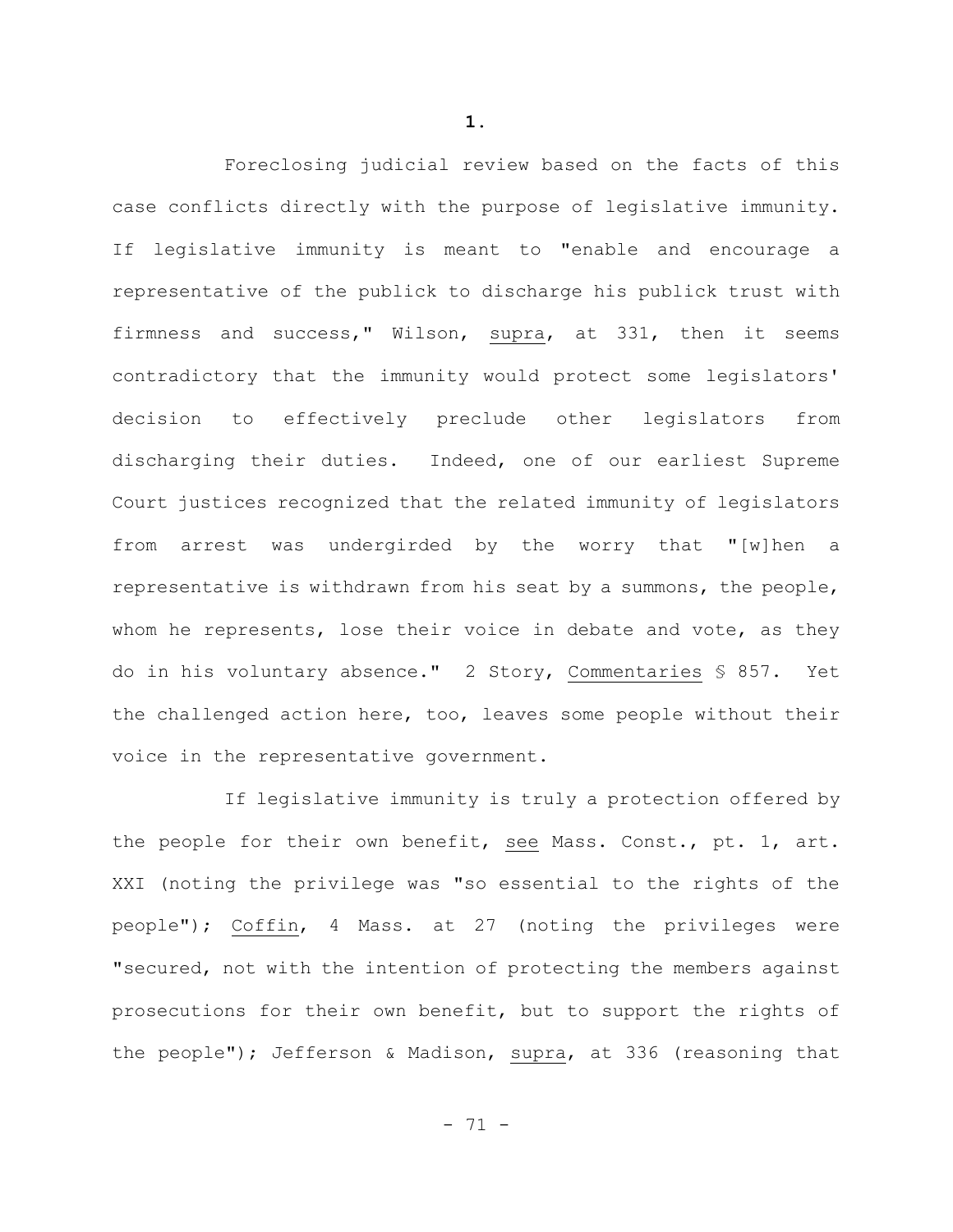Foreclosing judicial review based on the facts of this case conflicts directly with the purpose of legislative immunity. If legislative immunity is meant to "enable and encourage a representative of the publick to discharge his publick trust with firmness and success," Wilson, supra, at 331, then it seems contradictory that the immunity would protect some legislators' decision to effectively preclude other legislators from discharging their duties. Indeed, one of our earliest Supreme Court justices recognized that the related immunity of legislators from arrest was undergirded by the worry that "[w]hen a representative is withdrawn from his seat by a summons, the people, whom he represents, lose their voice in debate and vote, as they do in his voluntary absence." 2 Story, Commentaries § 857. Yet the challenged action here, too, leaves some people without their voice in the representative government.

If legislative immunity is truly a protection offered by the people for their own benefit, see Mass. Const., pt. 1, art. XXI (noting the privilege was "so essential to the rights of the people"); Coffin, 4 Mass. at 27 (noting the privileges were "secured, not with the intention of protecting the members against prosecutions for their own benefit, but to support the rights of the people"); Jefferson & Madison, supra, at 336 (reasoning that

**1.**

- 71 -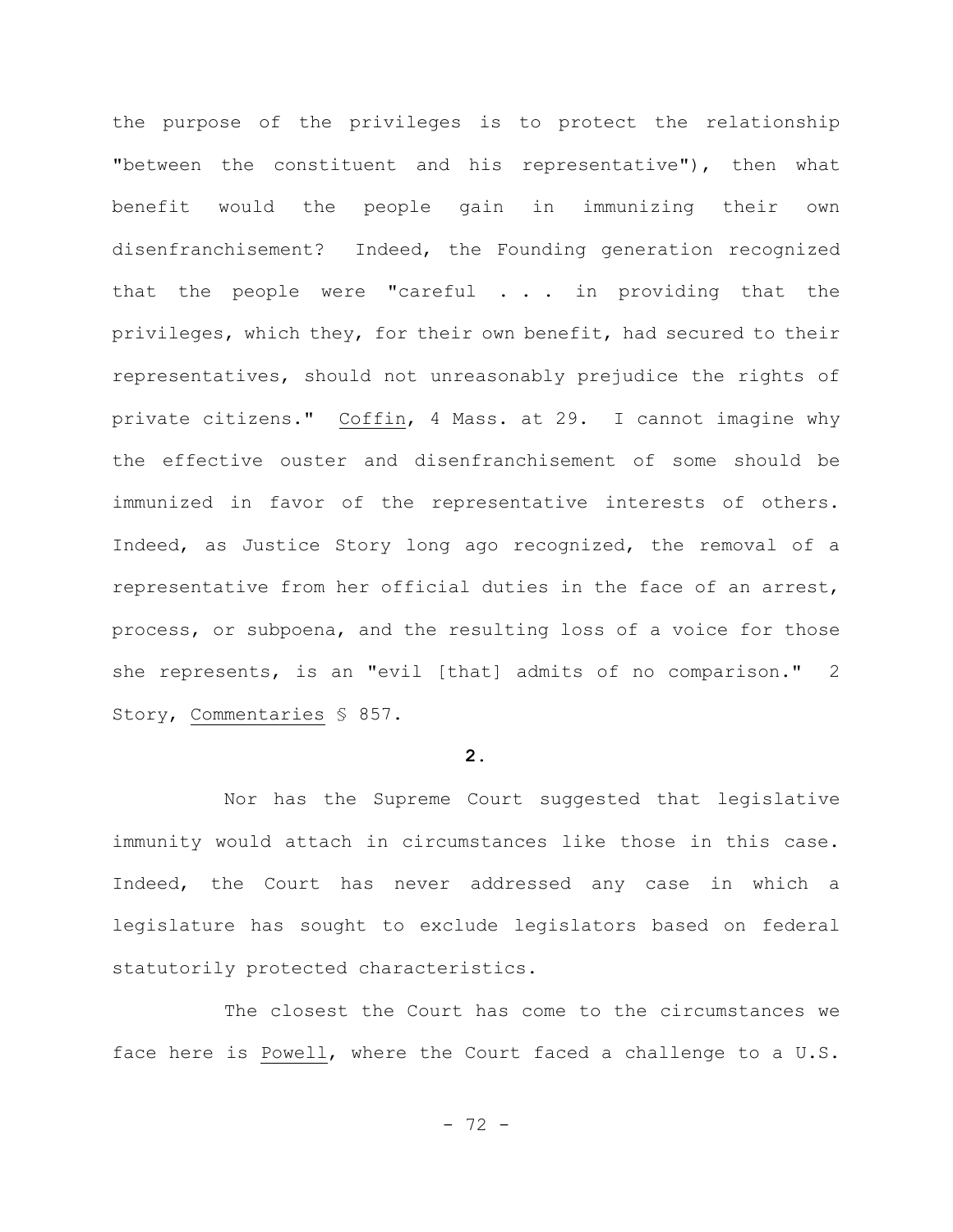the purpose of the privileges is to protect the relationship "between the constituent and his representative"), then what benefit would the people gain in immunizing their own disenfranchisement? Indeed, the Founding generation recognized that the people were "careful . . . in providing that the privileges, which they, for their own benefit, had secured to their representatives, should not unreasonably prejudice the rights of private citizens." Coffin, 4 Mass. at 29. I cannot imagine why the effective ouster and disenfranchisement of some should be immunized in favor of the representative interests of others. Indeed, as Justice Story long ago recognized, the removal of a representative from her official duties in the face of an arrest, process, or subpoena, and the resulting loss of a voice for those she represents, is an "evil [that] admits of no comparison." 2 Story, Commentaries § 857.

## **2.**

Nor has the Supreme Court suggested that legislative immunity would attach in circumstances like those in this case. Indeed, the Court has never addressed any case in which a legislature has sought to exclude legislators based on federal statutorily protected characteristics.

The closest the Court has come to the circumstances we face here is Powell, where the Court faced a challenge to a U.S.

- 72 -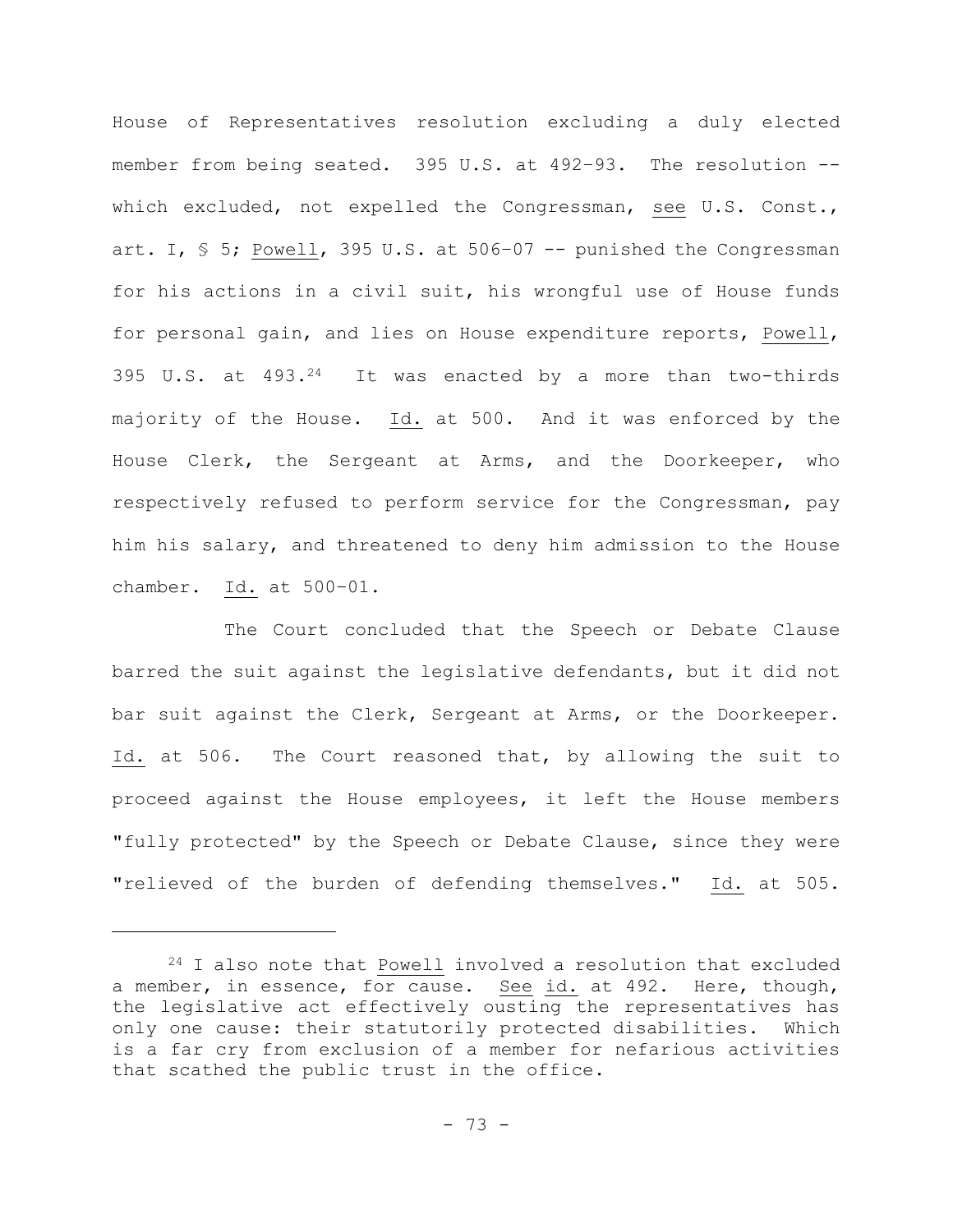House of Representatives resolution excluding a duly elected member from being seated. 395 U.S. at 492–93. The resolution - which excluded, not expelled the Congressman, see U.S. Const., art. I,  $\frac{1}{5}$  5; Powell, 395 U.S. at 506-07 -- punished the Congressman for his actions in a civil suit, his wrongful use of House funds for personal gain, and lies on House expenditure reports, Powell, 395 U.S. at 493.24 It was enacted by a more than two-thirds majority of the House. Id. at 500. And it was enforced by the House Clerk, the Sergeant at Arms, and the Doorkeeper, who respectively refused to perform service for the Congressman, pay him his salary, and threatened to deny him admission to the House chamber. Id. at 500–01.

The Court concluded that the Speech or Debate Clause barred the suit against the legislative defendants, but it did not bar suit against the Clerk, Sergeant at Arms, or the Doorkeeper. Id. at 506. The Court reasoned that, by allowing the suit to proceed against the House employees, it left the House members "fully protected" by the Speech or Debate Clause, since they were "relieved of the burden of defending themselves." Id. at 505.

<sup>24</sup> I also note that Powell involved a resolution that excluded a member, in essence, for cause. See id. at 492. Here, though, the legislative act effectively ousting the representatives has only one cause: their statutorily protected disabilities. Which is a far cry from exclusion of a member for nefarious activities that scathed the public trust in the office.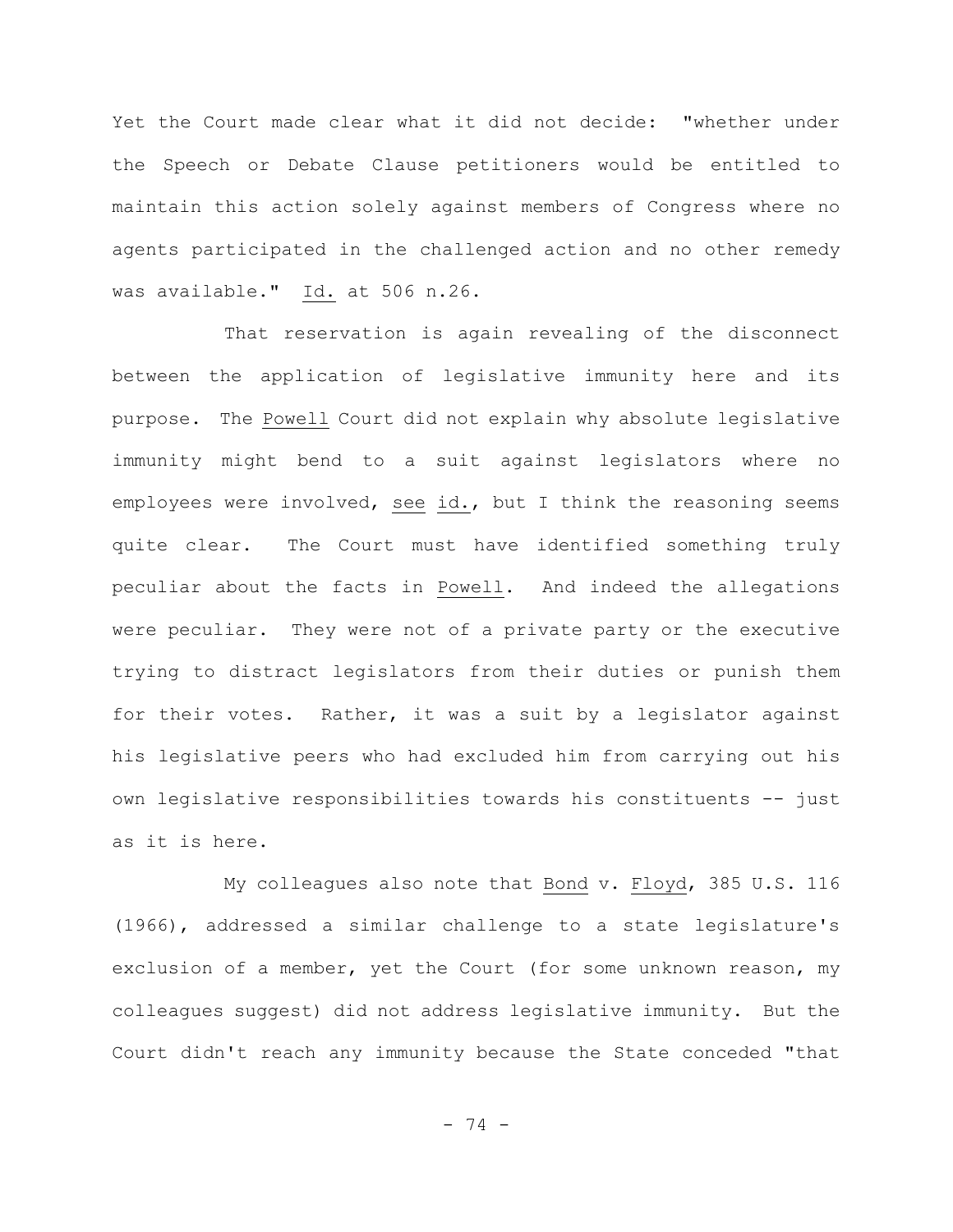Yet the Court made clear what it did not decide: "whether under the Speech or Debate Clause petitioners would be entitled to maintain this action solely against members of Congress where no agents participated in the challenged action and no other remedy was available." Id. at 506 n.26.

That reservation is again revealing of the disconnect between the application of legislative immunity here and its purpose. The Powell Court did not explain why absolute legislative immunity might bend to a suit against legislators where no employees were involved, see id., but I think the reasoning seems quite clear. The Court must have identified something truly peculiar about the facts in Powell. And indeed the allegations were peculiar. They were not of a private party or the executive trying to distract legislators from their duties or punish them for their votes. Rather, it was a suit by a legislator against his legislative peers who had excluded him from carrying out his own legislative responsibilities towards his constituents -- just as it is here.

My colleagues also note that Bond v. Floyd, 385 U.S. 116 (1966), addressed a similar challenge to a state legislature's exclusion of a member, yet the Court (for some unknown reason, my colleagues suggest) did not address legislative immunity. But the Court didn't reach any immunity because the State conceded "that

- 74 -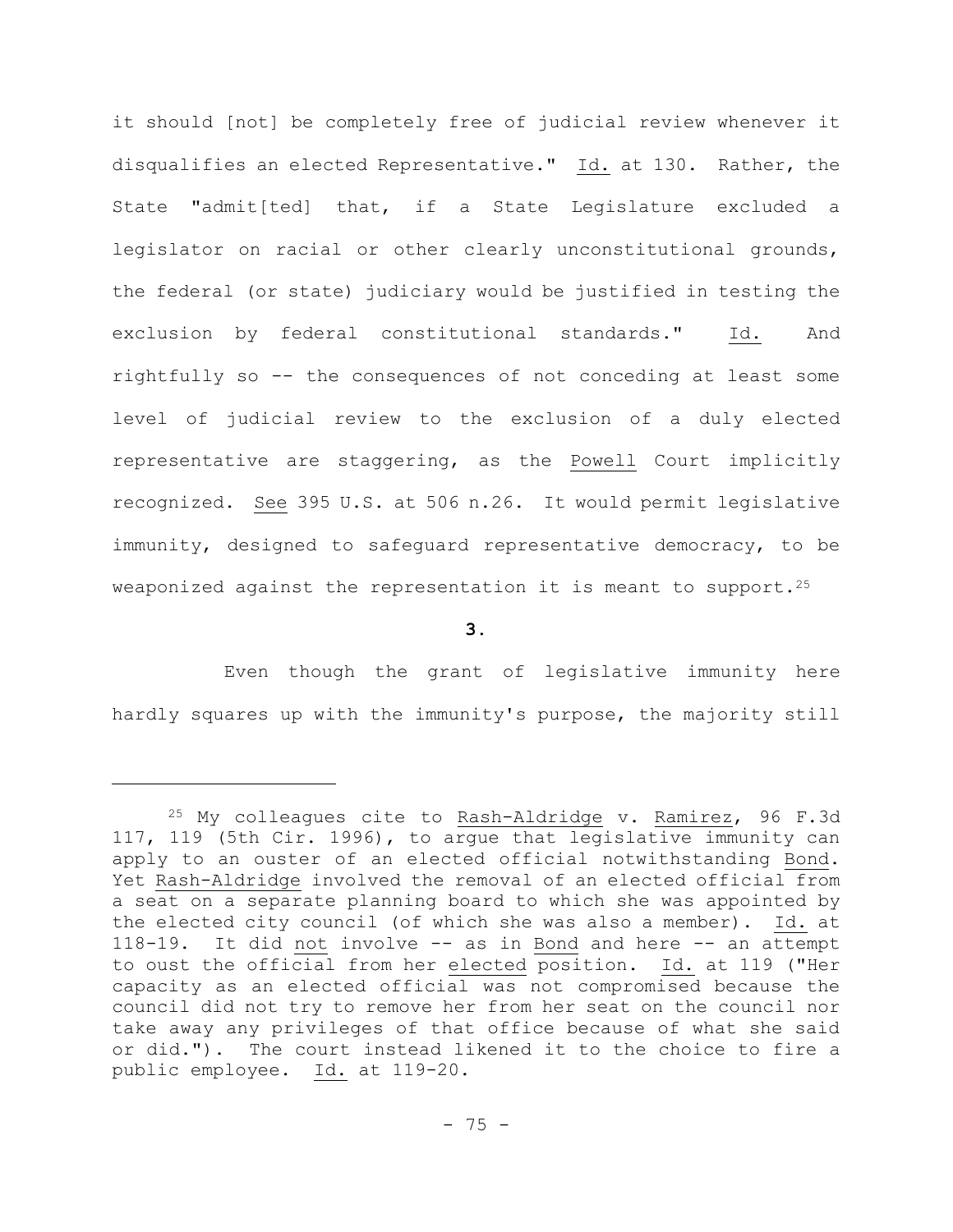it should [not] be completely free of judicial review whenever it disqualifies an elected Representative." Id. at 130. Rather, the State "admit[ted] that, if a State Legislature excluded a legislator on racial or other clearly unconstitutional grounds, the federal (or state) judiciary would be justified in testing the exclusion by federal constitutional standards." Id. And rightfully so -- the consequences of not conceding at least some level of judicial review to the exclusion of a duly elected representative are staggering, as the Powell Court implicitly recognized. See 395 U.S. at 506 n.26. It would permit legislative immunity, designed to safeguard representative democracy, to be weaponized against the representation it is meant to support.<sup>25</sup>

**3.**

Even though the grant of legislative immunity here hardly squares up with the immunity's purpose, the majority still

<sup>&</sup>lt;sup>25</sup> My colleagues cite to Rash-Aldridge v. Ramirez, 96 F.3d 117, 119 (5th Cir. 1996), to argue that legislative immunity can apply to an ouster of an elected official notwithstanding Bond. Yet Rash-Aldridge involved the removal of an elected official from a seat on a separate planning board to which she was appointed by the elected city council (of which she was also a member). Id. at 118-19. It did not involve -- as in Bond and here -- an attempt to oust the official from her elected position. Id. at 119 ("Her capacity as an elected official was not compromised because the council did not try to remove her from her seat on the council nor take away any privileges of that office because of what she said or did."). The court instead likened it to the choice to fire a public employee. Id. at 119-20.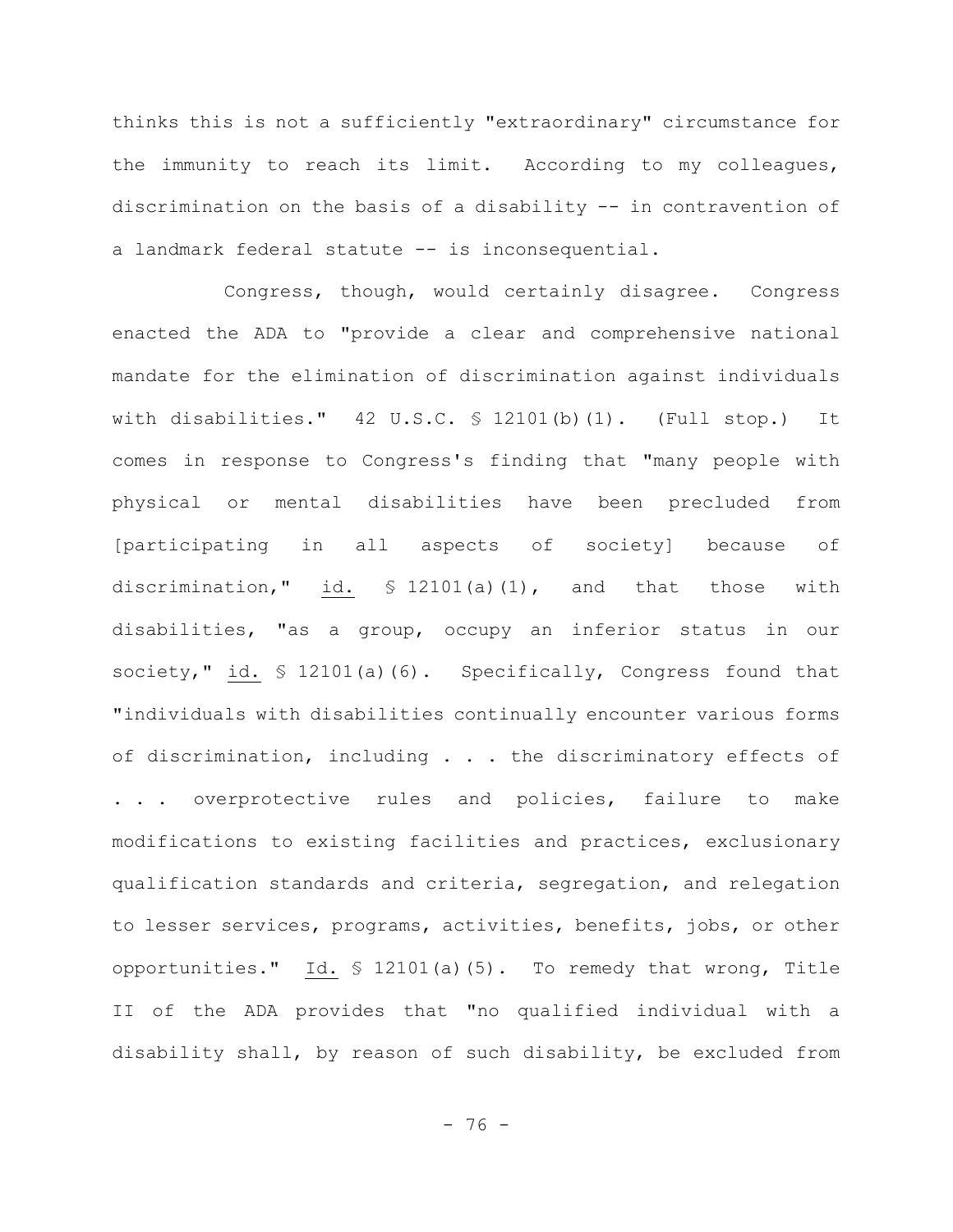thinks this is not a sufficiently "extraordinary" circumstance for the immunity to reach its limit. According to my colleagues, discrimination on the basis of a disability -- in contravention of a landmark federal statute -- is inconsequential.

Congress, though, would certainly disagree. Congress enacted the ADA to "provide a clear and comprehensive national mandate for the elimination of discrimination against individuals with disabilities."  $42 \text{ U.S.C. }$  \$ 12101(b)(1). (Full stop.) It comes in response to Congress's finding that "many people with physical or mental disabilities have been precluded from [participating in all aspects of society] because of discrimination," id. § 12101(a)(1), and that those with disabilities, "as a group, occupy an inferior status in our society," id. § 12101(a)(6). Specifically, Congress found that "individuals with disabilities continually encounter various forms of discrimination, including . . . the discriminatory effects of . . . overprotective rules and policies, failure to make modifications to existing facilities and practices, exclusionary qualification standards and criteria, segregation, and relegation to lesser services, programs, activities, benefits, jobs, or other opportunities." Id. § 12101(a)(5). To remedy that wrong, Title II of the ADA provides that "no qualified individual with a disability shall, by reason of such disability, be excluded from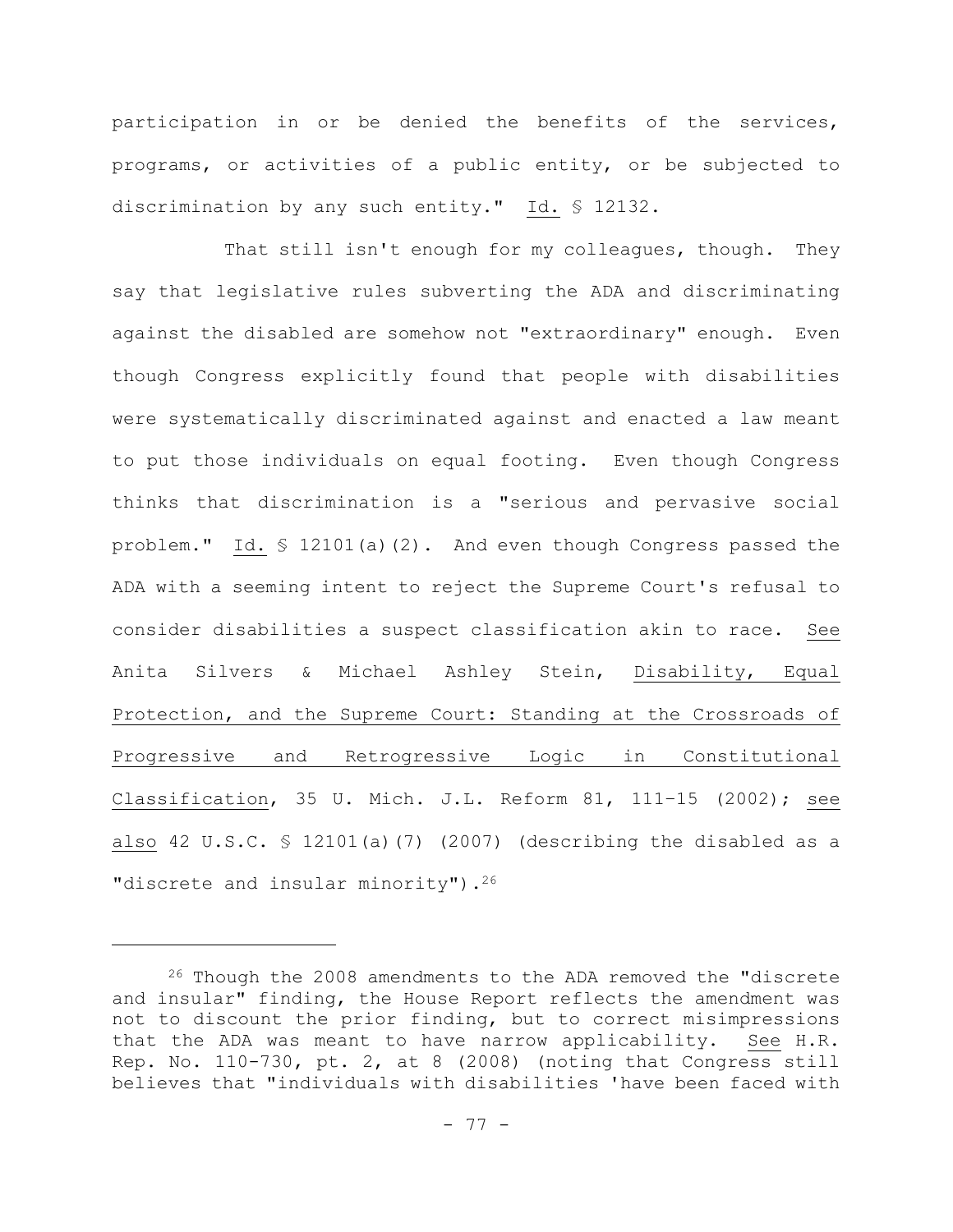participation in or be denied the benefits of the services, programs, or activities of a public entity, or be subjected to discrimination by any such entity." Id. § 12132.

That still isn't enough for my colleagues, though. They say that legislative rules subverting the ADA and discriminating against the disabled are somehow not "extraordinary" enough. Even though Congress explicitly found that people with disabilities were systematically discriminated against and enacted a law meant to put those individuals on equal footing. Even though Congress thinks that discrimination is a "serious and pervasive social problem." Id. § 12101(a)(2). And even though Congress passed the ADA with a seeming intent to reject the Supreme Court's refusal to consider disabilities a suspect classification akin to race. See Anita Silvers & Michael Ashley Stein, Disability, Equal Protection, and the Supreme Court: Standing at the Crossroads of Progressive and Retrogressive Logic in Constitutional Classification, 35 U. Mich. J.L. Reform 81, 111–15 (2002); see also 42 U.S.C. § 12101(a)(7) (2007) (describing the disabled as a "discrete and insular minority").<sup>26</sup>

<sup>26</sup> Though the 2008 amendments to the ADA removed the "discrete and insular" finding, the House Report reflects the amendment was not to discount the prior finding, but to correct misimpressions that the ADA was meant to have narrow applicability. See H.R. Rep. No. 110-730, pt. 2, at 8 (2008) (noting that Congress still believes that "individuals with disabilities 'have been faced with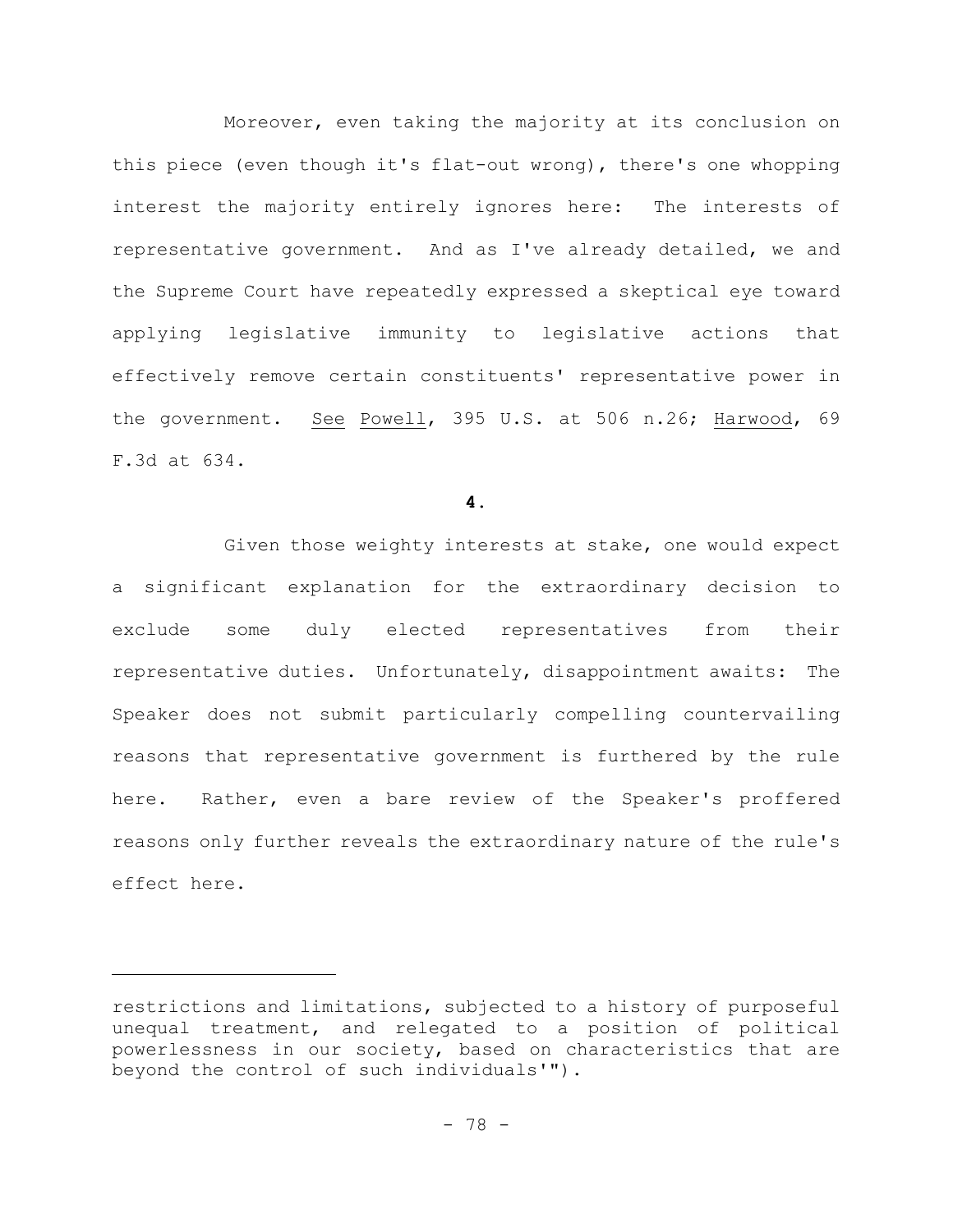Moreover, even taking the majority at its conclusion on this piece (even though it's flat-out wrong), there's one whopping interest the majority entirely ignores here: The interests of representative government. And as I've already detailed, we and the Supreme Court have repeatedly expressed a skeptical eye toward applying legislative immunity to legislative actions that effectively remove certain constituents' representative power in the government. See Powell, 395 U.S. at 506 n.26; Harwood, 69 F.3d at 634.

**4.**

Given those weighty interests at stake, one would expect a significant explanation for the extraordinary decision to exclude some duly elected representatives from their representative duties. Unfortunately, disappointment awaits: The Speaker does not submit particularly compelling countervailing reasons that representative government is furthered by the rule here. Rather, even a bare review of the Speaker's proffered reasons only further reveals the extraordinary nature of the rule's effect here.

restrictions and limitations, subjected to a history of purposeful unequal treatment, and relegated to a position of political powerlessness in our society, based on characteristics that are beyond the control of such individuals'").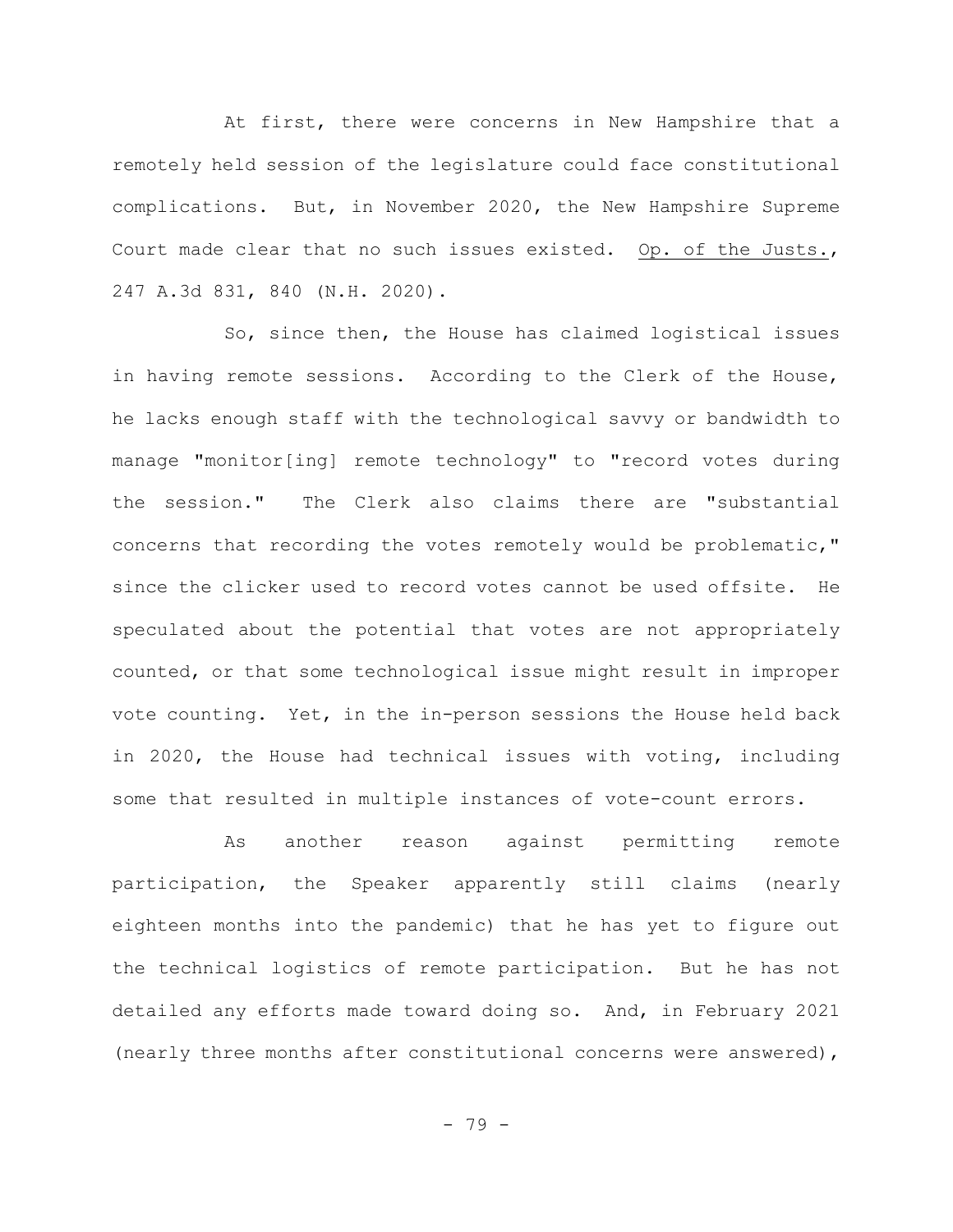At first, there were concerns in New Hampshire that a remotely held session of the legislature could face constitutional complications. But, in November 2020, the New Hampshire Supreme Court made clear that no such issues existed. Op. of the Justs., 247 A.3d 831, 840 (N.H. 2020).

So, since then, the House has claimed logistical issues in having remote sessions. According to the Clerk of the House, he lacks enough staff with the technological savvy or bandwidth to manage "monitor[ing] remote technology" to "record votes during the session." The Clerk also claims there are "substantial concerns that recording the votes remotely would be problematic," since the clicker used to record votes cannot be used offsite. He speculated about the potential that votes are not appropriately counted, or that some technological issue might result in improper vote counting. Yet, in the in-person sessions the House held back in 2020, the House had technical issues with voting, including some that resulted in multiple instances of vote-count errors.

As another reason against permitting remote participation, the Speaker apparently still claims (nearly eighteen months into the pandemic) that he has yet to figure out the technical logistics of remote participation. But he has not detailed any efforts made toward doing so. And, in February 2021 (nearly three months after constitutional concerns were answered),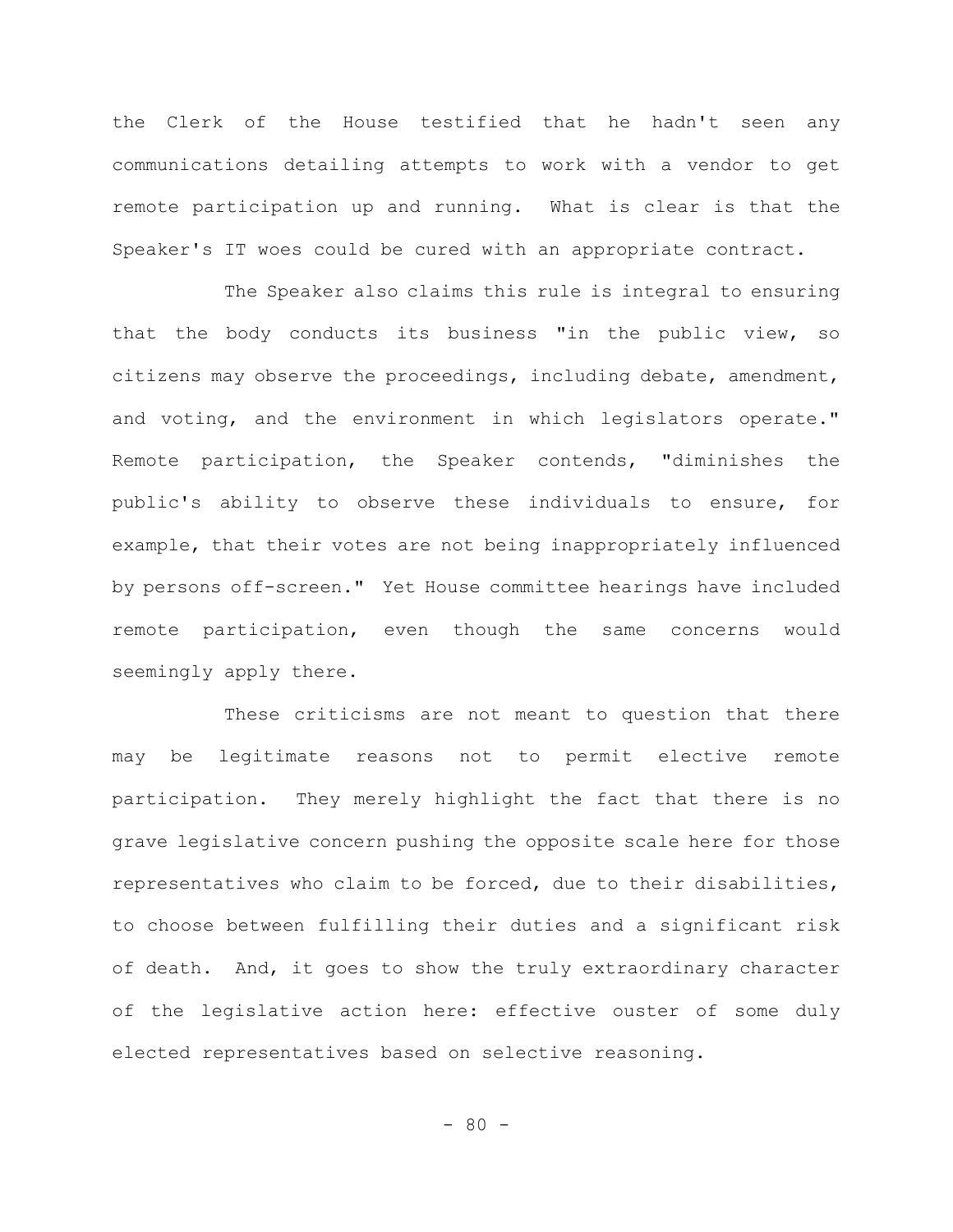the Clerk of the House testified that he hadn't seen any communications detailing attempts to work with a vendor to get remote participation up and running. What is clear is that the Speaker's IT woes could be cured with an appropriate contract.

The Speaker also claims this rule is integral to ensuring that the body conducts its business "in the public view, so citizens may observe the proceedings, including debate, amendment, and voting, and the environment in which legislators operate." Remote participation, the Speaker contends, "diminishes the public's ability to observe these individuals to ensure, for example, that their votes are not being inappropriately influenced by persons off-screen." Yet House committee hearings have included remote participation, even though the same concerns would seemingly apply there.

These criticisms are not meant to question that there may be legitimate reasons not to permit elective remote participation. They merely highlight the fact that there is no grave legislative concern pushing the opposite scale here for those representatives who claim to be forced, due to their disabilities, to choose between fulfilling their duties and a significant risk of death. And, it goes to show the truly extraordinary character of the legislative action here: effective ouster of some duly elected representatives based on selective reasoning.

 $- 80 -$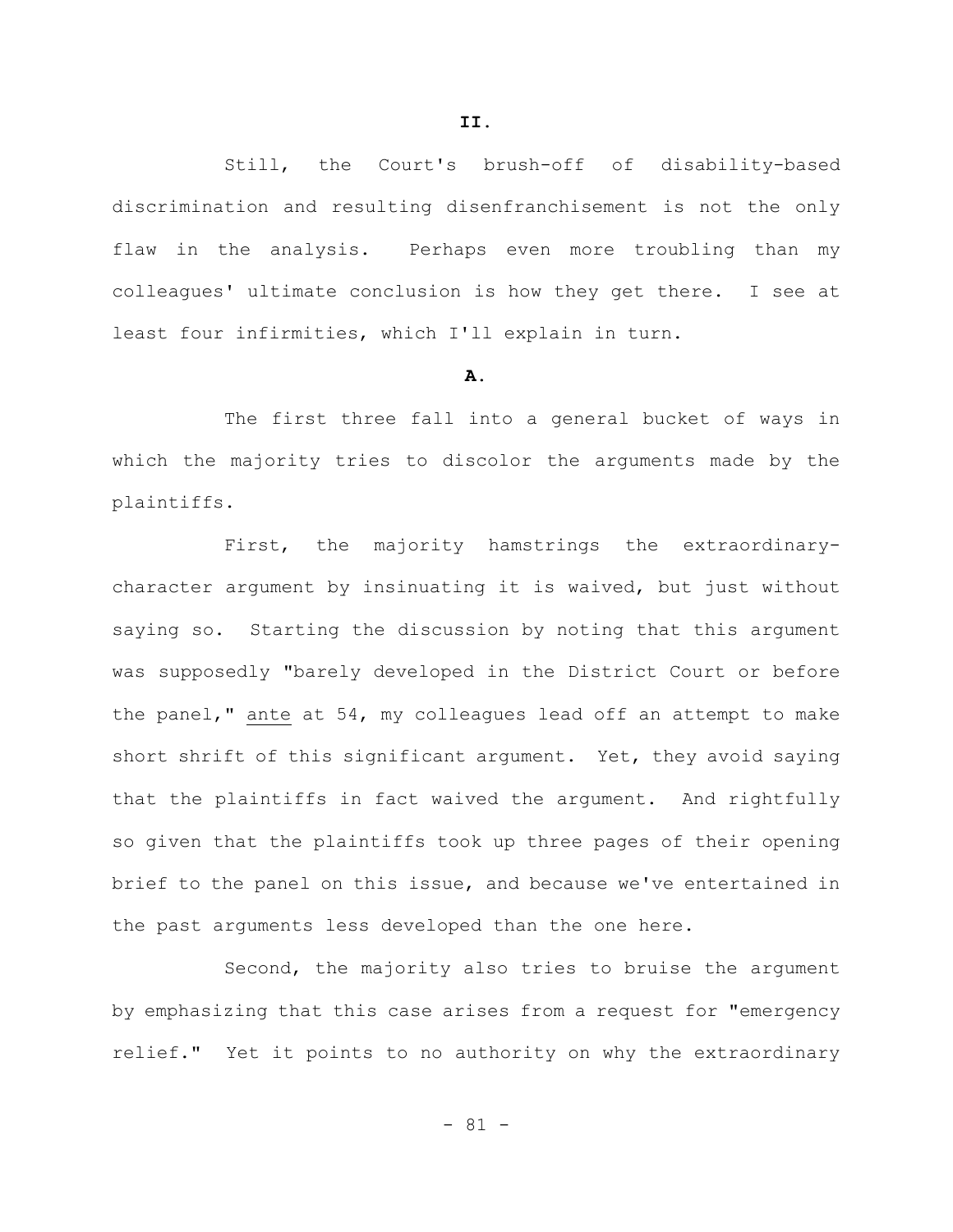Still, the Court's brush-off of disability-based discrimination and resulting disenfranchisement is not the only flaw in the analysis. Perhaps even more troubling than my colleagues' ultimate conclusion is how they get there. I see at least four infirmities, which I'll explain in turn.

## **A.**

The first three fall into a general bucket of ways in which the majority tries to discolor the arguments made by the plaintiffs.

First, the majority hamstrings the extraordinarycharacter argument by insinuating it is waived, but just without saying so. Starting the discussion by noting that this argument was supposedly "barely developed in the District Court or before the panel," ante at 54, my colleagues lead off an attempt to make short shrift of this significant argument. Yet, they avoid saying that the plaintiffs in fact waived the argument. And rightfully so given that the plaintiffs took up three pages of their opening brief to the panel on this issue, and because we've entertained in the past arguments less developed than the one here.

Second, the majority also tries to bruise the argument by emphasizing that this case arises from a request for "emergency relief." Yet it points to no authority on why the extraordinary

- 81 -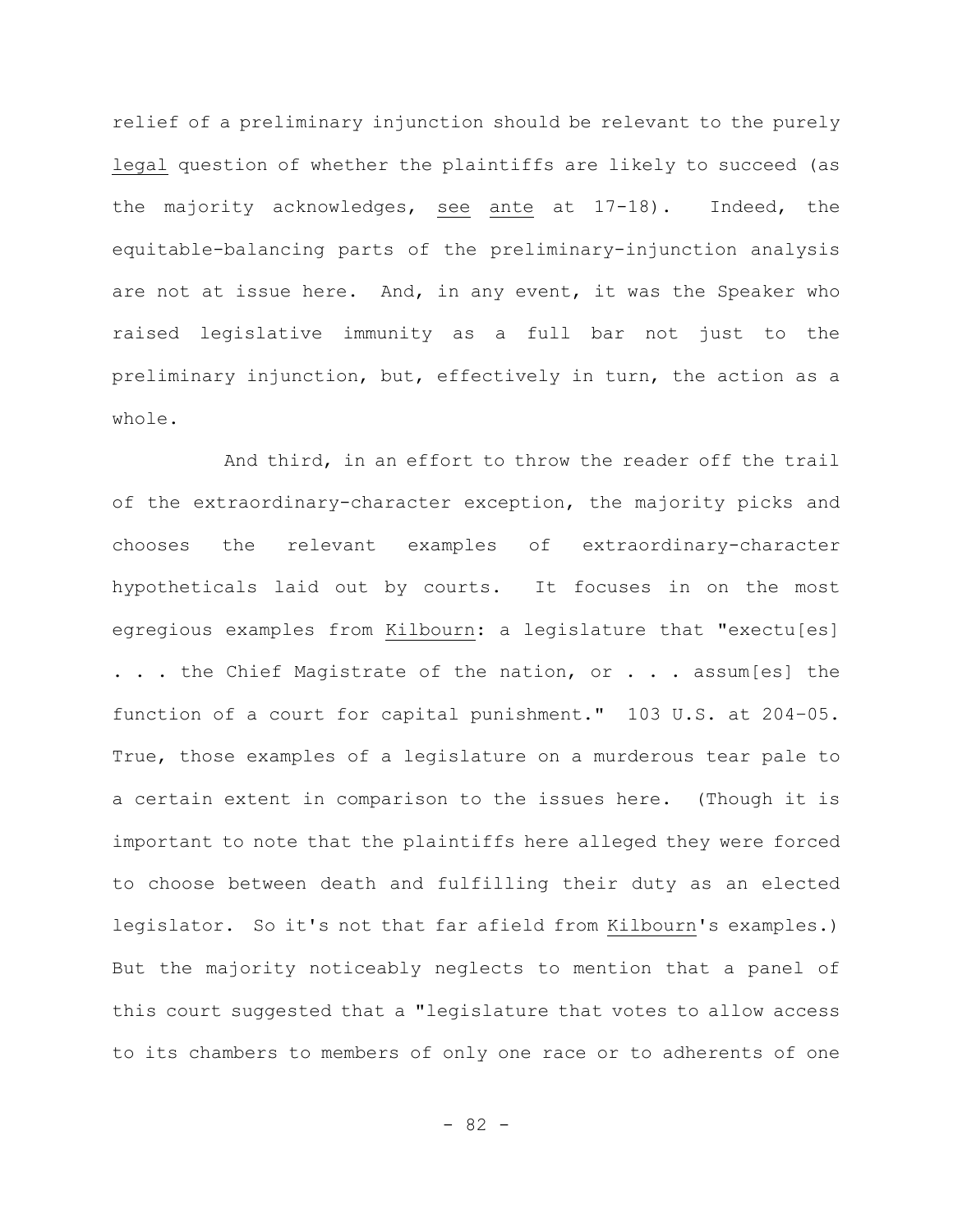relief of a preliminary injunction should be relevant to the purely legal question of whether the plaintiffs are likely to succeed (as the majority acknowledges, see ante at 17-18). Indeed, the equitable-balancing parts of the preliminary-injunction analysis are not at issue here. And, in any event, it was the Speaker who raised legislative immunity as a full bar not just to the preliminary injunction, but, effectively in turn, the action as a whole.

And third, in an effort to throw the reader off the trail of the extraordinary-character exception, the majority picks and chooses the relevant examples of extraordinary-character hypotheticals laid out by courts. It focuses in on the most egregious examples from Kilbourn: a legislature that "exectu[es] . . . the Chief Magistrate of the nation, or . . . assum[es] the function of a court for capital punishment." 103 U.S. at 204–05. True, those examples of a legislature on a murderous tear pale to a certain extent in comparison to the issues here. (Though it is important to note that the plaintiffs here alleged they were forced to choose between death and fulfilling their duty as an elected legislator. So it's not that far afield from Kilbourn's examples.) But the majority noticeably neglects to mention that a panel of this court suggested that a "legislature that votes to allow access to its chambers to members of only one race or to adherents of one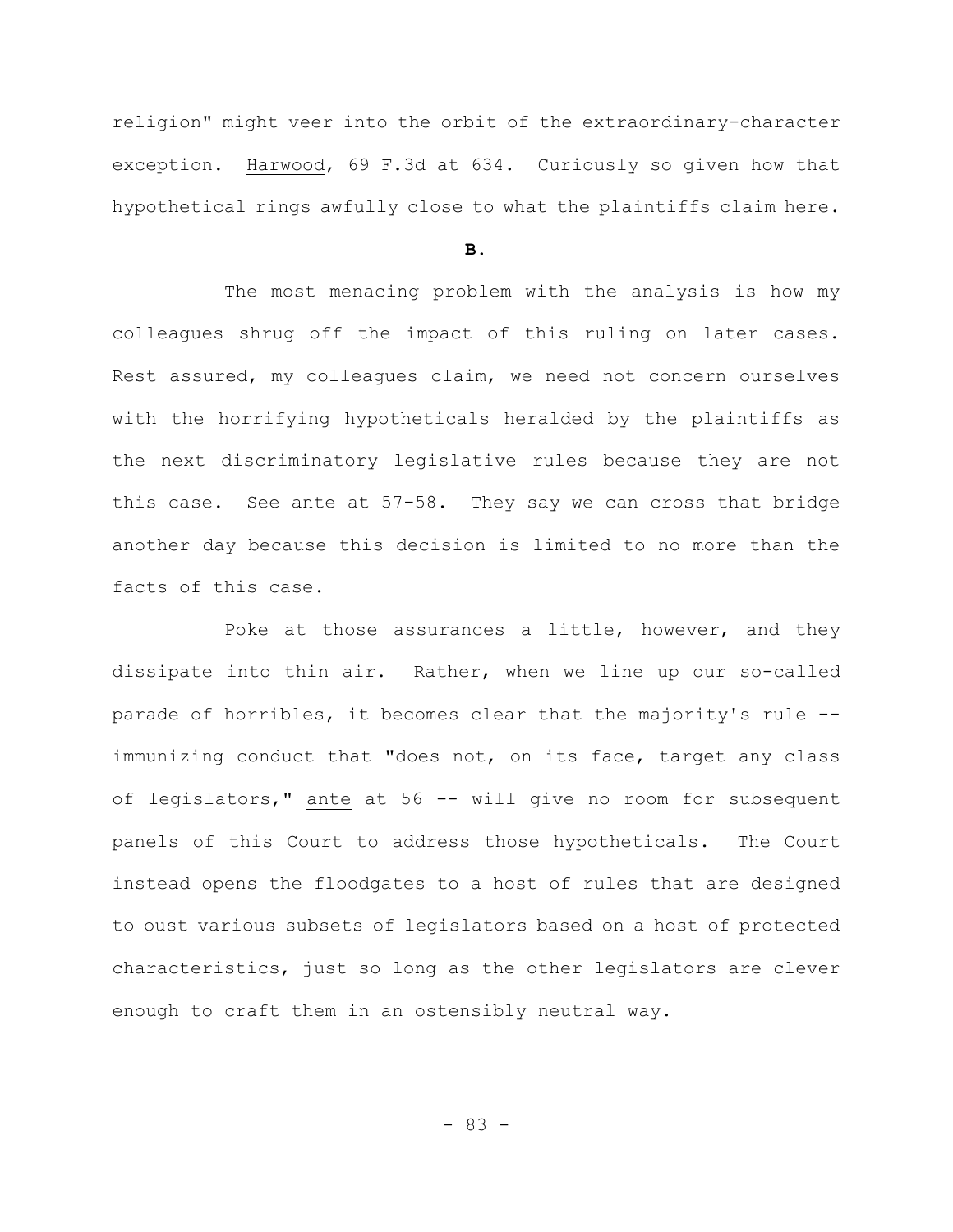religion" might veer into the orbit of the extraordinary-character exception. Harwood, 69 F.3d at 634. Curiously so given how that hypothetical rings awfully close to what the plaintiffs claim here.

**B.**

The most menacing problem with the analysis is how my colleagues shrug off the impact of this ruling on later cases. Rest assured, my colleagues claim, we need not concern ourselves with the horrifying hypotheticals heralded by the plaintiffs as the next discriminatory legislative rules because they are not this case. See ante at 57-58. They say we can cross that bridge another day because this decision is limited to no more than the facts of this case.

Poke at those assurances a little, however, and they dissipate into thin air. Rather, when we line up our so-called parade of horribles, it becomes clear that the majority's rule - immunizing conduct that "does not, on its face, target any class of legislators," ante at 56 -- will give no room for subsequent panels of this Court to address those hypotheticals. The Court instead opens the floodgates to a host of rules that are designed to oust various subsets of legislators based on a host of protected characteristics, just so long as the other legislators are clever enough to craft them in an ostensibly neutral way.

- 83 -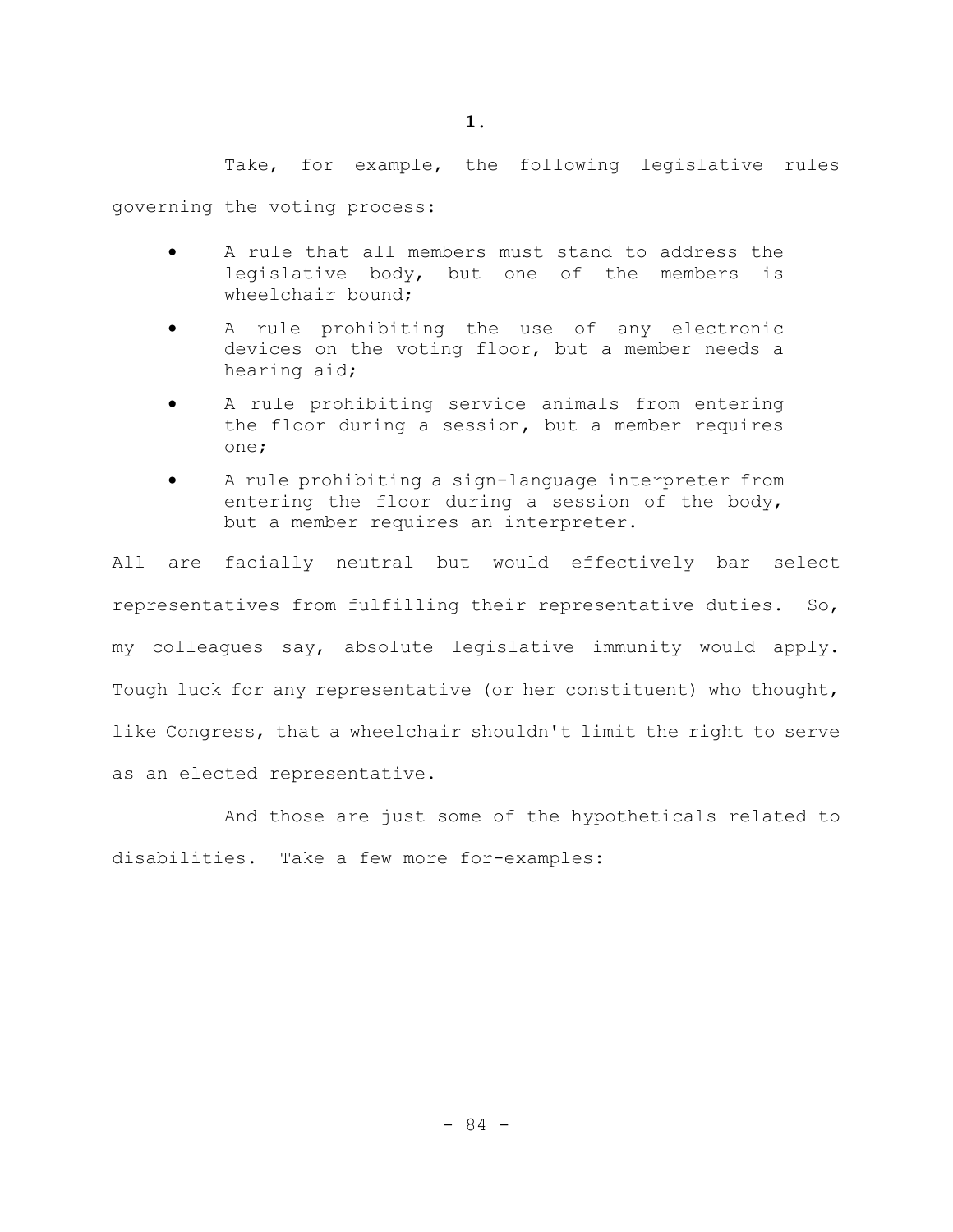Take, for example, the following legislative rules

governing the voting process:

- A rule that all members must stand to address the legislative body, but one of the members is wheelchair bound;
- A rule prohibiting the use of any electronic devices on the voting floor, but a member needs a hearing aid;
- A rule prohibiting service animals from entering the floor during a session, but a member requires one;
- A rule prohibiting a sign-language interpreter from entering the floor during a session of the body, but a member requires an interpreter.

All are facially neutral but would effectively bar select representatives from fulfilling their representative duties. So, my colleagues say, absolute legislative immunity would apply. Tough luck for any representative (or her constituent) who thought, like Congress, that a wheelchair shouldn't limit the right to serve as an elected representative.

And those are just some of the hypotheticals related to disabilities. Take a few more for-examples: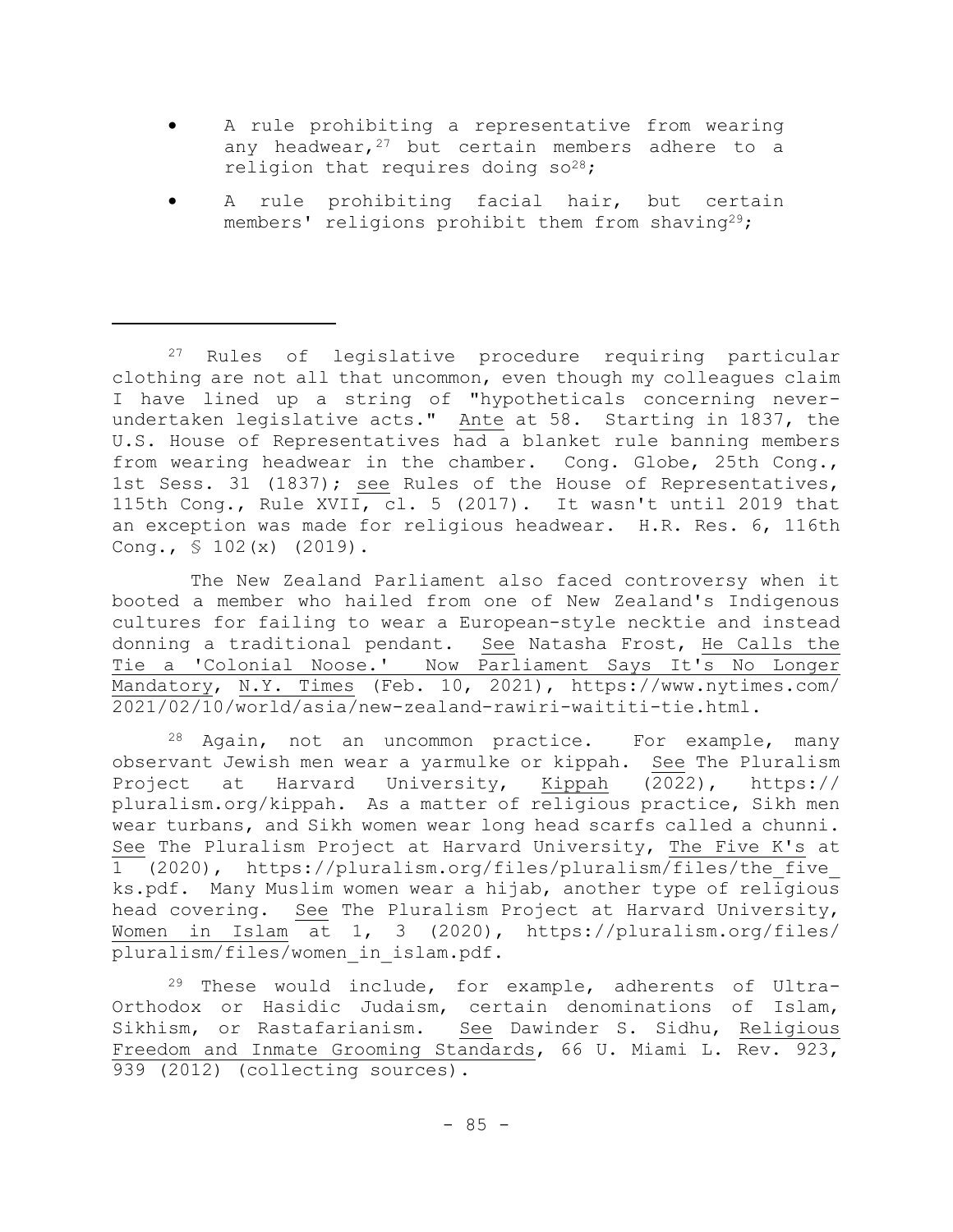- A rule prohibiting a representative from wearing any headwear,  $27$  but certain members adhere to a religion that requires doing  $so^{28}$ ;
- A rule prohibiting facial hair, but certain members' religions prohibit them from shaving<sup>29</sup>;

 The New Zealand Parliament also faced controversy when it booted a member who hailed from one of New Zealand's Indigenous cultures for failing to wear a European-style necktie and instead donning a traditional pendant. See Natasha Frost, He Calls the Tie a 'Colonial Noose.' Now Parliament Says It's No Longer Mandatory, N.Y. Times (Feb. 10, 2021), https://www.nytimes.com/ 2021/02/10/world/asia/new-zealand-rawiri-waititi-tie.html.

<sup>28</sup> Again, not an uncommon practice. For example, many observant Jewish men wear a yarmulke or kippah. See The Pluralism Project at Harvard University, Kippah (2022), https:// pluralism.org/kippah. As a matter of religious practice, Sikh men wear turbans, and Sikh women wear long head scarfs called a chunni. See The Pluralism Project at Harvard University, The Five K's at 1 (2020), https://pluralism.org/files/pluralism/files/the\_five\_ ks.pdf. Many Muslim women wear a hijab, another type of religious head covering. See The Pluralism Project at Harvard University, Women in Islam at 1, 3 (2020), https://pluralism.org/files/ pluralism/files/women\_in\_islam.pdf.

<sup>29</sup> These would include, for example, adherents of Ultra-Orthodox or Hasidic Judaism, certain denominations of Islam, Sikhism, or Rastafarianism. See Dawinder S. Sidhu, Religious Freedom and Inmate Grooming Standards, 66 U. Miami L. Rev. 923, 939 (2012) (collecting sources).

<sup>27</sup> Rules of legislative procedure requiring particular clothing are not all that uncommon, even though my colleagues claim I have lined up a string of "hypotheticals concerning neverundertaken legislative acts." Ante at 58. Starting in 1837, the U.S. House of Representatives had a blanket rule banning members from wearing headwear in the chamber. Cong. Globe, 25th Cong., 1st Sess. 31 (1837); see Rules of the House of Representatives, 115th Cong., Rule XVII, cl. 5 (2017). It wasn't until 2019 that an exception was made for religious headwear. H.R. Res. 6, 116th Cong.,  $$ 102(x) (2019)$ .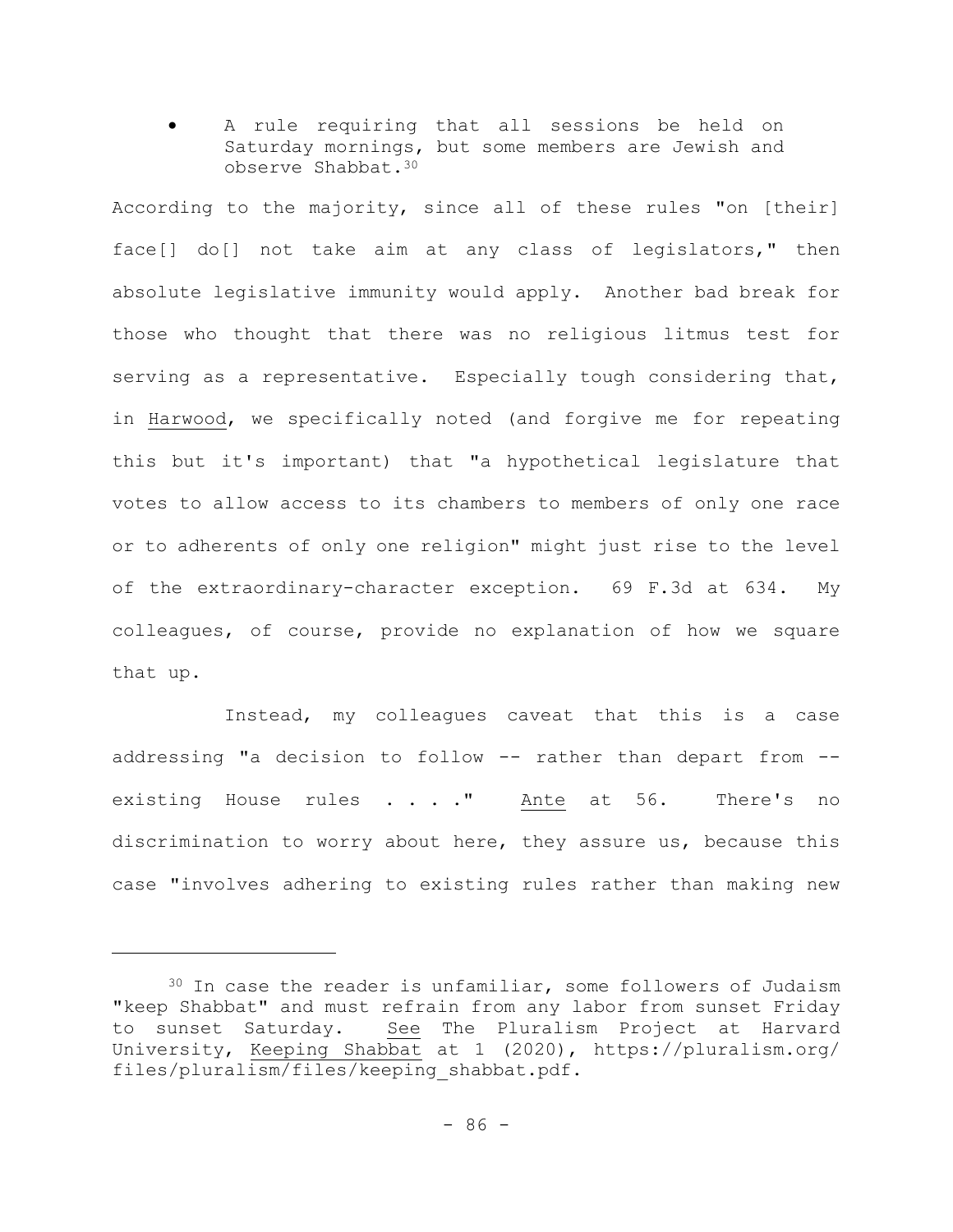A rule requiring that all sessions be held on Saturday mornings, but some members are Jewish and observe Shabbat.<sup>30</sup>

According to the majority, since all of these rules "on [their] face[] do[] not take aim at any class of legislators," then absolute legislative immunity would apply. Another bad break for those who thought that there was no religious litmus test for serving as a representative. Especially tough considering that, in Harwood, we specifically noted (and forgive me for repeating this but it's important) that "a hypothetical legislature that votes to allow access to its chambers to members of only one race or to adherents of only one religion" might just rise to the level of the extraordinary-character exception. 69 F.3d at 634. My colleagues, of course, provide no explanation of how we square that up.

Instead, my colleagues caveat that this is a case addressing "a decision to follow -- rather than depart from - existing House rules . . . " Ante at 56. There's no discrimination to worry about here, they assure us, because this case "involves adhering to existing rules rather than making new

<sup>30</sup> In case the reader is unfamiliar, some followers of Judaism "keep Shabbat" and must refrain from any labor from sunset Friday to sunset Saturday. See The Pluralism Project at Harvard University, Keeping Shabbat at 1 (2020), https://pluralism.org/ files/pluralism/files/keeping\_shabbat.pdf.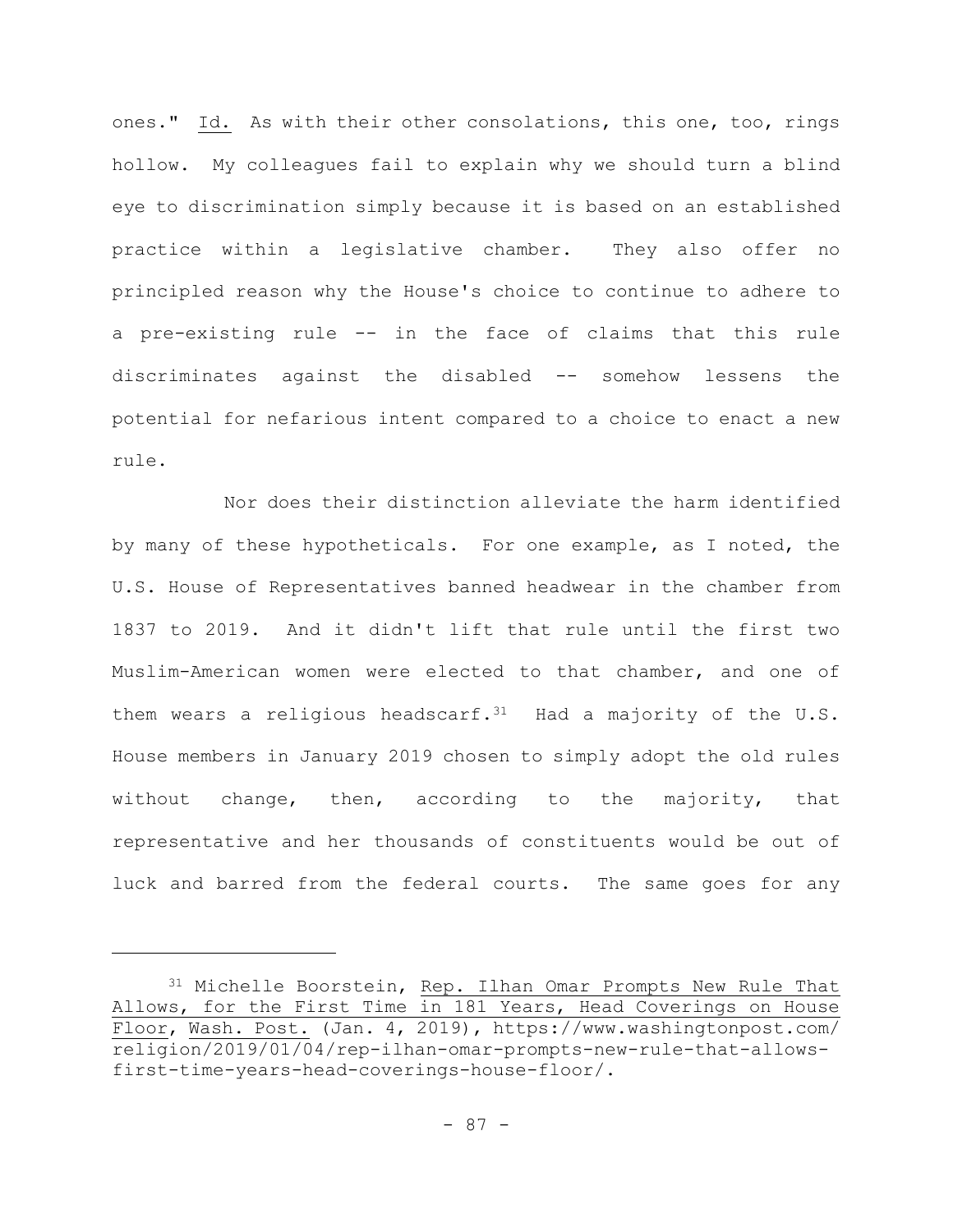ones." Id. As with their other consolations, this one, too, rings hollow. My colleagues fail to explain why we should turn a blind eye to discrimination simply because it is based on an established practice within a legislative chamber. They also offer no principled reason why the House's choice to continue to adhere to a pre-existing rule -- in the face of claims that this rule discriminates against the disabled -- somehow lessens the potential for nefarious intent compared to a choice to enact a new rule.

Nor does their distinction alleviate the harm identified by many of these hypotheticals. For one example, as I noted, the U.S. House of Representatives banned headwear in the chamber from 1837 to 2019. And it didn't lift that rule until the first two Muslim-American women were elected to that chamber, and one of them wears a religious headscarf. $31$  Had a majority of the U.S. House members in January 2019 chosen to simply adopt the old rules without change, then, according to the majority, that representative and her thousands of constituents would be out of luck and barred from the federal courts. The same goes for any

<sup>31</sup> Michelle Boorstein, Rep. Ilhan Omar Prompts New Rule That Allows, for the First Time in 181 Years, Head Coverings on House Floor, Wash. Post. (Jan. 4, 2019), https://www.washingtonpost.com/ religion/2019/01/04/rep-ilhan-omar-prompts-new-rule-that-allowsfirst-time-years-head-coverings-house-floor/.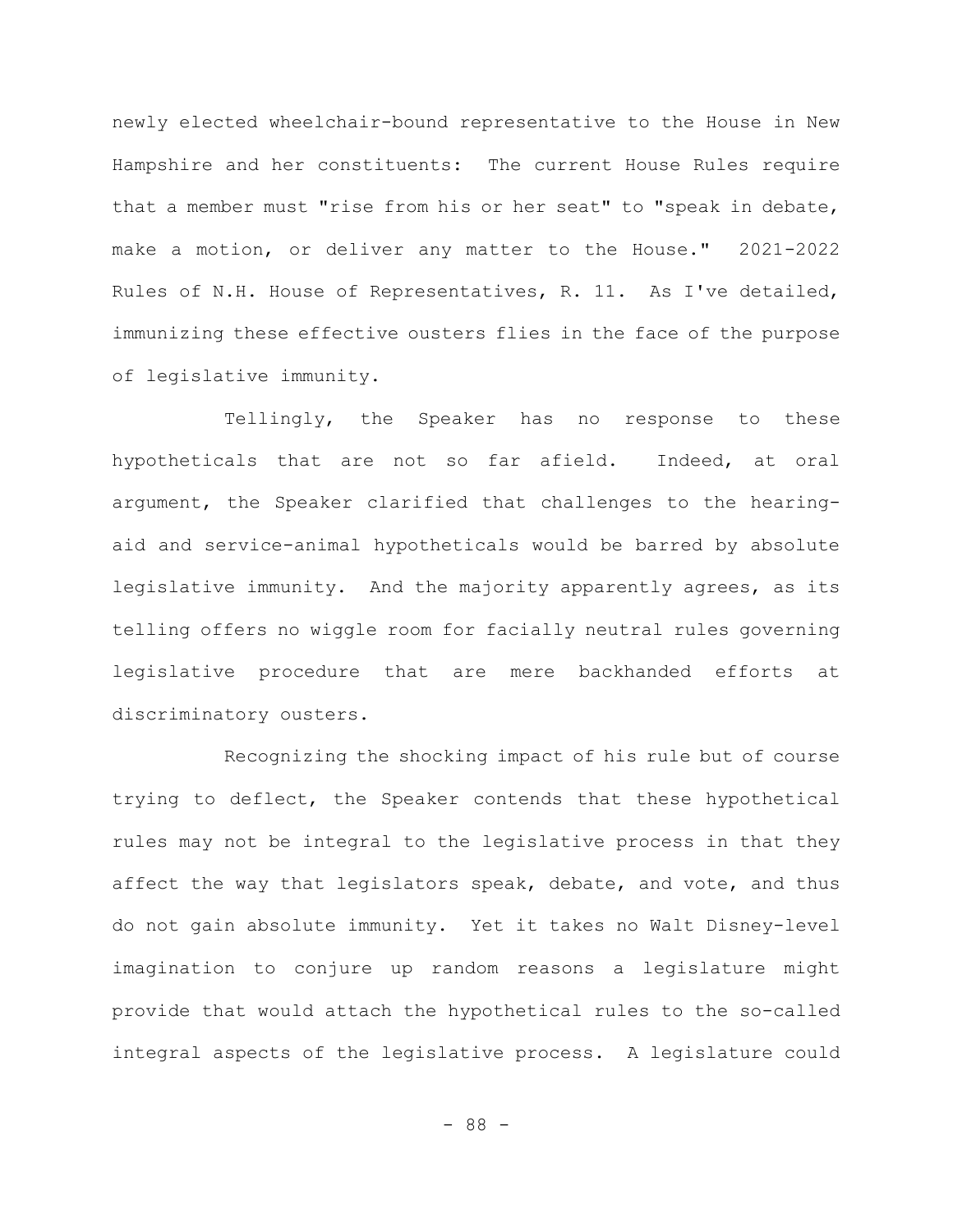newly elected wheelchair-bound representative to the House in New Hampshire and her constituents: The current House Rules require that a member must "rise from his or her seat" to "speak in debate, make a motion, or deliver any matter to the House." 2021-2022 Rules of N.H. House of Representatives, R. 11. As I've detailed, immunizing these effective ousters flies in the face of the purpose of legislative immunity.

Tellingly, the Speaker has no response to these hypotheticals that are not so far afield. Indeed, at oral argument, the Speaker clarified that challenges to the hearingaid and service-animal hypotheticals would be barred by absolute legislative immunity. And the majority apparently agrees, as its telling offers no wiggle room for facially neutral rules governing legislative procedure that are mere backhanded efforts at discriminatory ousters.

Recognizing the shocking impact of his rule but of course trying to deflect, the Speaker contends that these hypothetical rules may not be integral to the legislative process in that they affect the way that legislators speak, debate, and vote, and thus do not gain absolute immunity. Yet it takes no Walt Disney-level imagination to conjure up random reasons a legislature might provide that would attach the hypothetical rules to the so-called integral aspects of the legislative process. A legislature could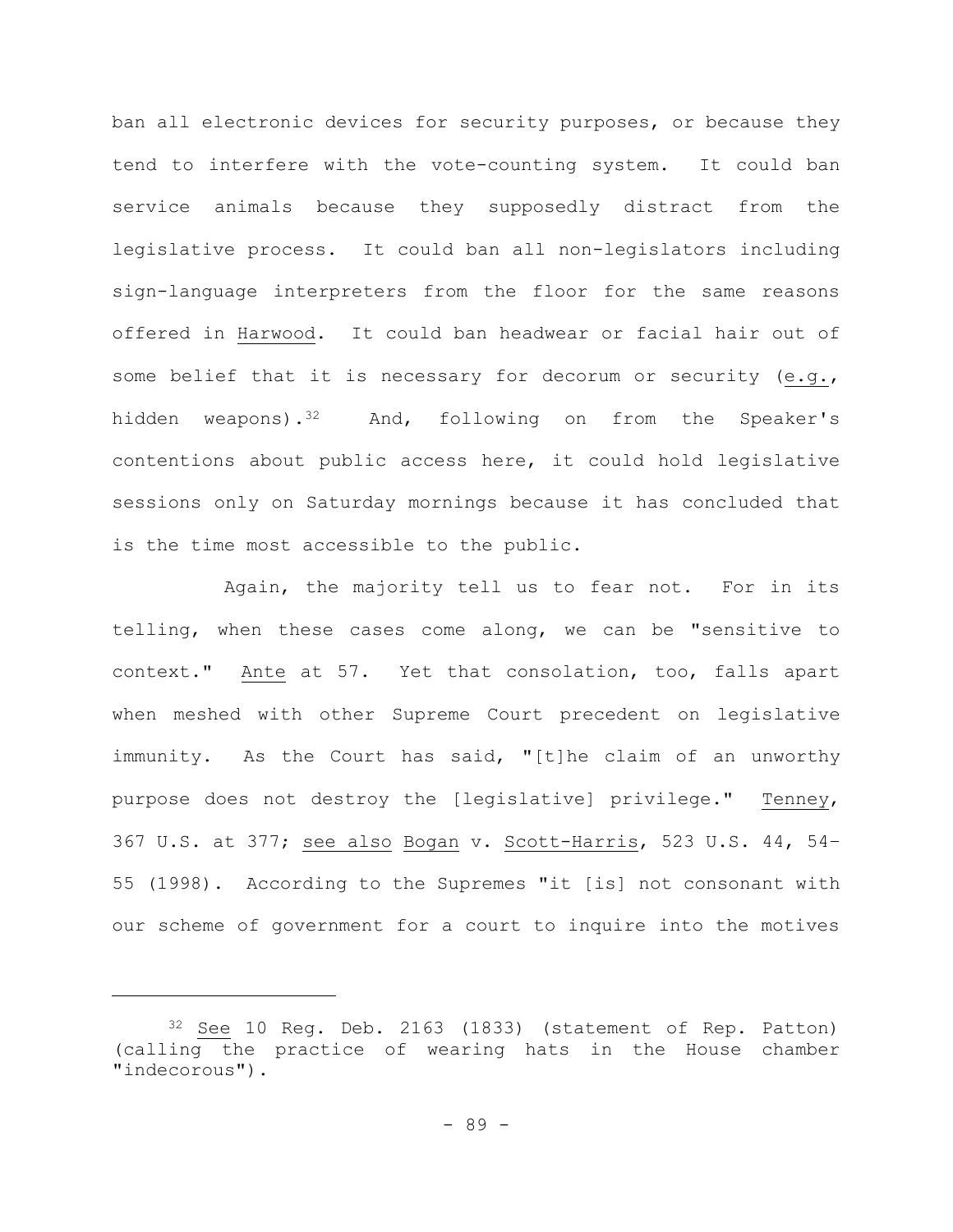ban all electronic devices for security purposes, or because they tend to interfere with the vote-counting system. It could ban service animals because they supposedly distract from the legislative process. It could ban all non-legislators including sign-language interpreters from the floor for the same reasons offered in Harwood. It could ban headwear or facial hair out of some belief that it is necessary for decorum or security (e.g., hidden weapons).<sup>32</sup> And, following on from the Speaker's contentions about public access here, it could hold legislative sessions only on Saturday mornings because it has concluded that is the time most accessible to the public.

Again, the majority tell us to fear not. For in its telling, when these cases come along, we can be "sensitive to context." Ante at 57. Yet that consolation, too, falls apart when meshed with other Supreme Court precedent on legislative immunity. As the Court has said, "[t]he claim of an unworthy purpose does not destroy the [legislative] privilege." Tenney, 367 U.S. at 377; see also Bogan v. Scott-Harris, 523 U.S. 44, 54– 55 (1998). According to the Supremes "it [is] not consonant with our scheme of government for a court to inquire into the motives

<sup>32</sup> See 10 Reg. Deb. 2163 (1833) (statement of Rep. Patton) (calling the practice of wearing hats in the House chamber "indecorous").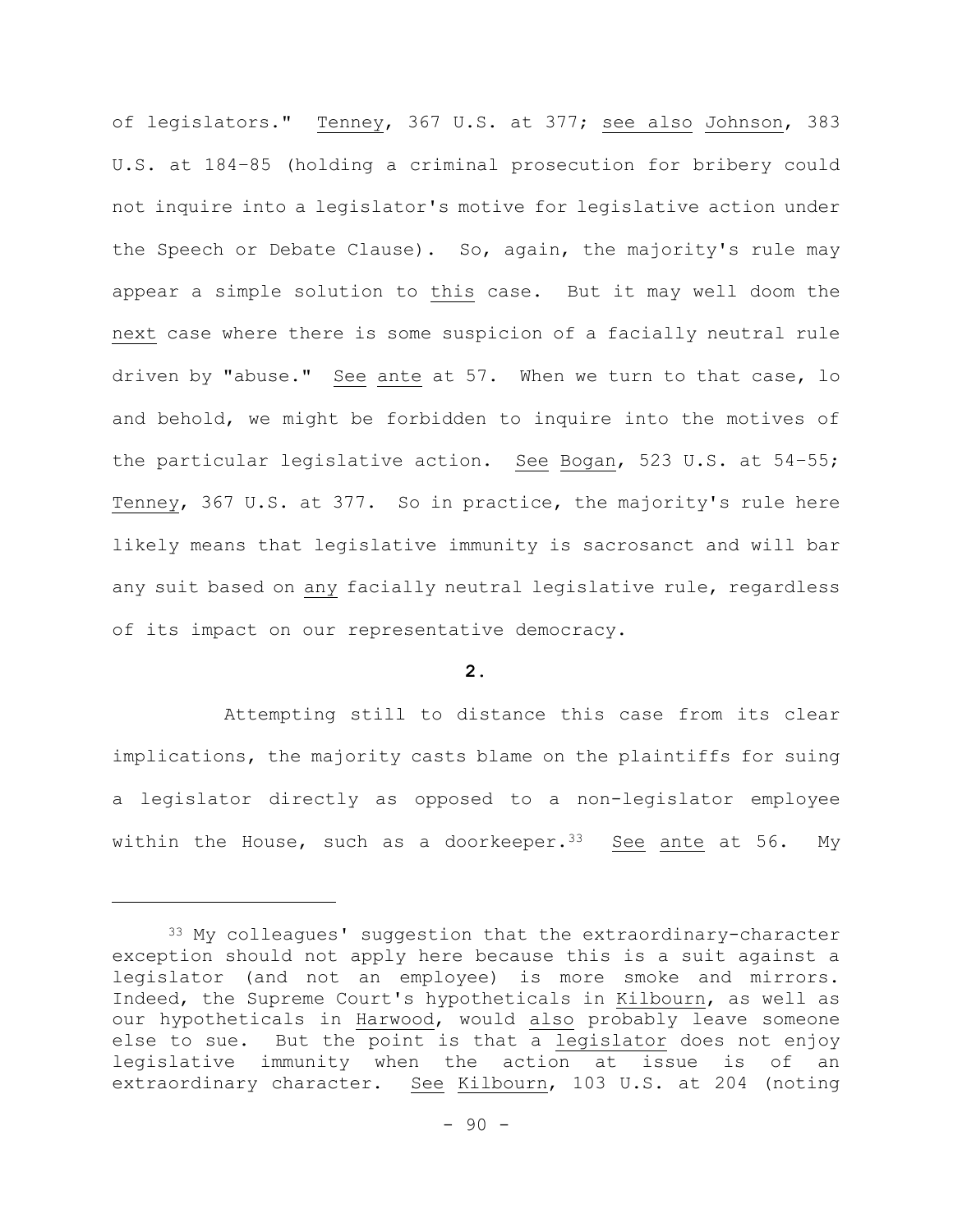of legislators." Tenney, 367 U.S. at 377; see also Johnson, 383 U.S. at 184–85 (holding a criminal prosecution for bribery could not inquire into a legislator's motive for legislative action under the Speech or Debate Clause). So, again, the majority's rule may appear a simple solution to this case. But it may well doom the next case where there is some suspicion of a facially neutral rule driven by "abuse." See ante at 57. When we turn to that case, lo and behold, we might be forbidden to inquire into the motives of the particular legislative action. See Bogan, 523 U.S. at 54–55; Tenney, 367 U.S. at 377. So in practice, the majority's rule here likely means that legislative immunity is sacrosanct and will bar any suit based on any facially neutral legislative rule, regardless of its impact on our representative democracy.

## **2.**

Attempting still to distance this case from its clear implications, the majority casts blame on the plaintiffs for suing a legislator directly as opposed to a non-legislator employee within the House, such as a doorkeeper.  $33$  See ante at 56. My

<sup>&</sup>lt;sup>33</sup> My colleagues' suggestion that the extraordinary-character exception should not apply here because this is a suit against a legislator (and not an employee) is more smoke and mirrors. Indeed, the Supreme Court's hypotheticals in Kilbourn, as well as our hypotheticals in Harwood, would also probably leave someone else to sue. But the point is that a legislator does not enjoy legislative immunity when the action at issue is of an extraordinary character. See Kilbourn, 103 U.S. at 204 (noting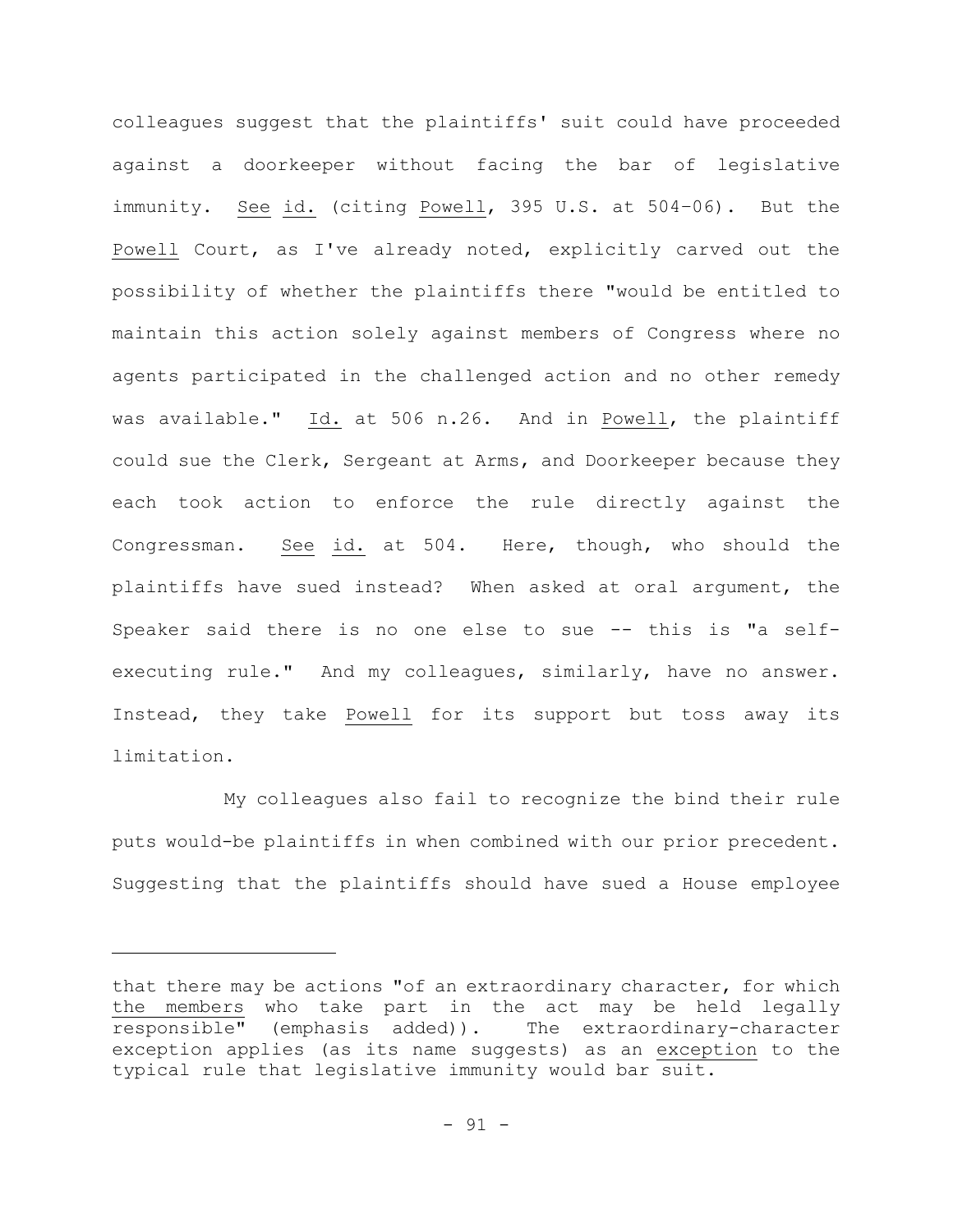colleagues suggest that the plaintiffs' suit could have proceeded against a doorkeeper without facing the bar of legislative immunity. See id. (citing Powell, 395 U.S. at 504–06). But the Powell Court, as I've already noted, explicitly carved out the possibility of whether the plaintiffs there "would be entitled to maintain this action solely against members of Congress where no agents participated in the challenged action and no other remedy was available." Id. at 506 n.26. And in Powell, the plaintiff could sue the Clerk, Sergeant at Arms, and Doorkeeper because they each took action to enforce the rule directly against the Congressman. See id. at 504. Here, though, who should the plaintiffs have sued instead? When asked at oral argument, the Speaker said there is no one else to sue -- this is "a selfexecuting rule." And my colleagues, similarly, have no answer. Instead, they take Powell for its support but toss away its limitation.

My colleagues also fail to recognize the bind their rule puts would-be plaintiffs in when combined with our prior precedent. Suggesting that the plaintiffs should have sued a House employee

that there may be actions "of an extraordinary character, for which the members who take part in the act may be held legally responsible" (emphasis added)). The extraordinary-character exception applies (as its name suggests) as an exception to the typical rule that legislative immunity would bar suit.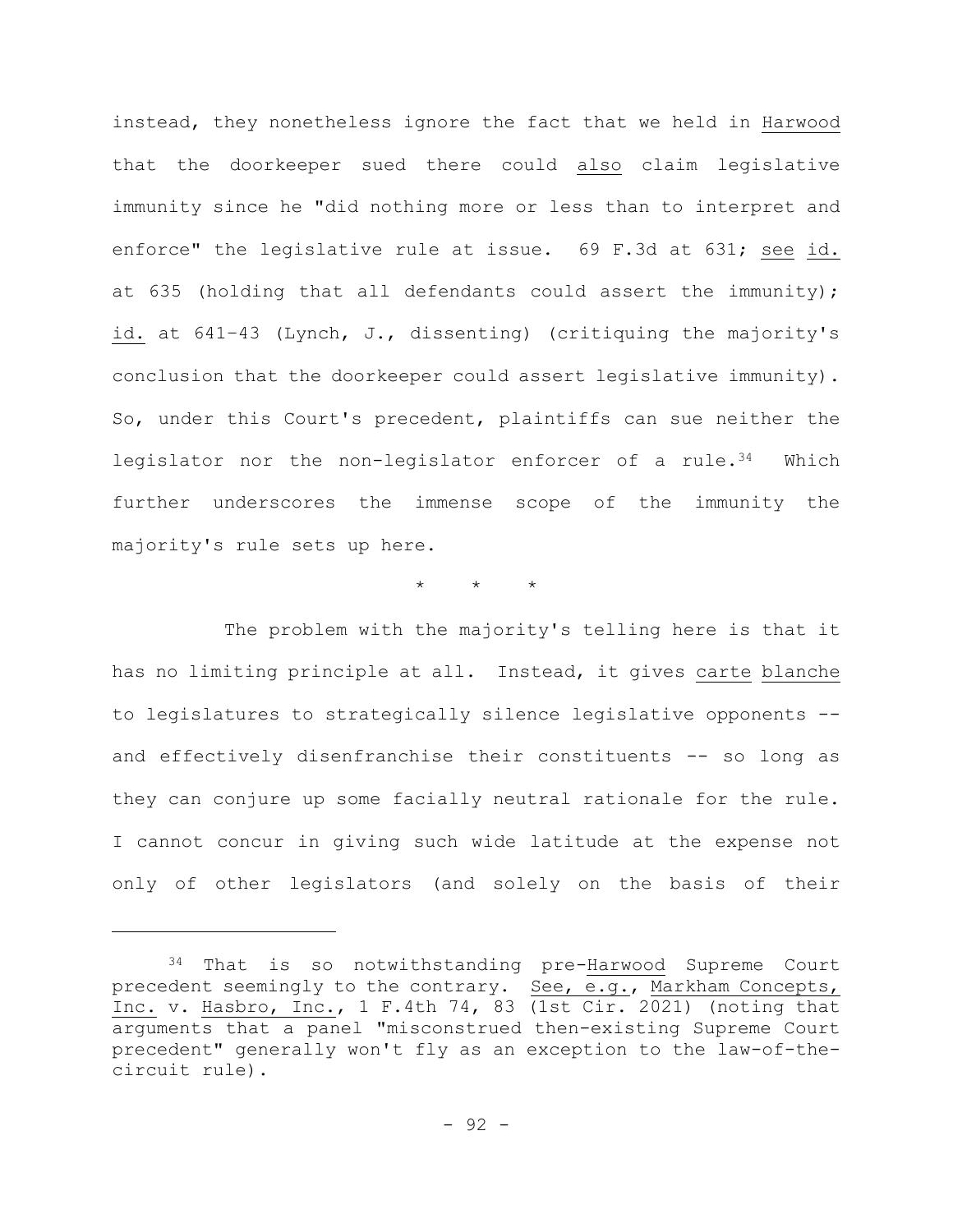instead, they nonetheless ignore the fact that we held in Harwood that the doorkeeper sued there could also claim legislative immunity since he "did nothing more or less than to interpret and enforce" the legislative rule at issue. 69 F.3d at 631; see id. at 635 (holding that all defendants could assert the immunity); id. at 641–43 (Lynch, J., dissenting) (critiquing the majority's conclusion that the doorkeeper could assert legislative immunity). So, under this Court's precedent, plaintiffs can sue neither the legislator nor the non-legislator enforcer of a rule.<sup>34</sup> Which further underscores the immense scope of the immunity the majority's rule sets up here.

\* \* \*

The problem with the majority's telling here is that it has no limiting principle at all. Instead, it gives carte blanche to legislatures to strategically silence legislative opponents - and effectively disenfranchise their constituents -- so long as they can conjure up some facially neutral rationale for the rule. I cannot concur in giving such wide latitude at the expense not only of other legislators (and solely on the basis of their

<sup>34</sup> That is so notwithstanding pre-Harwood Supreme Court precedent seemingly to the contrary. See, e.g., Markham Concepts, Inc. v. Hasbro, Inc., 1 F.4th 74, 83 (1st Cir. 2021) (noting that arguments that a panel "misconstrued then-existing Supreme Court precedent" generally won't fly as an exception to the law-of-thecircuit rule).